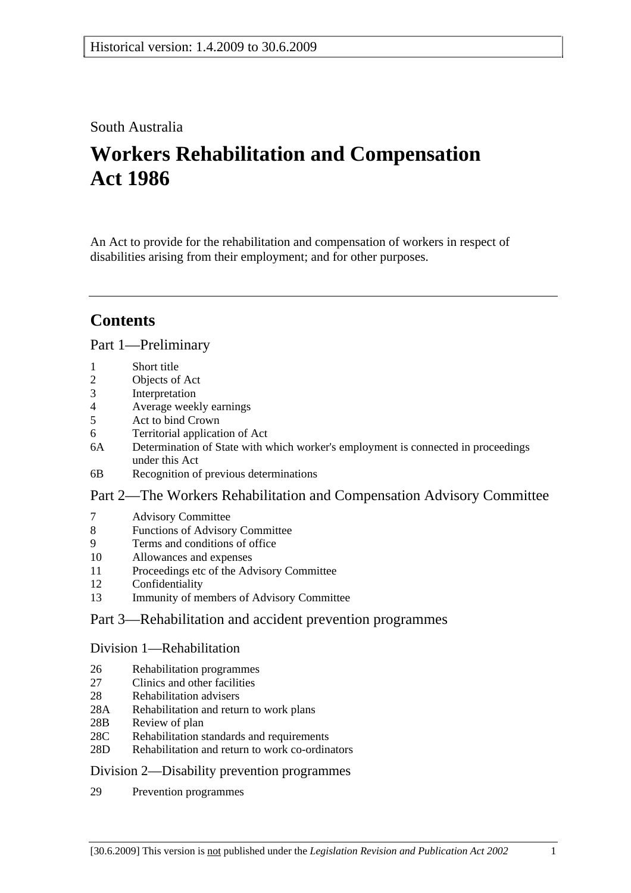# South Australia

# **Workers Rehabilitation and Compensation Act 1986**

An Act to provide for the rehabilitation and compensation of workers in respect of disabilities arising from their employment; and for other purposes.

# **Contents**

## Part 1—Preliminary

- 1 Short title
- 2 Objects of Act
- 3 Interpretation
- 4 Average weekly earnings
- 5 Act to bind Crown
- 6 Territorial application of Act
- 6A Determination of State with which worker's employment is connected in proceedings under this Act
- 6B Recognition of previous determinations

## Part 2—The Workers Rehabilitation and Compensation Advisory Committee

- 7 Advisory Committee
- 8 Functions of Advisory Committee
- 9 Terms and conditions of office
- 10 Allowances and expenses
- 11 Proceedings etc of the Advisory Committee
- 12 Confidentiality
- 13 Immunity of members of Advisory Committee

# Part 3—Rehabilitation and accident prevention programmes

### Division 1—Rehabilitation

- 26 Rehabilitation programmes
- 27 Clinics and other facilities
- 28 Rehabilitation advisers
- 28A Rehabilitation and return to work plans
- 28B Review of plan
- 28C Rehabilitation standards and requirements
- 28D Rehabilitation and return to work co-ordinators

## Division 2—Disability prevention programmes

29 Prevention programmes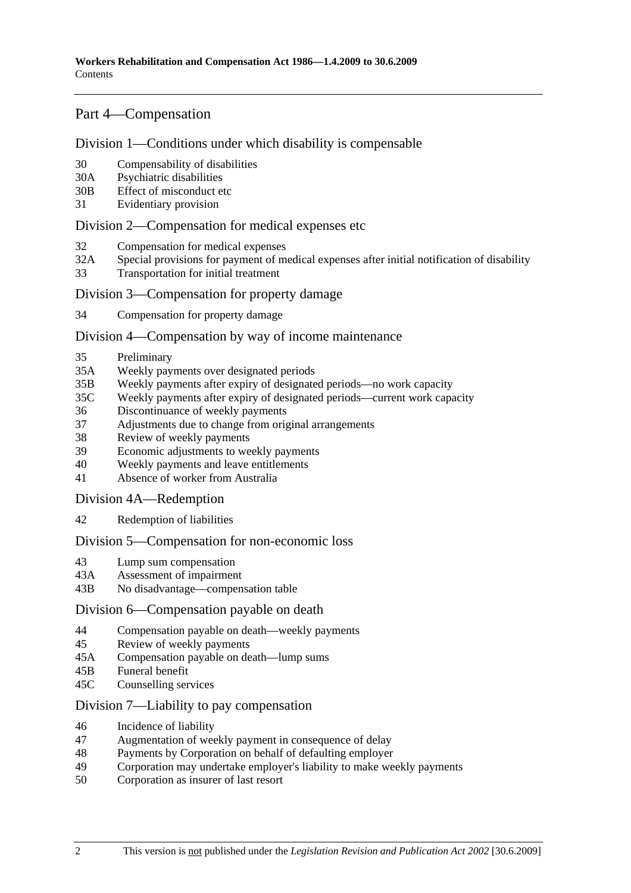# Part 4—Compensation

### Division 1—Conditions under which disability is compensable

- 30 Compensability of disabilities
- 30A Psychiatric disabilities
- 30B Effect of misconduct etc
- 31 Evidentiary provision

### Division 2—Compensation for medical expenses etc

- 32 Compensation for medical expenses
- 32A Special provisions for payment of medical expenses after initial notification of disability
- 33 Transportation for initial treatment

### Division 3—Compensation for property damage

34 Compensation for property damage

#### Division 4—Compensation by way of income maintenance

- 35 Preliminary
- 35A Weekly payments over designated periods
- 35B Weekly payments after expiry of designated periods—no work capacity
- 35C Weekly payments after expiry of designated periods—current work capacity
- 36 Discontinuance of weekly payments
- 37 Adjustments due to change from original arrangements
- 38 Review of weekly payments
- 39 Economic adjustments to weekly payments
- 40 Weekly payments and leave entitlements
- 41 Absence of worker from Australia

### Division 4A—Redemption

42 Redemption of liabilities

### Division 5—Compensation for non-economic loss

- 43 Lump sum compensation
- 43A Assessment of impairment
- 43B No disadvantage—compensation table

### Division 6—Compensation payable on death

- 44 Compensation payable on death—weekly payments
- 45 Review of weekly payments
- 45A Compensation payable on death—lump sums
- 45B Funeral benefit
- 45C Counselling services

## Division 7—Liability to pay compensation

- 46 Incidence of liability
- 47 Augmentation of weekly payment in consequence of delay
- 48 Payments by Corporation on behalf of defaulting employer
- 49 Corporation may undertake employer's liability to make weekly payments
- 50 Corporation as insurer of last resort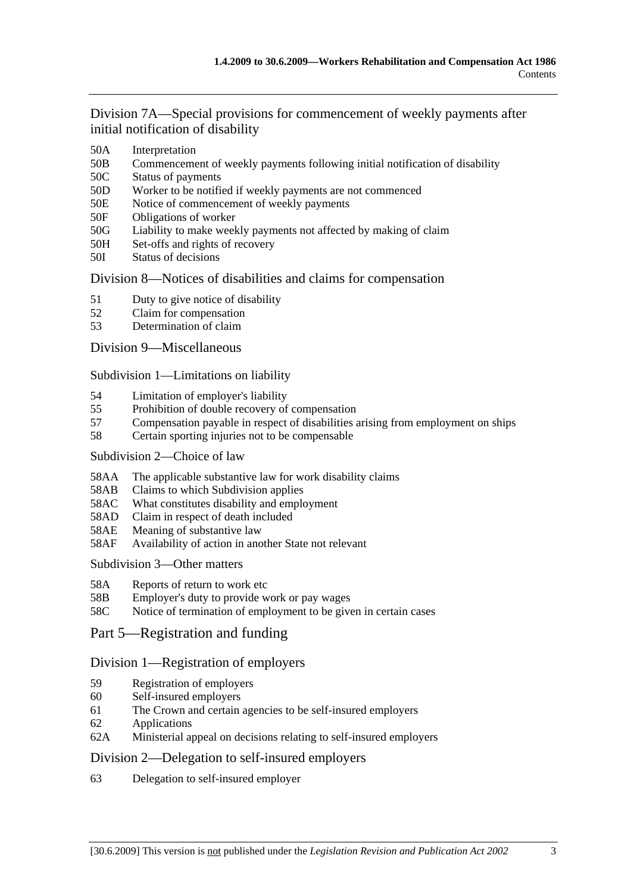Division 7A—Special provisions for commencement of weekly payments after initial notification of disability

- 50A Interpretation
- 50B Commencement of weekly payments following initial notification of disability
- 50C Status of payments
- 50D Worker to be notified if weekly payments are not commenced
- 50E Notice of commencement of weekly payments
- 50F Obligations of worker
- 50G Liability to make weekly payments not affected by making of claim
- 50H Set-offs and rights of recovery
- 50I Status of decisions

## Division 8—Notices of disabilities and claims for compensation

- 51 Duty to give notice of disability
- 52 Claim for compensation
- 53 Determination of claim

## Division 9—Miscellaneous

Subdivision 1—Limitations on liability

- 54 Limitation of employer's liability
- 55 Prohibition of double recovery of compensation
- 57 Compensation payable in respect of disabilities arising from employment on ships
- 58 Certain sporting injuries not to be compensable

### Subdivision 2—Choice of law

- 58AA The applicable substantive law for work disability claims
- 58AB Claims to which Subdivision applies
- 58AC What constitutes disability and employment
- 58AD Claim in respect of death included
- 58AE Meaning of substantive law
- 58AF Availability of action in another State not relevant

Subdivision 3—Other matters

- 58A Reports of return to work etc
- 58B Employer's duty to provide work or pay wages
- 58C Notice of termination of employment to be given in certain cases
- Part 5—Registration and funding

## Division 1—Registration of employers

- 59 Registration of employers
- 60 Self-insured employers
- 61 The Crown and certain agencies to be self-insured employers
- 62 Applications
- 62A Ministerial appeal on decisions relating to self-insured employers

## Division 2—Delegation to self-insured employers

63 Delegation to self-insured employer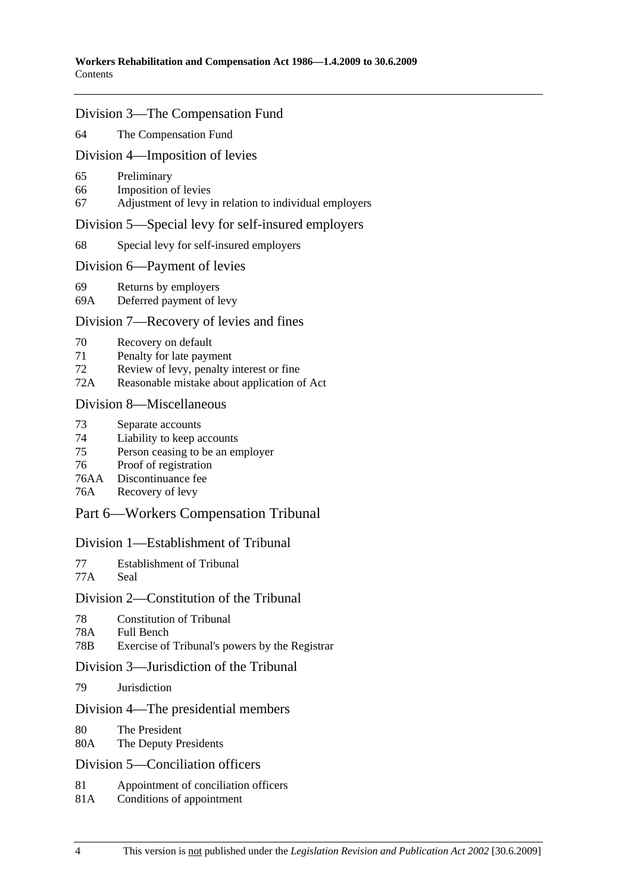### Division 3—The Compensation Fund

64 The Compensation Fund

#### Division 4—Imposition of levies

- 65 Preliminary
- 66 Imposition of levies
- 67 Adjustment of levy in relation to individual employers

#### Division 5—Special levy for self-insured employers

68 Special levy for self-insured employers

#### Division 6—Payment of levies

- 69 Returns by employers
- 69A Deferred payment of levy

## Division 7—Recovery of levies and fines

- 70 Recovery on default
- 71 Penalty for late payment
- 72 Review of levy, penalty interest or fine
- 72A Reasonable mistake about application of Act

#### Division 8—Miscellaneous

- 73 Separate accounts
- 74 Liability to keep accounts
- 75 Person ceasing to be an employer
- 76 Proof of registration
- 76AA Discontinuance fee
- 76A Recovery of levy

## Part 6—Workers Compensation Tribunal

### Division 1—Establishment of Tribunal

- 77 Establishment of Tribunal
- 77A Seal

## Division 2—Constitution of the Tribunal

- 78 Constitution of Tribunal
- 78A Full Bench
- 78B Exercise of Tribunal's powers by the Registrar

### Division 3—Jurisdiction of the Tribunal

79 Jurisdiction

### Division 4—The presidential members

- 80 The President
- 80A The Deputy Presidents

### Division 5—Conciliation officers

- 81 Appointment of conciliation officers
- 81A Conditions of appointment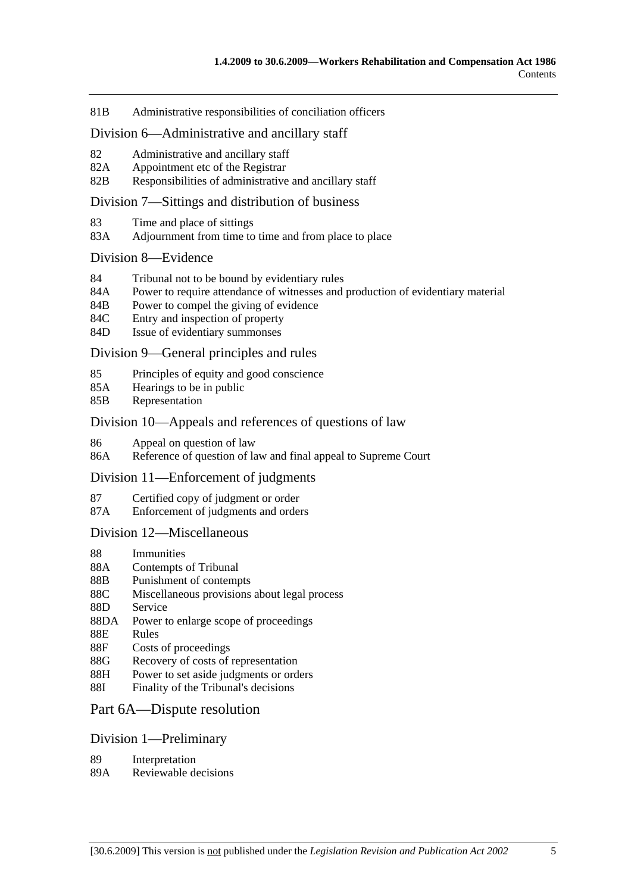81B Administrative responsibilities of conciliation officers

#### Division 6—Administrative and ancillary staff

- 82 Administrative and ancillary staff
- 82A Appointment etc of the Registrar
- 82B Responsibilities of administrative and ancillary staff

#### Division 7—Sittings and distribution of business

- 83 Time and place of sittings
- 83A Adjournment from time to time and from place to place

#### Division 8—Evidence

- 84 Tribunal not to be bound by evidentiary rules
- 84A Power to require attendance of witnesses and production of evidentiary material
- 84B Power to compel the giving of evidence
- 84C Entry and inspection of property
- 84D Issue of evidentiary summonses

#### Division 9—General principles and rules

- 85 Principles of equity and good conscience
- 85A Hearings to be in public
- 85B Representation

#### Division 10—Appeals and references of questions of law

- 86 Appeal on question of law
- 86A Reference of question of law and final appeal to Supreme Court

#### Division 11—Enforcement of judgments

- 87 Certified copy of judgment or order
- 87A Enforcement of judgments and orders

### Division 12—Miscellaneous

- 88 Immunities
- 88A Contempts of Tribunal
- 88B Punishment of contempts
- 88C Miscellaneous provisions about legal process
- 88D Service
- 88DA Power to enlarge scope of proceedings
- 88E Rules
- 88F Costs of proceedings
- 88G Recovery of costs of representation
- 88H Power to set aside judgments or orders
- 88I Finality of the Tribunal's decisions

#### Part 6A—Dispute resolution

#### Division 1—Preliminary

- 89 Interpretation
- 89A Reviewable decisions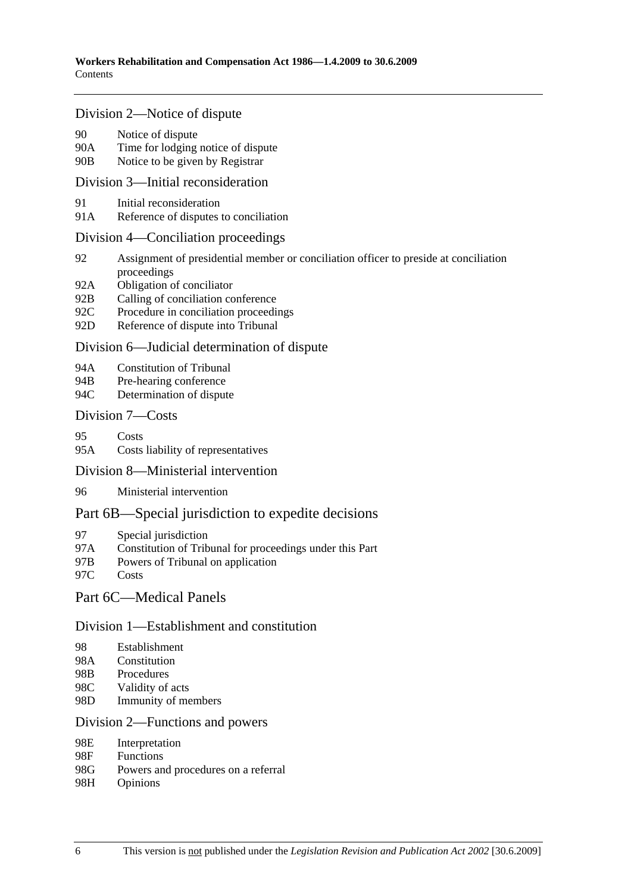### Division 2—Notice of dispute

- 90 Notice of dispute
- 90A Time for lodging notice of dispute
- 90B Notice to be given by Registrar

## Division 3—Initial reconsideration

- 91 Initial reconsideration
- 91A Reference of disputes to conciliation

#### Division 4—Conciliation proceedings

- 92 Assignment of presidential member or conciliation officer to preside at conciliation proceedings
- 92A Obligation of conciliator
- 92B Calling of conciliation conference
- 92C Procedure in conciliation proceedings
- 92D Reference of dispute into Tribunal

## Division 6—Judicial determination of dispute

- 94A Constitution of Tribunal
- 94B Pre-hearing conference
- 94C Determination of dispute

## Division 7—Costs

- 95 Costs
- 95A Costs liability of representatives

### Division 8—Ministerial intervention

96 Ministerial intervention

## Part 6B—Special jurisdiction to expedite decisions

- 97 Special jurisdiction
- 97A Constitution of Tribunal for proceedings under this Part
- 97B Powers of Tribunal on application
- 97C Costs

## Part 6C—Medical Panels

### Division 1—Establishment and constitution

- 98 Establishment
- 98A Constitution
- 98B Procedures
- 98C Validity of acts
- 98D Immunity of members

### Division 2—Functions and powers

- 98E Interpretation
- 98F Functions
- 98G Powers and procedures on a referral
- 98H Opinions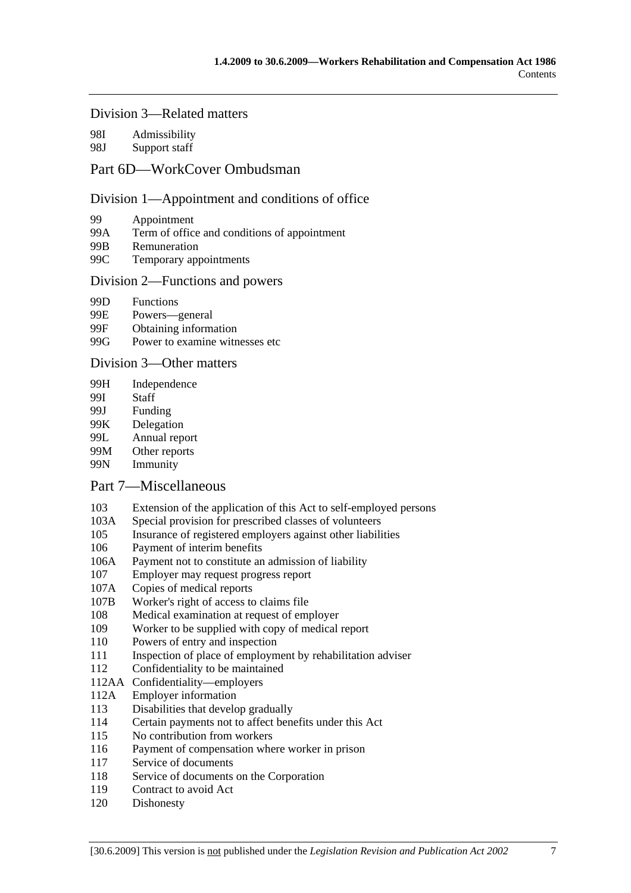## Division 3—Related matters

98I Admissibility

## 98J Support staff

# Part 6D—WorkCover Ombudsman

### Division 1—Appointment and conditions of office

- 99 Appointment
- 99A Term of office and conditions of appointment
- 99B Remuneration
- 99C Temporary appointments

### Division 2—Functions and powers

- 99D Functions
- 99E Powers—general
- 99F Obtaining information
- 99G Power to examine witnesses etc

### Division 3—Other matters

- 99H Independence
- 99I Staff
- 99J Funding
- 99K Delegation
- 99L Annual report
- 99M Other reports
- 99N Immunity

### Part 7—Miscellaneous

- 103 Extension of the application of this Act to self-employed persons
- 103A Special provision for prescribed classes of volunteers
- 105 Insurance of registered employers against other liabilities
- 106 Payment of interim benefits
- 106A Payment not to constitute an admission of liability
- 107 Employer may request progress report
- 107A Copies of medical reports
- 107B Worker's right of access to claims file
- 108 Medical examination at request of employer
- 109 Worker to be supplied with copy of medical report
- 110 Powers of entry and inspection
- 111 Inspection of place of employment by rehabilitation adviser
- 112 Confidentiality to be maintained
- 112AA Confidentiality—employers
- 112A Employer information
- 113 Disabilities that develop gradually
- 114 Certain payments not to affect benefits under this Act
- 115 No contribution from workers
- 116 Payment of compensation where worker in prison
- 117 Service of documents
- 118 Service of documents on the Corporation
- 119 Contract to avoid Act
- 120 Dishonesty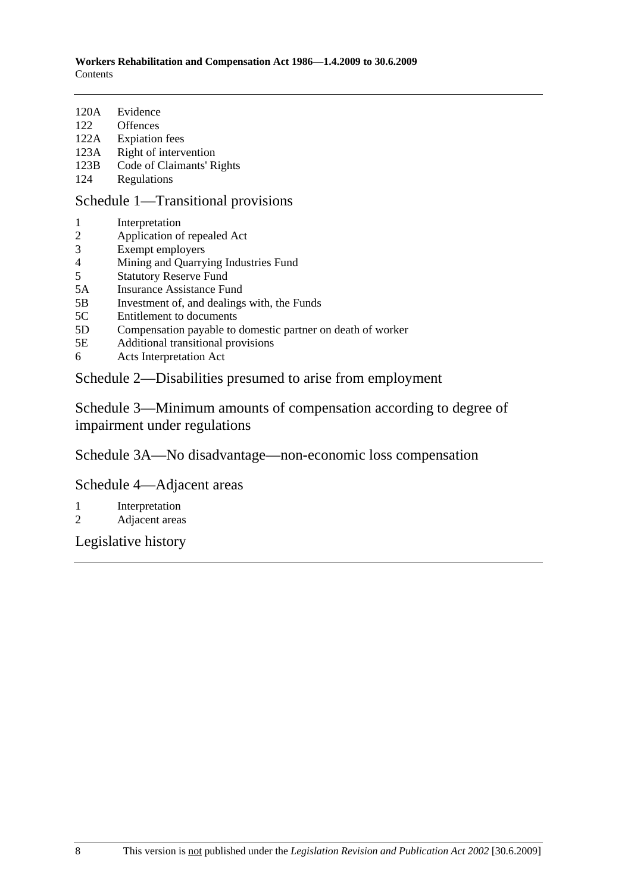- 120A Evidence
- 122 Offences
- 122A Expiation fees
- 123A Right of intervention<br>123B Code of Claimants' R
- Code of Claimants' Rights
- 124 Regulations

Schedule 1—Transitional provisions

- 1 Interpretation
- 2 Application of repealed Act
- 3 Exempt employers
- 4 Mining and Quarrying Industries Fund
- 5 Statutory Reserve Fund
- 5A Insurance Assistance Fund
- 5B Investment of, and dealings with, the Funds
- 5C Entitlement to documents
- 5D Compensation payable to domestic partner on death of worker
- 5E Additional transitional provisions
- 6 Acts Interpretation Act

Schedule 2—Disabilities presumed to arise from employment

Schedule 3—Minimum amounts of compensation according to degree of impairment under regulations

Schedule 3A—No disadvantage—non-economic loss compensation

Schedule 4—Adjacent areas

- 1 Interpretation
- 2 Adjacent areas

Legislative history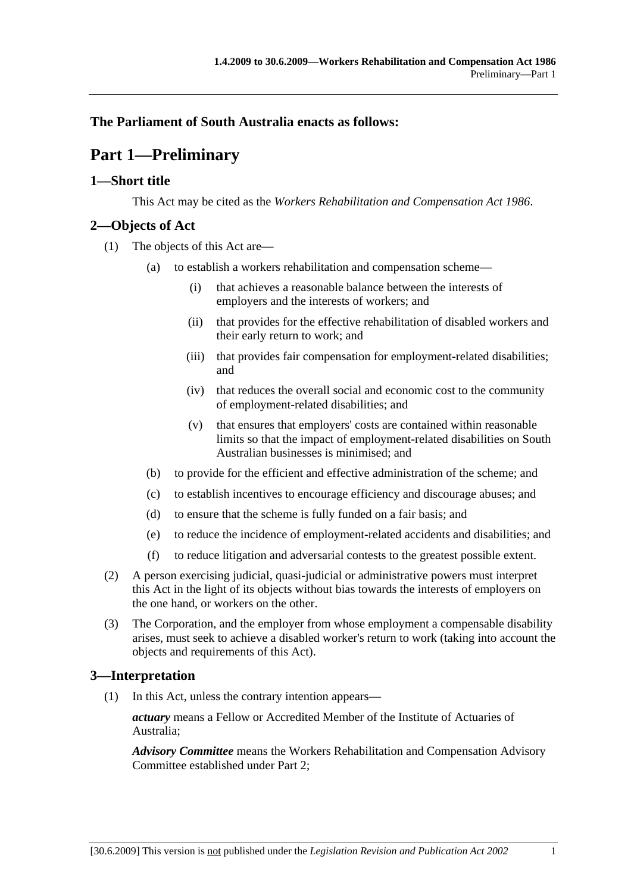# **The Parliament of South Australia enacts as follows:**

# **Part 1—Preliminary**

# **1—Short title**

This Act may be cited as the *Workers Rehabilitation and Compensation Act 1986*.

# **2—Objects of Act**

- (1) The objects of this Act are—
	- (a) to establish a workers rehabilitation and compensation scheme—
		- (i) that achieves a reasonable balance between the interests of employers and the interests of workers; and
		- (ii) that provides for the effective rehabilitation of disabled workers and their early return to work; and
		- (iii) that provides fair compensation for employment-related disabilities; and
		- (iv) that reduces the overall social and economic cost to the community of employment-related disabilities; and
		- (v) that ensures that employers' costs are contained within reasonable limits so that the impact of employment-related disabilities on South Australian businesses is minimised; and
	- (b) to provide for the efficient and effective administration of the scheme; and
	- (c) to establish incentives to encourage efficiency and discourage abuses; and
	- (d) to ensure that the scheme is fully funded on a fair basis; and
	- (e) to reduce the incidence of employment-related accidents and disabilities; and
	- (f) to reduce litigation and adversarial contests to the greatest possible extent.
- (2) A person exercising judicial, quasi-judicial or administrative powers must interpret this Act in the light of its objects without bias towards the interests of employers on the one hand, or workers on the other.
- (3) The Corporation, and the employer from whose employment a compensable disability arises, must seek to achieve a disabled worker's return to work (taking into account the objects and requirements of this Act).

# **3—Interpretation**

(1) In this Act, unless the contrary intention appears—

*actuary* means a Fellow or Accredited Member of the Institute of Actuaries of Australia;

*Advisory Committee* means the Workers Rehabilitation and Compensation Advisory Committee established under Part 2;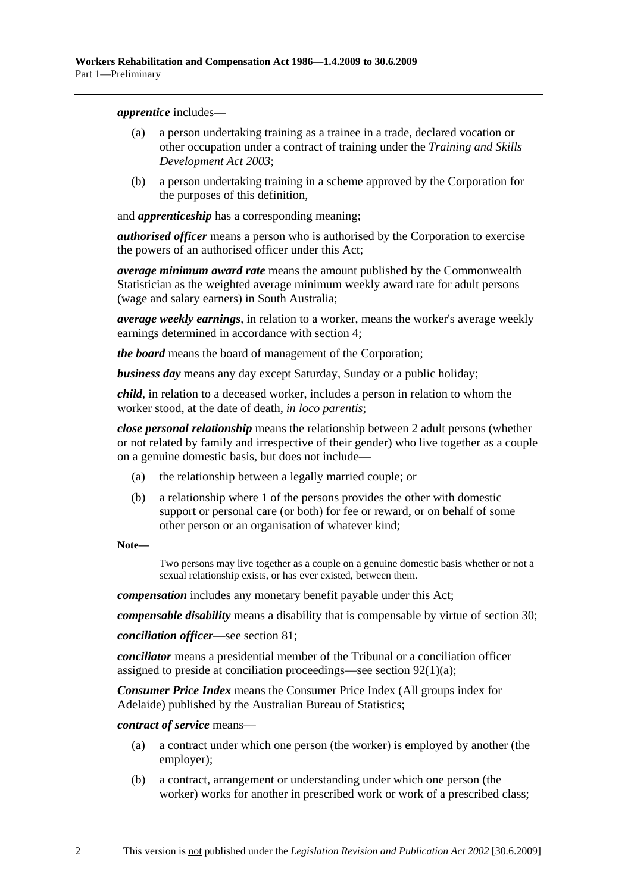*apprentice* includes—

- (a) a person undertaking training as a trainee in a trade, declared vocation or other occupation under a contract of training under the *Training and Skills Development Act 2003*;
- (b) a person undertaking training in a scheme approved by the Corporation for the purposes of this definition,

and *apprenticeship* has a corresponding meaning;

*authorised officer* means a person who is authorised by the Corporation to exercise the powers of an authorised officer under this Act;

*average minimum award rate* means the amount published by the Commonwealth Statistician as the weighted average minimum weekly award rate for adult persons (wage and salary earners) in South Australia;

*average weekly earnings*, in relation to a worker, means the worker's average weekly earnings determined in accordance with section 4;

*the board* means the board of management of the Corporation;

*business day* means any day except Saturday, Sunday or a public holiday;

*child*, in relation to a deceased worker, includes a person in relation to whom the worker stood, at the date of death, *in loco parentis*;

*close personal relationship* means the relationship between 2 adult persons (whether or not related by family and irrespective of their gender) who live together as a couple on a genuine domestic basis, but does not include—

- (a) the relationship between a legally married couple; or
- (b) a relationship where 1 of the persons provides the other with domestic support or personal care (or both) for fee or reward, or on behalf of some other person or an organisation of whatever kind;

**Note—** 

Two persons may live together as a couple on a genuine domestic basis whether or not a sexual relationship exists, or has ever existed, between them.

*compensation* includes any monetary benefit payable under this Act;

*compensable disability* means a disability that is compensable by virtue of section 30;

*conciliation officer*—see section 81;

*conciliator* means a presidential member of the Tribunal or a conciliation officer assigned to preside at conciliation proceedings—see section 92(1)(a);

*Consumer Price Index* means the Consumer Price Index (All groups index for Adelaide) published by the Australian Bureau of Statistics;

*contract of service* means—

- (a) a contract under which one person (the worker) is employed by another (the employer);
- (b) a contract, arrangement or understanding under which one person (the worker) works for another in prescribed work or work of a prescribed class;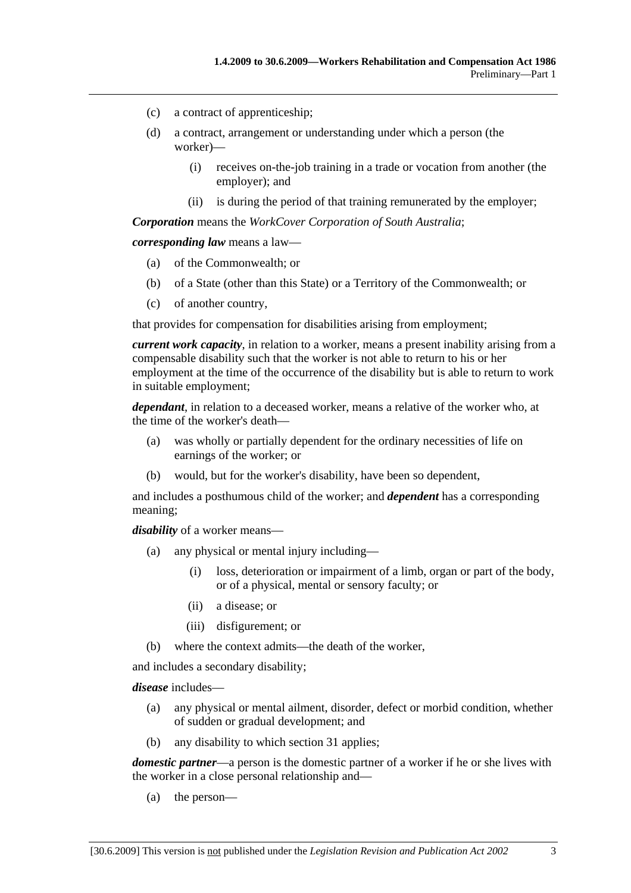- (c) a contract of apprenticeship;
- (d) a contract, arrangement or understanding under which a person (the worker)—
	- (i) receives on-the-job training in a trade or vocation from another (the employer); and
	- (ii) is during the period of that training remunerated by the employer;

*Corporation* means the *WorkCover Corporation of South Australia*;

*corresponding law* means a law—

- (a) of the Commonwealth; or
- (b) of a State (other than this State) or a Territory of the Commonwealth; or
- (c) of another country,

that provides for compensation for disabilities arising from employment;

*current work capacity*, in relation to a worker, means a present inability arising from a compensable disability such that the worker is not able to return to his or her employment at the time of the occurrence of the disability but is able to return to work in suitable employment;

*dependant*, in relation to a deceased worker, means a relative of the worker who, at the time of the worker's death—

- (a) was wholly or partially dependent for the ordinary necessities of life on earnings of the worker; or
- (b) would, but for the worker's disability, have been so dependent,

and includes a posthumous child of the worker; and *dependent* has a corresponding meaning;

*disability* of a worker means—

- (a) any physical or mental injury including—
	- (i) loss, deterioration or impairment of a limb, organ or part of the body, or of a physical, mental or sensory faculty; or
	- (ii) a disease; or
	- (iii) disfigurement; or
- (b) where the context admits—the death of the worker,

and includes a secondary disability;

*disease* includes—

- (a) any physical or mental ailment, disorder, defect or morbid condition, whether of sudden or gradual development; and
- (b) any disability to which section 31 applies;

*domestic partner*—a person is the domestic partner of a worker if he or she lives with the worker in a close personal relationship and—

(a) the person—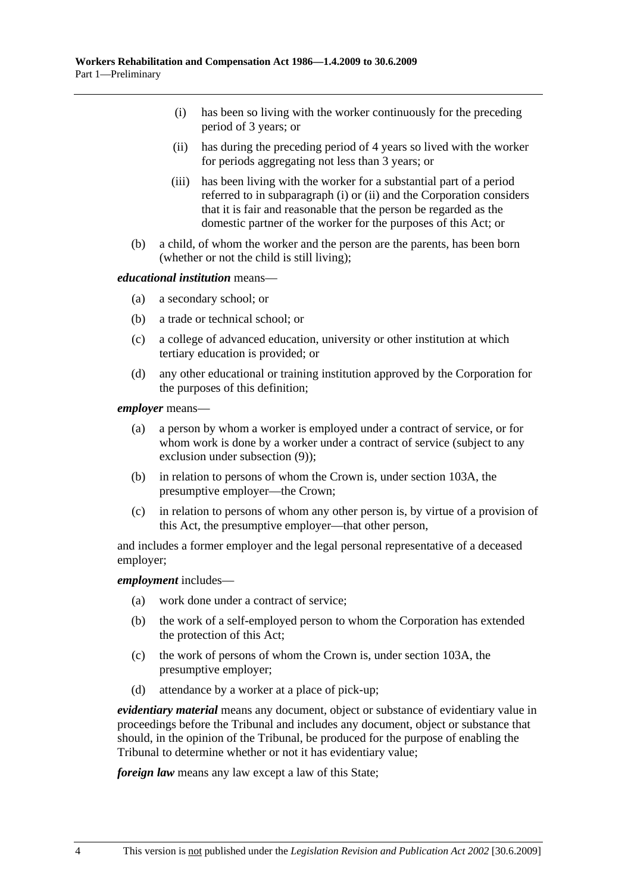- (i) has been so living with the worker continuously for the preceding period of 3 years; or
- (ii) has during the preceding period of 4 years so lived with the worker for periods aggregating not less than 3 years; or
- (iii) has been living with the worker for a substantial part of a period referred to in subparagraph (i) or (ii) and the Corporation considers that it is fair and reasonable that the person be regarded as the domestic partner of the worker for the purposes of this Act; or
- (b) a child, of whom the worker and the person are the parents, has been born (whether or not the child is still living);

#### *educational institution* means—

- (a) a secondary school; or
- (b) a trade or technical school; or
- (c) a college of advanced education, university or other institution at which tertiary education is provided; or
- (d) any other educational or training institution approved by the Corporation for the purposes of this definition;

*employer* means—

- (a) a person by whom a worker is employed under a contract of service, or for whom work is done by a worker under a contract of service (subject to any exclusion under subsection (9));
- (b) in relation to persons of whom the Crown is, under section 103A, the presumptive employer—the Crown;
- (c) in relation to persons of whom any other person is, by virtue of a provision of this Act, the presumptive employer—that other person,

and includes a former employer and the legal personal representative of a deceased employer;

#### *employment* includes—

- (a) work done under a contract of service;
- (b) the work of a self-employed person to whom the Corporation has extended the protection of this Act;
- (c) the work of persons of whom the Crown is, under section 103A, the presumptive employer;
- (d) attendance by a worker at a place of pick-up;

*evidentiary material* means any document, object or substance of evidentiary value in proceedings before the Tribunal and includes any document, object or substance that should, in the opinion of the Tribunal, be produced for the purpose of enabling the Tribunal to determine whether or not it has evidentiary value;

*foreign law* means any law except a law of this State;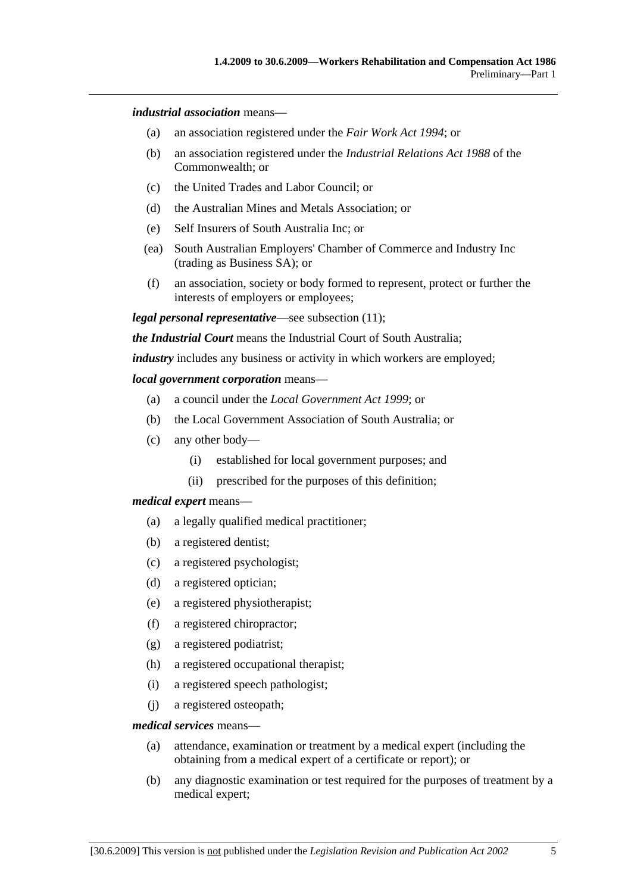#### *industrial association* means—

- (a) an association registered under the *Fair Work Act 1994*; or
- (b) an association registered under the *Industrial Relations Act 1988* of the Commonwealth; or
- (c) the United Trades and Labor Council; or
- (d) the Australian Mines and Metals Association; or
- (e) Self Insurers of South Australia Inc; or
- (ea) South Australian Employers' Chamber of Commerce and Industry Inc (trading as Business SA); or
- (f) an association, society or body formed to represent, protect or further the interests of employers or employees;

*legal personal representative*—see subsection (11);

*the Industrial Court* means the Industrial Court of South Australia;

*industry* includes any business or activity in which workers are employed;

#### *local government corporation* means—

- (a) a council under the *Local Government Act 1999*; or
- (b) the Local Government Association of South Australia; or
- (c) any other body—
	- (i) established for local government purposes; and
	- (ii) prescribed for the purposes of this definition;

#### *medical expert* means—

- (a) a legally qualified medical practitioner;
- (b) a registered dentist;
- (c) a registered psychologist;
- (d) a registered optician;
- (e) a registered physiotherapist;
- (f) a registered chiropractor;
- (g) a registered podiatrist;
- (h) a registered occupational therapist;
- (i) a registered speech pathologist;
- (j) a registered osteopath;

#### *medical services* means—

- (a) attendance, examination or treatment by a medical expert (including the obtaining from a medical expert of a certificate or report); or
- (b) any diagnostic examination or test required for the purposes of treatment by a medical expert;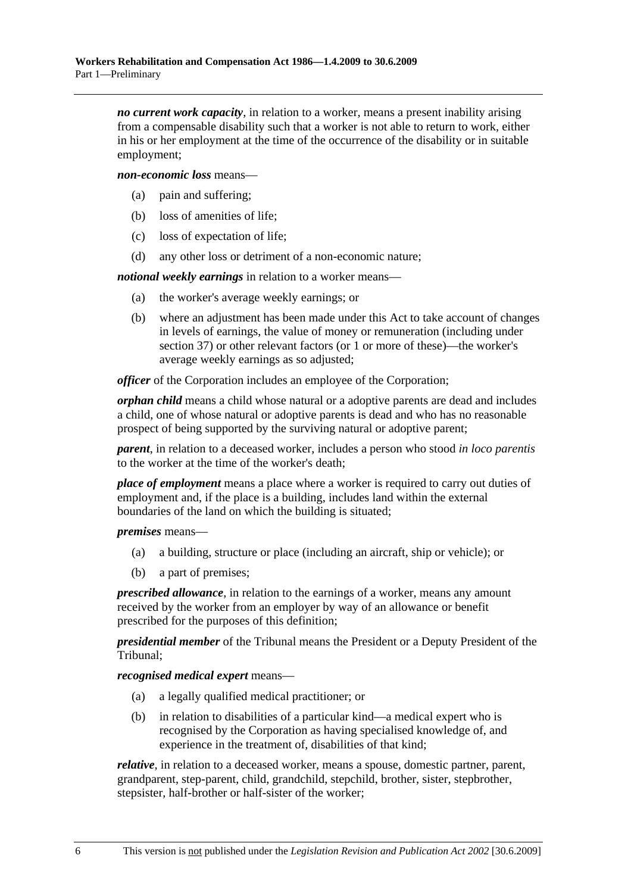*no current work capacity*, in relation to a worker, means a present inability arising from a compensable disability such that a worker is not able to return to work, either in his or her employment at the time of the occurrence of the disability or in suitable employment;

*non-economic loss* means—

- (a) pain and suffering;
- (b) loss of amenities of life;
- (c) loss of expectation of life;
- (d) any other loss or detriment of a non-economic nature;

*notional weekly earnings* in relation to a worker means—

- (a) the worker's average weekly earnings; or
- (b) where an adjustment has been made under this Act to take account of changes in levels of earnings, the value of money or remuneration (including under section 37) or other relevant factors (or 1 or more of these)—the worker's average weekly earnings as so adjusted;

*officer* of the Corporation includes an employee of the Corporation;

*orphan child* means a child whose natural or a adoptive parents are dead and includes a child, one of whose natural or adoptive parents is dead and who has no reasonable prospect of being supported by the surviving natural or adoptive parent;

*parent*, in relation to a deceased worker, includes a person who stood *in loco parentis* to the worker at the time of the worker's death;

*place of employment* means a place where a worker is required to carry out duties of employment and, if the place is a building, includes land within the external boundaries of the land on which the building is situated;

*premises* means—

- (a) a building, structure or place (including an aircraft, ship or vehicle); or
- (b) a part of premises;

*prescribed allowance*, in relation to the earnings of a worker, means any amount received by the worker from an employer by way of an allowance or benefit prescribed for the purposes of this definition;

*presidential member* of the Tribunal means the President or a Deputy President of the Tribunal;

*recognised medical expert* means—

- (a) a legally qualified medical practitioner; or
- (b) in relation to disabilities of a particular kind—a medical expert who is recognised by the Corporation as having specialised knowledge of, and experience in the treatment of, disabilities of that kind;

*relative*, in relation to a deceased worker, means a spouse, domestic partner, parent, grandparent, step-parent, child, grandchild, stepchild, brother, sister, stepbrother, stepsister, half-brother or half-sister of the worker;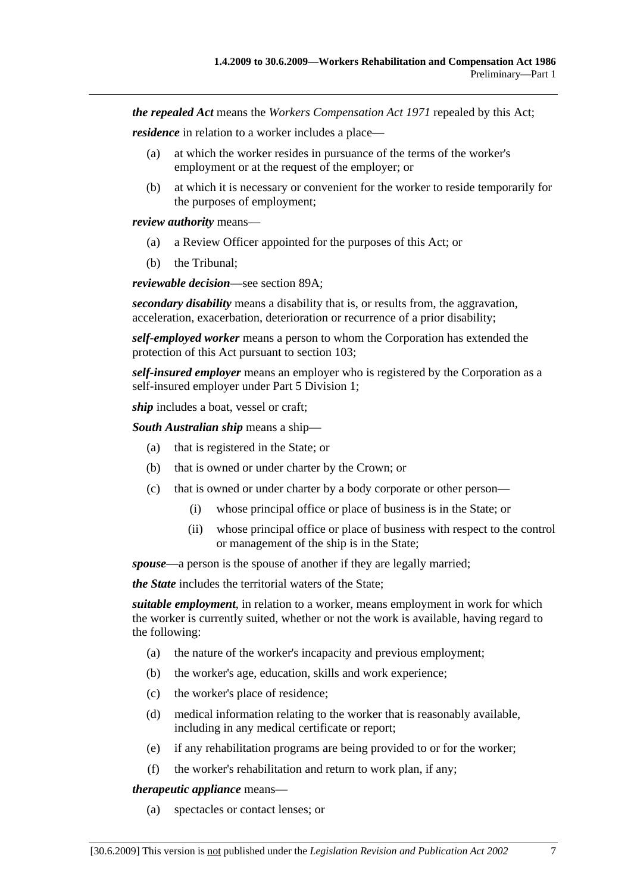*the repealed Act* means the *Workers Compensation Act 1971* repealed by this Act;

*residence* in relation to a worker includes a place—

- (a) at which the worker resides in pursuance of the terms of the worker's employment or at the request of the employer; or
- (b) at which it is necessary or convenient for the worker to reside temporarily for the purposes of employment;

*review authority* means—

- (a) a Review Officer appointed for the purposes of this Act; or
- (b) the Tribunal;

*reviewable decision*—see section 89A;

*secondary disability* means a disability that is, or results from, the aggravation, acceleration, exacerbation, deterioration or recurrence of a prior disability;

*self-employed worker* means a person to whom the Corporation has extended the protection of this Act pursuant to section 103;

*self-insured employer* means an employer who is registered by the Corporation as a self-insured employer under Part 5 Division 1;

*ship* includes a boat, vessel or craft;

*South Australian ship* means a ship—

- (a) that is registered in the State; or
- (b) that is owned or under charter by the Crown; or
- (c) that is owned or under charter by a body corporate or other person—
	- (i) whose principal office or place of business is in the State; or
	- (ii) whose principal office or place of business with respect to the control or management of the ship is in the State;

*spouse*—a person is the spouse of another if they are legally married;

*the State* includes the territorial waters of the State;

*suitable employment*, in relation to a worker, means employment in work for which the worker is currently suited, whether or not the work is available, having regard to the following:

- (a) the nature of the worker's incapacity and previous employment;
- (b) the worker's age, education, skills and work experience;
- (c) the worker's place of residence;
- (d) medical information relating to the worker that is reasonably available, including in any medical certificate or report;
- (e) if any rehabilitation programs are being provided to or for the worker;
- (f) the worker's rehabilitation and return to work plan, if any;

*therapeutic appliance* means—

(a) spectacles or contact lenses; or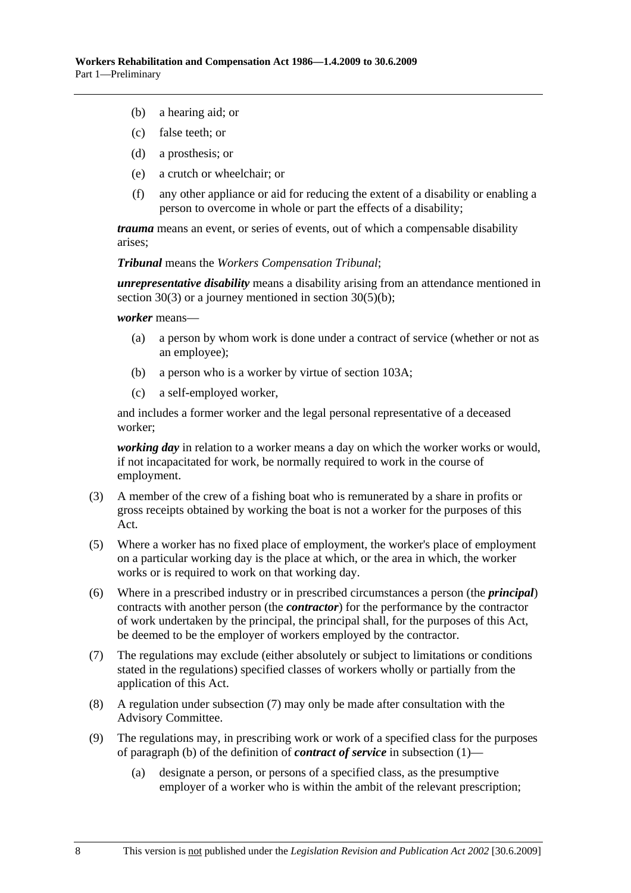- (b) a hearing aid; or
- (c) false teeth; or
- (d) a prosthesis; or
- (e) a crutch or wheelchair; or
- (f) any other appliance or aid for reducing the extent of a disability or enabling a person to overcome in whole or part the effects of a disability;

*trauma* means an event, or series of events, out of which a compensable disability arises;

*Tribunal* means the *Workers Compensation Tribunal*;

*unrepresentative disability* means a disability arising from an attendance mentioned in section 30(3) or a journey mentioned in section 30(5)(b);

*worker* means—

- (a) a person by whom work is done under a contract of service (whether or not as an employee);
- (b) a person who is a worker by virtue of section 103A;
- (c) a self-employed worker,

and includes a former worker and the legal personal representative of a deceased worker;

*working day* in relation to a worker means a day on which the worker works or would, if not incapacitated for work, be normally required to work in the course of employment.

- (3) A member of the crew of a fishing boat who is remunerated by a share in profits or gross receipts obtained by working the boat is not a worker for the purposes of this Act.
- (5) Where a worker has no fixed place of employment, the worker's place of employment on a particular working day is the place at which, or the area in which, the worker works or is required to work on that working day.
- (6) Where in a prescribed industry or in prescribed circumstances a person (the *principal*) contracts with another person (the *contractor*) for the performance by the contractor of work undertaken by the principal, the principal shall, for the purposes of this Act, be deemed to be the employer of workers employed by the contractor.
- (7) The regulations may exclude (either absolutely or subject to limitations or conditions stated in the regulations) specified classes of workers wholly or partially from the application of this Act.
- (8) A regulation under subsection (7) may only be made after consultation with the Advisory Committee.
- (9) The regulations may, in prescribing work or work of a specified class for the purposes of paragraph (b) of the definition of *contract of service* in subsection (1)—
	- (a) designate a person, or persons of a specified class, as the presumptive employer of a worker who is within the ambit of the relevant prescription;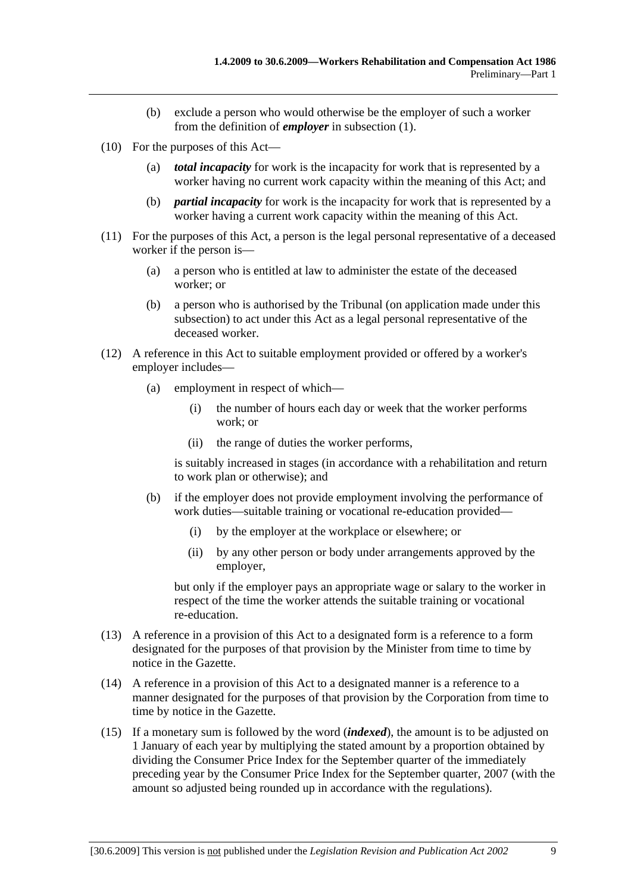- (b) exclude a person who would otherwise be the employer of such a worker from the definition of *employer* in subsection (1).
- (10) For the purposes of this Act—
	- (a) *total incapacity* for work is the incapacity for work that is represented by a worker having no current work capacity within the meaning of this Act; and
	- (b) *partial incapacity* for work is the incapacity for work that is represented by a worker having a current work capacity within the meaning of this Act.
- (11) For the purposes of this Act, a person is the legal personal representative of a deceased worker if the person is—
	- (a) a person who is entitled at law to administer the estate of the deceased worker; or
	- (b) a person who is authorised by the Tribunal (on application made under this subsection) to act under this Act as a legal personal representative of the deceased worker.
- (12) A reference in this Act to suitable employment provided or offered by a worker's employer includes—
	- (a) employment in respect of which—
		- (i) the number of hours each day or week that the worker performs work; or
		- (ii) the range of duties the worker performs,

is suitably increased in stages (in accordance with a rehabilitation and return to work plan or otherwise); and

- (b) if the employer does not provide employment involving the performance of work duties—suitable training or vocational re-education provided—
	- (i) by the employer at the workplace or elsewhere; or
	- (ii) by any other person or body under arrangements approved by the employer,

but only if the employer pays an appropriate wage or salary to the worker in respect of the time the worker attends the suitable training or vocational re-education.

- (13) A reference in a provision of this Act to a designated form is a reference to a form designated for the purposes of that provision by the Minister from time to time by notice in the Gazette.
- (14) A reference in a provision of this Act to a designated manner is a reference to a manner designated for the purposes of that provision by the Corporation from time to time by notice in the Gazette.
- (15) If a monetary sum is followed by the word (*indexed*), the amount is to be adjusted on 1 January of each year by multiplying the stated amount by a proportion obtained by dividing the Consumer Price Index for the September quarter of the immediately preceding year by the Consumer Price Index for the September quarter, 2007 (with the amount so adjusted being rounded up in accordance with the regulations).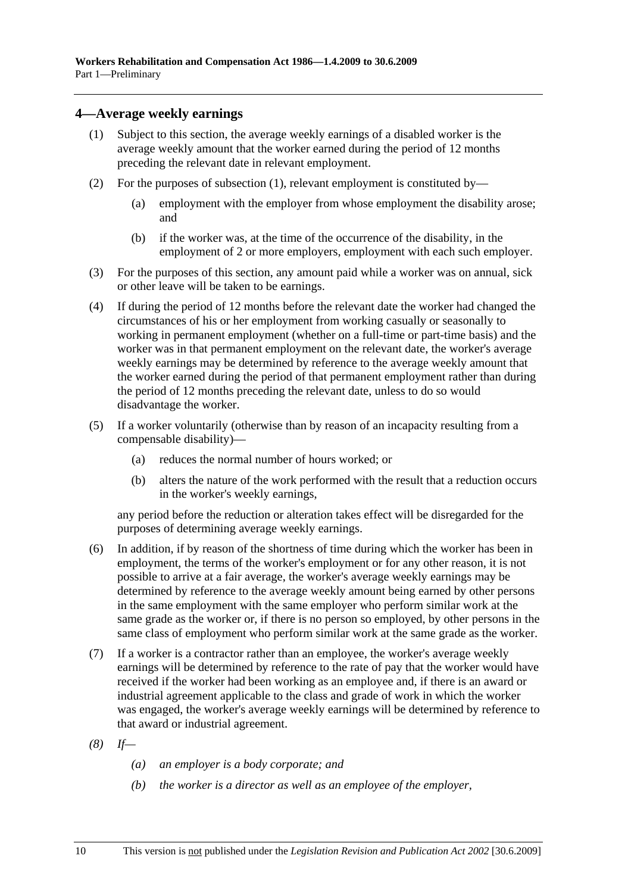## **4—Average weekly earnings**

- (1) Subject to this section, the average weekly earnings of a disabled worker is the average weekly amount that the worker earned during the period of 12 months preceding the relevant date in relevant employment.
- (2) For the purposes of subsection (1), relevant employment is constituted by—
	- (a) employment with the employer from whose employment the disability arose; and
	- (b) if the worker was, at the time of the occurrence of the disability, in the employment of 2 or more employers, employment with each such employer.
- (3) For the purposes of this section, any amount paid while a worker was on annual, sick or other leave will be taken to be earnings.
- (4) If during the period of 12 months before the relevant date the worker had changed the circumstances of his or her employment from working casually or seasonally to working in permanent employment (whether on a full-time or part-time basis) and the worker was in that permanent employment on the relevant date, the worker's average weekly earnings may be determined by reference to the average weekly amount that the worker earned during the period of that permanent employment rather than during the period of 12 months preceding the relevant date, unless to do so would disadvantage the worker.
- (5) If a worker voluntarily (otherwise than by reason of an incapacity resulting from a compensable disability)—
	- (a) reduces the normal number of hours worked; or
	- (b) alters the nature of the work performed with the result that a reduction occurs in the worker's weekly earnings,

any period before the reduction or alteration takes effect will be disregarded for the purposes of determining average weekly earnings.

- (6) In addition, if by reason of the shortness of time during which the worker has been in employment, the terms of the worker's employment or for any other reason, it is not possible to arrive at a fair average, the worker's average weekly earnings may be determined by reference to the average weekly amount being earned by other persons in the same employment with the same employer who perform similar work at the same grade as the worker or, if there is no person so employed, by other persons in the same class of employment who perform similar work at the same grade as the worker.
- (7) If a worker is a contractor rather than an employee, the worker's average weekly earnings will be determined by reference to the rate of pay that the worker would have received if the worker had been working as an employee and, if there is an award or industrial agreement applicable to the class and grade of work in which the worker was engaged, the worker's average weekly earnings will be determined by reference to that award or industrial agreement.
- *(8) If—* 
	- *(a) an employer is a body corporate; and*
	- *(b) the worker is a director as well as an employee of the employer,*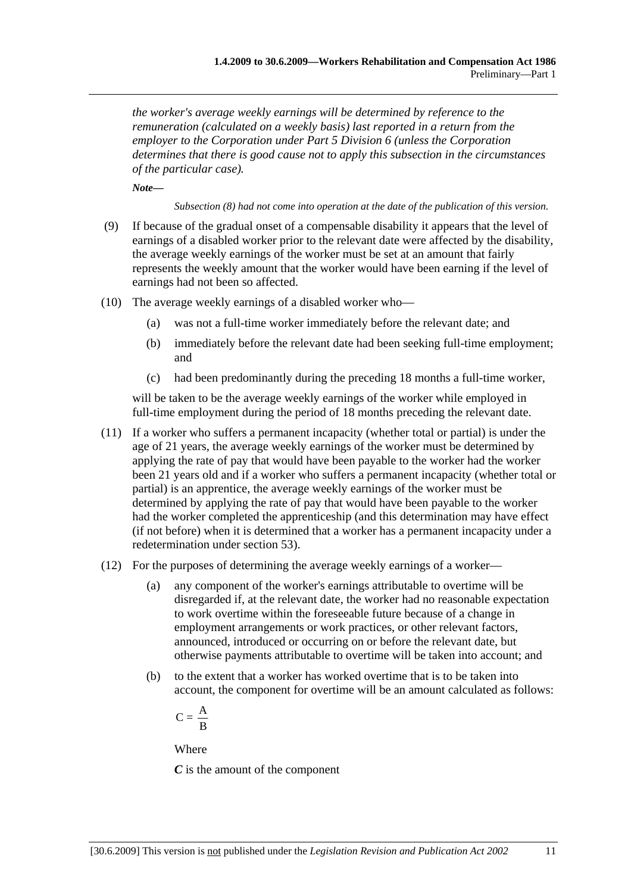*the worker's average weekly earnings will be determined by reference to the remuneration (calculated on a weekly basis) last reported in a return from the employer to the Corporation under Part 5 Division 6 (unless the Corporation determines that there is good cause not to apply this subsection in the circumstances of the particular case).* 

*Note—* 

*Subsection (8) had not come into operation at the date of the publication of this version.* 

- (9) If because of the gradual onset of a compensable disability it appears that the level of earnings of a disabled worker prior to the relevant date were affected by the disability, the average weekly earnings of the worker must be set at an amount that fairly represents the weekly amount that the worker would have been earning if the level of earnings had not been so affected.
- (10) The average weekly earnings of a disabled worker who—
	- (a) was not a full-time worker immediately before the relevant date; and
	- (b) immediately before the relevant date had been seeking full-time employment; and
	- (c) had been predominantly during the preceding 18 months a full-time worker,

will be taken to be the average weekly earnings of the worker while employed in full-time employment during the period of 18 months preceding the relevant date.

- (11) If a worker who suffers a permanent incapacity (whether total or partial) is under the age of 21 years, the average weekly earnings of the worker must be determined by applying the rate of pay that would have been payable to the worker had the worker been 21 years old and if a worker who suffers a permanent incapacity (whether total or partial) is an apprentice, the average weekly earnings of the worker must be determined by applying the rate of pay that would have been payable to the worker had the worker completed the apprenticeship (and this determination may have effect (if not before) when it is determined that a worker has a permanent incapacity under a redetermination under section 53).
- (12) For the purposes of determining the average weekly earnings of a worker—
	- (a) any component of the worker's earnings attributable to overtime will be disregarded if, at the relevant date, the worker had no reasonable expectation to work overtime within the foreseeable future because of a change in employment arrangements or work practices, or other relevant factors, announced, introduced or occurring on or before the relevant date, but otherwise payments attributable to overtime will be taken into account; and
	- (b) to the extent that a worker has worked overtime that is to be taken into account, the component for overtime will be an amount calculated as follows:

$$
C=\frac{\textstyle A}{\textstyle \textstyle B}
$$

Where

*C* is the amount of the component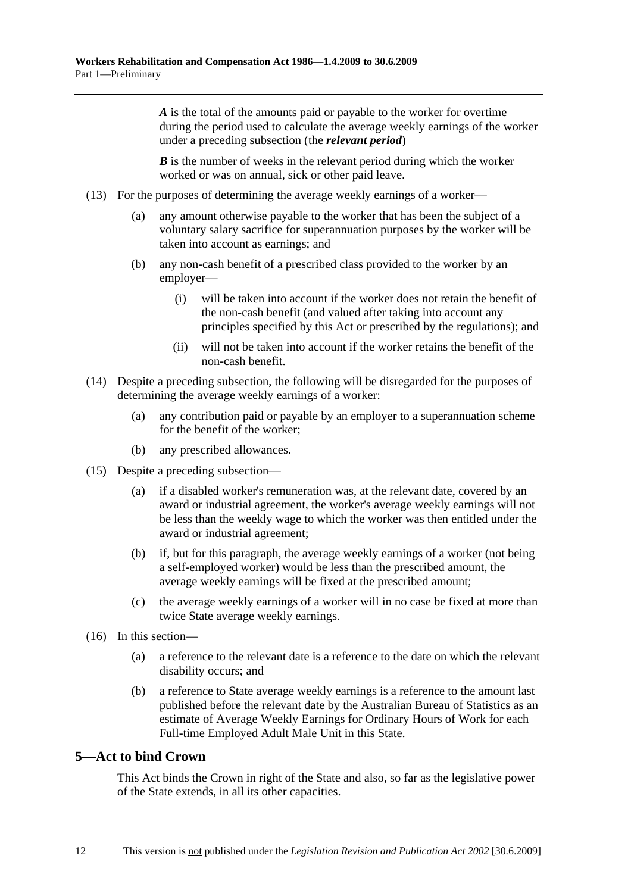*A* is the total of the amounts paid or payable to the worker for overtime during the period used to calculate the average weekly earnings of the worker under a preceding subsection (the *relevant period*)

*B* is the number of weeks in the relevant period during which the worker worked or was on annual, sick or other paid leave.

- (13) For the purposes of determining the average weekly earnings of a worker—
	- (a) any amount otherwise payable to the worker that has been the subject of a voluntary salary sacrifice for superannuation purposes by the worker will be taken into account as earnings; and
	- (b) any non-cash benefit of a prescribed class provided to the worker by an employer—
		- (i) will be taken into account if the worker does not retain the benefit of the non-cash benefit (and valued after taking into account any principles specified by this Act or prescribed by the regulations); and
		- (ii) will not be taken into account if the worker retains the benefit of the non-cash benefit.
- (14) Despite a preceding subsection, the following will be disregarded for the purposes of determining the average weekly earnings of a worker:
	- (a) any contribution paid or payable by an employer to a superannuation scheme for the benefit of the worker;
	- (b) any prescribed allowances.
- (15) Despite a preceding subsection—
	- (a) if a disabled worker's remuneration was, at the relevant date, covered by an award or industrial agreement, the worker's average weekly earnings will not be less than the weekly wage to which the worker was then entitled under the award or industrial agreement;
	- (b) if, but for this paragraph, the average weekly earnings of a worker (not being a self-employed worker) would be less than the prescribed amount, the average weekly earnings will be fixed at the prescribed amount;
	- (c) the average weekly earnings of a worker will in no case be fixed at more than twice State average weekly earnings.
- (16) In this section—
	- (a) a reference to the relevant date is a reference to the date on which the relevant disability occurs; and
	- (b) a reference to State average weekly earnings is a reference to the amount last published before the relevant date by the Australian Bureau of Statistics as an estimate of Average Weekly Earnings for Ordinary Hours of Work for each Full-time Employed Adult Male Unit in this State.

## **5—Act to bind Crown**

This Act binds the Crown in right of the State and also, so far as the legislative power of the State extends, in all its other capacities.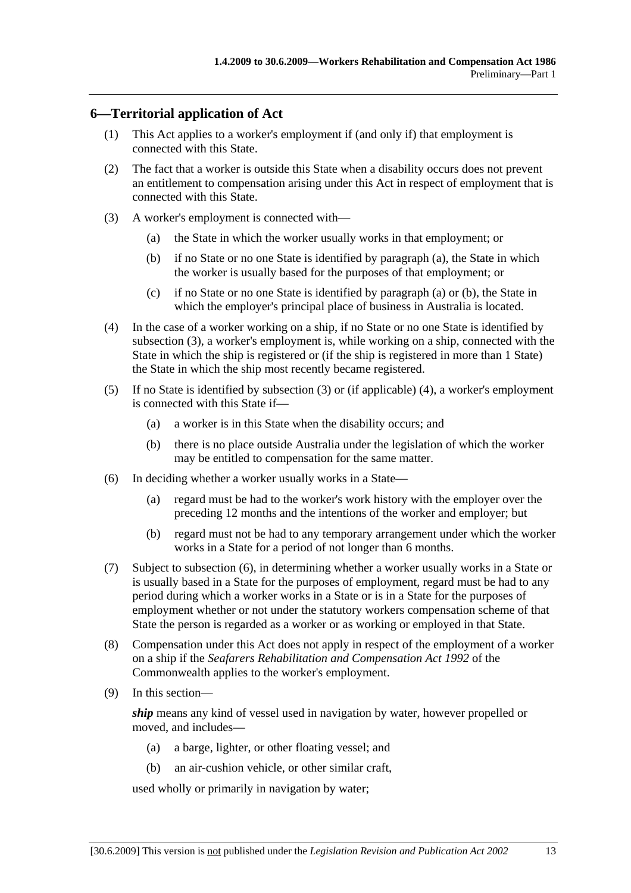## **6—Territorial application of Act**

- (1) This Act applies to a worker's employment if (and only if) that employment is connected with this State.
- (2) The fact that a worker is outside this State when a disability occurs does not prevent an entitlement to compensation arising under this Act in respect of employment that is connected with this State.
- (3) A worker's employment is connected with—
	- (a) the State in which the worker usually works in that employment; or
	- (b) if no State or no one State is identified by paragraph (a), the State in which the worker is usually based for the purposes of that employment; or
	- (c) if no State or no one State is identified by paragraph (a) or (b), the State in which the employer's principal place of business in Australia is located.
- (4) In the case of a worker working on a ship, if no State or no one State is identified by subsection (3), a worker's employment is, while working on a ship, connected with the State in which the ship is registered or (if the ship is registered in more than 1 State) the State in which the ship most recently became registered.
- (5) If no State is identified by subsection (3) or (if applicable) (4), a worker's employment is connected with this State if—
	- (a) a worker is in this State when the disability occurs; and
	- (b) there is no place outside Australia under the legislation of which the worker may be entitled to compensation for the same matter.
- (6) In deciding whether a worker usually works in a State—
	- (a) regard must be had to the worker's work history with the employer over the preceding 12 months and the intentions of the worker and employer; but
	- (b) regard must not be had to any temporary arrangement under which the worker works in a State for a period of not longer than 6 months.
- (7) Subject to subsection (6), in determining whether a worker usually works in a State or is usually based in a State for the purposes of employment, regard must be had to any period during which a worker works in a State or is in a State for the purposes of employment whether or not under the statutory workers compensation scheme of that State the person is regarded as a worker or as working or employed in that State.
- (8) Compensation under this Act does not apply in respect of the employment of a worker on a ship if the *Seafarers Rehabilitation and Compensation Act 1992* of the Commonwealth applies to the worker's employment.
- (9) In this section—

*ship* means any kind of vessel used in navigation by water, however propelled or moved, and includes—

- (a) a barge, lighter, or other floating vessel; and
- (b) an air-cushion vehicle, or other similar craft,

used wholly or primarily in navigation by water;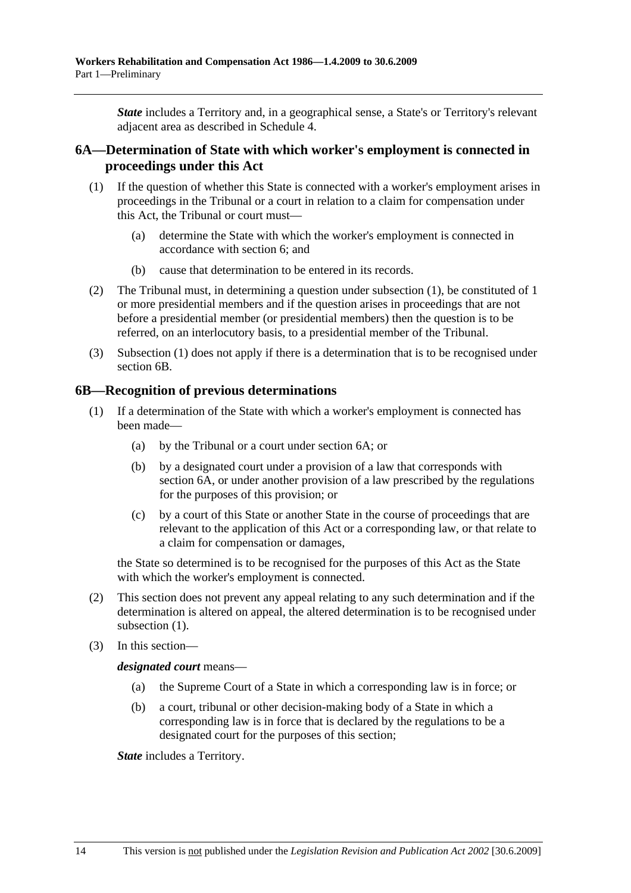*State* includes a Territory and, in a geographical sense, a State's or Territory's relevant adjacent area as described in Schedule 4.

## **6A—Determination of State with which worker's employment is connected in proceedings under this Act**

- (1) If the question of whether this State is connected with a worker's employment arises in proceedings in the Tribunal or a court in relation to a claim for compensation under this Act, the Tribunal or court must—
	- (a) determine the State with which the worker's employment is connected in accordance with section 6; and
	- (b) cause that determination to be entered in its records.
- (2) The Tribunal must, in determining a question under subsection (1), be constituted of 1 or more presidential members and if the question arises in proceedings that are not before a presidential member (or presidential members) then the question is to be referred, on an interlocutory basis, to a presidential member of the Tribunal.
- (3) Subsection (1) does not apply if there is a determination that is to be recognised under section 6B.

## **6B—Recognition of previous determinations**

- (1) If a determination of the State with which a worker's employment is connected has been made—
	- (a) by the Tribunal or a court under section 6A; or
	- (b) by a designated court under a provision of a law that corresponds with section 6A, or under another provision of a law prescribed by the regulations for the purposes of this provision; or
	- (c) by a court of this State or another State in the course of proceedings that are relevant to the application of this Act or a corresponding law, or that relate to a claim for compensation or damages,

the State so determined is to be recognised for the purposes of this Act as the State with which the worker's employment is connected.

- (2) This section does not prevent any appeal relating to any such determination and if the determination is altered on appeal, the altered determination is to be recognised under subsection  $(1)$ .
- (3) In this section—

*designated court* means—

- (a) the Supreme Court of a State in which a corresponding law is in force; or
- (b) a court, tribunal or other decision-making body of a State in which a corresponding law is in force that is declared by the regulations to be a designated court for the purposes of this section;

*State* includes a Territory.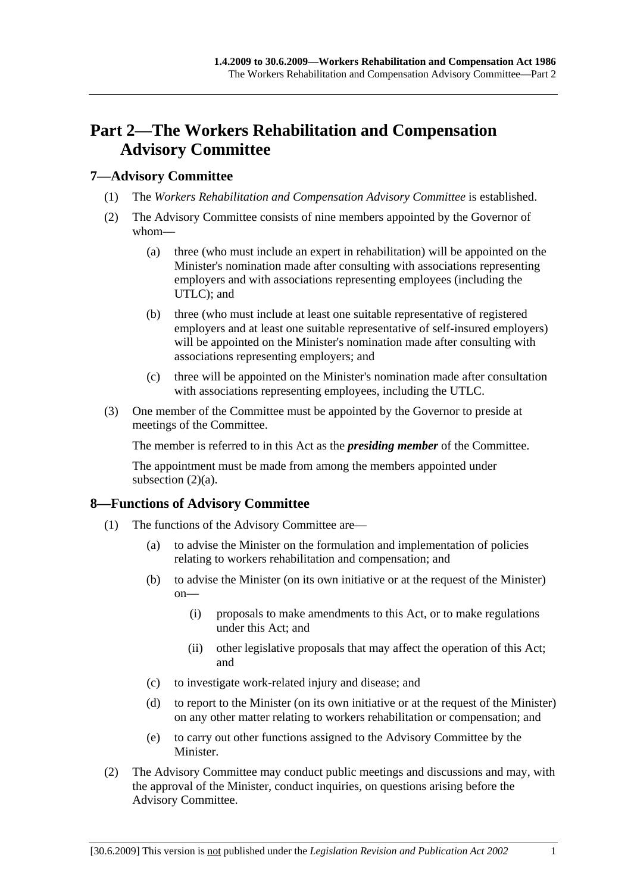# **Part 2—The Workers Rehabilitation and Compensation Advisory Committee**

## **7—Advisory Committee**

- (1) The *Workers Rehabilitation and Compensation Advisory Committee* is established.
- (2) The Advisory Committee consists of nine members appointed by the Governor of whom—
	- (a) three (who must include an expert in rehabilitation) will be appointed on the Minister's nomination made after consulting with associations representing employers and with associations representing employees (including the UTLC); and
	- (b) three (who must include at least one suitable representative of registered employers and at least one suitable representative of self-insured employers) will be appointed on the Minister's nomination made after consulting with associations representing employers; and
	- (c) three will be appointed on the Minister's nomination made after consultation with associations representing employees, including the UTLC.
- (3) One member of the Committee must be appointed by the Governor to preside at meetings of the Committee.

The member is referred to in this Act as the *presiding member* of the Committee.

The appointment must be made from among the members appointed under subsection  $(2)(a)$ .

## **8—Functions of Advisory Committee**

- (1) The functions of the Advisory Committee are—
	- (a) to advise the Minister on the formulation and implementation of policies relating to workers rehabilitation and compensation; and
	- (b) to advise the Minister (on its own initiative or at the request of the Minister) on—
		- (i) proposals to make amendments to this Act, or to make regulations under this Act; and
		- (ii) other legislative proposals that may affect the operation of this Act; and
	- (c) to investigate work-related injury and disease; and
	- (d) to report to the Minister (on its own initiative or at the request of the Minister) on any other matter relating to workers rehabilitation or compensation; and
	- (e) to carry out other functions assigned to the Advisory Committee by the Minister.
- (2) The Advisory Committee may conduct public meetings and discussions and may, with the approval of the Minister, conduct inquiries, on questions arising before the Advisory Committee.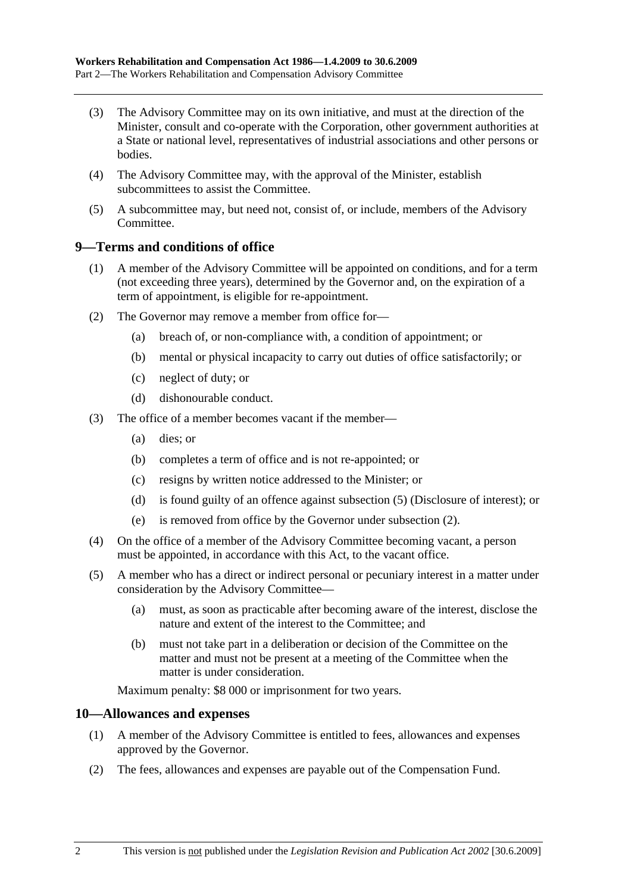- (3) The Advisory Committee may on its own initiative, and must at the direction of the Minister, consult and co-operate with the Corporation, other government authorities at a State or national level, representatives of industrial associations and other persons or bodies.
- (4) The Advisory Committee may, with the approval of the Minister, establish subcommittees to assist the Committee.
- (5) A subcommittee may, but need not, consist of, or include, members of the Advisory Committee.

## **9—Terms and conditions of office**

- (1) A member of the Advisory Committee will be appointed on conditions, and for a term (not exceeding three years), determined by the Governor and, on the expiration of a term of appointment, is eligible for re-appointment.
- (2) The Governor may remove a member from office for—
	- (a) breach of, or non-compliance with, a condition of appointment; or
	- (b) mental or physical incapacity to carry out duties of office satisfactorily; or
	- (c) neglect of duty; or
	- (d) dishonourable conduct.
- (3) The office of a member becomes vacant if the member—
	- (a) dies; or
	- (b) completes a term of office and is not re-appointed; or
	- (c) resigns by written notice addressed to the Minister; or
	- (d) is found guilty of an offence against subsection (5) (Disclosure of interest); or
	- (e) is removed from office by the Governor under subsection (2).
- (4) On the office of a member of the Advisory Committee becoming vacant, a person must be appointed, in accordance with this Act, to the vacant office.
- (5) A member who has a direct or indirect personal or pecuniary interest in a matter under consideration by the Advisory Committee—
	- (a) must, as soon as practicable after becoming aware of the interest, disclose the nature and extent of the interest to the Committee; and
	- (b) must not take part in a deliberation or decision of the Committee on the matter and must not be present at a meeting of the Committee when the matter is under consideration.

Maximum penalty: \$8 000 or imprisonment for two years.

## **10—Allowances and expenses**

- (1) A member of the Advisory Committee is entitled to fees, allowances and expenses approved by the Governor.
- (2) The fees, allowances and expenses are payable out of the Compensation Fund.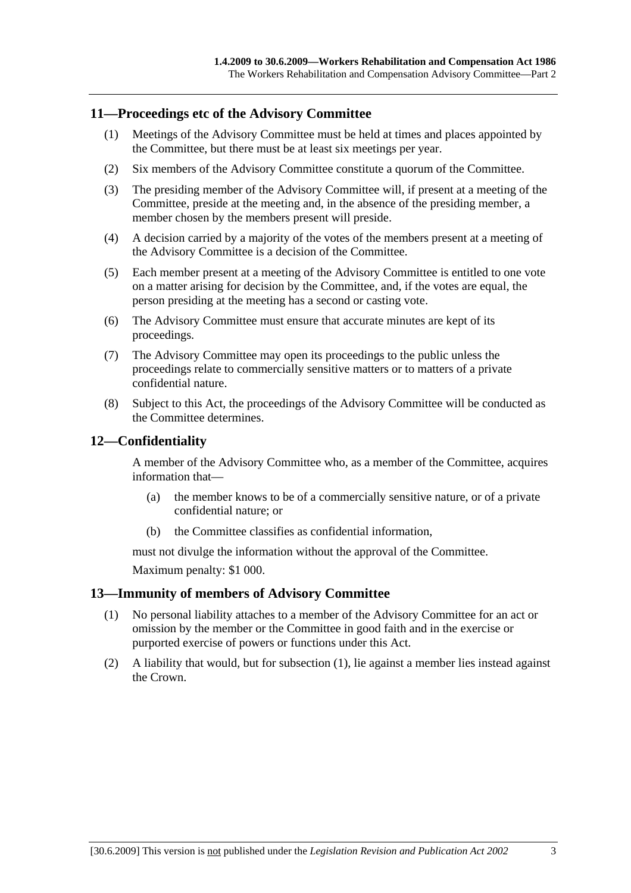## **11—Proceedings etc of the Advisory Committee**

- (1) Meetings of the Advisory Committee must be held at times and places appointed by the Committee, but there must be at least six meetings per year.
- (2) Six members of the Advisory Committee constitute a quorum of the Committee.
- (3) The presiding member of the Advisory Committee will, if present at a meeting of the Committee, preside at the meeting and, in the absence of the presiding member, a member chosen by the members present will preside.
- (4) A decision carried by a majority of the votes of the members present at a meeting of the Advisory Committee is a decision of the Committee.
- (5) Each member present at a meeting of the Advisory Committee is entitled to one vote on a matter arising for decision by the Committee, and, if the votes are equal, the person presiding at the meeting has a second or casting vote.
- (6) The Advisory Committee must ensure that accurate minutes are kept of its proceedings.
- (7) The Advisory Committee may open its proceedings to the public unless the proceedings relate to commercially sensitive matters or to matters of a private confidential nature.
- (8) Subject to this Act, the proceedings of the Advisory Committee will be conducted as the Committee determines.

## **12—Confidentiality**

A member of the Advisory Committee who, as a member of the Committee, acquires information that—

- (a) the member knows to be of a commercially sensitive nature, or of a private confidential nature; or
- (b) the Committee classifies as confidential information,

must not divulge the information without the approval of the Committee.

Maximum penalty: \$1 000.

## **13—Immunity of members of Advisory Committee**

- (1) No personal liability attaches to a member of the Advisory Committee for an act or omission by the member or the Committee in good faith and in the exercise or purported exercise of powers or functions under this Act.
- (2) A liability that would, but for subsection (1), lie against a member lies instead against the Crown.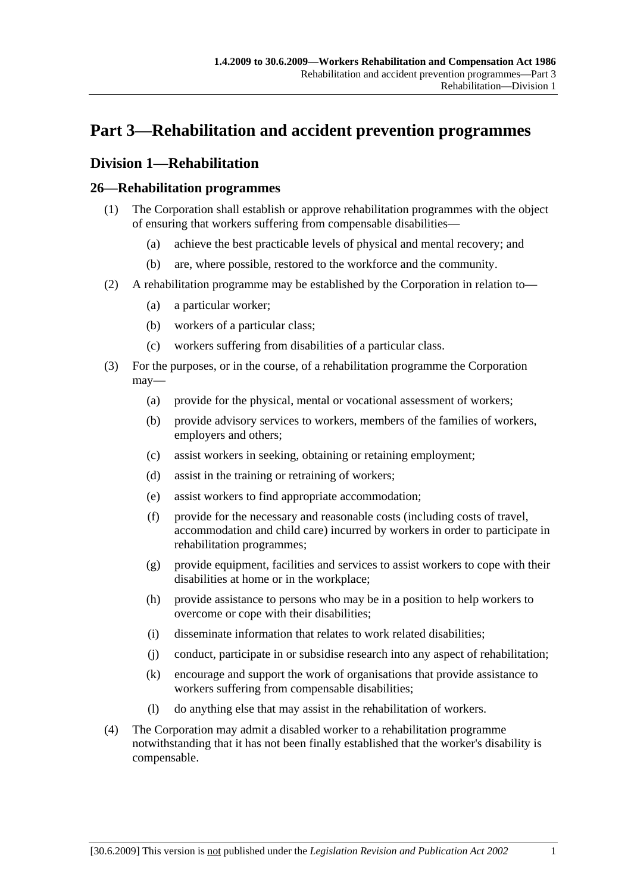# **Part 3—Rehabilitation and accident prevention programmes**

# **Division 1—Rehabilitation**

# **26—Rehabilitation programmes**

- (1) The Corporation shall establish or approve rehabilitation programmes with the object of ensuring that workers suffering from compensable disabilities—
	- (a) achieve the best practicable levels of physical and mental recovery; and
	- (b) are, where possible, restored to the workforce and the community.
- (2) A rehabilitation programme may be established by the Corporation in relation to—
	- (a) a particular worker;
	- (b) workers of a particular class;
	- (c) workers suffering from disabilities of a particular class.
- (3) For the purposes, or in the course, of a rehabilitation programme the Corporation may—
	- (a) provide for the physical, mental or vocational assessment of workers;
	- (b) provide advisory services to workers, members of the families of workers, employers and others;
	- (c) assist workers in seeking, obtaining or retaining employment;
	- (d) assist in the training or retraining of workers;
	- (e) assist workers to find appropriate accommodation;
	- (f) provide for the necessary and reasonable costs (including costs of travel, accommodation and child care) incurred by workers in order to participate in rehabilitation programmes;
	- (g) provide equipment, facilities and services to assist workers to cope with their disabilities at home or in the workplace;
	- (h) provide assistance to persons who may be in a position to help workers to overcome or cope with their disabilities;
	- (i) disseminate information that relates to work related disabilities;
	- (j) conduct, participate in or subsidise research into any aspect of rehabilitation;
	- (k) encourage and support the work of organisations that provide assistance to workers suffering from compensable disabilities;
	- (l) do anything else that may assist in the rehabilitation of workers.
- (4) The Corporation may admit a disabled worker to a rehabilitation programme notwithstanding that it has not been finally established that the worker's disability is compensable.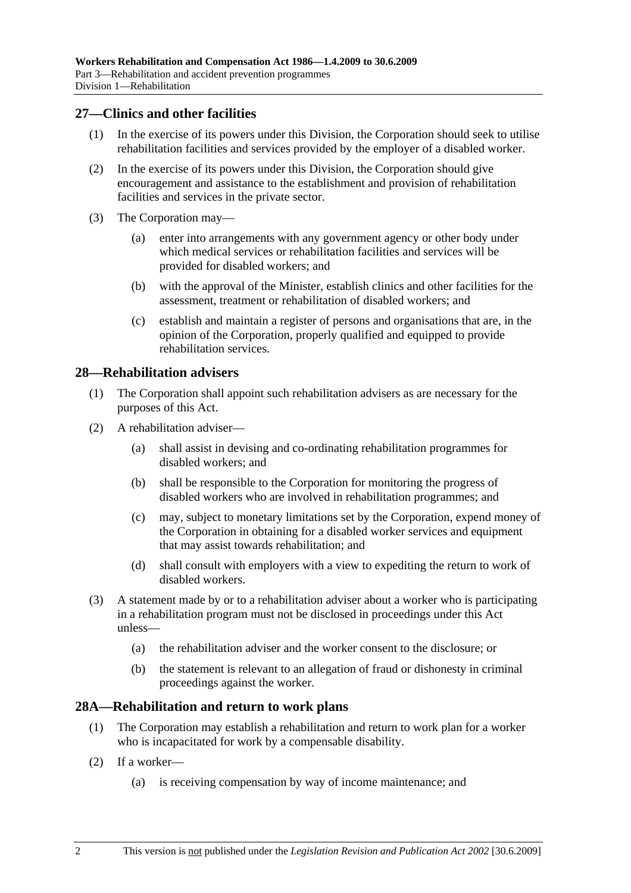## **27—Clinics and other facilities**

- (1) In the exercise of its powers under this Division, the Corporation should seek to utilise rehabilitation facilities and services provided by the employer of a disabled worker.
- (2) In the exercise of its powers under this Division, the Corporation should give encouragement and assistance to the establishment and provision of rehabilitation facilities and services in the private sector.
- (3) The Corporation may—
	- (a) enter into arrangements with any government agency or other body under which medical services or rehabilitation facilities and services will be provided for disabled workers; and
	- (b) with the approval of the Minister, establish clinics and other facilities for the assessment, treatment or rehabilitation of disabled workers; and
	- (c) establish and maintain a register of persons and organisations that are, in the opinion of the Corporation, properly qualified and equipped to provide rehabilitation services.

## **28—Rehabilitation advisers**

- (1) The Corporation shall appoint such rehabilitation advisers as are necessary for the purposes of this Act.
- (2) A rehabilitation adviser—
	- (a) shall assist in devising and co-ordinating rehabilitation programmes for disabled workers; and
	- (b) shall be responsible to the Corporation for monitoring the progress of disabled workers who are involved in rehabilitation programmes; and
	- (c) may, subject to monetary limitations set by the Corporation, expend money of the Corporation in obtaining for a disabled worker services and equipment that may assist towards rehabilitation; and
	- (d) shall consult with employers with a view to expediting the return to work of disabled workers.
- (3) A statement made by or to a rehabilitation adviser about a worker who is participating in a rehabilitation program must not be disclosed in proceedings under this Act unless—
	- (a) the rehabilitation adviser and the worker consent to the disclosure; or
	- (b) the statement is relevant to an allegation of fraud or dishonesty in criminal proceedings against the worker.

### **28A—Rehabilitation and return to work plans**

- (1) The Corporation may establish a rehabilitation and return to work plan for a worker who is incapacitated for work by a compensable disability.
- (2) If a worker—
	- (a) is receiving compensation by way of income maintenance; and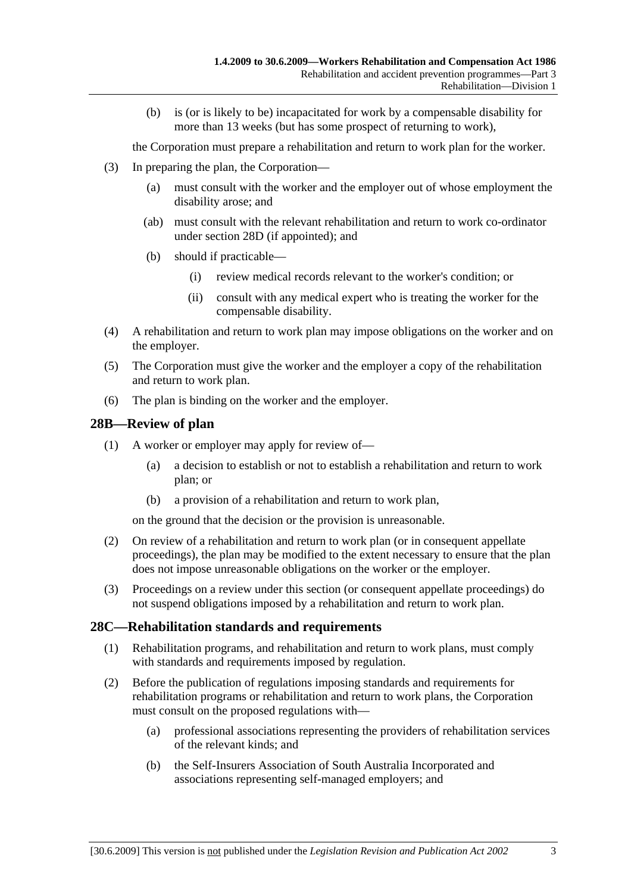(b) is (or is likely to be) incapacitated for work by a compensable disability for more than 13 weeks (but has some prospect of returning to work),

the Corporation must prepare a rehabilitation and return to work plan for the worker.

- (3) In preparing the plan, the Corporation—
	- (a) must consult with the worker and the employer out of whose employment the disability arose; and
	- (ab) must consult with the relevant rehabilitation and return to work co-ordinator under section 28D (if appointed); and
	- (b) should if practicable—
		- (i) review medical records relevant to the worker's condition; or
		- (ii) consult with any medical expert who is treating the worker for the compensable disability.
- (4) A rehabilitation and return to work plan may impose obligations on the worker and on the employer.
- (5) The Corporation must give the worker and the employer a copy of the rehabilitation and return to work plan.
- (6) The plan is binding on the worker and the employer.

## **28B—Review of plan**

- (1) A worker or employer may apply for review of—
	- (a) a decision to establish or not to establish a rehabilitation and return to work plan; or
	- (b) a provision of a rehabilitation and return to work plan,

on the ground that the decision or the provision is unreasonable.

- (2) On review of a rehabilitation and return to work plan (or in consequent appellate proceedings), the plan may be modified to the extent necessary to ensure that the plan does not impose unreasonable obligations on the worker or the employer.
- (3) Proceedings on a review under this section (or consequent appellate proceedings) do not suspend obligations imposed by a rehabilitation and return to work plan.

### **28C—Rehabilitation standards and requirements**

- (1) Rehabilitation programs, and rehabilitation and return to work plans, must comply with standards and requirements imposed by regulation.
- (2) Before the publication of regulations imposing standards and requirements for rehabilitation programs or rehabilitation and return to work plans, the Corporation must consult on the proposed regulations with—
	- (a) professional associations representing the providers of rehabilitation services of the relevant kinds; and
	- (b) the Self-Insurers Association of South Australia Incorporated and associations representing self-managed employers; and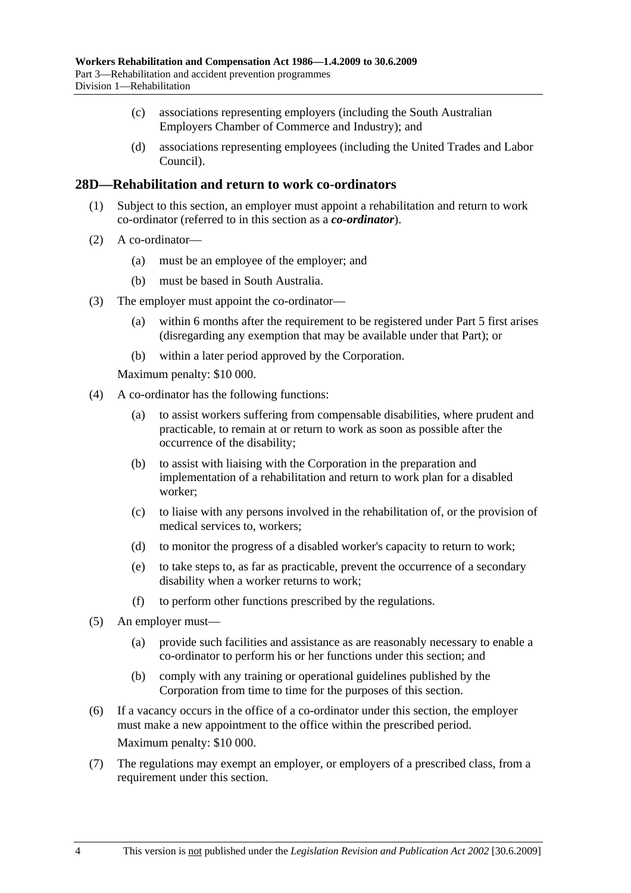- (c) associations representing employers (including the South Australian Employers Chamber of Commerce and Industry); and
- (d) associations representing employees (including the United Trades and Labor Council).

### **28D—Rehabilitation and return to work co-ordinators**

- (1) Subject to this section, an employer must appoint a rehabilitation and return to work co-ordinator (referred to in this section as a *co-ordinator*).
- (2) A co-ordinator—
	- (a) must be an employee of the employer; and
	- (b) must be based in South Australia.
- (3) The employer must appoint the co-ordinator—
	- (a) within 6 months after the requirement to be registered under Part 5 first arises (disregarding any exemption that may be available under that Part); or
	- (b) within a later period approved by the Corporation.

Maximum penalty: \$10 000.

- (4) A co-ordinator has the following functions:
	- (a) to assist workers suffering from compensable disabilities, where prudent and practicable, to remain at or return to work as soon as possible after the occurrence of the disability;
	- (b) to assist with liaising with the Corporation in the preparation and implementation of a rehabilitation and return to work plan for a disabled worker;
	- (c) to liaise with any persons involved in the rehabilitation of, or the provision of medical services to, workers;
	- (d) to monitor the progress of a disabled worker's capacity to return to work;
	- (e) to take steps to, as far as practicable, prevent the occurrence of a secondary disability when a worker returns to work;
	- (f) to perform other functions prescribed by the regulations.
- (5) An employer must—
	- (a) provide such facilities and assistance as are reasonably necessary to enable a co-ordinator to perform his or her functions under this section; and
	- (b) comply with any training or operational guidelines published by the Corporation from time to time for the purposes of this section.
- (6) If a vacancy occurs in the office of a co-ordinator under this section, the employer must make a new appointment to the office within the prescribed period. Maximum penalty: \$10 000.
- (7) The regulations may exempt an employer, or employers of a prescribed class, from a requirement under this section.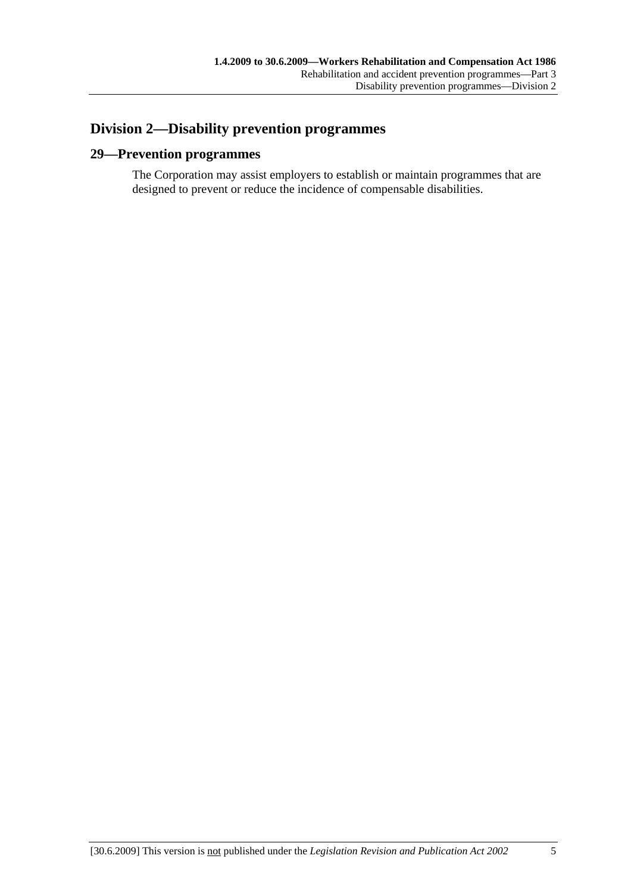# **Division 2—Disability prevention programmes**

# **29—Prevention programmes**

The Corporation may assist employers to establish or maintain programmes that are designed to prevent or reduce the incidence of compensable disabilities.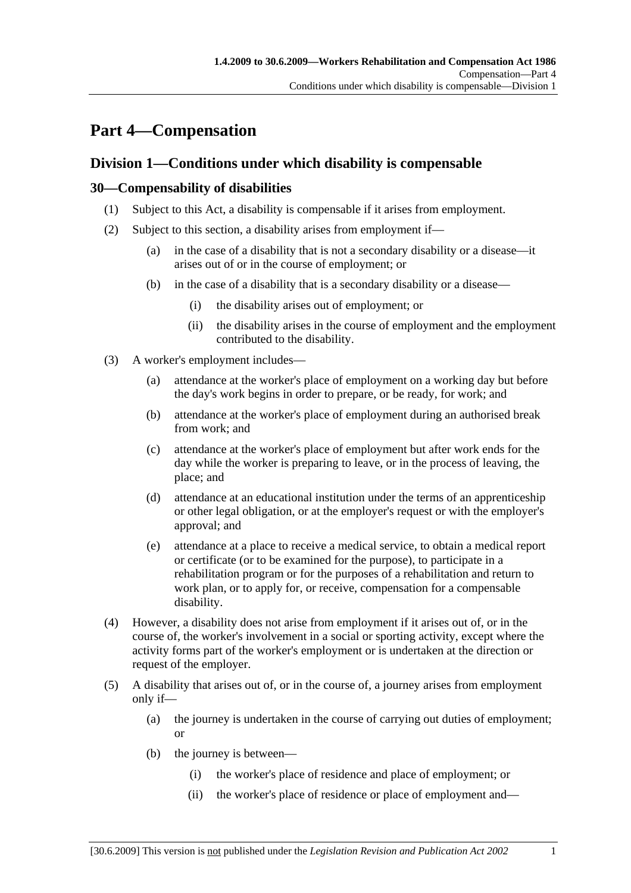# **Part 4—Compensation**

# **Division 1—Conditions under which disability is compensable**

# **30—Compensability of disabilities**

- (1) Subject to this Act, a disability is compensable if it arises from employment.
- (2) Subject to this section, a disability arises from employment if—
	- (a) in the case of a disability that is not a secondary disability or a disease—it arises out of or in the course of employment; or
	- (b) in the case of a disability that is a secondary disability or a disease—
		- (i) the disability arises out of employment; or
		- (ii) the disability arises in the course of employment and the employment contributed to the disability.
- (3) A worker's employment includes—
	- (a) attendance at the worker's place of employment on a working day but before the day's work begins in order to prepare, or be ready, for work; and
	- (b) attendance at the worker's place of employment during an authorised break from work; and
	- (c) attendance at the worker's place of employment but after work ends for the day while the worker is preparing to leave, or in the process of leaving, the place; and
	- (d) attendance at an educational institution under the terms of an apprenticeship or other legal obligation, or at the employer's request or with the employer's approval; and
	- (e) attendance at a place to receive a medical service, to obtain a medical report or certificate (or to be examined for the purpose), to participate in a rehabilitation program or for the purposes of a rehabilitation and return to work plan, or to apply for, or receive, compensation for a compensable disability.
- (4) However, a disability does not arise from employment if it arises out of, or in the course of, the worker's involvement in a social or sporting activity, except where the activity forms part of the worker's employment or is undertaken at the direction or request of the employer.
- (5) A disability that arises out of, or in the course of, a journey arises from employment only if—
	- (a) the journey is undertaken in the course of carrying out duties of employment; or
	- (b) the journey is between—
		- (i) the worker's place of residence and place of employment; or
		- (ii) the worker's place of residence or place of employment and—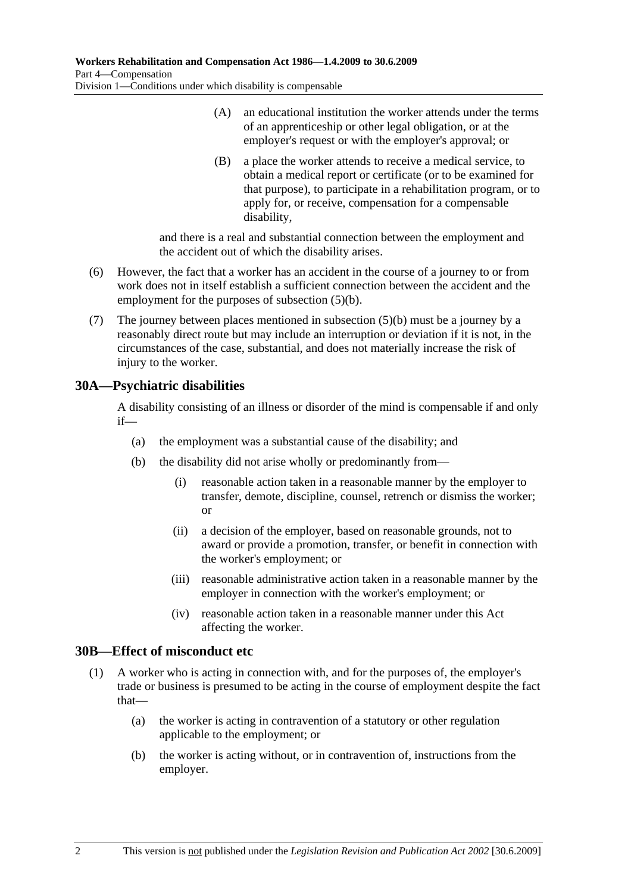- (A) an educational institution the worker attends under the terms of an apprenticeship or other legal obligation, or at the employer's request or with the employer's approval; or
- (B) a place the worker attends to receive a medical service, to obtain a medical report or certificate (or to be examined for that purpose), to participate in a rehabilitation program, or to apply for, or receive, compensation for a compensable disability,

and there is a real and substantial connection between the employment and the accident out of which the disability arises.

- (6) However, the fact that a worker has an accident in the course of a journey to or from work does not in itself establish a sufficient connection between the accident and the employment for the purposes of subsection (5)(b).
- (7) The journey between places mentioned in subsection (5)(b) must be a journey by a reasonably direct route but may include an interruption or deviation if it is not, in the circumstances of the case, substantial, and does not materially increase the risk of injury to the worker.

# **30A—Psychiatric disabilities**

A disability consisting of an illness or disorder of the mind is compensable if and only if—

- (a) the employment was a substantial cause of the disability; and
- (b) the disability did not arise wholly or predominantly from—
	- (i) reasonable action taken in a reasonable manner by the employer to transfer, demote, discipline, counsel, retrench or dismiss the worker; or
	- (ii) a decision of the employer, based on reasonable grounds, not to award or provide a promotion, transfer, or benefit in connection with the worker's employment; or
	- (iii) reasonable administrative action taken in a reasonable manner by the employer in connection with the worker's employment; or
	- (iv) reasonable action taken in a reasonable manner under this Act affecting the worker.

# **30B—Effect of misconduct etc**

- (1) A worker who is acting in connection with, and for the purposes of, the employer's trade or business is presumed to be acting in the course of employment despite the fact that—
	- (a) the worker is acting in contravention of a statutory or other regulation applicable to the employment; or
	- (b) the worker is acting without, or in contravention of, instructions from the employer.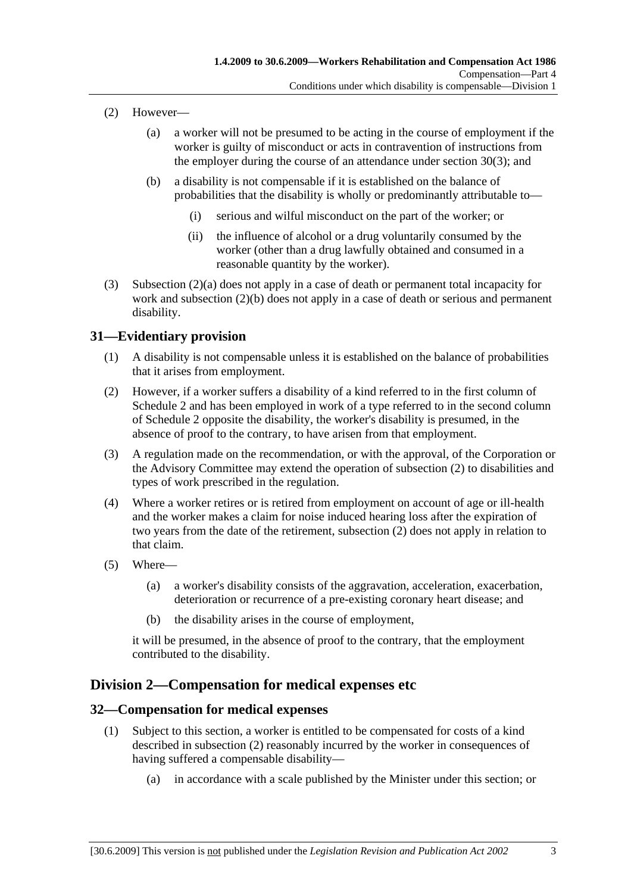- (2) However—
	- (a) a worker will not be presumed to be acting in the course of employment if the worker is guilty of misconduct or acts in contravention of instructions from the employer during the course of an attendance under section 30(3); and
	- (b) a disability is not compensable if it is established on the balance of probabilities that the disability is wholly or predominantly attributable to—
		- (i) serious and wilful misconduct on the part of the worker; or
		- (ii) the influence of alcohol or a drug voluntarily consumed by the worker (other than a drug lawfully obtained and consumed in a reasonable quantity by the worker).
- (3) Subsection (2)(a) does not apply in a case of death or permanent total incapacity for work and subsection (2)(b) does not apply in a case of death or serious and permanent disability.

# **31—Evidentiary provision**

- (1) A disability is not compensable unless it is established on the balance of probabilities that it arises from employment.
- (2) However, if a worker suffers a disability of a kind referred to in the first column of Schedule 2 and has been employed in work of a type referred to in the second column of Schedule 2 opposite the disability, the worker's disability is presumed, in the absence of proof to the contrary, to have arisen from that employment.
- (3) A regulation made on the recommendation, or with the approval, of the Corporation or the Advisory Committee may extend the operation of subsection (2) to disabilities and types of work prescribed in the regulation.
- (4) Where a worker retires or is retired from employment on account of age or ill-health and the worker makes a claim for noise induced hearing loss after the expiration of two years from the date of the retirement, subsection (2) does not apply in relation to that claim.
- (5) Where—
	- (a) a worker's disability consists of the aggravation, acceleration, exacerbation, deterioration or recurrence of a pre-existing coronary heart disease; and
	- (b) the disability arises in the course of employment,

it will be presumed, in the absence of proof to the contrary, that the employment contributed to the disability.

# **Division 2—Compensation for medical expenses etc**

## **32—Compensation for medical expenses**

- (1) Subject to this section, a worker is entitled to be compensated for costs of a kind described in subsection (2) reasonably incurred by the worker in consequences of having suffered a compensable disability—
	- (a) in accordance with a scale published by the Minister under this section; or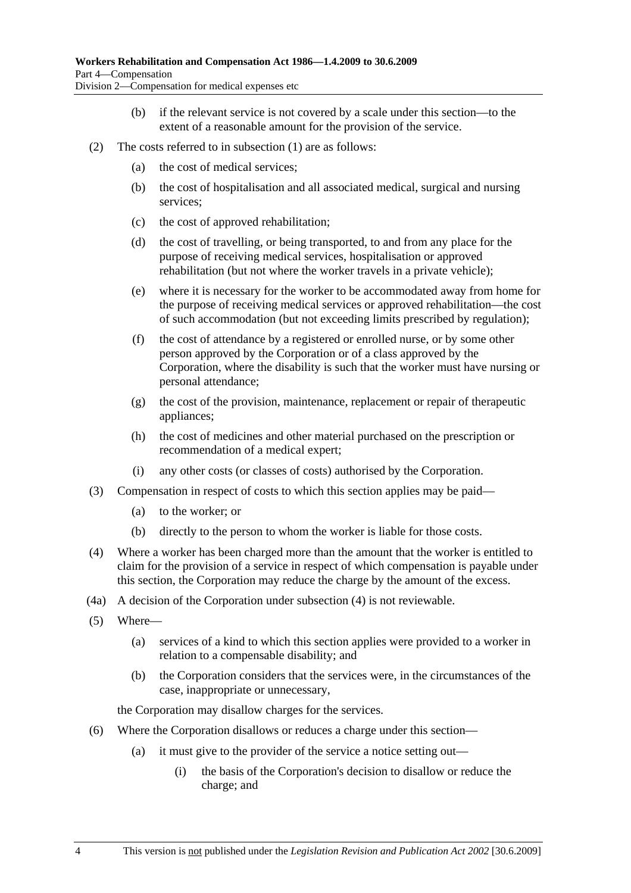- (b) if the relevant service is not covered by a scale under this section—to the extent of a reasonable amount for the provision of the service.
- (2) The costs referred to in subsection (1) are as follows:
	- (a) the cost of medical services;
	- (b) the cost of hospitalisation and all associated medical, surgical and nursing services;
	- (c) the cost of approved rehabilitation;
	- (d) the cost of travelling, or being transported, to and from any place for the purpose of receiving medical services, hospitalisation or approved rehabilitation (but not where the worker travels in a private vehicle);
	- (e) where it is necessary for the worker to be accommodated away from home for the purpose of receiving medical services or approved rehabilitation—the cost of such accommodation (but not exceeding limits prescribed by regulation);
	- (f) the cost of attendance by a registered or enrolled nurse, or by some other person approved by the Corporation or of a class approved by the Corporation, where the disability is such that the worker must have nursing or personal attendance;
	- (g) the cost of the provision, maintenance, replacement or repair of therapeutic appliances;
	- (h) the cost of medicines and other material purchased on the prescription or recommendation of a medical expert;
	- (i) any other costs (or classes of costs) authorised by the Corporation.
- (3) Compensation in respect of costs to which this section applies may be paid—
	- (a) to the worker; or
	- (b) directly to the person to whom the worker is liable for those costs.
- (4) Where a worker has been charged more than the amount that the worker is entitled to claim for the provision of a service in respect of which compensation is payable under this section, the Corporation may reduce the charge by the amount of the excess.
- (4a) A decision of the Corporation under subsection (4) is not reviewable.
- (5) Where—
	- (a) services of a kind to which this section applies were provided to a worker in relation to a compensable disability; and
	- (b) the Corporation considers that the services were, in the circumstances of the case, inappropriate or unnecessary,

the Corporation may disallow charges for the services.

- (6) Where the Corporation disallows or reduces a charge under this section—
	- (a) it must give to the provider of the service a notice setting out—
		- (i) the basis of the Corporation's decision to disallow or reduce the charge; and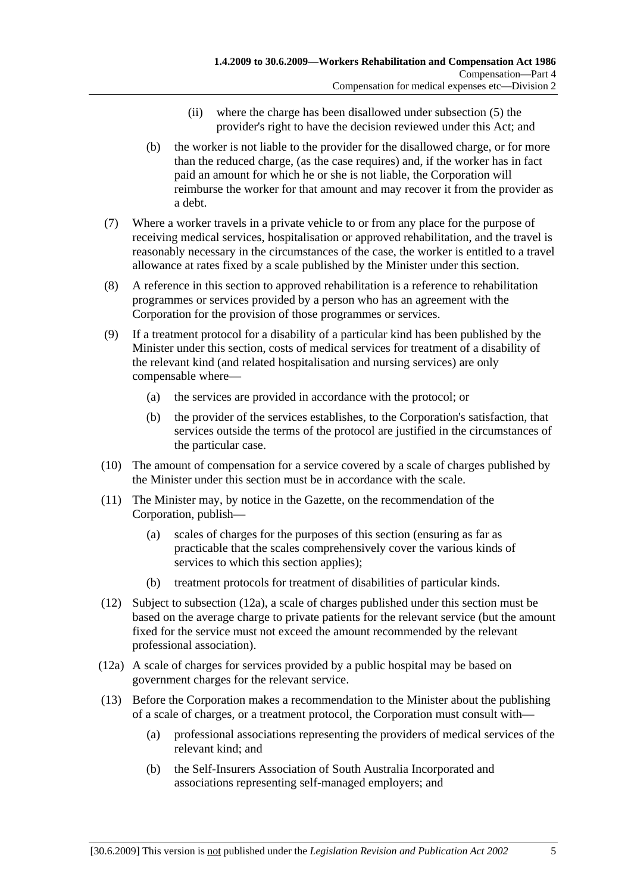- (ii) where the charge has been disallowed under subsection (5) the provider's right to have the decision reviewed under this Act; and
- (b) the worker is not liable to the provider for the disallowed charge, or for more than the reduced charge, (as the case requires) and, if the worker has in fact paid an amount for which he or she is not liable, the Corporation will reimburse the worker for that amount and may recover it from the provider as a debt.
- (7) Where a worker travels in a private vehicle to or from any place for the purpose of receiving medical services, hospitalisation or approved rehabilitation, and the travel is reasonably necessary in the circumstances of the case, the worker is entitled to a travel allowance at rates fixed by a scale published by the Minister under this section.
- (8) A reference in this section to approved rehabilitation is a reference to rehabilitation programmes or services provided by a person who has an agreement with the Corporation for the provision of those programmes or services.
- (9) If a treatment protocol for a disability of a particular kind has been published by the Minister under this section, costs of medical services for treatment of a disability of the relevant kind (and related hospitalisation and nursing services) are only compensable where—
	- (a) the services are provided in accordance with the protocol; or
	- (b) the provider of the services establishes, to the Corporation's satisfaction, that services outside the terms of the protocol are justified in the circumstances of the particular case.
- (10) The amount of compensation for a service covered by a scale of charges published by the Minister under this section must be in accordance with the scale.
- (11) The Minister may, by notice in the Gazette, on the recommendation of the Corporation, publish—
	- (a) scales of charges for the purposes of this section (ensuring as far as practicable that the scales comprehensively cover the various kinds of services to which this section applies);
	- (b) treatment protocols for treatment of disabilities of particular kinds.
- (12) Subject to subsection (12a), a scale of charges published under this section must be based on the average charge to private patients for the relevant service (but the amount fixed for the service must not exceed the amount recommended by the relevant professional association).
- (12a) A scale of charges for services provided by a public hospital may be based on government charges for the relevant service.
- (13) Before the Corporation makes a recommendation to the Minister about the publishing of a scale of charges, or a treatment protocol, the Corporation must consult with—
	- (a) professional associations representing the providers of medical services of the relevant kind; and
	- (b) the Self-Insurers Association of South Australia Incorporated and associations representing self-managed employers; and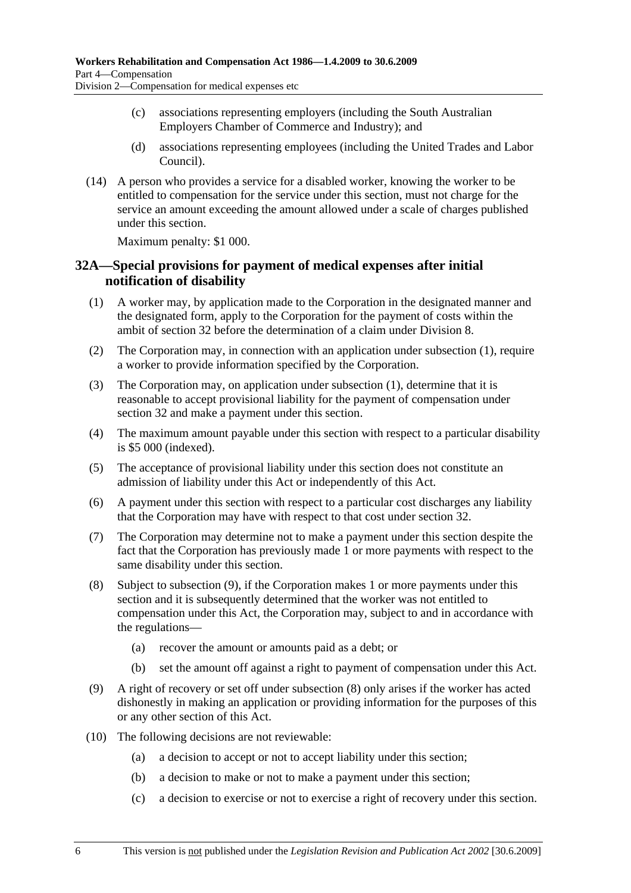- (c) associations representing employers (including the South Australian Employers Chamber of Commerce and Industry); and
- (d) associations representing employees (including the United Trades and Labor Council).
- (14) A person who provides a service for a disabled worker, knowing the worker to be entitled to compensation for the service under this section, must not charge for the service an amount exceeding the amount allowed under a scale of charges published under this section.

Maximum penalty: \$1 000.

## **32A—Special provisions for payment of medical expenses after initial notification of disability**

- (1) A worker may, by application made to the Corporation in the designated manner and the designated form, apply to the Corporation for the payment of costs within the ambit of section 32 before the determination of a claim under Division 8.
- (2) The Corporation may, in connection with an application under subsection (1), require a worker to provide information specified by the Corporation.
- (3) The Corporation may, on application under subsection (1), determine that it is reasonable to accept provisional liability for the payment of compensation under section 32 and make a payment under this section.
- (4) The maximum amount payable under this section with respect to a particular disability is \$5 000 (indexed).
- (5) The acceptance of provisional liability under this section does not constitute an admission of liability under this Act or independently of this Act.
- (6) A payment under this section with respect to a particular cost discharges any liability that the Corporation may have with respect to that cost under section 32.
- (7) The Corporation may determine not to make a payment under this section despite the fact that the Corporation has previously made 1 or more payments with respect to the same disability under this section.
- (8) Subject to subsection (9), if the Corporation makes 1 or more payments under this section and it is subsequently determined that the worker was not entitled to compensation under this Act, the Corporation may, subject to and in accordance with the regulations—
	- (a) recover the amount or amounts paid as a debt; or
	- (b) set the amount off against a right to payment of compensation under this Act.
- (9) A right of recovery or set off under subsection (8) only arises if the worker has acted dishonestly in making an application or providing information for the purposes of this or any other section of this Act.
- (10) The following decisions are not reviewable:
	- (a) a decision to accept or not to accept liability under this section;
	- (b) a decision to make or not to make a payment under this section;
	- (c) a decision to exercise or not to exercise a right of recovery under this section.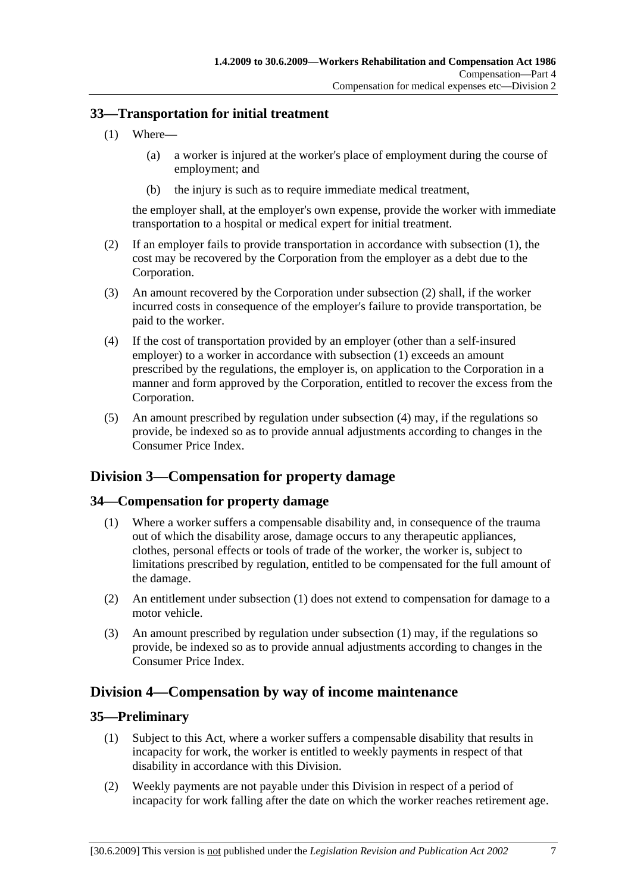## **33—Transportation for initial treatment**

- (1) Where—
	- (a) a worker is injured at the worker's place of employment during the course of employment; and
	- (b) the injury is such as to require immediate medical treatment,

the employer shall, at the employer's own expense, provide the worker with immediate transportation to a hospital or medical expert for initial treatment.

- (2) If an employer fails to provide transportation in accordance with subsection (1), the cost may be recovered by the Corporation from the employer as a debt due to the Corporation.
- (3) An amount recovered by the Corporation under subsection (2) shall, if the worker incurred costs in consequence of the employer's failure to provide transportation, be paid to the worker.
- (4) If the cost of transportation provided by an employer (other than a self-insured employer) to a worker in accordance with subsection (1) exceeds an amount prescribed by the regulations, the employer is, on application to the Corporation in a manner and form approved by the Corporation, entitled to recover the excess from the Corporation.
- (5) An amount prescribed by regulation under subsection (4) may, if the regulations so provide, be indexed so as to provide annual adjustments according to changes in the Consumer Price Index.

# **Division 3—Compensation for property damage**

# **34—Compensation for property damage**

- (1) Where a worker suffers a compensable disability and, in consequence of the trauma out of which the disability arose, damage occurs to any therapeutic appliances, clothes, personal effects or tools of trade of the worker, the worker is, subject to limitations prescribed by regulation, entitled to be compensated for the full amount of the damage.
- (2) An entitlement under subsection (1) does not extend to compensation for damage to a motor vehicle.
- (3) An amount prescribed by regulation under subsection (1) may, if the regulations so provide, be indexed so as to provide annual adjustments according to changes in the Consumer Price Index.

# **Division 4—Compensation by way of income maintenance**

## **35—Preliminary**

- (1) Subject to this Act, where a worker suffers a compensable disability that results in incapacity for work, the worker is entitled to weekly payments in respect of that disability in accordance with this Division.
- (2) Weekly payments are not payable under this Division in respect of a period of incapacity for work falling after the date on which the worker reaches retirement age.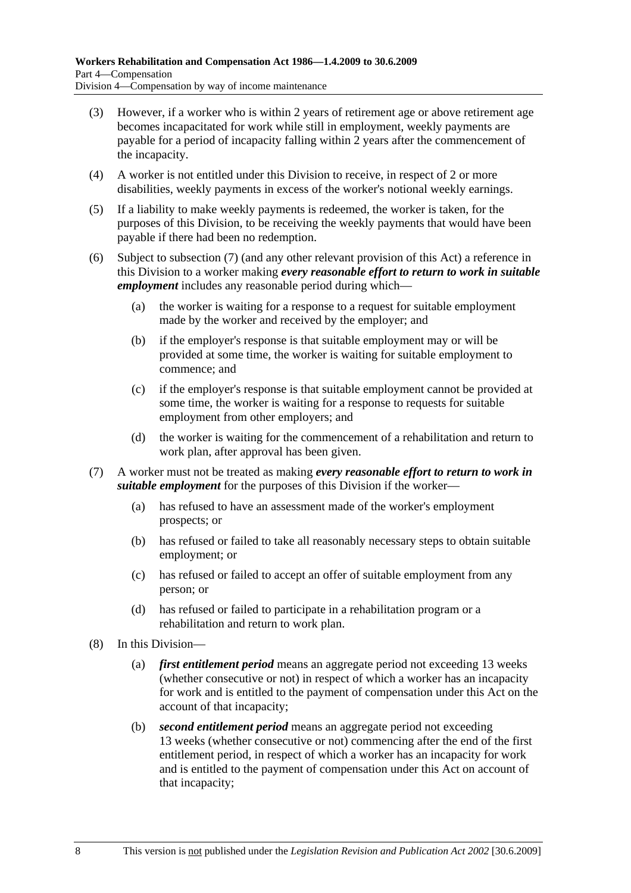- (3) However, if a worker who is within 2 years of retirement age or above retirement age becomes incapacitated for work while still in employment, weekly payments are payable for a period of incapacity falling within 2 years after the commencement of the incapacity.
- (4) A worker is not entitled under this Division to receive, in respect of 2 or more disabilities, weekly payments in excess of the worker's notional weekly earnings.
- (5) If a liability to make weekly payments is redeemed, the worker is taken, for the purposes of this Division, to be receiving the weekly payments that would have been payable if there had been no redemption.
- (6) Subject to subsection (7) (and any other relevant provision of this Act) a reference in this Division to a worker making *every reasonable effort to return to work in suitable employment* includes any reasonable period during which—
	- (a) the worker is waiting for a response to a request for suitable employment made by the worker and received by the employer; and
	- (b) if the employer's response is that suitable employment may or will be provided at some time, the worker is waiting for suitable employment to commence; and
	- (c) if the employer's response is that suitable employment cannot be provided at some time, the worker is waiting for a response to requests for suitable employment from other employers; and
	- (d) the worker is waiting for the commencement of a rehabilitation and return to work plan, after approval has been given.
- (7) A worker must not be treated as making *every reasonable effort to return to work in suitable employment* for the purposes of this Division if the worker—
	- (a) has refused to have an assessment made of the worker's employment prospects; or
	- (b) has refused or failed to take all reasonably necessary steps to obtain suitable employment; or
	- (c) has refused or failed to accept an offer of suitable employment from any person; or
	- (d) has refused or failed to participate in a rehabilitation program or a rehabilitation and return to work plan.
- (8) In this Division—
	- (a) *first entitlement period* means an aggregate period not exceeding 13 weeks (whether consecutive or not) in respect of which a worker has an incapacity for work and is entitled to the payment of compensation under this Act on the account of that incapacity;
	- (b) *second entitlement period* means an aggregate period not exceeding 13 weeks (whether consecutive or not) commencing after the end of the first entitlement period, in respect of which a worker has an incapacity for work and is entitled to the payment of compensation under this Act on account of that incapacity;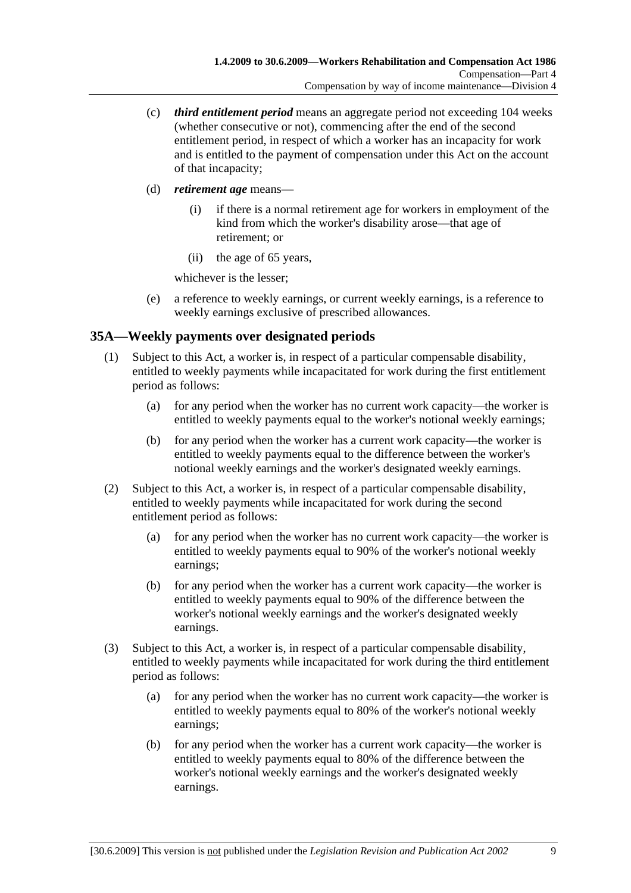- (c) *third entitlement period* means an aggregate period not exceeding 104 weeks (whether consecutive or not), commencing after the end of the second entitlement period, in respect of which a worker has an incapacity for work and is entitled to the payment of compensation under this Act on the account of that incapacity;
- (d) *retirement age* means—
	- (i) if there is a normal retirement age for workers in employment of the kind from which the worker's disability arose—that age of retirement; or
	- (ii) the age of 65 years,

whichever is the lesser;

 (e) a reference to weekly earnings, or current weekly earnings, is a reference to weekly earnings exclusive of prescribed allowances.

# **35A—Weekly payments over designated periods**

- (1) Subject to this Act, a worker is, in respect of a particular compensable disability, entitled to weekly payments while incapacitated for work during the first entitlement period as follows:
	- (a) for any period when the worker has no current work capacity—the worker is entitled to weekly payments equal to the worker's notional weekly earnings;
	- (b) for any period when the worker has a current work capacity—the worker is entitled to weekly payments equal to the difference between the worker's notional weekly earnings and the worker's designated weekly earnings.
- (2) Subject to this Act, a worker is, in respect of a particular compensable disability, entitled to weekly payments while incapacitated for work during the second entitlement period as follows:
	- (a) for any period when the worker has no current work capacity—the worker is entitled to weekly payments equal to 90% of the worker's notional weekly earnings;
	- (b) for any period when the worker has a current work capacity—the worker is entitled to weekly payments equal to 90% of the difference between the worker's notional weekly earnings and the worker's designated weekly earnings.
- (3) Subject to this Act, a worker is, in respect of a particular compensable disability, entitled to weekly payments while incapacitated for work during the third entitlement period as follows:
	- (a) for any period when the worker has no current work capacity—the worker is entitled to weekly payments equal to 80% of the worker's notional weekly earnings;
	- (b) for any period when the worker has a current work capacity—the worker is entitled to weekly payments equal to 80% of the difference between the worker's notional weekly earnings and the worker's designated weekly earnings.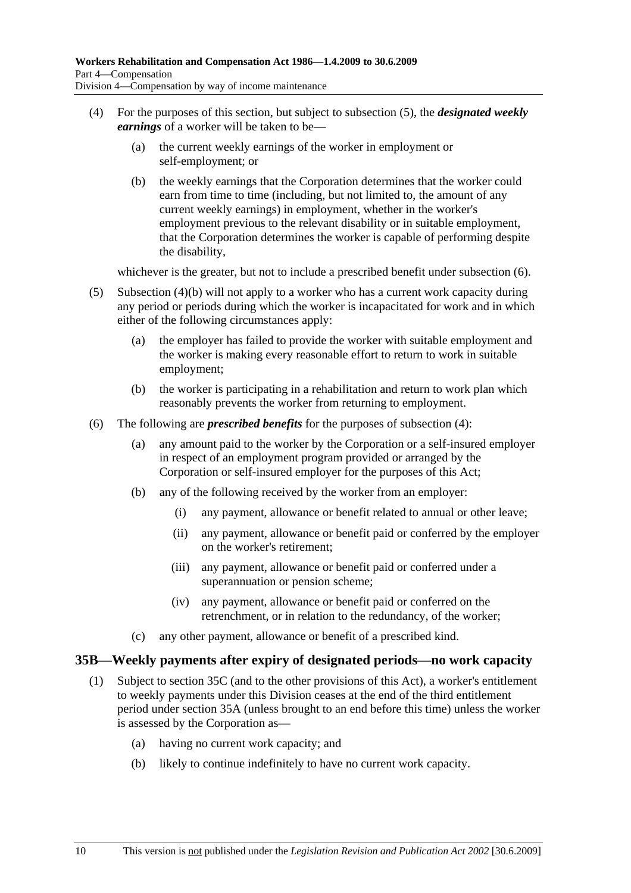- (4) For the purposes of this section, but subject to subsection (5), the *designated weekly earnings* of a worker will be taken to be—
	- (a) the current weekly earnings of the worker in employment or self-employment; or
	- (b) the weekly earnings that the Corporation determines that the worker could earn from time to time (including, but not limited to, the amount of any current weekly earnings) in employment, whether in the worker's employment previous to the relevant disability or in suitable employment, that the Corporation determines the worker is capable of performing despite the disability,

whichever is the greater, but not to include a prescribed benefit under subsection  $(6)$ .

- (5) Subsection (4)(b) will not apply to a worker who has a current work capacity during any period or periods during which the worker is incapacitated for work and in which either of the following circumstances apply:
	- (a) the employer has failed to provide the worker with suitable employment and the worker is making every reasonable effort to return to work in suitable employment;
	- (b) the worker is participating in a rehabilitation and return to work plan which reasonably prevents the worker from returning to employment.
- (6) The following are *prescribed benefits* for the purposes of subsection (4):
	- (a) any amount paid to the worker by the Corporation or a self-insured employer in respect of an employment program provided or arranged by the Corporation or self-insured employer for the purposes of this Act;
	- (b) any of the following received by the worker from an employer:
		- (i) any payment, allowance or benefit related to annual or other leave;
		- (ii) any payment, allowance or benefit paid or conferred by the employer on the worker's retirement;
		- (iii) any payment, allowance or benefit paid or conferred under a superannuation or pension scheme;
		- (iv) any payment, allowance or benefit paid or conferred on the retrenchment, or in relation to the redundancy, of the worker;
	- (c) any other payment, allowance or benefit of a prescribed kind.

## **35B—Weekly payments after expiry of designated periods—no work capacity**

- (1) Subject to section 35C (and to the other provisions of this Act), a worker's entitlement to weekly payments under this Division ceases at the end of the third entitlement period under section 35A (unless brought to an end before this time) unless the worker is assessed by the Corporation as—
	- (a) having no current work capacity; and
	- (b) likely to continue indefinitely to have no current work capacity.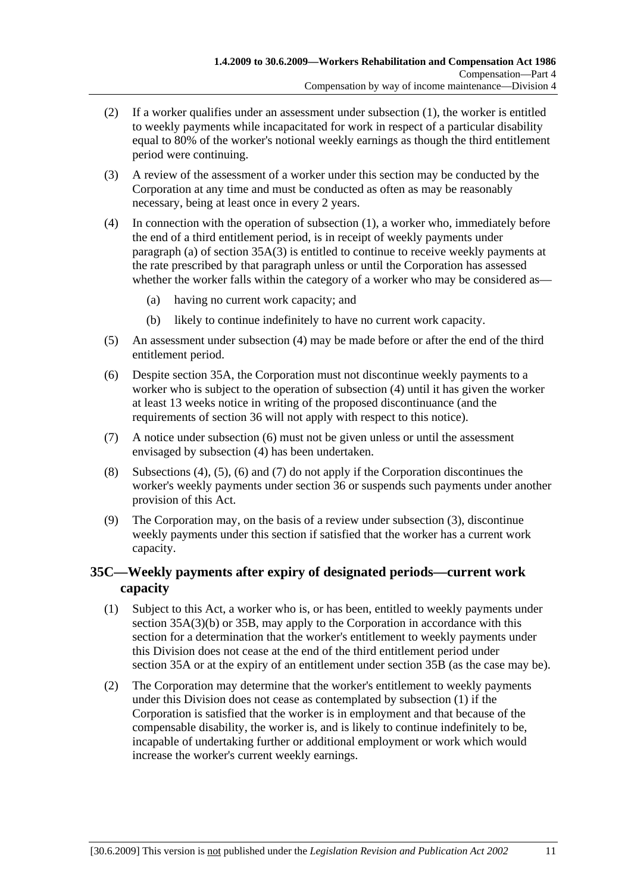- (2) If a worker qualifies under an assessment under subsection (1), the worker is entitled to weekly payments while incapacitated for work in respect of a particular disability equal to 80% of the worker's notional weekly earnings as though the third entitlement period were continuing.
- (3) A review of the assessment of a worker under this section may be conducted by the Corporation at any time and must be conducted as often as may be reasonably necessary, being at least once in every 2 years.
- (4) In connection with the operation of subsection (1), a worker who, immediately before the end of a third entitlement period, is in receipt of weekly payments under paragraph (a) of section  $35A(3)$  is entitled to continue to receive weekly payments at the rate prescribed by that paragraph unless or until the Corporation has assessed whether the worker falls within the category of a worker who may be considered as—
	- (a) having no current work capacity; and
	- (b) likely to continue indefinitely to have no current work capacity.
- (5) An assessment under subsection (4) may be made before or after the end of the third entitlement period.
- (6) Despite section 35A, the Corporation must not discontinue weekly payments to a worker who is subject to the operation of subsection (4) until it has given the worker at least 13 weeks notice in writing of the proposed discontinuance (and the requirements of section 36 will not apply with respect to this notice).
- (7) A notice under subsection (6) must not be given unless or until the assessment envisaged by subsection (4) has been undertaken.
- (8) Subsections (4), (5), (6) and (7) do not apply if the Corporation discontinues the worker's weekly payments under section 36 or suspends such payments under another provision of this Act.
- (9) The Corporation may, on the basis of a review under subsection (3), discontinue weekly payments under this section if satisfied that the worker has a current work capacity.

# **35C—Weekly payments after expiry of designated periods—current work capacity**

- (1) Subject to this Act, a worker who is, or has been, entitled to weekly payments under section 35A(3)(b) or 35B, may apply to the Corporation in accordance with this section for a determination that the worker's entitlement to weekly payments under this Division does not cease at the end of the third entitlement period under section 35A or at the expiry of an entitlement under section 35B (as the case may be).
- (2) The Corporation may determine that the worker's entitlement to weekly payments under this Division does not cease as contemplated by subsection (1) if the Corporation is satisfied that the worker is in employment and that because of the compensable disability, the worker is, and is likely to continue indefinitely to be, incapable of undertaking further or additional employment or work which would increase the worker's current weekly earnings.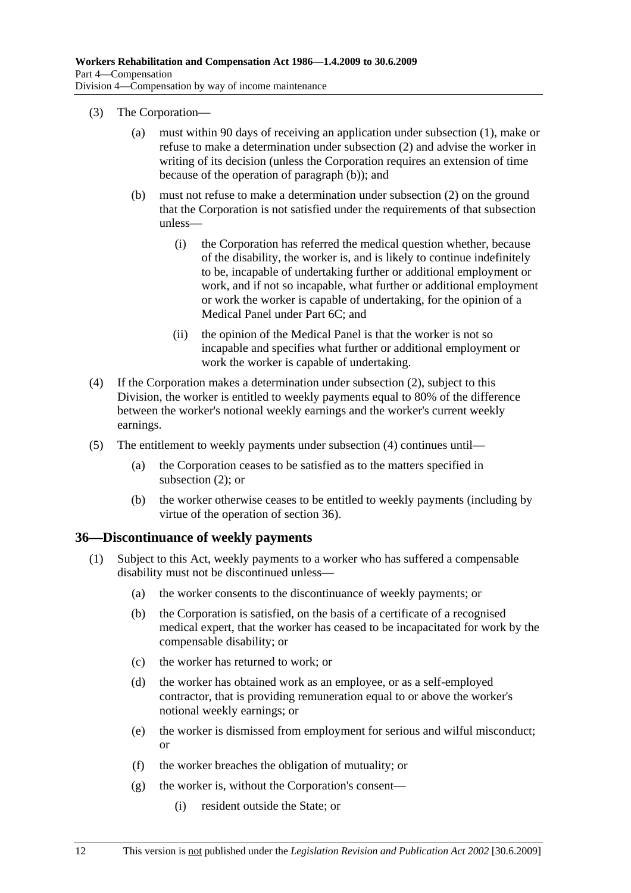- (3) The Corporation—
	- (a) must within 90 days of receiving an application under subsection (1), make or refuse to make a determination under subsection (2) and advise the worker in writing of its decision (unless the Corporation requires an extension of time because of the operation of paragraph (b)); and
	- (b) must not refuse to make a determination under subsection (2) on the ground that the Corporation is not satisfied under the requirements of that subsection unless—
		- (i) the Corporation has referred the medical question whether, because of the disability, the worker is, and is likely to continue indefinitely to be, incapable of undertaking further or additional employment or work, and if not so incapable, what further or additional employment or work the worker is capable of undertaking, for the opinion of a Medical Panel under Part 6C; and
		- (ii) the opinion of the Medical Panel is that the worker is not so incapable and specifies what further or additional employment or work the worker is capable of undertaking.
- (4) If the Corporation makes a determination under subsection (2), subject to this Division, the worker is entitled to weekly payments equal to 80% of the difference between the worker's notional weekly earnings and the worker's current weekly earnings.
- (5) The entitlement to weekly payments under subsection (4) continues until—
	- (a) the Corporation ceases to be satisfied as to the matters specified in subsection (2); or
	- (b) the worker otherwise ceases to be entitled to weekly payments (including by virtue of the operation of section 36).

## **36—Discontinuance of weekly payments**

- (1) Subject to this Act, weekly payments to a worker who has suffered a compensable disability must not be discontinued unless—
	- (a) the worker consents to the discontinuance of weekly payments; or
	- (b) the Corporation is satisfied, on the basis of a certificate of a recognised medical expert, that the worker has ceased to be incapacitated for work by the compensable disability; or
	- (c) the worker has returned to work; or
	- (d) the worker has obtained work as an employee, or as a self-employed contractor, that is providing remuneration equal to or above the worker's notional weekly earnings; or
	- (e) the worker is dismissed from employment for serious and wilful misconduct; or
	- (f) the worker breaches the obligation of mutuality; or
	- (g) the worker is, without the Corporation's consent—
		- (i) resident outside the State; or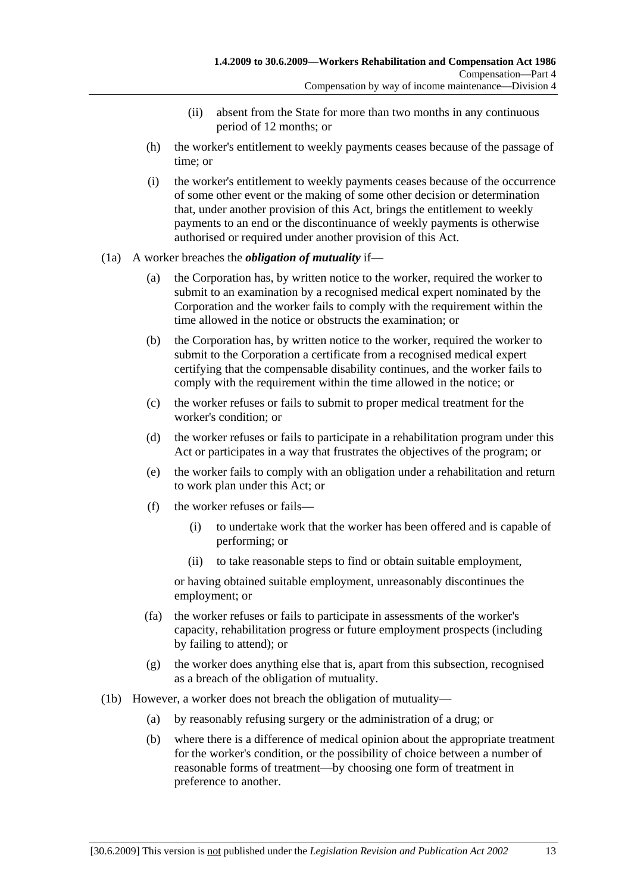- (ii) absent from the State for more than two months in any continuous period of 12 months; or
- (h) the worker's entitlement to weekly payments ceases because of the passage of time; or
- (i) the worker's entitlement to weekly payments ceases because of the occurrence of some other event or the making of some other decision or determination that, under another provision of this Act, brings the entitlement to weekly payments to an end or the discontinuance of weekly payments is otherwise authorised or required under another provision of this Act.

#### (1a) A worker breaches the *obligation of mutuality* if—

- (a) the Corporation has, by written notice to the worker, required the worker to submit to an examination by a recognised medical expert nominated by the Corporation and the worker fails to comply with the requirement within the time allowed in the notice or obstructs the examination; or
- (b) the Corporation has, by written notice to the worker, required the worker to submit to the Corporation a certificate from a recognised medical expert certifying that the compensable disability continues, and the worker fails to comply with the requirement within the time allowed in the notice; or
- (c) the worker refuses or fails to submit to proper medical treatment for the worker's condition; or
- (d) the worker refuses or fails to participate in a rehabilitation program under this Act or participates in a way that frustrates the objectives of the program; or
- (e) the worker fails to comply with an obligation under a rehabilitation and return to work plan under this Act; or
- (f) the worker refuses or fails—
	- (i) to undertake work that the worker has been offered and is capable of performing; or
	- (ii) to take reasonable steps to find or obtain suitable employment,

or having obtained suitable employment, unreasonably discontinues the employment; or

- (fa) the worker refuses or fails to participate in assessments of the worker's capacity, rehabilitation progress or future employment prospects (including by failing to attend); or
- (g) the worker does anything else that is, apart from this subsection, recognised as a breach of the obligation of mutuality.
- (1b) However, a worker does not breach the obligation of mutuality—
	- (a) by reasonably refusing surgery or the administration of a drug; or
	- (b) where there is a difference of medical opinion about the appropriate treatment for the worker's condition, or the possibility of choice between a number of reasonable forms of treatment—by choosing one form of treatment in preference to another.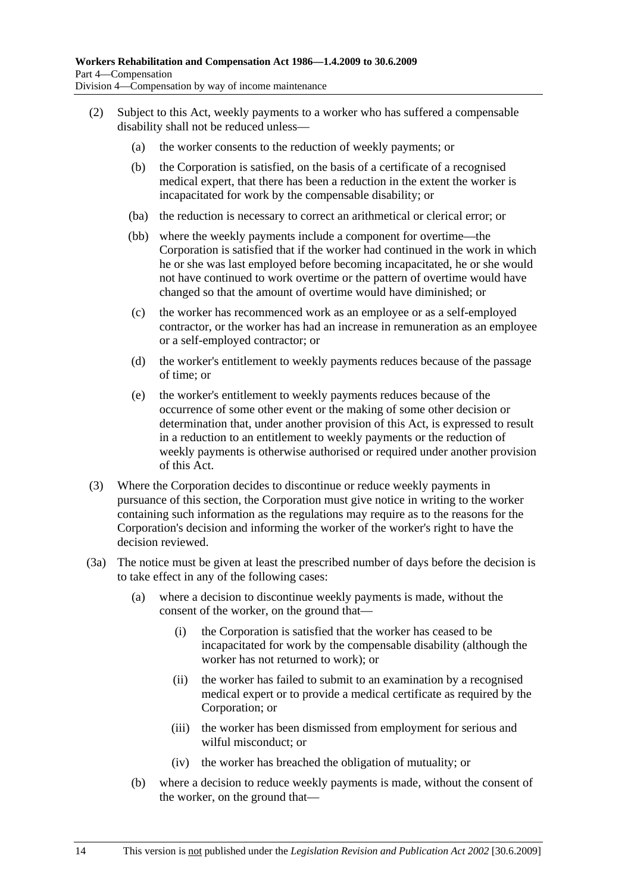- (2) Subject to this Act, weekly payments to a worker who has suffered a compensable disability shall not be reduced unless—
	- (a) the worker consents to the reduction of weekly payments; or
	- (b) the Corporation is satisfied, on the basis of a certificate of a recognised medical expert, that there has been a reduction in the extent the worker is incapacitated for work by the compensable disability; or
	- (ba) the reduction is necessary to correct an arithmetical or clerical error; or
	- (bb) where the weekly payments include a component for overtime—the Corporation is satisfied that if the worker had continued in the work in which he or she was last employed before becoming incapacitated, he or she would not have continued to work overtime or the pattern of overtime would have changed so that the amount of overtime would have diminished; or
	- (c) the worker has recommenced work as an employee or as a self-employed contractor, or the worker has had an increase in remuneration as an employee or a self-employed contractor; or
	- (d) the worker's entitlement to weekly payments reduces because of the passage of time; or
	- (e) the worker's entitlement to weekly payments reduces because of the occurrence of some other event or the making of some other decision or determination that, under another provision of this Act, is expressed to result in a reduction to an entitlement to weekly payments or the reduction of weekly payments is otherwise authorised or required under another provision of this Act.
- (3) Where the Corporation decides to discontinue or reduce weekly payments in pursuance of this section, the Corporation must give notice in writing to the worker containing such information as the regulations may require as to the reasons for the Corporation's decision and informing the worker of the worker's right to have the decision reviewed.
- (3a) The notice must be given at least the prescribed number of days before the decision is to take effect in any of the following cases:
	- (a) where a decision to discontinue weekly payments is made, without the consent of the worker, on the ground that—
		- (i) the Corporation is satisfied that the worker has ceased to be incapacitated for work by the compensable disability (although the worker has not returned to work); or
		- (ii) the worker has failed to submit to an examination by a recognised medical expert or to provide a medical certificate as required by the Corporation; or
		- (iii) the worker has been dismissed from employment for serious and wilful misconduct; or
		- (iv) the worker has breached the obligation of mutuality; or
	- (b) where a decision to reduce weekly payments is made, without the consent of the worker, on the ground that—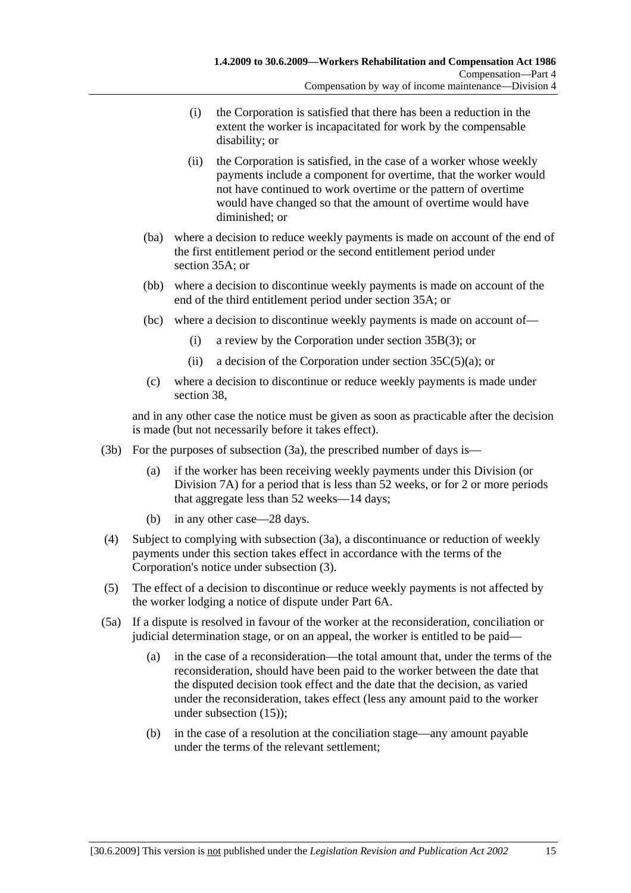- (i) the Corporation is satisfied that there has been a reduction in the extent the worker is incapacitated for work by the compensable disability; or
- (ii) the Corporation is satisfied, in the case of a worker whose weekly payments include a component for overtime, that the worker would not have continued to work overtime or the pattern of overtime would have changed so that the amount of overtime would have diminished; or
- (ba) where a decision to reduce weekly payments is made on account of the end of the first entitlement period or the second entitlement period under section 35A; or
- (bb) where a decision to discontinue weekly payments is made on account of the end of the third entitlement period under section 35A; or
- (bc) where a decision to discontinue weekly payments is made on account of—
	- (i) a review by the Corporation under section 35B(3); or
	- (ii) a decision of the Corporation under section  $35C(5)(a)$ ; or
- (c) where a decision to discontinue or reduce weekly payments is made under section 38,

and in any other case the notice must be given as soon as practicable after the decision is made (but not necessarily before it takes effect).

- (3b) For the purposes of subsection (3a), the prescribed number of days is—
	- (a) if the worker has been receiving weekly payments under this Division (or Division 7A) for a period that is less than 52 weeks, or for 2 or more periods that aggregate less than 52 weeks—14 days;
	- (b) in any other case—28 days.
- (4) Subject to complying with subsection (3a), a discontinuance or reduction of weekly payments under this section takes effect in accordance with the terms of the Corporation's notice under subsection (3).
- (5) The effect of a decision to discontinue or reduce weekly payments is not affected by the worker lodging a notice of dispute under Part 6A.
- (5a) If a dispute is resolved in favour of the worker at the reconsideration, conciliation or judicial determination stage, or on an appeal, the worker is entitled to be paid—
	- (a) in the case of a reconsideration—the total amount that, under the terms of the reconsideration, should have been paid to the worker between the date that the disputed decision took effect and the date that the decision, as varied under the reconsideration, takes effect (less any amount paid to the worker under subsection (15));
	- (b) in the case of a resolution at the conciliation stage—any amount payable under the terms of the relevant settlement;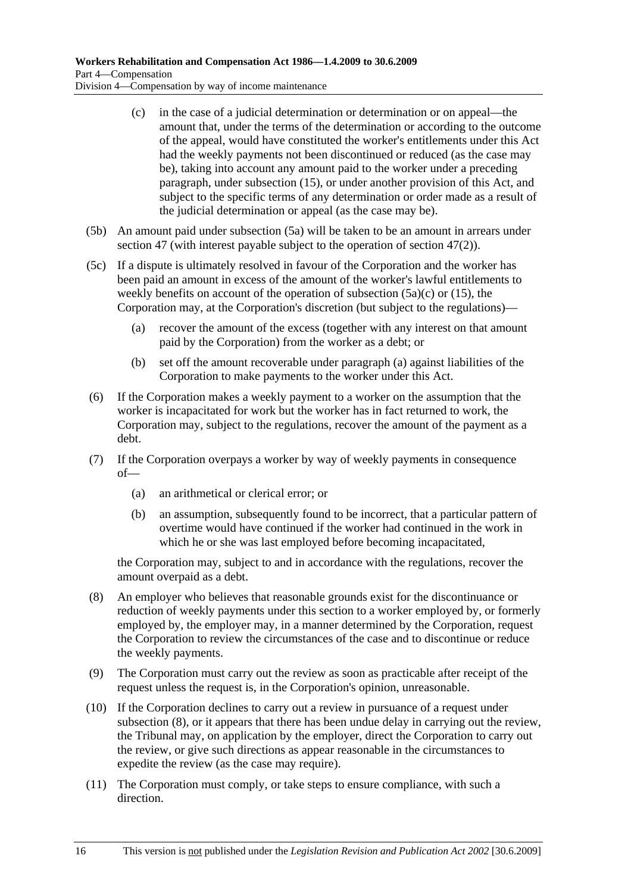- (c) in the case of a judicial determination or determination or on appeal—the amount that, under the terms of the determination or according to the outcome of the appeal, would have constituted the worker's entitlements under this Act had the weekly payments not been discontinued or reduced (as the case may be), taking into account any amount paid to the worker under a preceding paragraph, under subsection (15), or under another provision of this Act, and subject to the specific terms of any determination or order made as a result of the judicial determination or appeal (as the case may be).
- (5b) An amount paid under subsection (5a) will be taken to be an amount in arrears under section 47 (with interest payable subject to the operation of section 47(2)).
- (5c) If a dispute is ultimately resolved in favour of the Corporation and the worker has been paid an amount in excess of the amount of the worker's lawful entitlements to weekly benefits on account of the operation of subsection  $(5a)(c)$  or  $(15)$ , the Corporation may, at the Corporation's discretion (but subject to the regulations)—
	- (a) recover the amount of the excess (together with any interest on that amount paid by the Corporation) from the worker as a debt; or
	- (b) set off the amount recoverable under paragraph (a) against liabilities of the Corporation to make payments to the worker under this Act.
- (6) If the Corporation makes a weekly payment to a worker on the assumption that the worker is incapacitated for work but the worker has in fact returned to work, the Corporation may, subject to the regulations, recover the amount of the payment as a debt.
- (7) If the Corporation overpays a worker by way of weekly payments in consequence of—
	- (a) an arithmetical or clerical error; or
	- (b) an assumption, subsequently found to be incorrect, that a particular pattern of overtime would have continued if the worker had continued in the work in which he or she was last employed before becoming incapacitated,

the Corporation may, subject to and in accordance with the regulations, recover the amount overpaid as a debt.

- (8) An employer who believes that reasonable grounds exist for the discontinuance or reduction of weekly payments under this section to a worker employed by, or formerly employed by, the employer may, in a manner determined by the Corporation, request the Corporation to review the circumstances of the case and to discontinue or reduce the weekly payments.
- (9) The Corporation must carry out the review as soon as practicable after receipt of the request unless the request is, in the Corporation's opinion, unreasonable.
- (10) If the Corporation declines to carry out a review in pursuance of a request under subsection (8), or it appears that there has been undue delay in carrying out the review, the Tribunal may, on application by the employer, direct the Corporation to carry out the review, or give such directions as appear reasonable in the circumstances to expedite the review (as the case may require).
- (11) The Corporation must comply, or take steps to ensure compliance, with such a direction.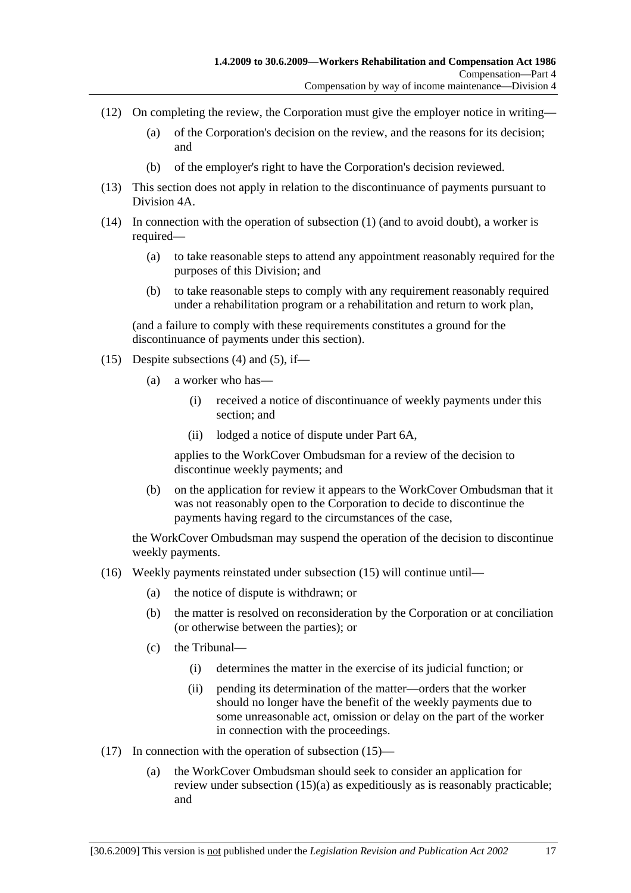- (12) On completing the review, the Corporation must give the employer notice in writing—
	- (a) of the Corporation's decision on the review, and the reasons for its decision; and
	- (b) of the employer's right to have the Corporation's decision reviewed.
- (13) This section does not apply in relation to the discontinuance of payments pursuant to Division 4A.
- (14) In connection with the operation of subsection (1) (and to avoid doubt), a worker is required—
	- (a) to take reasonable steps to attend any appointment reasonably required for the purposes of this Division; and
	- (b) to take reasonable steps to comply with any requirement reasonably required under a rehabilitation program or a rehabilitation and return to work plan,

(and a failure to comply with these requirements constitutes a ground for the discontinuance of payments under this section).

- (15) Despite subsections (4) and (5), if—
	- (a) a worker who has—
		- (i) received a notice of discontinuance of weekly payments under this section; and
		- (ii) lodged a notice of dispute under Part 6A,

applies to the WorkCover Ombudsman for a review of the decision to discontinue weekly payments; and

 (b) on the application for review it appears to the WorkCover Ombudsman that it was not reasonably open to the Corporation to decide to discontinue the payments having regard to the circumstances of the case,

the WorkCover Ombudsman may suspend the operation of the decision to discontinue weekly payments.

- (16) Weekly payments reinstated under subsection (15) will continue until—
	- (a) the notice of dispute is withdrawn; or
	- (b) the matter is resolved on reconsideration by the Corporation or at conciliation (or otherwise between the parties); or
	- (c) the Tribunal—
		- (i) determines the matter in the exercise of its judicial function; or
		- (ii) pending its determination of the matter—orders that the worker should no longer have the benefit of the weekly payments due to some unreasonable act, omission or delay on the part of the worker in connection with the proceedings.
- (17) In connection with the operation of subsection (15)—
	- (a) the WorkCover Ombudsman should seek to consider an application for review under subsection (15)(a) as expeditiously as is reasonably practicable; and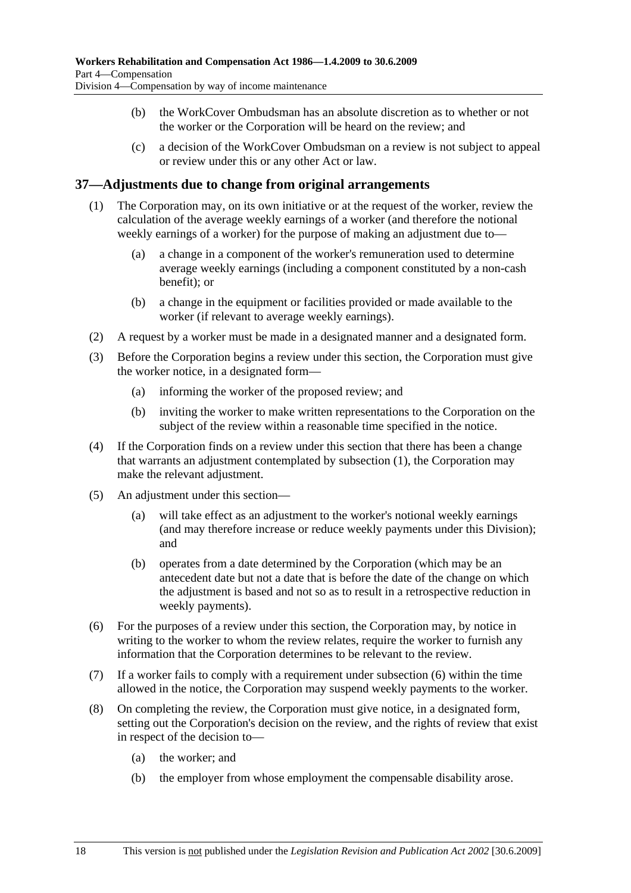- (b) the WorkCover Ombudsman has an absolute discretion as to whether or not the worker or the Corporation will be heard on the review; and
- (c) a decision of the WorkCover Ombudsman on a review is not subject to appeal or review under this or any other Act or law.

## **37—Adjustments due to change from original arrangements**

- (1) The Corporation may, on its own initiative or at the request of the worker, review the calculation of the average weekly earnings of a worker (and therefore the notional weekly earnings of a worker) for the purpose of making an adjustment due to—
	- (a) a change in a component of the worker's remuneration used to determine average weekly earnings (including a component constituted by a non-cash benefit); or
	- (b) a change in the equipment or facilities provided or made available to the worker (if relevant to average weekly earnings).
- (2) A request by a worker must be made in a designated manner and a designated form.
- (3) Before the Corporation begins a review under this section, the Corporation must give the worker notice, in a designated form—
	- (a) informing the worker of the proposed review; and
	- (b) inviting the worker to make written representations to the Corporation on the subject of the review within a reasonable time specified in the notice.
- (4) If the Corporation finds on a review under this section that there has been a change that warrants an adjustment contemplated by subsection (1), the Corporation may make the relevant adjustment.
- (5) An adjustment under this section—
	- (a) will take effect as an adjustment to the worker's notional weekly earnings (and may therefore increase or reduce weekly payments under this Division); and
	- (b) operates from a date determined by the Corporation (which may be an antecedent date but not a date that is before the date of the change on which the adjustment is based and not so as to result in a retrospective reduction in weekly payments).
- (6) For the purposes of a review under this section, the Corporation may, by notice in writing to the worker to whom the review relates, require the worker to furnish any information that the Corporation determines to be relevant to the review.
- (7) If a worker fails to comply with a requirement under subsection (6) within the time allowed in the notice, the Corporation may suspend weekly payments to the worker.
- (8) On completing the review, the Corporation must give notice, in a designated form, setting out the Corporation's decision on the review, and the rights of review that exist in respect of the decision to—
	- (a) the worker; and
	- (b) the employer from whose employment the compensable disability arose.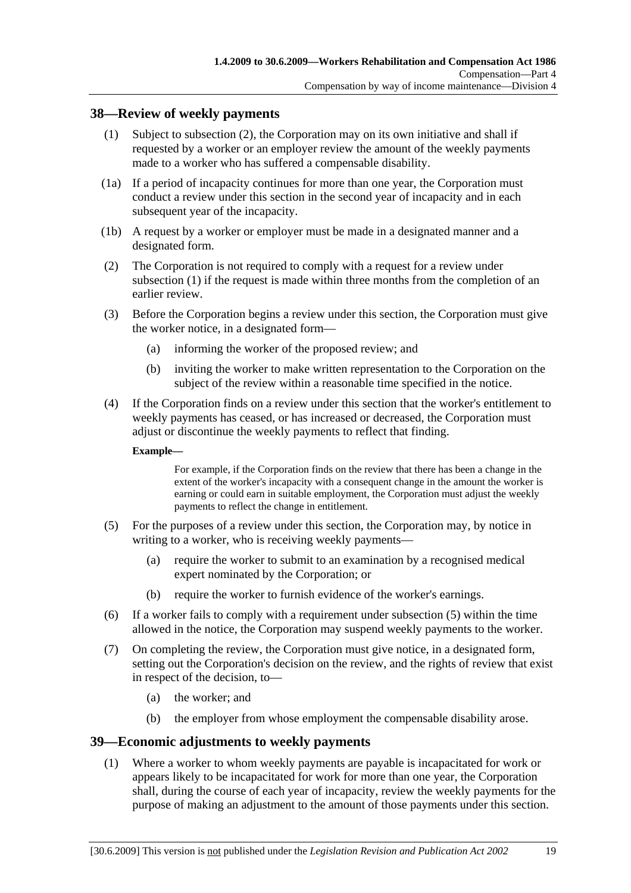## **38—Review of weekly payments**

- (1) Subject to subsection (2), the Corporation may on its own initiative and shall if requested by a worker or an employer review the amount of the weekly payments made to a worker who has suffered a compensable disability.
- (1a) If a period of incapacity continues for more than one year, the Corporation must conduct a review under this section in the second year of incapacity and in each subsequent year of the incapacity.
- (1b) A request by a worker or employer must be made in a designated manner and a designated form.
- (2) The Corporation is not required to comply with a request for a review under subsection (1) if the request is made within three months from the completion of an earlier review.
- (3) Before the Corporation begins a review under this section, the Corporation must give the worker notice, in a designated form—
	- (a) informing the worker of the proposed review; and
	- (b) inviting the worker to make written representation to the Corporation on the subject of the review within a reasonable time specified in the notice.
- (4) If the Corporation finds on a review under this section that the worker's entitlement to weekly payments has ceased, or has increased or decreased, the Corporation must adjust or discontinue the weekly payments to reflect that finding.

#### **Example—**

For example, if the Corporation finds on the review that there has been a change in the extent of the worker's incapacity with a consequent change in the amount the worker is earning or could earn in suitable employment, the Corporation must adjust the weekly payments to reflect the change in entitlement.

- (5) For the purposes of a review under this section, the Corporation may, by notice in writing to a worker, who is receiving weekly payments—
	- (a) require the worker to submit to an examination by a recognised medical expert nominated by the Corporation; or
	- (b) require the worker to furnish evidence of the worker's earnings.
- (6) If a worker fails to comply with a requirement under subsection (5) within the time allowed in the notice, the Corporation may suspend weekly payments to the worker.
- (7) On completing the review, the Corporation must give notice, in a designated form, setting out the Corporation's decision on the review, and the rights of review that exist in respect of the decision, to—
	- (a) the worker; and
	- (b) the employer from whose employment the compensable disability arose.

#### **39—Economic adjustments to weekly payments**

 (1) Where a worker to whom weekly payments are payable is incapacitated for work or appears likely to be incapacitated for work for more than one year, the Corporation shall, during the course of each year of incapacity, review the weekly payments for the purpose of making an adjustment to the amount of those payments under this section.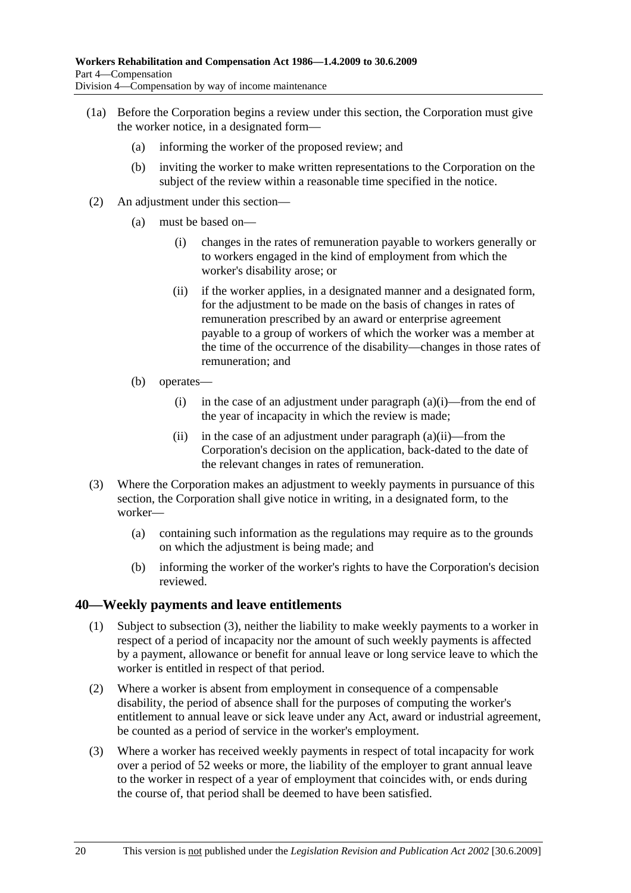- (1a) Before the Corporation begins a review under this section, the Corporation must give the worker notice, in a designated form—
	- (a) informing the worker of the proposed review; and
	- (b) inviting the worker to make written representations to the Corporation on the subject of the review within a reasonable time specified in the notice.
- (2) An adjustment under this section—
	- (a) must be based on—
		- (i) changes in the rates of remuneration payable to workers generally or to workers engaged in the kind of employment from which the worker's disability arose; or
		- (ii) if the worker applies, in a designated manner and a designated form, for the adjustment to be made on the basis of changes in rates of remuneration prescribed by an award or enterprise agreement payable to a group of workers of which the worker was a member at the time of the occurrence of the disability—changes in those rates of remuneration; and
	- (b) operates—
		- (i) in the case of an adjustment under paragraph  $(a)(i)$ —from the end of the year of incapacity in which the review is made;
		- (ii) in the case of an adjustment under paragraph  $(a)(ii)$ —from the Corporation's decision on the application, back-dated to the date of the relevant changes in rates of remuneration.
- (3) Where the Corporation makes an adjustment to weekly payments in pursuance of this section, the Corporation shall give notice in writing, in a designated form, to the worker—
	- (a) containing such information as the regulations may require as to the grounds on which the adjustment is being made; and
	- (b) informing the worker of the worker's rights to have the Corporation's decision reviewed.

## **40—Weekly payments and leave entitlements**

- (1) Subject to subsection (3), neither the liability to make weekly payments to a worker in respect of a period of incapacity nor the amount of such weekly payments is affected by a payment, allowance or benefit for annual leave or long service leave to which the worker is entitled in respect of that period.
- (2) Where a worker is absent from employment in consequence of a compensable disability, the period of absence shall for the purposes of computing the worker's entitlement to annual leave or sick leave under any Act, award or industrial agreement, be counted as a period of service in the worker's employment.
- (3) Where a worker has received weekly payments in respect of total incapacity for work over a period of 52 weeks or more, the liability of the employer to grant annual leave to the worker in respect of a year of employment that coincides with, or ends during the course of, that period shall be deemed to have been satisfied.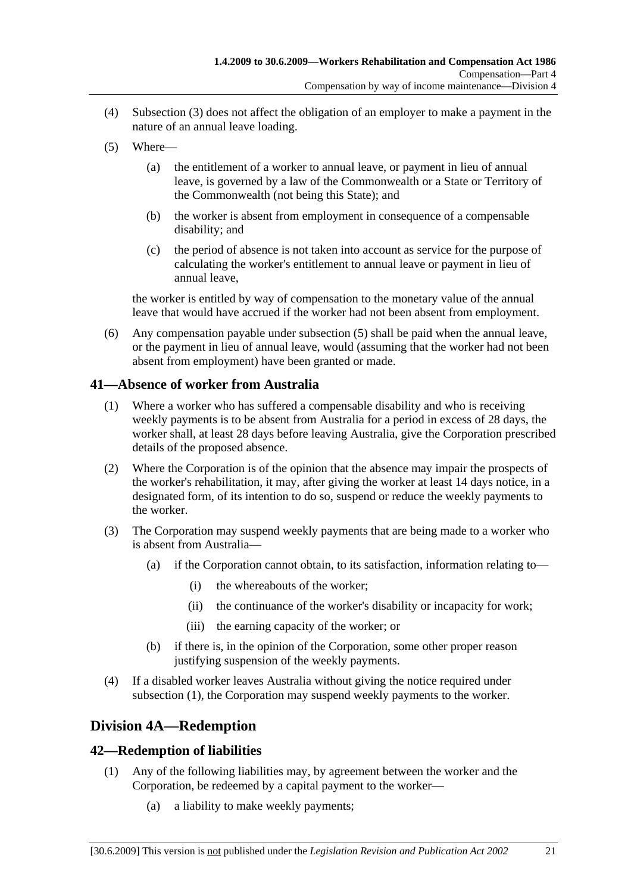- (4) Subsection (3) does not affect the obligation of an employer to make a payment in the nature of an annual leave loading.
- (5) Where—
	- (a) the entitlement of a worker to annual leave, or payment in lieu of annual leave, is governed by a law of the Commonwealth or a State or Territory of the Commonwealth (not being this State); and
	- (b) the worker is absent from employment in consequence of a compensable disability; and
	- (c) the period of absence is not taken into account as service for the purpose of calculating the worker's entitlement to annual leave or payment in lieu of annual leave,

the worker is entitled by way of compensation to the monetary value of the annual leave that would have accrued if the worker had not been absent from employment.

 (6) Any compensation payable under subsection (5) shall be paid when the annual leave, or the payment in lieu of annual leave, would (assuming that the worker had not been absent from employment) have been granted or made.

## **41—Absence of worker from Australia**

- (1) Where a worker who has suffered a compensable disability and who is receiving weekly payments is to be absent from Australia for a period in excess of 28 days, the worker shall, at least 28 days before leaving Australia, give the Corporation prescribed details of the proposed absence.
- (2) Where the Corporation is of the opinion that the absence may impair the prospects of the worker's rehabilitation, it may, after giving the worker at least 14 days notice, in a designated form, of its intention to do so, suspend or reduce the weekly payments to the worker.
- (3) The Corporation may suspend weekly payments that are being made to a worker who is absent from Australia—
	- (a) if the Corporation cannot obtain, to its satisfaction, information relating to—
		- (i) the whereabouts of the worker;
		- (ii) the continuance of the worker's disability or incapacity for work;
		- (iii) the earning capacity of the worker; or
	- (b) if there is, in the opinion of the Corporation, some other proper reason justifying suspension of the weekly payments.
- (4) If a disabled worker leaves Australia without giving the notice required under subsection (1), the Corporation may suspend weekly payments to the worker.

# **Division 4A—Redemption**

# **42—Redemption of liabilities**

- (1) Any of the following liabilities may, by agreement between the worker and the Corporation, be redeemed by a capital payment to the worker—
	- (a) a liability to make weekly payments;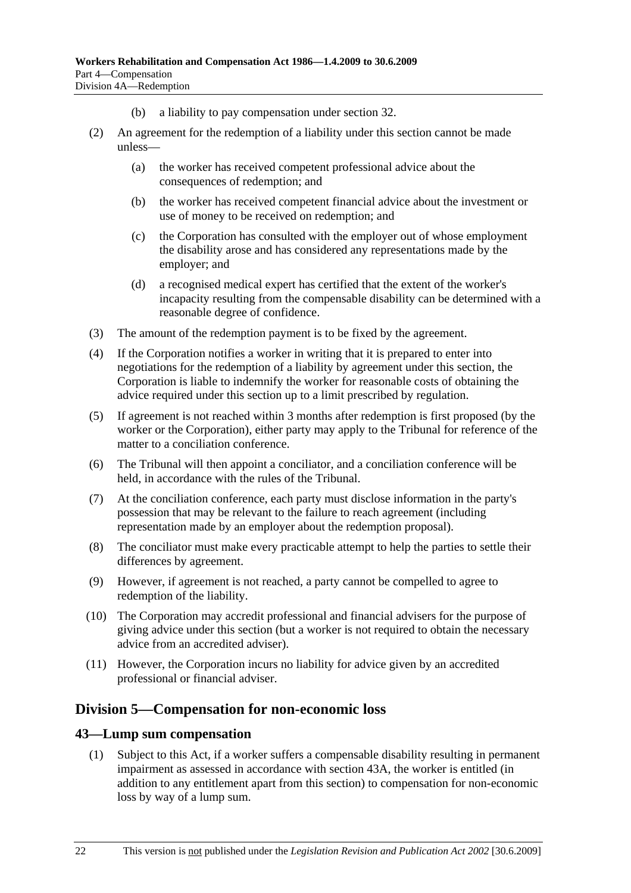- (b) a liability to pay compensation under section 32.
- (2) An agreement for the redemption of a liability under this section cannot be made unless—
	- (a) the worker has received competent professional advice about the consequences of redemption; and
	- (b) the worker has received competent financial advice about the investment or use of money to be received on redemption; and
	- (c) the Corporation has consulted with the employer out of whose employment the disability arose and has considered any representations made by the employer; and
	- (d) a recognised medical expert has certified that the extent of the worker's incapacity resulting from the compensable disability can be determined with a reasonable degree of confidence.
- (3) The amount of the redemption payment is to be fixed by the agreement.
- (4) If the Corporation notifies a worker in writing that it is prepared to enter into negotiations for the redemption of a liability by agreement under this section, the Corporation is liable to indemnify the worker for reasonable costs of obtaining the advice required under this section up to a limit prescribed by regulation.
- (5) If agreement is not reached within 3 months after redemption is first proposed (by the worker or the Corporation), either party may apply to the Tribunal for reference of the matter to a conciliation conference.
- (6) The Tribunal will then appoint a conciliator, and a conciliation conference will be held, in accordance with the rules of the Tribunal.
- (7) At the conciliation conference, each party must disclose information in the party's possession that may be relevant to the failure to reach agreement (including representation made by an employer about the redemption proposal).
- (8) The conciliator must make every practicable attempt to help the parties to settle their differences by agreement.
- (9) However, if agreement is not reached, a party cannot be compelled to agree to redemption of the liability.
- (10) The Corporation may accredit professional and financial advisers for the purpose of giving advice under this section (but a worker is not required to obtain the necessary advice from an accredited adviser).
- (11) However, the Corporation incurs no liability for advice given by an accredited professional or financial adviser.

## **Division 5—Compensation for non-economic loss**

#### **43—Lump sum compensation**

 (1) Subject to this Act, if a worker suffers a compensable disability resulting in permanent impairment as assessed in accordance with section 43A, the worker is entitled (in addition to any entitlement apart from this section) to compensation for non-economic loss by way of a lump sum.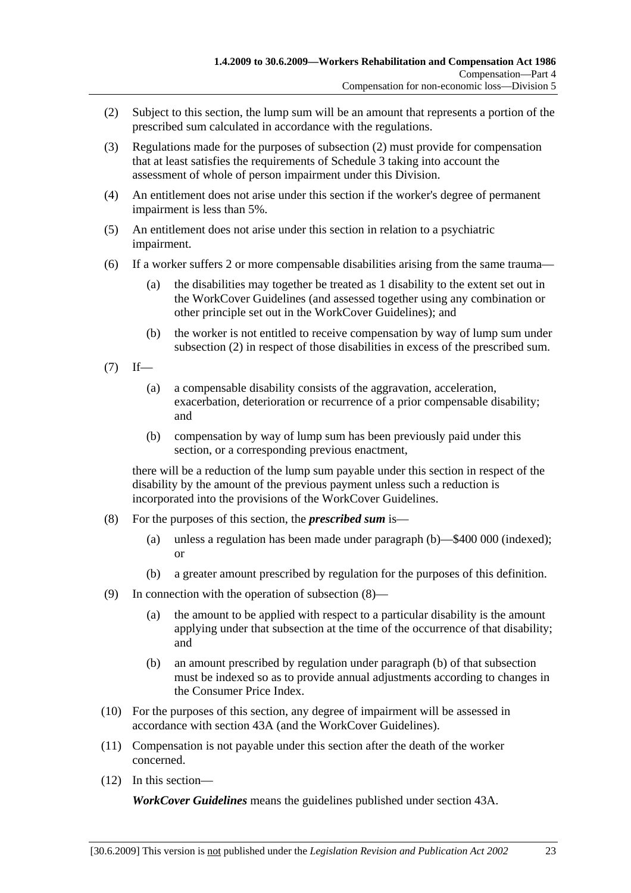- (2) Subject to this section, the lump sum will be an amount that represents a portion of the prescribed sum calculated in accordance with the regulations.
- (3) Regulations made for the purposes of subsection (2) must provide for compensation that at least satisfies the requirements of Schedule 3 taking into account the assessment of whole of person impairment under this Division.
- (4) An entitlement does not arise under this section if the worker's degree of permanent impairment is less than 5%.
- (5) An entitlement does not arise under this section in relation to a psychiatric impairment.
- (6) If a worker suffers 2 or more compensable disabilities arising from the same trauma—
	- (a) the disabilities may together be treated as 1 disability to the extent set out in the WorkCover Guidelines (and assessed together using any combination or other principle set out in the WorkCover Guidelines); and
	- (b) the worker is not entitled to receive compensation by way of lump sum under subsection (2) in respect of those disabilities in excess of the prescribed sum.
- $(7)$  If—
	- (a) a compensable disability consists of the aggravation, acceleration, exacerbation, deterioration or recurrence of a prior compensable disability; and
	- (b) compensation by way of lump sum has been previously paid under this section, or a corresponding previous enactment,

there will be a reduction of the lump sum payable under this section in respect of the disability by the amount of the previous payment unless such a reduction is incorporated into the provisions of the WorkCover Guidelines.

- (8) For the purposes of this section, the *prescribed sum* is—
	- (a) unless a regulation has been made under paragraph (b)—\$400 000 (indexed); or
	- (b) a greater amount prescribed by regulation for the purposes of this definition.
- (9) In connection with the operation of subsection (8)—
	- (a) the amount to be applied with respect to a particular disability is the amount applying under that subsection at the time of the occurrence of that disability; and
	- (b) an amount prescribed by regulation under paragraph (b) of that subsection must be indexed so as to provide annual adjustments according to changes in the Consumer Price Index.
- (10) For the purposes of this section, any degree of impairment will be assessed in accordance with section 43A (and the WorkCover Guidelines).
- (11) Compensation is not payable under this section after the death of the worker concerned.
- (12) In this section—

*WorkCover Guidelines* means the guidelines published under section 43A.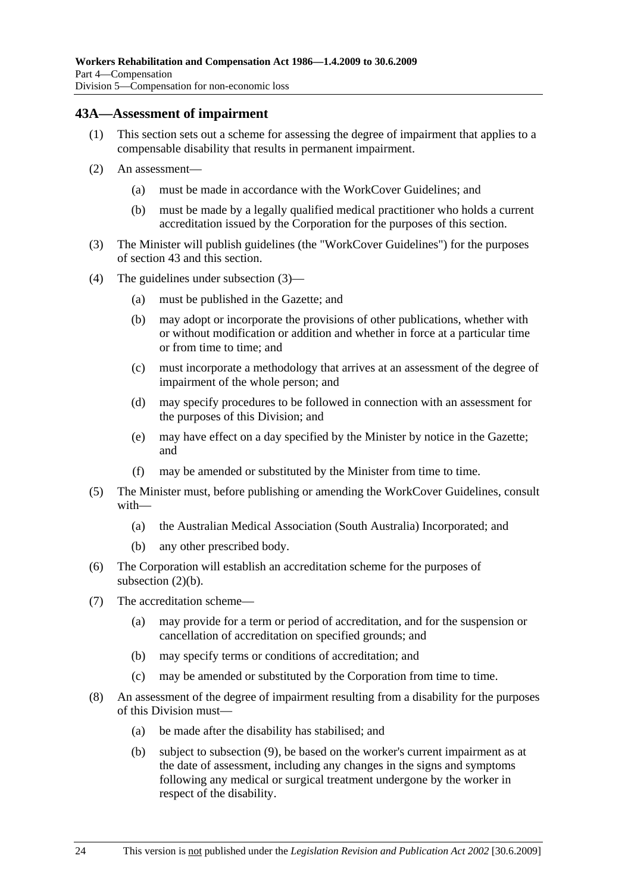### **43A—Assessment of impairment**

- (1) This section sets out a scheme for assessing the degree of impairment that applies to a compensable disability that results in permanent impairment.
- (2) An assessment—
	- (a) must be made in accordance with the WorkCover Guidelines; and
	- (b) must be made by a legally qualified medical practitioner who holds a current accreditation issued by the Corporation for the purposes of this section.
- (3) The Minister will publish guidelines (the "WorkCover Guidelines") for the purposes of section 43 and this section.
- (4) The guidelines under subsection (3)—
	- (a) must be published in the Gazette; and
	- (b) may adopt or incorporate the provisions of other publications, whether with or without modification or addition and whether in force at a particular time or from time to time; and
	- (c) must incorporate a methodology that arrives at an assessment of the degree of impairment of the whole person; and
	- (d) may specify procedures to be followed in connection with an assessment for the purposes of this Division; and
	- (e) may have effect on a day specified by the Minister by notice in the Gazette; and
	- (f) may be amended or substituted by the Minister from time to time.
- (5) The Minister must, before publishing or amending the WorkCover Guidelines, consult with—
	- (a) the Australian Medical Association (South Australia) Incorporated; and
	- (b) any other prescribed body.
- (6) The Corporation will establish an accreditation scheme for the purposes of subsection (2)(b).
- (7) The accreditation scheme—
	- (a) may provide for a term or period of accreditation, and for the suspension or cancellation of accreditation on specified grounds; and
	- (b) may specify terms or conditions of accreditation; and
	- (c) may be amended or substituted by the Corporation from time to time.
- (8) An assessment of the degree of impairment resulting from a disability for the purposes of this Division must—
	- (a) be made after the disability has stabilised; and
	- (b) subject to subsection (9), be based on the worker's current impairment as at the date of assessment, including any changes in the signs and symptoms following any medical or surgical treatment undergone by the worker in respect of the disability.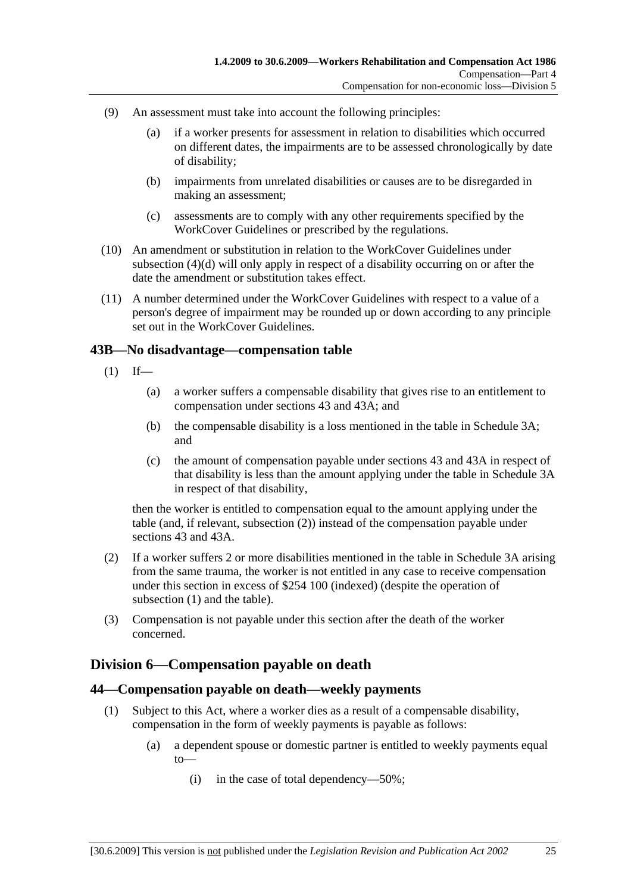- (9) An assessment must take into account the following principles:
	- (a) if a worker presents for assessment in relation to disabilities which occurred on different dates, the impairments are to be assessed chronologically by date of disability;
	- (b) impairments from unrelated disabilities or causes are to be disregarded in making an assessment;
	- (c) assessments are to comply with any other requirements specified by the WorkCover Guidelines or prescribed by the regulations.
- (10) An amendment or substitution in relation to the WorkCover Guidelines under subsection (4)(d) will only apply in respect of a disability occurring on or after the date the amendment or substitution takes effect.
- (11) A number determined under the WorkCover Guidelines with respect to a value of a person's degree of impairment may be rounded up or down according to any principle set out in the WorkCover Guidelines.

### **43B—No disadvantage—compensation table**

- $(1)$  If—
	- (a) a worker suffers a compensable disability that gives rise to an entitlement to compensation under sections 43 and 43A; and
	- (b) the compensable disability is a loss mentioned in the table in Schedule 3A; and
	- (c) the amount of compensation payable under sections 43 and 43A in respect of that disability is less than the amount applying under the table in Schedule 3A in respect of that disability,

then the worker is entitled to compensation equal to the amount applying under the table (and, if relevant, subsection (2)) instead of the compensation payable under sections 43 and 43A.

- (2) If a worker suffers 2 or more disabilities mentioned in the table in Schedule 3A arising from the same trauma, the worker is not entitled in any case to receive compensation under this section in excess of \$254 100 (indexed) (despite the operation of subsection (1) and the table).
- (3) Compensation is not payable under this section after the death of the worker concerned.

# **Division 6—Compensation payable on death**

#### **44—Compensation payable on death—weekly payments**

- (1) Subject to this Act, where a worker dies as a result of a compensable disability, compensation in the form of weekly payments is payable as follows:
	- (a) a dependent spouse or domestic partner is entitled to weekly payments equal to—
		- (i) in the case of total dependency—50%;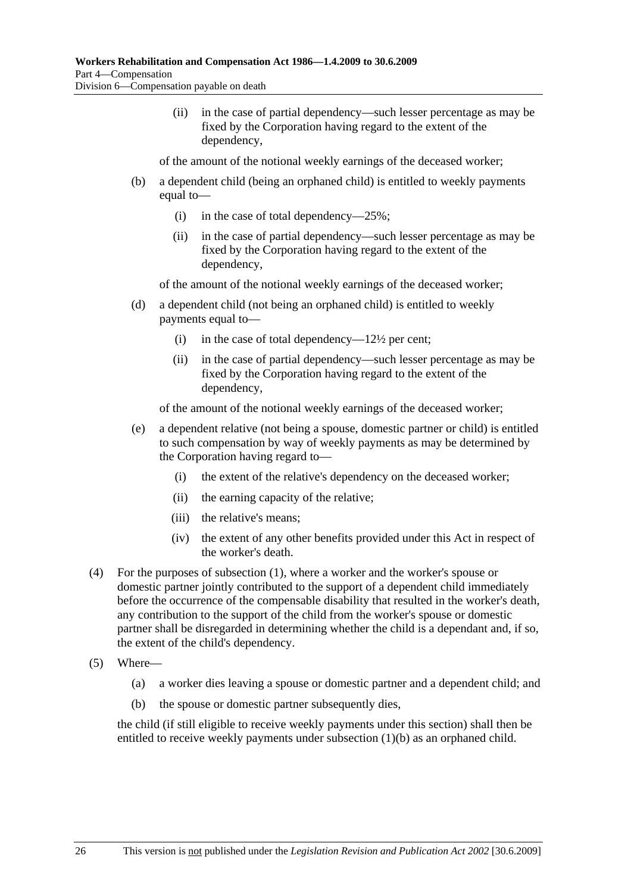(ii) in the case of partial dependency—such lesser percentage as may be fixed by the Corporation having regard to the extent of the dependency,

of the amount of the notional weekly earnings of the deceased worker;

- (b) a dependent child (being an orphaned child) is entitled to weekly payments equal to—
	- (i) in the case of total dependency—25%;
	- (ii) in the case of partial dependency—such lesser percentage as may be fixed by the Corporation having regard to the extent of the dependency,

of the amount of the notional weekly earnings of the deceased worker;

- (d) a dependent child (not being an orphaned child) is entitled to weekly payments equal to—
	- (i) in the case of total dependency— $12\frac{1}{2}$  per cent;
	- (ii) in the case of partial dependency—such lesser percentage as may be fixed by the Corporation having regard to the extent of the dependency,

of the amount of the notional weekly earnings of the deceased worker;

- (e) a dependent relative (not being a spouse, domestic partner or child) is entitled to such compensation by way of weekly payments as may be determined by the Corporation having regard to—
	- (i) the extent of the relative's dependency on the deceased worker;
	- (ii) the earning capacity of the relative;
	- (iii) the relative's means;
	- (iv) the extent of any other benefits provided under this Act in respect of the worker's death.
- (4) For the purposes of subsection (1), where a worker and the worker's spouse or domestic partner jointly contributed to the support of a dependent child immediately before the occurrence of the compensable disability that resulted in the worker's death, any contribution to the support of the child from the worker's spouse or domestic partner shall be disregarded in determining whether the child is a dependant and, if so, the extent of the child's dependency.
- (5) Where—
	- (a) a worker dies leaving a spouse or domestic partner and a dependent child; and
	- (b) the spouse or domestic partner subsequently dies,

the child (if still eligible to receive weekly payments under this section) shall then be entitled to receive weekly payments under subsection (1)(b) as an orphaned child.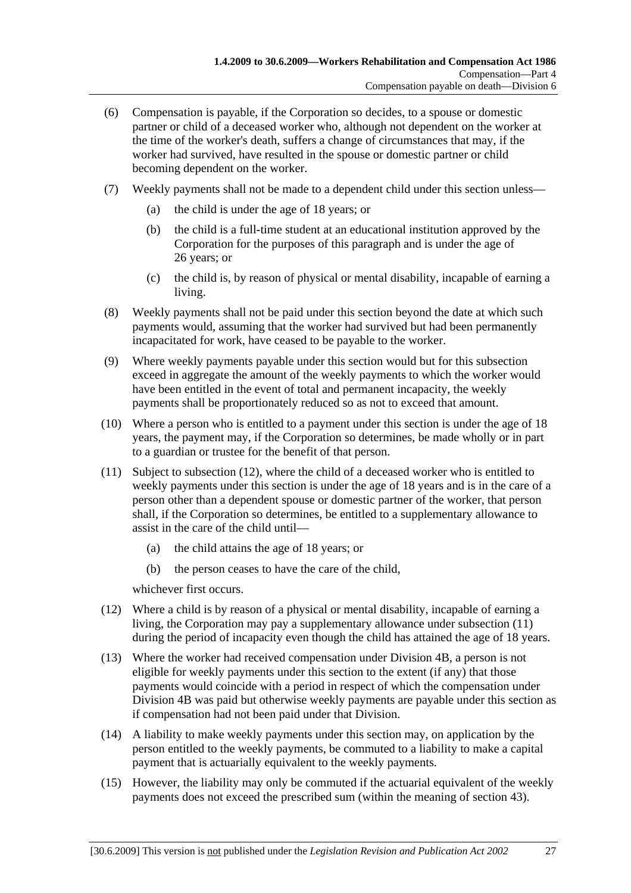- (6) Compensation is payable, if the Corporation so decides, to a spouse or domestic partner or child of a deceased worker who, although not dependent on the worker at the time of the worker's death, suffers a change of circumstances that may, if the worker had survived, have resulted in the spouse or domestic partner or child becoming dependent on the worker.
- (7) Weekly payments shall not be made to a dependent child under this section unless—
	- (a) the child is under the age of 18 years; or
	- (b) the child is a full-time student at an educational institution approved by the Corporation for the purposes of this paragraph and is under the age of 26 years; or
	- (c) the child is, by reason of physical or mental disability, incapable of earning a living.
- (8) Weekly payments shall not be paid under this section beyond the date at which such payments would, assuming that the worker had survived but had been permanently incapacitated for work, have ceased to be payable to the worker.
- (9) Where weekly payments payable under this section would but for this subsection exceed in aggregate the amount of the weekly payments to which the worker would have been entitled in the event of total and permanent incapacity, the weekly payments shall be proportionately reduced so as not to exceed that amount.
- (10) Where a person who is entitled to a payment under this section is under the age of 18 years, the payment may, if the Corporation so determines, be made wholly or in part to a guardian or trustee for the benefit of that person.
- (11) Subject to subsection (12), where the child of a deceased worker who is entitled to weekly payments under this section is under the age of 18 years and is in the care of a person other than a dependent spouse or domestic partner of the worker, that person shall, if the Corporation so determines, be entitled to a supplementary allowance to assist in the care of the child until—
	- (a) the child attains the age of 18 years; or
	- (b) the person ceases to have the care of the child,

whichever first occurs.

- (12) Where a child is by reason of a physical or mental disability, incapable of earning a living, the Corporation may pay a supplementary allowance under subsection (11) during the period of incapacity even though the child has attained the age of 18 years.
- (13) Where the worker had received compensation under Division 4B, a person is not eligible for weekly payments under this section to the extent (if any) that those payments would coincide with a period in respect of which the compensation under Division 4B was paid but otherwise weekly payments are payable under this section as if compensation had not been paid under that Division.
- (14) A liability to make weekly payments under this section may, on application by the person entitled to the weekly payments, be commuted to a liability to make a capital payment that is actuarially equivalent to the weekly payments.
- (15) However, the liability may only be commuted if the actuarial equivalent of the weekly payments does not exceed the prescribed sum (within the meaning of section 43).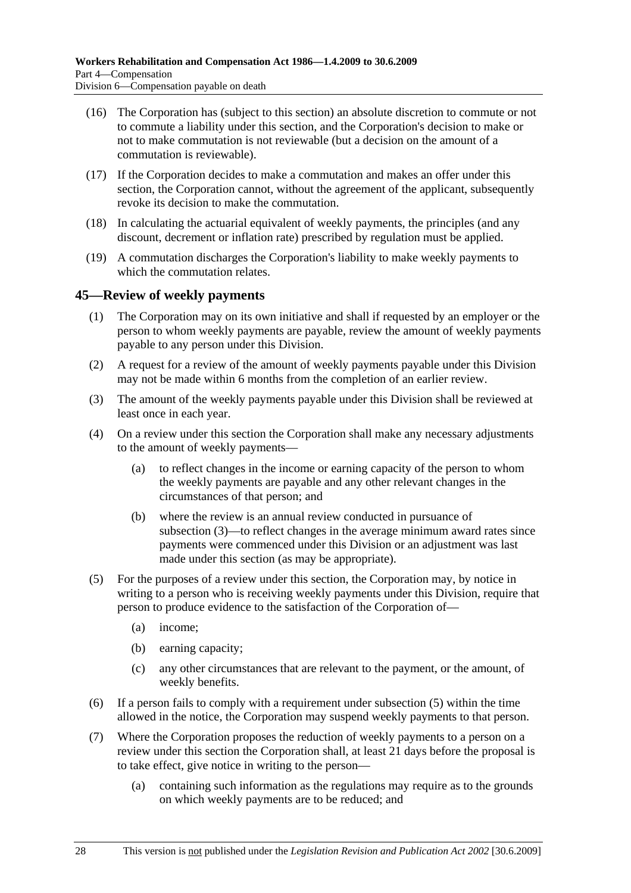- (16) The Corporation has (subject to this section) an absolute discretion to commute or not to commute a liability under this section, and the Corporation's decision to make or not to make commutation is not reviewable (but a decision on the amount of a commutation is reviewable).
- (17) If the Corporation decides to make a commutation and makes an offer under this section, the Corporation cannot, without the agreement of the applicant, subsequently revoke its decision to make the commutation.
- (18) In calculating the actuarial equivalent of weekly payments, the principles (and any discount, decrement or inflation rate) prescribed by regulation must be applied.
- (19) A commutation discharges the Corporation's liability to make weekly payments to which the commutation relates.

## **45—Review of weekly payments**

- (1) The Corporation may on its own initiative and shall if requested by an employer or the person to whom weekly payments are payable, review the amount of weekly payments payable to any person under this Division.
- (2) A request for a review of the amount of weekly payments payable under this Division may not be made within 6 months from the completion of an earlier review.
- (3) The amount of the weekly payments payable under this Division shall be reviewed at least once in each year.
- (4) On a review under this section the Corporation shall make any necessary adjustments to the amount of weekly payments—
	- (a) to reflect changes in the income or earning capacity of the person to whom the weekly payments are payable and any other relevant changes in the circumstances of that person; and
	- (b) where the review is an annual review conducted in pursuance of subsection (3)—to reflect changes in the average minimum award rates since payments were commenced under this Division or an adjustment was last made under this section (as may be appropriate).
- (5) For the purposes of a review under this section, the Corporation may, by notice in writing to a person who is receiving weekly payments under this Division, require that person to produce evidence to the satisfaction of the Corporation of—
	- (a) income;
	- (b) earning capacity;
	- (c) any other circumstances that are relevant to the payment, or the amount, of weekly benefits.
- (6) If a person fails to comply with a requirement under subsection (5) within the time allowed in the notice, the Corporation may suspend weekly payments to that person.
- (7) Where the Corporation proposes the reduction of weekly payments to a person on a review under this section the Corporation shall, at least 21 days before the proposal is to take effect, give notice in writing to the person—
	- (a) containing such information as the regulations may require as to the grounds on which weekly payments are to be reduced; and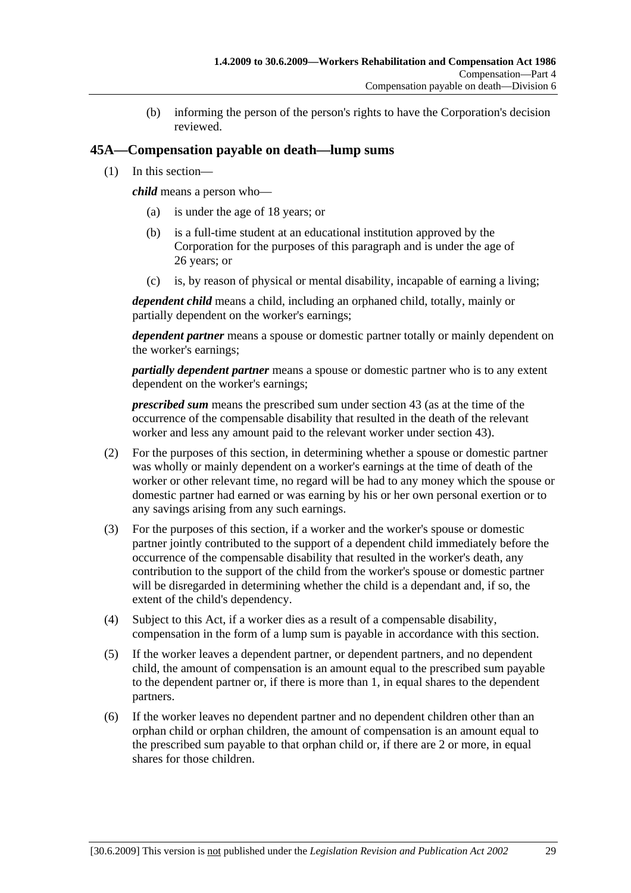(b) informing the person of the person's rights to have the Corporation's decision reviewed.

## **45A—Compensation payable on death—lump sums**

(1) In this section—

*child* means a person who—

- (a) is under the age of 18 years; or
- (b) is a full-time student at an educational institution approved by the Corporation for the purposes of this paragraph and is under the age of 26 years; or
- (c) is, by reason of physical or mental disability, incapable of earning a living;

*dependent child* means a child, including an orphaned child, totally, mainly or partially dependent on the worker's earnings;

*dependent partner* means a spouse or domestic partner totally or mainly dependent on the worker's earnings;

*partially dependent partner* means a spouse or domestic partner who is to any extent dependent on the worker's earnings;

*prescribed sum* means the prescribed sum under section 43 (as at the time of the occurrence of the compensable disability that resulted in the death of the relevant worker and less any amount paid to the relevant worker under section 43).

- (2) For the purposes of this section, in determining whether a spouse or domestic partner was wholly or mainly dependent on a worker's earnings at the time of death of the worker or other relevant time, no regard will be had to any money which the spouse or domestic partner had earned or was earning by his or her own personal exertion or to any savings arising from any such earnings.
- (3) For the purposes of this section, if a worker and the worker's spouse or domestic partner jointly contributed to the support of a dependent child immediately before the occurrence of the compensable disability that resulted in the worker's death, any contribution to the support of the child from the worker's spouse or domestic partner will be disregarded in determining whether the child is a dependant and, if so, the extent of the child's dependency.
- (4) Subject to this Act, if a worker dies as a result of a compensable disability, compensation in the form of a lump sum is payable in accordance with this section.
- (5) If the worker leaves a dependent partner, or dependent partners, and no dependent child, the amount of compensation is an amount equal to the prescribed sum payable to the dependent partner or, if there is more than 1, in equal shares to the dependent partners.
- (6) If the worker leaves no dependent partner and no dependent children other than an orphan child or orphan children, the amount of compensation is an amount equal to the prescribed sum payable to that orphan child or, if there are 2 or more, in equal shares for those children.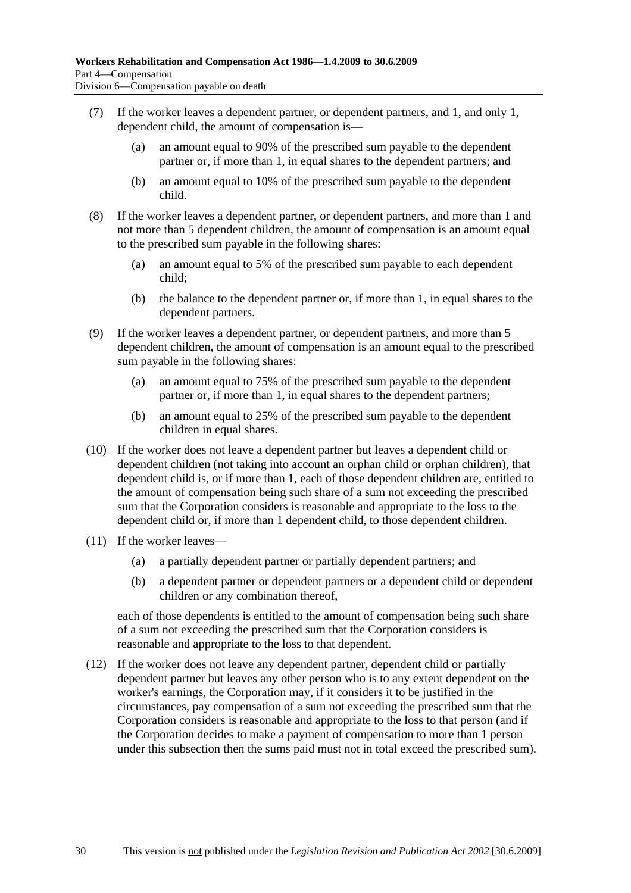- (7) If the worker leaves a dependent partner, or dependent partners, and 1, and only 1, dependent child, the amount of compensation is—
	- (a) an amount equal to 90% of the prescribed sum payable to the dependent partner or, if more than 1, in equal shares to the dependent partners; and
	- (b) an amount equal to 10% of the prescribed sum payable to the dependent child.
- (8) If the worker leaves a dependent partner, or dependent partners, and more than 1 and not more than 5 dependent children, the amount of compensation is an amount equal to the prescribed sum payable in the following shares:
	- (a) an amount equal to 5% of the prescribed sum payable to each dependent child;
	- (b) the balance to the dependent partner or, if more than 1, in equal shares to the dependent partners.
- (9) If the worker leaves a dependent partner, or dependent partners, and more than 5 dependent children, the amount of compensation is an amount equal to the prescribed sum payable in the following shares:
	- (a) an amount equal to 75% of the prescribed sum payable to the dependent partner or, if more than 1, in equal shares to the dependent partners;
	- (b) an amount equal to 25% of the prescribed sum payable to the dependent children in equal shares.
- (10) If the worker does not leave a dependent partner but leaves a dependent child or dependent children (not taking into account an orphan child or orphan children), that dependent child is, or if more than 1, each of those dependent children are, entitled to the amount of compensation being such share of a sum not exceeding the prescribed sum that the Corporation considers is reasonable and appropriate to the loss to the dependent child or, if more than 1 dependent child, to those dependent children.
- (11) If the worker leaves—
	- (a) a partially dependent partner or partially dependent partners; and
	- (b) a dependent partner or dependent partners or a dependent child or dependent children or any combination thereof,

each of those dependents is entitled to the amount of compensation being such share of a sum not exceeding the prescribed sum that the Corporation considers is reasonable and appropriate to the loss to that dependent.

 (12) If the worker does not leave any dependent partner, dependent child or partially dependent partner but leaves any other person who is to any extent dependent on the worker's earnings, the Corporation may, if it considers it to be justified in the circumstances, pay compensation of a sum not exceeding the prescribed sum that the Corporation considers is reasonable and appropriate to the loss to that person (and if the Corporation decides to make a payment of compensation to more than 1 person under this subsection then the sums paid must not in total exceed the prescribed sum).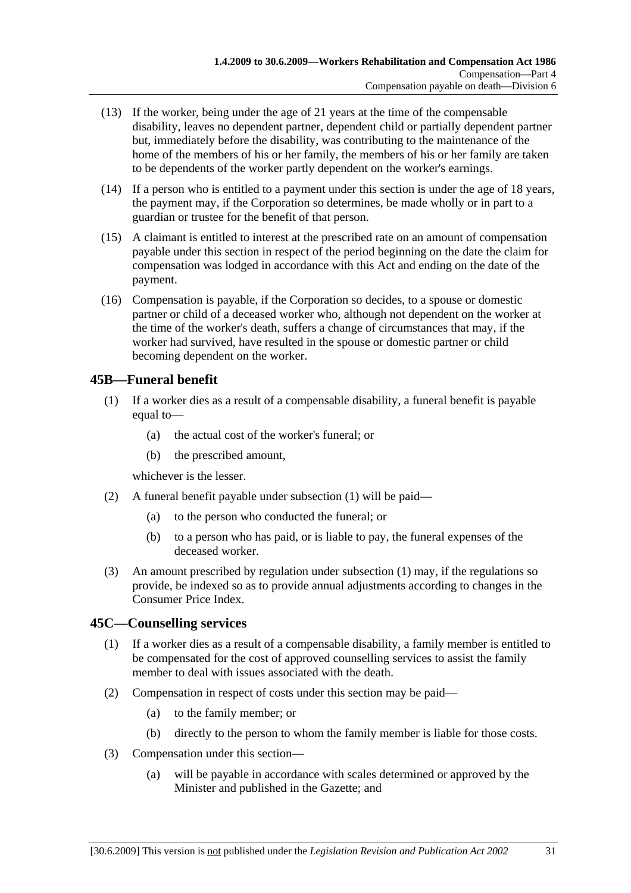- (13) If the worker, being under the age of 21 years at the time of the compensable disability, leaves no dependent partner, dependent child or partially dependent partner but, immediately before the disability, was contributing to the maintenance of the home of the members of his or her family, the members of his or her family are taken to be dependents of the worker partly dependent on the worker's earnings.
- (14) If a person who is entitled to a payment under this section is under the age of 18 years, the payment may, if the Corporation so determines, be made wholly or in part to a guardian or trustee for the benefit of that person.
- (15) A claimant is entitled to interest at the prescribed rate on an amount of compensation payable under this section in respect of the period beginning on the date the claim for compensation was lodged in accordance with this Act and ending on the date of the payment.
- (16) Compensation is payable, if the Corporation so decides, to a spouse or domestic partner or child of a deceased worker who, although not dependent on the worker at the time of the worker's death, suffers a change of circumstances that may, if the worker had survived, have resulted in the spouse or domestic partner or child becoming dependent on the worker.

## **45B—Funeral benefit**

- (1) If a worker dies as a result of a compensable disability, a funeral benefit is payable equal to—
	- (a) the actual cost of the worker's funeral; or
	- (b) the prescribed amount,

whichever is the lesser.

- (2) A funeral benefit payable under subsection (1) will be paid—
	- (a) to the person who conducted the funeral; or
	- (b) to a person who has paid, or is liable to pay, the funeral expenses of the deceased worker.
- (3) An amount prescribed by regulation under subsection (1) may, if the regulations so provide, be indexed so as to provide annual adjustments according to changes in the Consumer Price Index.

# **45C—Counselling services**

- (1) If a worker dies as a result of a compensable disability, a family member is entitled to be compensated for the cost of approved counselling services to assist the family member to deal with issues associated with the death.
- (2) Compensation in respect of costs under this section may be paid—
	- (a) to the family member; or
	- (b) directly to the person to whom the family member is liable for those costs.
- (3) Compensation under this section—
	- (a) will be payable in accordance with scales determined or approved by the Minister and published in the Gazette; and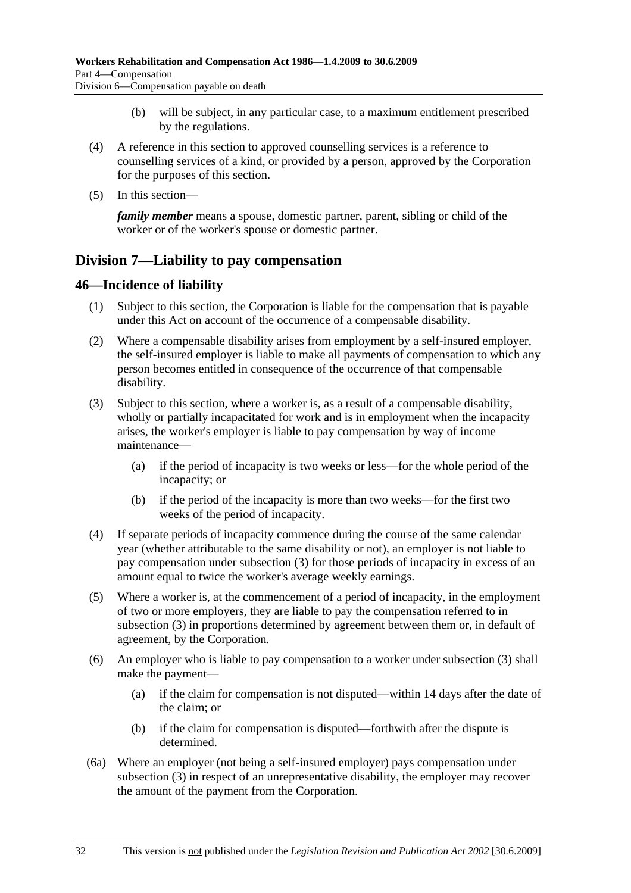- (b) will be subject, in any particular case, to a maximum entitlement prescribed by the regulations.
- (4) A reference in this section to approved counselling services is a reference to counselling services of a kind, or provided by a person, approved by the Corporation for the purposes of this section.
- (5) In this section—

*family member* means a spouse, domestic partner, parent, sibling or child of the worker or of the worker's spouse or domestic partner.

# **Division 7—Liability to pay compensation**

### **46—Incidence of liability**

- (1) Subject to this section, the Corporation is liable for the compensation that is payable under this Act on account of the occurrence of a compensable disability.
- (2) Where a compensable disability arises from employment by a self-insured employer, the self-insured employer is liable to make all payments of compensation to which any person becomes entitled in consequence of the occurrence of that compensable disability.
- (3) Subject to this section, where a worker is, as a result of a compensable disability, wholly or partially incapacitated for work and is in employment when the incapacity arises, the worker's employer is liable to pay compensation by way of income maintenance—
	- (a) if the period of incapacity is two weeks or less—for the whole period of the incapacity; or
	- (b) if the period of the incapacity is more than two weeks—for the first two weeks of the period of incapacity.
- (4) If separate periods of incapacity commence during the course of the same calendar year (whether attributable to the same disability or not), an employer is not liable to pay compensation under subsection (3) for those periods of incapacity in excess of an amount equal to twice the worker's average weekly earnings.
- (5) Where a worker is, at the commencement of a period of incapacity, in the employment of two or more employers, they are liable to pay the compensation referred to in subsection (3) in proportions determined by agreement between them or, in default of agreement, by the Corporation.
- (6) An employer who is liable to pay compensation to a worker under subsection (3) shall make the payment—
	- (a) if the claim for compensation is not disputed—within 14 days after the date of the claim; or
	- (b) if the claim for compensation is disputed—forthwith after the dispute is determined.
- (6a) Where an employer (not being a self-insured employer) pays compensation under subsection (3) in respect of an unrepresentative disability, the employer may recover the amount of the payment from the Corporation.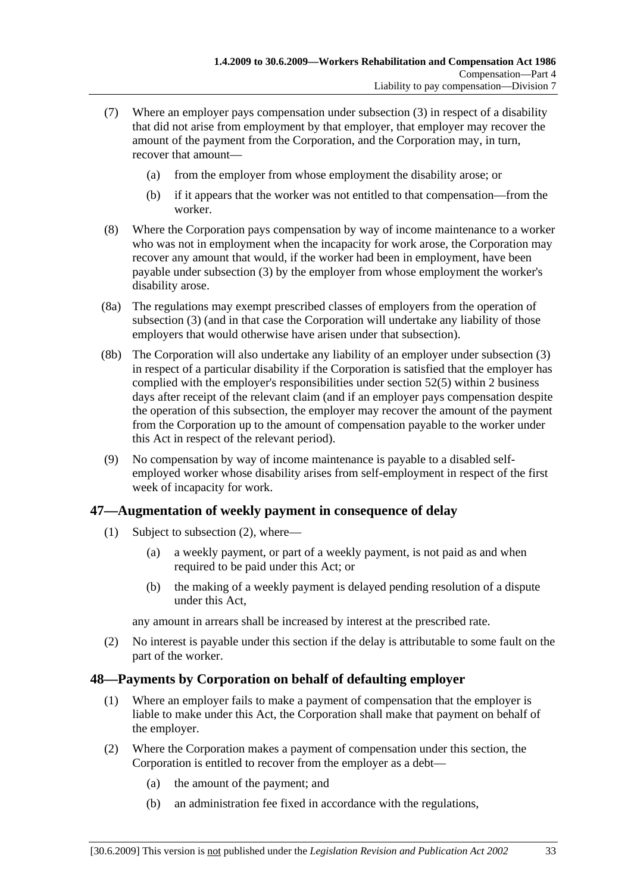- (7) Where an employer pays compensation under subsection (3) in respect of a disability that did not arise from employment by that employer, that employer may recover the amount of the payment from the Corporation, and the Corporation may, in turn, recover that amount—
	- (a) from the employer from whose employment the disability arose; or
	- (b) if it appears that the worker was not entitled to that compensation—from the worker.
- (8) Where the Corporation pays compensation by way of income maintenance to a worker who was not in employment when the incapacity for work arose, the Corporation may recover any amount that would, if the worker had been in employment, have been payable under subsection (3) by the employer from whose employment the worker's disability arose.
- (8a) The regulations may exempt prescribed classes of employers from the operation of subsection (3) (and in that case the Corporation will undertake any liability of those employers that would otherwise have arisen under that subsection).
- (8b) The Corporation will also undertake any liability of an employer under subsection (3) in respect of a particular disability if the Corporation is satisfied that the employer has complied with the employer's responsibilities under section 52(5) within 2 business days after receipt of the relevant claim (and if an employer pays compensation despite the operation of this subsection, the employer may recover the amount of the payment from the Corporation up to the amount of compensation payable to the worker under this Act in respect of the relevant period).
- (9) No compensation by way of income maintenance is payable to a disabled selfemployed worker whose disability arises from self-employment in respect of the first week of incapacity for work.

## **47—Augmentation of weekly payment in consequence of delay**

- (1) Subject to subsection (2), where—
	- (a) a weekly payment, or part of a weekly payment, is not paid as and when required to be paid under this Act; or
	- (b) the making of a weekly payment is delayed pending resolution of a dispute under this Act,

any amount in arrears shall be increased by interest at the prescribed rate.

 (2) No interest is payable under this section if the delay is attributable to some fault on the part of the worker.

# **48—Payments by Corporation on behalf of defaulting employer**

- (1) Where an employer fails to make a payment of compensation that the employer is liable to make under this Act, the Corporation shall make that payment on behalf of the employer.
- (2) Where the Corporation makes a payment of compensation under this section, the Corporation is entitled to recover from the employer as a debt—
	- (a) the amount of the payment; and
	- (b) an administration fee fixed in accordance with the regulations,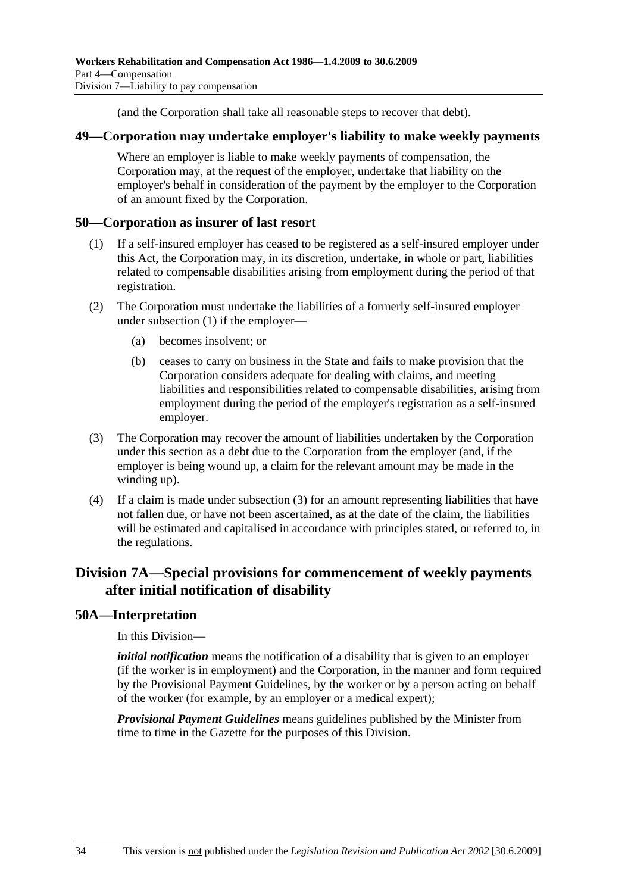(and the Corporation shall take all reasonable steps to recover that debt).

#### **49—Corporation may undertake employer's liability to make weekly payments**

Where an employer is liable to make weekly payments of compensation, the Corporation may, at the request of the employer, undertake that liability on the employer's behalf in consideration of the payment by the employer to the Corporation of an amount fixed by the Corporation.

### **50—Corporation as insurer of last resort**

- (1) If a self-insured employer has ceased to be registered as a self-insured employer under this Act, the Corporation may, in its discretion, undertake, in whole or part, liabilities related to compensable disabilities arising from employment during the period of that registration.
- (2) The Corporation must undertake the liabilities of a formerly self-insured employer under subsection (1) if the employer—
	- (a) becomes insolvent; or
	- (b) ceases to carry on business in the State and fails to make provision that the Corporation considers adequate for dealing with claims, and meeting liabilities and responsibilities related to compensable disabilities, arising from employment during the period of the employer's registration as a self-insured employer.
- (3) The Corporation may recover the amount of liabilities undertaken by the Corporation under this section as a debt due to the Corporation from the employer (and, if the employer is being wound up, a claim for the relevant amount may be made in the winding up).
- (4) If a claim is made under subsection (3) for an amount representing liabilities that have not fallen due, or have not been ascertained, as at the date of the claim, the liabilities will be estimated and capitalised in accordance with principles stated, or referred to, in the regulations.

# **Division 7A—Special provisions for commencement of weekly payments after initial notification of disability**

## **50A—Interpretation**

In this Division—

*initial notification* means the notification of a disability that is given to an employer (if the worker is in employment) and the Corporation, in the manner and form required by the Provisional Payment Guidelines, by the worker or by a person acting on behalf of the worker (for example, by an employer or a medical expert);

*Provisional Payment Guidelines* means guidelines published by the Minister from time to time in the Gazette for the purposes of this Division.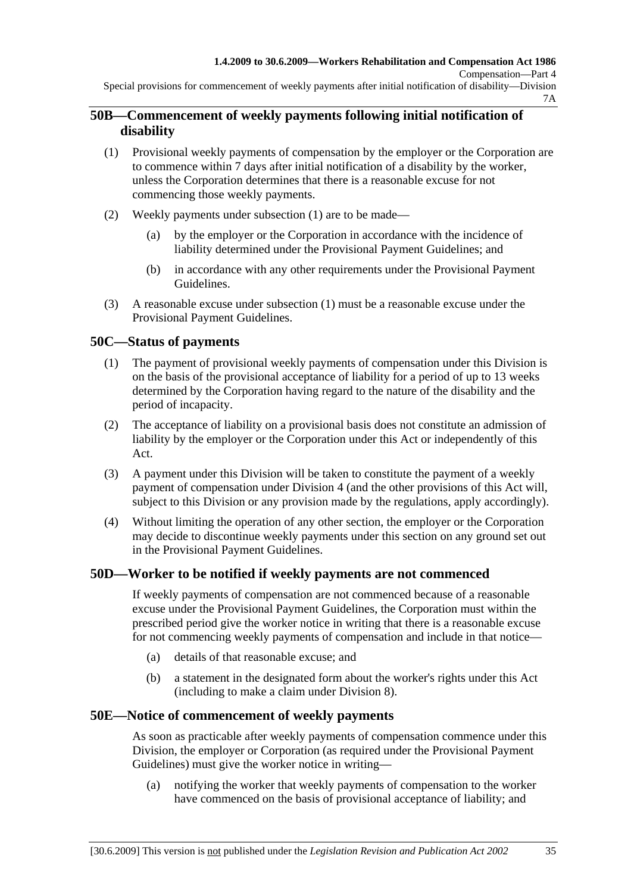Special provisions for commencement of weekly payments after initial notification of disability—Division 7A

## **50B—Commencement of weekly payments following initial notification of disability**

- (1) Provisional weekly payments of compensation by the employer or the Corporation are to commence within 7 days after initial notification of a disability by the worker, unless the Corporation determines that there is a reasonable excuse for not commencing those weekly payments.
- (2) Weekly payments under subsection (1) are to be made—
	- (a) by the employer or the Corporation in accordance with the incidence of liability determined under the Provisional Payment Guidelines; and
	- (b) in accordance with any other requirements under the Provisional Payment Guidelines.
- (3) A reasonable excuse under subsection (1) must be a reasonable excuse under the Provisional Payment Guidelines.

## **50C—Status of payments**

- (1) The payment of provisional weekly payments of compensation under this Division is on the basis of the provisional acceptance of liability for a period of up to 13 weeks determined by the Corporation having regard to the nature of the disability and the period of incapacity.
- (2) The acceptance of liability on a provisional basis does not constitute an admission of liability by the employer or the Corporation under this Act or independently of this Act.
- (3) A payment under this Division will be taken to constitute the payment of a weekly payment of compensation under Division 4 (and the other provisions of this Act will, subject to this Division or any provision made by the regulations, apply accordingly).
- (4) Without limiting the operation of any other section, the employer or the Corporation may decide to discontinue weekly payments under this section on any ground set out in the Provisional Payment Guidelines.

#### **50D—Worker to be notified if weekly payments are not commenced**

If weekly payments of compensation are not commenced because of a reasonable excuse under the Provisional Payment Guidelines, the Corporation must within the prescribed period give the worker notice in writing that there is a reasonable excuse for not commencing weekly payments of compensation and include in that notice—

- (a) details of that reasonable excuse; and
- (b) a statement in the designated form about the worker's rights under this Act (including to make a claim under Division 8).

#### **50E—Notice of commencement of weekly payments**

As soon as practicable after weekly payments of compensation commence under this Division, the employer or Corporation (as required under the Provisional Payment Guidelines) must give the worker notice in writing—

 (a) notifying the worker that weekly payments of compensation to the worker have commenced on the basis of provisional acceptance of liability; and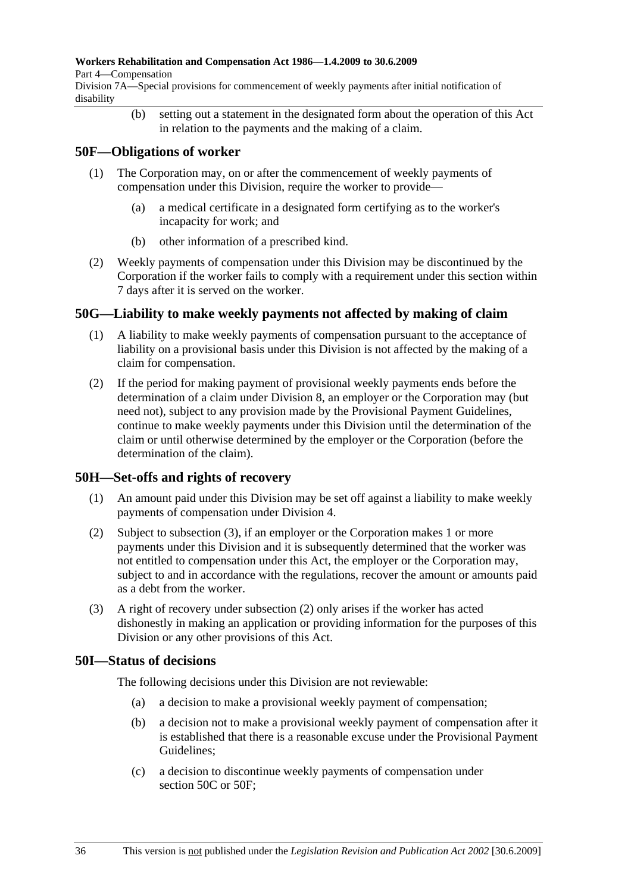#### **Workers Rehabilitation and Compensation Act 1986—1.4.2009 to 30.6.2009**

Part 4—Compensation

Division 7A—Special provisions for commencement of weekly payments after initial notification of disability

> (b) setting out a statement in the designated form about the operation of this Act in relation to the payments and the making of a claim.

## **50F—Obligations of worker**

- (1) The Corporation may, on or after the commencement of weekly payments of compensation under this Division, require the worker to provide—
	- (a) a medical certificate in a designated form certifying as to the worker's incapacity for work; and
	- (b) other information of a prescribed kind.
- (2) Weekly payments of compensation under this Division may be discontinued by the Corporation if the worker fails to comply with a requirement under this section within 7 days after it is served on the worker.

## **50G—Liability to make weekly payments not affected by making of claim**

- (1) A liability to make weekly payments of compensation pursuant to the acceptance of liability on a provisional basis under this Division is not affected by the making of a claim for compensation.
- (2) If the period for making payment of provisional weekly payments ends before the determination of a claim under Division 8, an employer or the Corporation may (but need not), subject to any provision made by the Provisional Payment Guidelines, continue to make weekly payments under this Division until the determination of the claim or until otherwise determined by the employer or the Corporation (before the determination of the claim).

# **50H—Set-offs and rights of recovery**

- (1) An amount paid under this Division may be set off against a liability to make weekly payments of compensation under Division 4.
- (2) Subject to subsection (3), if an employer or the Corporation makes 1 or more payments under this Division and it is subsequently determined that the worker was not entitled to compensation under this Act, the employer or the Corporation may, subject to and in accordance with the regulations, recover the amount or amounts paid as a debt from the worker.
- (3) A right of recovery under subsection (2) only arises if the worker has acted dishonestly in making an application or providing information for the purposes of this Division or any other provisions of this Act.

## **50I—Status of decisions**

The following decisions under this Division are not reviewable:

- (a) a decision to make a provisional weekly payment of compensation;
- (b) a decision not to make a provisional weekly payment of compensation after it is established that there is a reasonable excuse under the Provisional Payment Guidelines;
- (c) a decision to discontinue weekly payments of compensation under section 50C or 50F;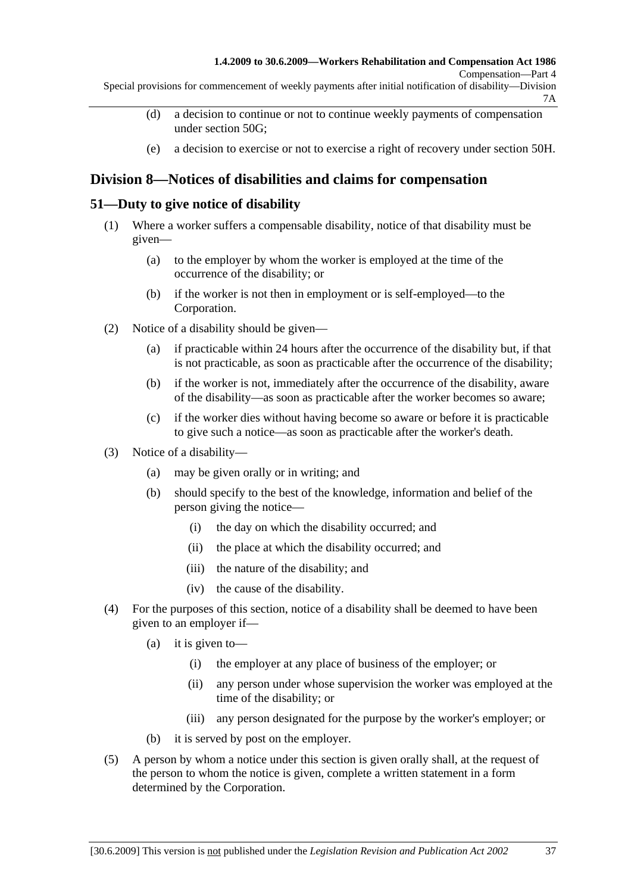Compensation—Part 4

Special provisions for commencement of weekly payments after initial notification of disability—Division 7A

- (d) a decision to continue or not to continue weekly payments of compensation under section 50G;
- (e) a decision to exercise or not to exercise a right of recovery under section 50H.

# **Division 8—Notices of disabilities and claims for compensation**

## **51—Duty to give notice of disability**

- (1) Where a worker suffers a compensable disability, notice of that disability must be given—
	- (a) to the employer by whom the worker is employed at the time of the occurrence of the disability; or
	- (b) if the worker is not then in employment or is self-employed—to the Corporation.
- (2) Notice of a disability should be given—
	- (a) if practicable within 24 hours after the occurrence of the disability but, if that is not practicable, as soon as practicable after the occurrence of the disability;
	- (b) if the worker is not, immediately after the occurrence of the disability, aware of the disability—as soon as practicable after the worker becomes so aware;
	- (c) if the worker dies without having become so aware or before it is practicable to give such a notice—as soon as practicable after the worker's death.
- (3) Notice of a disability—
	- (a) may be given orally or in writing; and
	- (b) should specify to the best of the knowledge, information and belief of the person giving the notice—
		- (i) the day on which the disability occurred; and
		- (ii) the place at which the disability occurred; and
		- (iii) the nature of the disability; and
		- (iv) the cause of the disability.
- (4) For the purposes of this section, notice of a disability shall be deemed to have been given to an employer if—
	- (a) it is given to—
		- (i) the employer at any place of business of the employer; or
		- (ii) any person under whose supervision the worker was employed at the time of the disability; or
		- (iii) any person designated for the purpose by the worker's employer; or
	- (b) it is served by post on the employer.
- (5) A person by whom a notice under this section is given orally shall, at the request of the person to whom the notice is given, complete a written statement in a form determined by the Corporation.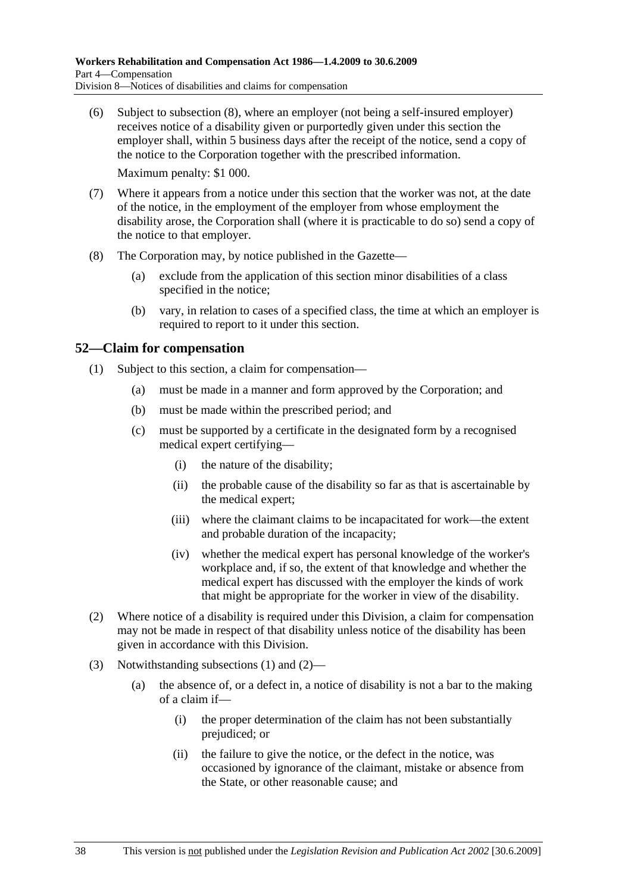(6) Subject to subsection (8), where an employer (not being a self-insured employer) receives notice of a disability given or purportedly given under this section the employer shall, within 5 business days after the receipt of the notice, send a copy of the notice to the Corporation together with the prescribed information.

Maximum penalty: \$1 000.

- (7) Where it appears from a notice under this section that the worker was not, at the date of the notice, in the employment of the employer from whose employment the disability arose, the Corporation shall (where it is practicable to do so) send a copy of the notice to that employer.
- (8) The Corporation may, by notice published in the Gazette—
	- (a) exclude from the application of this section minor disabilities of a class specified in the notice;
	- (b) vary, in relation to cases of a specified class, the time at which an employer is required to report to it under this section.

## **52—Claim for compensation**

- (1) Subject to this section, a claim for compensation—
	- (a) must be made in a manner and form approved by the Corporation; and
	- (b) must be made within the prescribed period; and
	- (c) must be supported by a certificate in the designated form by a recognised medical expert certifying—
		- (i) the nature of the disability;
		- (ii) the probable cause of the disability so far as that is ascertainable by the medical expert;
		- (iii) where the claimant claims to be incapacitated for work—the extent and probable duration of the incapacity;
		- (iv) whether the medical expert has personal knowledge of the worker's workplace and, if so, the extent of that knowledge and whether the medical expert has discussed with the employer the kinds of work that might be appropriate for the worker in view of the disability.
- (2) Where notice of a disability is required under this Division, a claim for compensation may not be made in respect of that disability unless notice of the disability has been given in accordance with this Division.
- (3) Notwithstanding subsections (1) and (2)—
	- (a) the absence of, or a defect in, a notice of disability is not a bar to the making of a claim if—
		- (i) the proper determination of the claim has not been substantially prejudiced; or
		- (ii) the failure to give the notice, or the defect in the notice, was occasioned by ignorance of the claimant, mistake or absence from the State, or other reasonable cause; and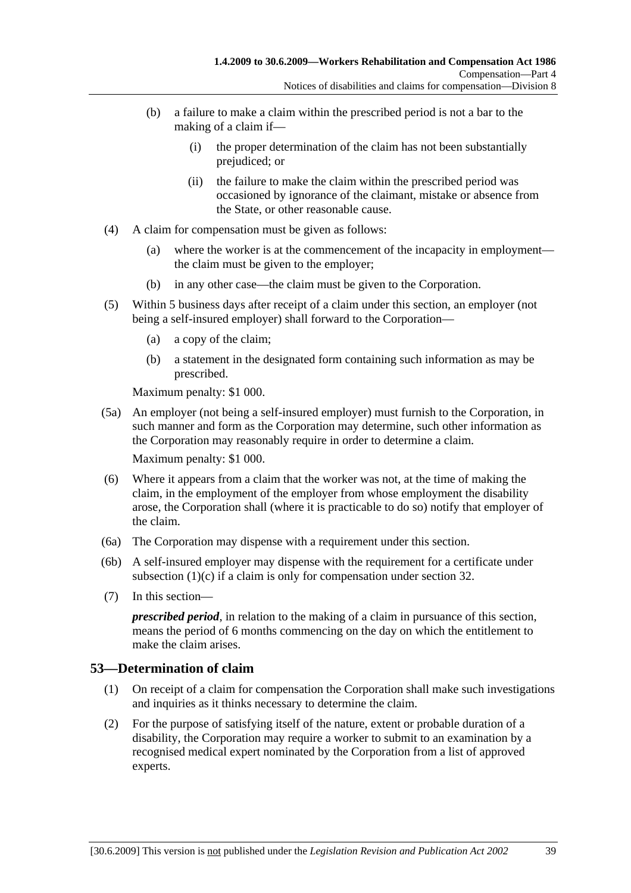- (b) a failure to make a claim within the prescribed period is not a bar to the making of a claim if—
	- (i) the proper determination of the claim has not been substantially prejudiced; or
	- (ii) the failure to make the claim within the prescribed period was occasioned by ignorance of the claimant, mistake or absence from the State, or other reasonable cause.
- (4) A claim for compensation must be given as follows:
	- (a) where the worker is at the commencement of the incapacity in employment the claim must be given to the employer;
	- (b) in any other case—the claim must be given to the Corporation.
- (5) Within 5 business days after receipt of a claim under this section, an employer (not being a self-insured employer) shall forward to the Corporation—
	- (a) a copy of the claim;
	- (b) a statement in the designated form containing such information as may be prescribed.

Maximum penalty: \$1 000.

 (5a) An employer (not being a self-insured employer) must furnish to the Corporation, in such manner and form as the Corporation may determine, such other information as the Corporation may reasonably require in order to determine a claim.

Maximum penalty: \$1 000.

- (6) Where it appears from a claim that the worker was not, at the time of making the claim, in the employment of the employer from whose employment the disability arose, the Corporation shall (where it is practicable to do so) notify that employer of the claim.
- (6a) The Corporation may dispense with a requirement under this section.
- (6b) A self-insured employer may dispense with the requirement for a certificate under subsection (1)(c) if a claim is only for compensation under section 32.
- (7) In this section—

*prescribed period*, in relation to the making of a claim in pursuance of this section, means the period of 6 months commencing on the day on which the entitlement to make the claim arises.

## **53—Determination of claim**

- (1) On receipt of a claim for compensation the Corporation shall make such investigations and inquiries as it thinks necessary to determine the claim.
- (2) For the purpose of satisfying itself of the nature, extent or probable duration of a disability, the Corporation may require a worker to submit to an examination by a recognised medical expert nominated by the Corporation from a list of approved experts.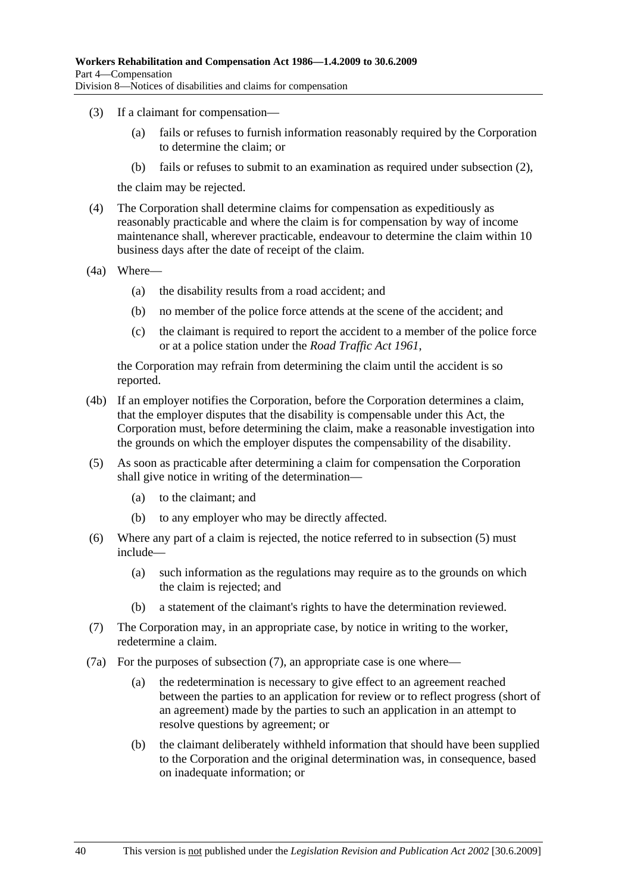- (3) If a claimant for compensation—
	- (a) fails or refuses to furnish information reasonably required by the Corporation to determine the claim; or
	- (b) fails or refuses to submit to an examination as required under subsection (2),

the claim may be rejected.

- (4) The Corporation shall determine claims for compensation as expeditiously as reasonably practicable and where the claim is for compensation by way of income maintenance shall, wherever practicable, endeavour to determine the claim within 10 business days after the date of receipt of the claim.
- (4a) Where—
	- (a) the disability results from a road accident; and
	- (b) no member of the police force attends at the scene of the accident; and
	- (c) the claimant is required to report the accident to a member of the police force or at a police station under the *Road Traffic Act 1961*,

the Corporation may refrain from determining the claim until the accident is so reported.

- (4b) If an employer notifies the Corporation, before the Corporation determines a claim, that the employer disputes that the disability is compensable under this Act, the Corporation must, before determining the claim, make a reasonable investigation into the grounds on which the employer disputes the compensability of the disability.
- (5) As soon as practicable after determining a claim for compensation the Corporation shall give notice in writing of the determination—
	- (a) to the claimant; and
	- (b) to any employer who may be directly affected.
- (6) Where any part of a claim is rejected, the notice referred to in subsection (5) must include—
	- (a) such information as the regulations may require as to the grounds on which the claim is rejected; and
	- (b) a statement of the claimant's rights to have the determination reviewed.
- (7) The Corporation may, in an appropriate case, by notice in writing to the worker, redetermine a claim.
- (7a) For the purposes of subsection (7), an appropriate case is one where—
	- (a) the redetermination is necessary to give effect to an agreement reached between the parties to an application for review or to reflect progress (short of an agreement) made by the parties to such an application in an attempt to resolve questions by agreement; or
	- (b) the claimant deliberately withheld information that should have been supplied to the Corporation and the original determination was, in consequence, based on inadequate information; or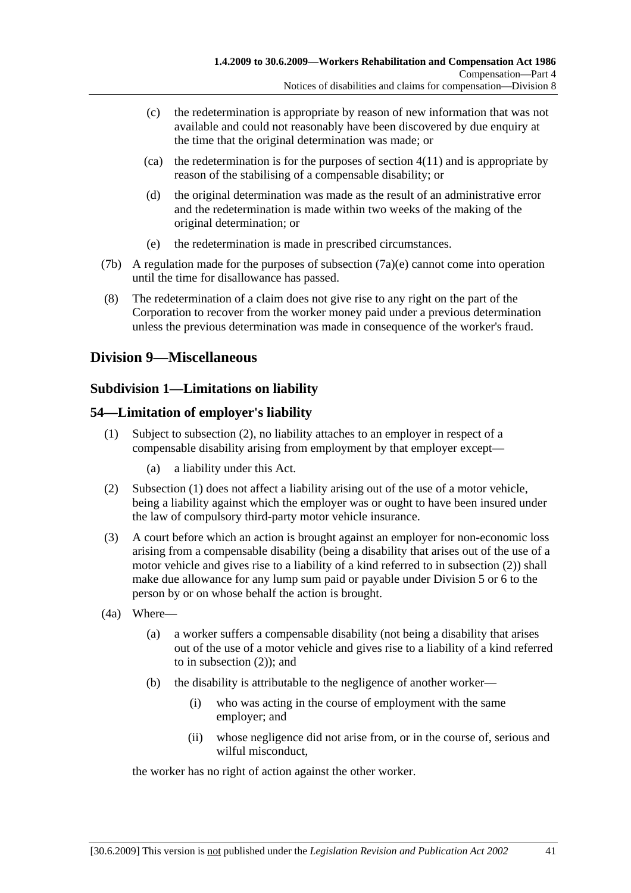- (c) the redetermination is appropriate by reason of new information that was not available and could not reasonably have been discovered by due enquiry at the time that the original determination was made; or
- $\alpha$  the redetermination is for the purposes of section 4(11) and is appropriate by reason of the stabilising of a compensable disability; or
- (d) the original determination was made as the result of an administrative error and the redetermination is made within two weeks of the making of the original determination; or
- (e) the redetermination is made in prescribed circumstances.
- (7b) A regulation made for the purposes of subsection (7a)(e) cannot come into operation until the time for disallowance has passed.
- (8) The redetermination of a claim does not give rise to any right on the part of the Corporation to recover from the worker money paid under a previous determination unless the previous determination was made in consequence of the worker's fraud.

# **Division 9—Miscellaneous**

### **Subdivision 1—Limitations on liability**

### **54—Limitation of employer's liability**

- (1) Subject to subsection (2), no liability attaches to an employer in respect of a compensable disability arising from employment by that employer except—
	- (a) a liability under this Act.
- (2) Subsection (1) does not affect a liability arising out of the use of a motor vehicle, being a liability against which the employer was or ought to have been insured under the law of compulsory third-party motor vehicle insurance.
- (3) A court before which an action is brought against an employer for non-economic loss arising from a compensable disability (being a disability that arises out of the use of a motor vehicle and gives rise to a liability of a kind referred to in subsection (2)) shall make due allowance for any lump sum paid or payable under Division 5 or 6 to the person by or on whose behalf the action is brought.
- (4a) Where—
	- (a) a worker suffers a compensable disability (not being a disability that arises out of the use of a motor vehicle and gives rise to a liability of a kind referred to in subsection (2)); and
	- (b) the disability is attributable to the negligence of another worker—
		- (i) who was acting in the course of employment with the same employer; and
		- (ii) whose negligence did not arise from, or in the course of, serious and wilful misconduct,

the worker has no right of action against the other worker.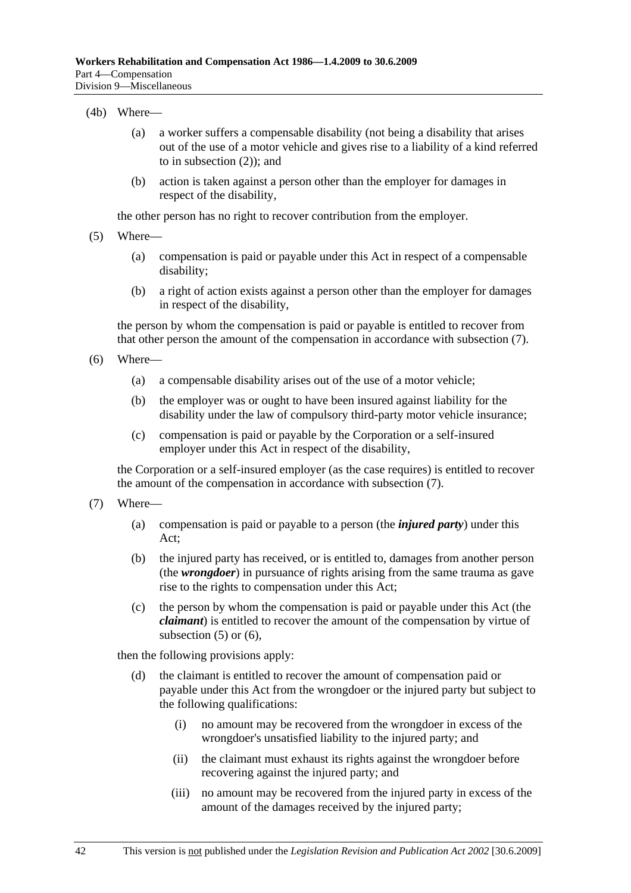#### (4b) Where—

- (a) a worker suffers a compensable disability (not being a disability that arises out of the use of a motor vehicle and gives rise to a liability of a kind referred to in subsection (2)); and
- (b) action is taken against a person other than the employer for damages in respect of the disability,

the other person has no right to recover contribution from the employer.

- (5) Where—
	- (a) compensation is paid or payable under this Act in respect of a compensable disability;
	- (b) a right of action exists against a person other than the employer for damages in respect of the disability,

the person by whom the compensation is paid or payable is entitled to recover from that other person the amount of the compensation in accordance with subsection (7).

- (6) Where—
	- (a) a compensable disability arises out of the use of a motor vehicle;
	- (b) the employer was or ought to have been insured against liability for the disability under the law of compulsory third-party motor vehicle insurance;
	- (c) compensation is paid or payable by the Corporation or a self-insured employer under this Act in respect of the disability,

the Corporation or a self-insured employer (as the case requires) is entitled to recover the amount of the compensation in accordance with subsection (7).

- (7) Where—
	- (a) compensation is paid or payable to a person (the *injured party*) under this Act;
	- (b) the injured party has received, or is entitled to, damages from another person (the *wrongdoer*) in pursuance of rights arising from the same trauma as gave rise to the rights to compensation under this Act;
	- (c) the person by whom the compensation is paid or payable under this Act (the *claimant*) is entitled to recover the amount of the compensation by virtue of subsection  $(5)$  or  $(6)$ ,

then the following provisions apply:

- (d) the claimant is entitled to recover the amount of compensation paid or payable under this Act from the wrongdoer or the injured party but subject to the following qualifications:
	- (i) no amount may be recovered from the wrongdoer in excess of the wrongdoer's unsatisfied liability to the injured party; and
	- (ii) the claimant must exhaust its rights against the wrongdoer before recovering against the injured party; and
	- (iii) no amount may be recovered from the injured party in excess of the amount of the damages received by the injured party;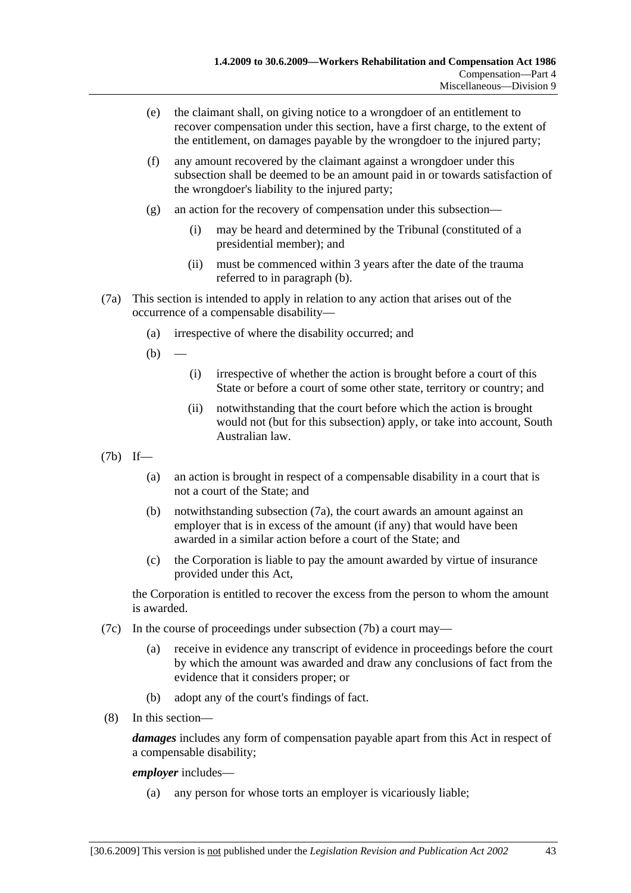- (e) the claimant shall, on giving notice to a wrongdoer of an entitlement to recover compensation under this section, have a first charge, to the extent of the entitlement, on damages payable by the wrongdoer to the injured party;
- (f) any amount recovered by the claimant against a wrongdoer under this subsection shall be deemed to be an amount paid in or towards satisfaction of the wrongdoer's liability to the injured party;
- (g) an action for the recovery of compensation under this subsection—
	- (i) may be heard and determined by the Tribunal (constituted of a presidential member); and
	- (ii) must be commenced within 3 years after the date of the trauma referred to in paragraph (b).
- (7a) This section is intended to apply in relation to any action that arises out of the occurrence of a compensable disability—
	- (a) irrespective of where the disability occurred; and
	- $(b)$
- (i) irrespective of whether the action is brought before a court of this State or before a court of some other state, territory or country; and
- (ii) notwithstanding that the court before which the action is brought would not (but for this subsection) apply, or take into account, South Australian law.
- (7b) If—
	- (a) an action is brought in respect of a compensable disability in a court that is not a court of the State; and
	- (b) notwithstanding subsection (7a), the court awards an amount against an employer that is in excess of the amount (if any) that would have been awarded in a similar action before a court of the State; and
	- (c) the Corporation is liable to pay the amount awarded by virtue of insurance provided under this Act,

the Corporation is entitled to recover the excess from the person to whom the amount is awarded.

- (7c) In the course of proceedings under subsection (7b) a court may—
	- (a) receive in evidence any transcript of evidence in proceedings before the court by which the amount was awarded and draw any conclusions of fact from the evidence that it considers proper; or
	- (b) adopt any of the court's findings of fact.
- (8) In this section—

*damages* includes any form of compensation payable apart from this Act in respect of a compensable disability;

#### *employer* includes—

(a) any person for whose torts an employer is vicariously liable;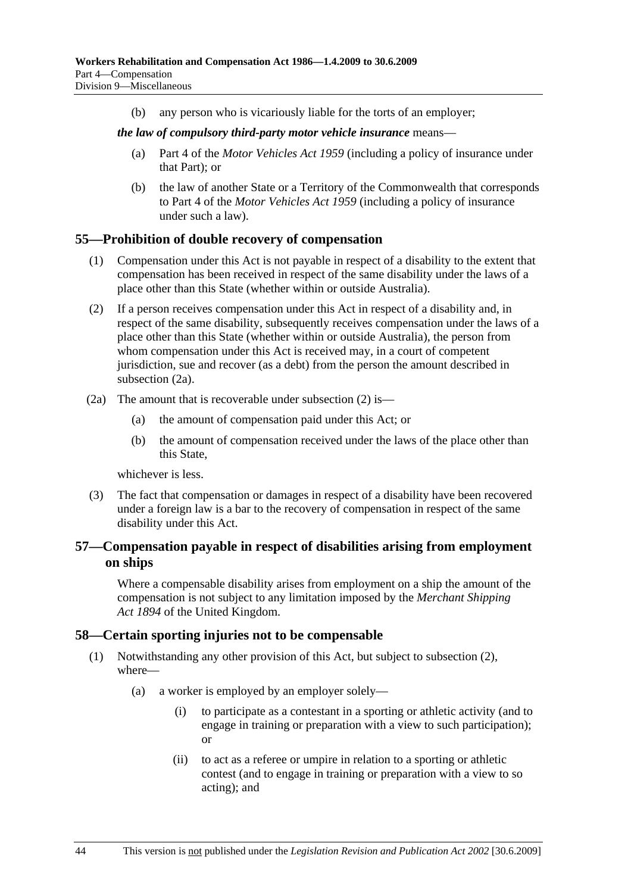(b) any person who is vicariously liable for the torts of an employer;

#### *the law of compulsory third-party motor vehicle insurance* means—

- (a) Part 4 of the *Motor Vehicles Act 1959* (including a policy of insurance under that Part); or
- (b) the law of another State or a Territory of the Commonwealth that corresponds to Part 4 of the *Motor Vehicles Act 1959* (including a policy of insurance under such a law).

### **55—Prohibition of double recovery of compensation**

- (1) Compensation under this Act is not payable in respect of a disability to the extent that compensation has been received in respect of the same disability under the laws of a place other than this State (whether within or outside Australia).
- (2) If a person receives compensation under this Act in respect of a disability and, in respect of the same disability, subsequently receives compensation under the laws of a place other than this State (whether within or outside Australia), the person from whom compensation under this Act is received may, in a court of competent jurisdiction, sue and recover (as a debt) from the person the amount described in subsection (2a).
- (2a) The amount that is recoverable under subsection (2) is—
	- (a) the amount of compensation paid under this Act; or
	- (b) the amount of compensation received under the laws of the place other than this State,

whichever is less.

 (3) The fact that compensation or damages in respect of a disability have been recovered under a foreign law is a bar to the recovery of compensation in respect of the same disability under this Act.

### **57—Compensation payable in respect of disabilities arising from employment on ships**

Where a compensable disability arises from employment on a ship the amount of the compensation is not subject to any limitation imposed by the *Merchant Shipping Act 1894* of the United Kingdom.

### **58—Certain sporting injuries not to be compensable**

- (1) Notwithstanding any other provision of this Act, but subject to subsection (2), where—
	- (a) a worker is employed by an employer solely—
		- (i) to participate as a contestant in a sporting or athletic activity (and to engage in training or preparation with a view to such participation); or
		- (ii) to act as a referee or umpire in relation to a sporting or athletic contest (and to engage in training or preparation with a view to so acting); and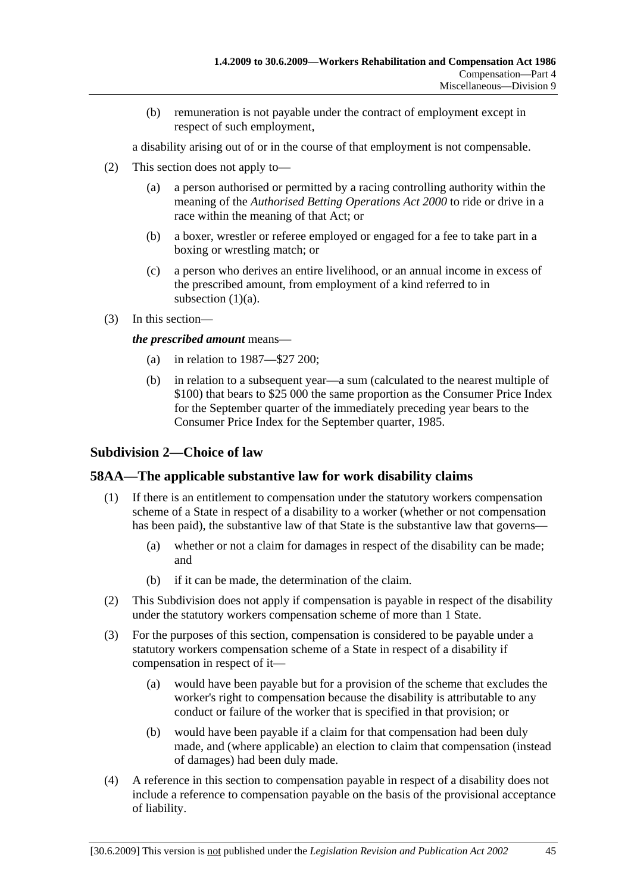(b) remuneration is not payable under the contract of employment except in respect of such employment,

a disability arising out of or in the course of that employment is not compensable.

- (2) This section does not apply to—
	- (a) a person authorised or permitted by a racing controlling authority within the meaning of the *Authorised Betting Operations Act 2000* to ride or drive in a race within the meaning of that Act; or
	- (b) a boxer, wrestler or referee employed or engaged for a fee to take part in a boxing or wrestling match; or
	- (c) a person who derives an entire livelihood, or an annual income in excess of the prescribed amount, from employment of a kind referred to in subsection (1)(a).
- (3) In this section—

*the prescribed amount* means—

- (a) in relation to 1987—\$27 200;
- (b) in relation to a subsequent year—a sum (calculated to the nearest multiple of \$100) that bears to \$25 000 the same proportion as the Consumer Price Index for the September quarter of the immediately preceding year bears to the Consumer Price Index for the September quarter, 1985.

### **Subdivision 2—Choice of law**

# **58AA—The applicable substantive law for work disability claims**

- (1) If there is an entitlement to compensation under the statutory workers compensation scheme of a State in respect of a disability to a worker (whether or not compensation has been paid), the substantive law of that State is the substantive law that governs—
	- (a) whether or not a claim for damages in respect of the disability can be made; and
	- (b) if it can be made, the determination of the claim.
- (2) This Subdivision does not apply if compensation is payable in respect of the disability under the statutory workers compensation scheme of more than 1 State.
- (3) For the purposes of this section, compensation is considered to be payable under a statutory workers compensation scheme of a State in respect of a disability if compensation in respect of it—
	- (a) would have been payable but for a provision of the scheme that excludes the worker's right to compensation because the disability is attributable to any conduct or failure of the worker that is specified in that provision; or
	- (b) would have been payable if a claim for that compensation had been duly made, and (where applicable) an election to claim that compensation (instead of damages) had been duly made.
- (4) A reference in this section to compensation payable in respect of a disability does not include a reference to compensation payable on the basis of the provisional acceptance of liability.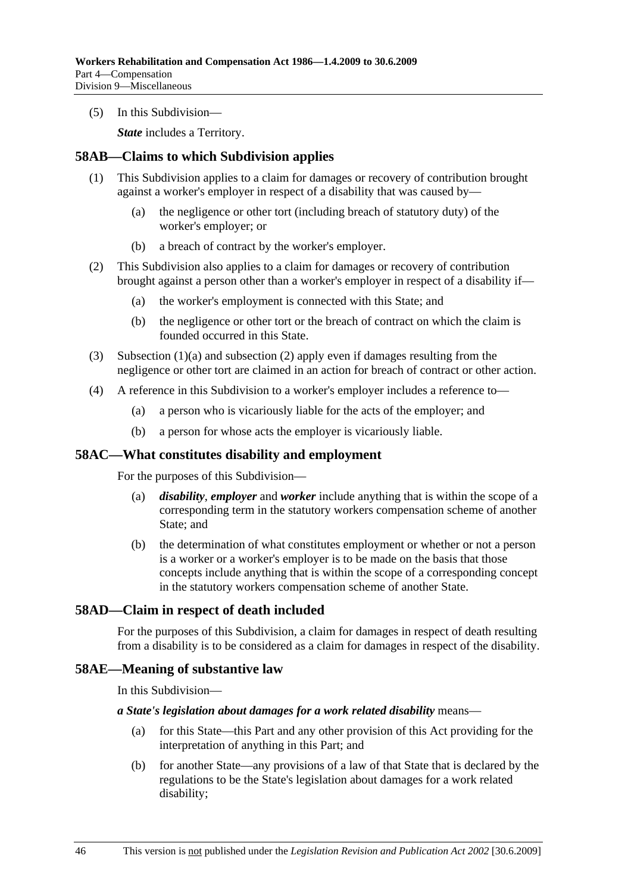(5) In this Subdivision—

*State* includes a Territory.

### **58AB—Claims to which Subdivision applies**

- (1) This Subdivision applies to a claim for damages or recovery of contribution brought against a worker's employer in respect of a disability that was caused by—
	- (a) the negligence or other tort (including breach of statutory duty) of the worker's employer; or
	- (b) a breach of contract by the worker's employer.
- (2) This Subdivision also applies to a claim for damages or recovery of contribution brought against a person other than a worker's employer in respect of a disability if—
	- (a) the worker's employment is connected with this State; and
	- (b) the negligence or other tort or the breach of contract on which the claim is founded occurred in this State.
- (3) Subsection (1)(a) and subsection (2) apply even if damages resulting from the negligence or other tort are claimed in an action for breach of contract or other action.
- (4) A reference in this Subdivision to a worker's employer includes a reference to—
	- (a) a person who is vicariously liable for the acts of the employer; and
	- (b) a person for whose acts the employer is vicariously liable.

#### **58AC—What constitutes disability and employment**

For the purposes of this Subdivision—

- (a) *disability*, *employer* and *worker* include anything that is within the scope of a corresponding term in the statutory workers compensation scheme of another State; and
- (b) the determination of what constitutes employment or whether or not a person is a worker or a worker's employer is to be made on the basis that those concepts include anything that is within the scope of a corresponding concept in the statutory workers compensation scheme of another State.

### **58AD—Claim in respect of death included**

For the purposes of this Subdivision, a claim for damages in respect of death resulting from a disability is to be considered as a claim for damages in respect of the disability.

#### **58AE—Meaning of substantive law**

In this Subdivision—

#### *a State's legislation about damages for a work related disability* means—

- (a) for this State—this Part and any other provision of this Act providing for the interpretation of anything in this Part; and
- (b) for another State—any provisions of a law of that State that is declared by the regulations to be the State's legislation about damages for a work related disability;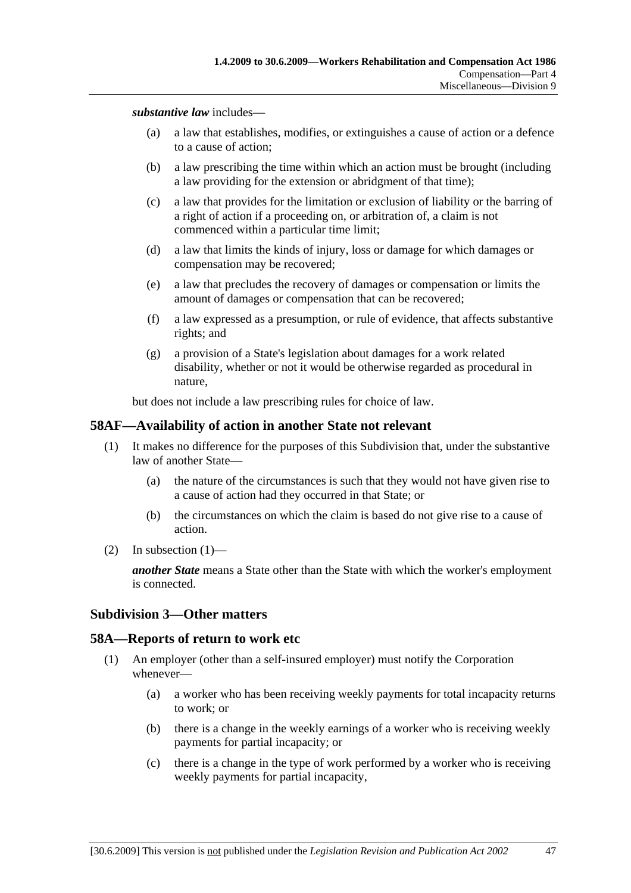*substantive law* includes—

- (a) a law that establishes, modifies, or extinguishes a cause of action or a defence to a cause of action;
- (b) a law prescribing the time within which an action must be brought (including a law providing for the extension or abridgment of that time);
- (c) a law that provides for the limitation or exclusion of liability or the barring of a right of action if a proceeding on, or arbitration of, a claim is not commenced within a particular time limit;
- (d) a law that limits the kinds of injury, loss or damage for which damages or compensation may be recovered;
- (e) a law that precludes the recovery of damages or compensation or limits the amount of damages or compensation that can be recovered;
- (f) a law expressed as a presumption, or rule of evidence, that affects substantive rights; and
- (g) a provision of a State's legislation about damages for a work related disability, whether or not it would be otherwise regarded as procedural in nature,

but does not include a law prescribing rules for choice of law.

#### **58AF—Availability of action in another State not relevant**

- (1) It makes no difference for the purposes of this Subdivision that, under the substantive law of another State—
	- (a) the nature of the circumstances is such that they would not have given rise to a cause of action had they occurred in that State; or
	- (b) the circumstances on which the claim is based do not give rise to a cause of action.
- (2) In subsection  $(1)$ —

*another State* means a State other than the State with which the worker's employment is connected.

#### **Subdivision 3—Other matters**

#### **58A—Reports of return to work etc**

- (1) An employer (other than a self-insured employer) must notify the Corporation whenever—
	- (a) a worker who has been receiving weekly payments for total incapacity returns to work; or
	- (b) there is a change in the weekly earnings of a worker who is receiving weekly payments for partial incapacity; or
	- (c) there is a change in the type of work performed by a worker who is receiving weekly payments for partial incapacity,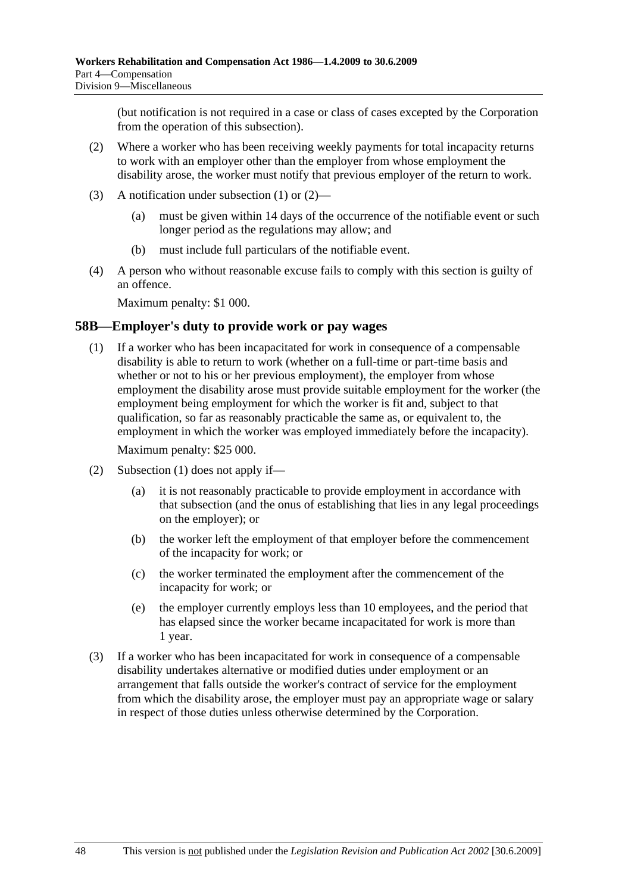(but notification is not required in a case or class of cases excepted by the Corporation from the operation of this subsection).

- (2) Where a worker who has been receiving weekly payments for total incapacity returns to work with an employer other than the employer from whose employment the disability arose, the worker must notify that previous employer of the return to work.
- (3) A notification under subsection (1) or (2)—
	- (a) must be given within 14 days of the occurrence of the notifiable event or such longer period as the regulations may allow; and
	- (b) must include full particulars of the notifiable event.
- (4) A person who without reasonable excuse fails to comply with this section is guilty of an offence.

Maximum penalty: \$1 000.

### **58B—Employer's duty to provide work or pay wages**

 (1) If a worker who has been incapacitated for work in consequence of a compensable disability is able to return to work (whether on a full-time or part-time basis and whether or not to his or her previous employment), the employer from whose employment the disability arose must provide suitable employment for the worker (the employment being employment for which the worker is fit and, subject to that qualification, so far as reasonably practicable the same as, or equivalent to, the employment in which the worker was employed immediately before the incapacity).

Maximum penalty: \$25 000.

- (2) Subsection (1) does not apply if—
	- (a) it is not reasonably practicable to provide employment in accordance with that subsection (and the onus of establishing that lies in any legal proceedings on the employer); or
	- (b) the worker left the employment of that employer before the commencement of the incapacity for work; or
	- (c) the worker terminated the employment after the commencement of the incapacity for work; or
	- (e) the employer currently employs less than 10 employees, and the period that has elapsed since the worker became incapacitated for work is more than 1 year.
- (3) If a worker who has been incapacitated for work in consequence of a compensable disability undertakes alternative or modified duties under employment or an arrangement that falls outside the worker's contract of service for the employment from which the disability arose, the employer must pay an appropriate wage or salary in respect of those duties unless otherwise determined by the Corporation.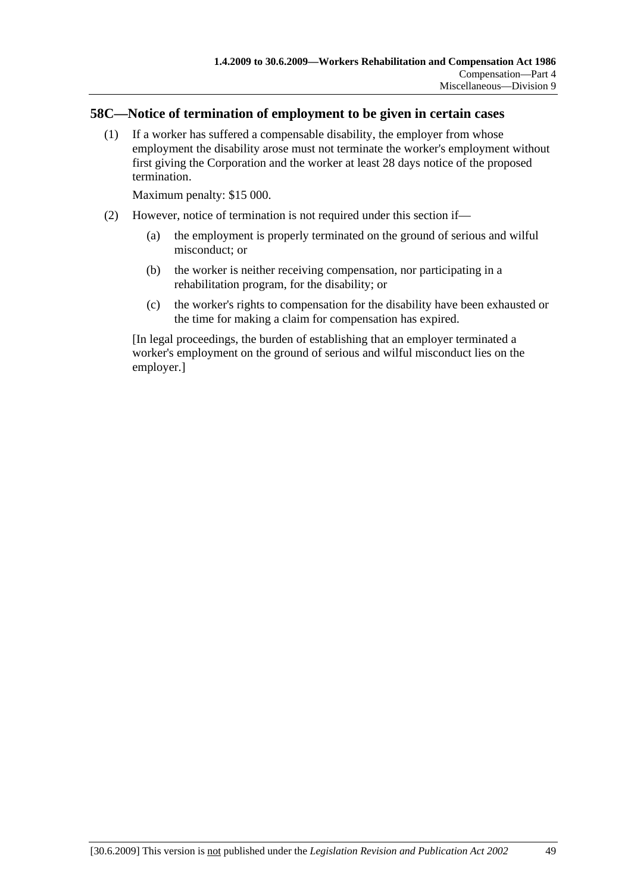### **58C—Notice of termination of employment to be given in certain cases**

 (1) If a worker has suffered a compensable disability, the employer from whose employment the disability arose must not terminate the worker's employment without first giving the Corporation and the worker at least 28 days notice of the proposed termination.

Maximum penalty: \$15 000.

- (2) However, notice of termination is not required under this section if—
	- (a) the employment is properly terminated on the ground of serious and wilful misconduct; or
	- (b) the worker is neither receiving compensation, nor participating in a rehabilitation program, for the disability; or
	- (c) the worker's rights to compensation for the disability have been exhausted or the time for making a claim for compensation has expired.

[In legal proceedings, the burden of establishing that an employer terminated a worker's employment on the ground of serious and wilful misconduct lies on the employer.]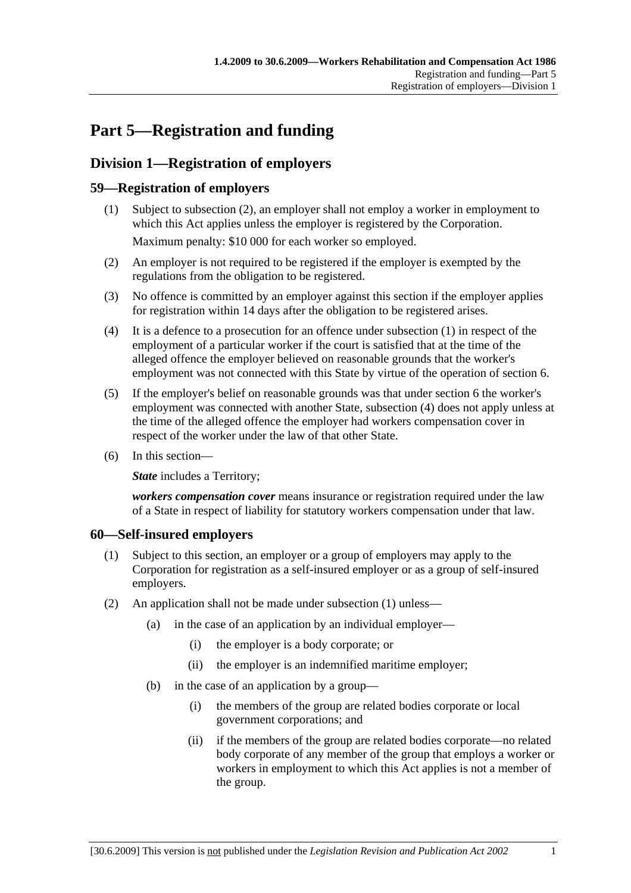# **Part 5—Registration and funding**

# **Division 1—Registration of employers**

### **59—Registration of employers**

- (1) Subject to subsection (2), an employer shall not employ a worker in employment to which this Act applies unless the employer is registered by the Corporation. Maximum penalty: \$10 000 for each worker so employed.
- (2) An employer is not required to be registered if the employer is exempted by the regulations from the obligation to be registered.
- (3) No offence is committed by an employer against this section if the employer applies for registration within 14 days after the obligation to be registered arises.
- (4) It is a defence to a prosecution for an offence under subsection (1) in respect of the employment of a particular worker if the court is satisfied that at the time of the alleged offence the employer believed on reasonable grounds that the worker's employment was not connected with this State by virtue of the operation of section 6.
- (5) If the employer's belief on reasonable grounds was that under section 6 the worker's employment was connected with another State, subsection (4) does not apply unless at the time of the alleged offence the employer had workers compensation cover in respect of the worker under the law of that other State.
- (6) In this section—

**State** includes a Territory;

*workers compensation cover* means insurance or registration required under the law of a State in respect of liability for statutory workers compensation under that law.

### **60—Self-insured employers**

- (1) Subject to this section, an employer or a group of employers may apply to the Corporation for registration as a self-insured employer or as a group of self-insured employers.
- (2) An application shall not be made under subsection (1) unless—
	- (a) in the case of an application by an individual employer—
		- (i) the employer is a body corporate; or
		- (ii) the employer is an indemnified maritime employer;
	- (b) in the case of an application by a group—
		- (i) the members of the group are related bodies corporate or local government corporations; and
		- (ii) if the members of the group are related bodies corporate—no related body corporate of any member of the group that employs a worker or workers in employment to which this Act applies is not a member of the group.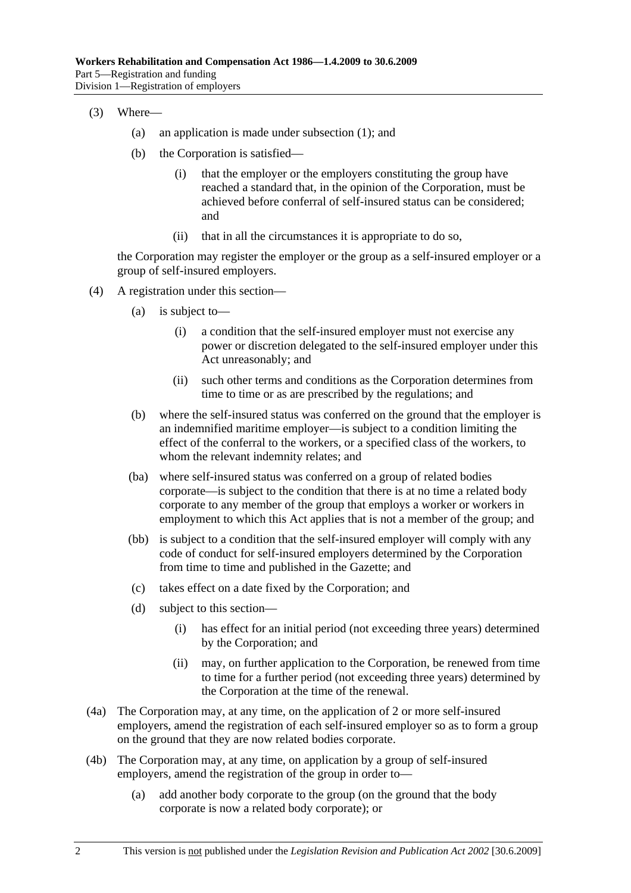- (3) Where—
	- (a) an application is made under subsection (1); and
	- (b) the Corporation is satisfied—
		- (i) that the employer or the employers constituting the group have reached a standard that, in the opinion of the Corporation, must be achieved before conferral of self-insured status can be considered; and
		- (ii) that in all the circumstances it is appropriate to do so,

the Corporation may register the employer or the group as a self-insured employer or a group of self-insured employers.

- (4) A registration under this section—
	- (a) is subject to—
		- (i) a condition that the self-insured employer must not exercise any power or discretion delegated to the self-insured employer under this Act unreasonably; and
		- (ii) such other terms and conditions as the Corporation determines from time to time or as are prescribed by the regulations; and
	- (b) where the self-insured status was conferred on the ground that the employer is an indemnified maritime employer—is subject to a condition limiting the effect of the conferral to the workers, or a specified class of the workers, to whom the relevant indemnity relates; and
	- (ba) where self-insured status was conferred on a group of related bodies corporate—is subject to the condition that there is at no time a related body corporate to any member of the group that employs a worker or workers in employment to which this Act applies that is not a member of the group; and
	- (bb) is subject to a condition that the self-insured employer will comply with any code of conduct for self-insured employers determined by the Corporation from time to time and published in the Gazette; and
	- (c) takes effect on a date fixed by the Corporation; and
	- (d) subject to this section—
		- (i) has effect for an initial period (not exceeding three years) determined by the Corporation; and
		- (ii) may, on further application to the Corporation, be renewed from time to time for a further period (not exceeding three years) determined by the Corporation at the time of the renewal.
- (4a) The Corporation may, at any time, on the application of 2 or more self-insured employers, amend the registration of each self-insured employer so as to form a group on the ground that they are now related bodies corporate.
- (4b) The Corporation may, at any time, on application by a group of self-insured employers, amend the registration of the group in order to—
	- (a) add another body corporate to the group (on the ground that the body corporate is now a related body corporate); or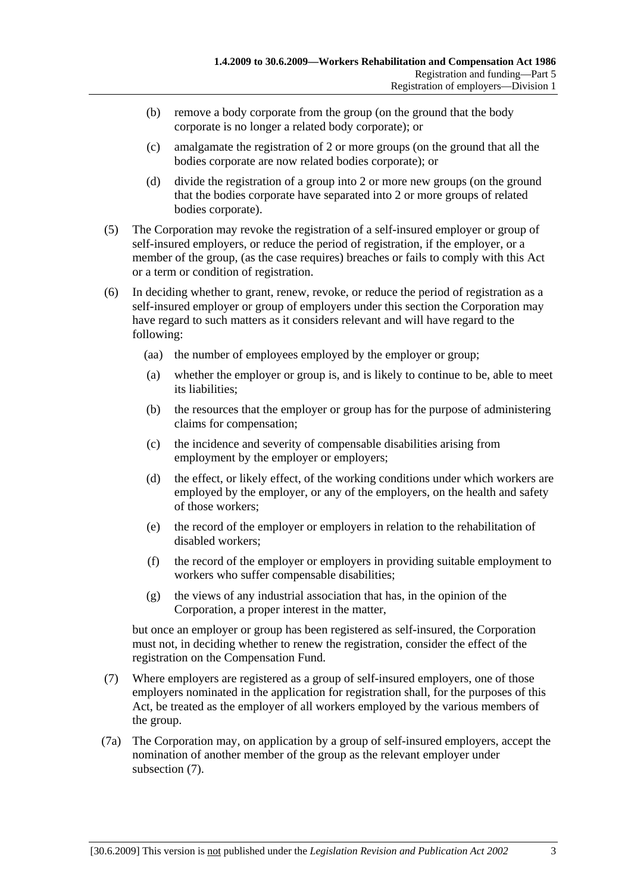- (b) remove a body corporate from the group (on the ground that the body corporate is no longer a related body corporate); or
- (c) amalgamate the registration of 2 or more groups (on the ground that all the bodies corporate are now related bodies corporate); or
- (d) divide the registration of a group into 2 or more new groups (on the ground that the bodies corporate have separated into 2 or more groups of related bodies corporate).
- (5) The Corporation may revoke the registration of a self-insured employer or group of self-insured employers, or reduce the period of registration, if the employer, or a member of the group, (as the case requires) breaches or fails to comply with this Act or a term or condition of registration.
- (6) In deciding whether to grant, renew, revoke, or reduce the period of registration as a self-insured employer or group of employers under this section the Corporation may have regard to such matters as it considers relevant and will have regard to the following:
	- (aa) the number of employees employed by the employer or group;
	- (a) whether the employer or group is, and is likely to continue to be, able to meet its liabilities;
	- (b) the resources that the employer or group has for the purpose of administering claims for compensation;
	- (c) the incidence and severity of compensable disabilities arising from employment by the employer or employers;
	- (d) the effect, or likely effect, of the working conditions under which workers are employed by the employer, or any of the employers, on the health and safety of those workers;
	- (e) the record of the employer or employers in relation to the rehabilitation of disabled workers;
	- (f) the record of the employer or employers in providing suitable employment to workers who suffer compensable disabilities;
	- (g) the views of any industrial association that has, in the opinion of the Corporation, a proper interest in the matter,

but once an employer or group has been registered as self-insured, the Corporation must not, in deciding whether to renew the registration, consider the effect of the registration on the Compensation Fund.

- (7) Where employers are registered as a group of self-insured employers, one of those employers nominated in the application for registration shall, for the purposes of this Act, be treated as the employer of all workers employed by the various members of the group.
- (7a) The Corporation may, on application by a group of self-insured employers, accept the nomination of another member of the group as the relevant employer under subsection (7).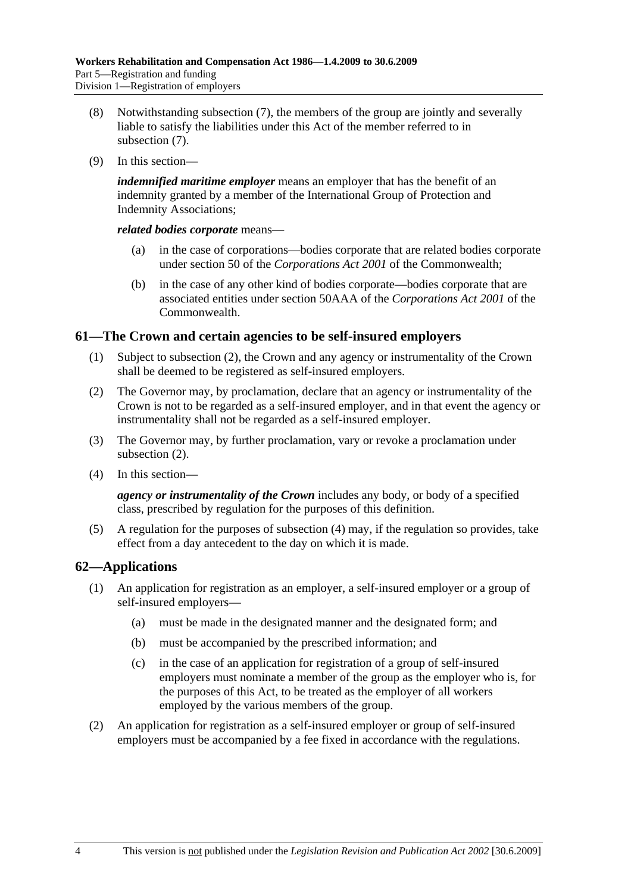- (8) Notwithstanding subsection (7), the members of the group are jointly and severally liable to satisfy the liabilities under this Act of the member referred to in subsection (7).
- (9) In this section—

*indemnified maritime employer* means an employer that has the benefit of an indemnity granted by a member of the International Group of Protection and Indemnity Associations;

*related bodies corporate* means—

- (a) in the case of corporations—bodies corporate that are related bodies corporate under section 50 of the *Corporations Act 2001* of the Commonwealth;
- (b) in the case of any other kind of bodies corporate—bodies corporate that are associated entities under section 50AAA of the *Corporations Act 2001* of the **Commonwealth**

### **61—The Crown and certain agencies to be self-insured employers**

- (1) Subject to subsection (2), the Crown and any agency or instrumentality of the Crown shall be deemed to be registered as self-insured employers.
- (2) The Governor may, by proclamation, declare that an agency or instrumentality of the Crown is not to be regarded as a self-insured employer, and in that event the agency or instrumentality shall not be regarded as a self-insured employer.
- (3) The Governor may, by further proclamation, vary or revoke a proclamation under subsection (2).
- (4) In this section—

*agency or instrumentality of the Crown* includes any body, or body of a specified class, prescribed by regulation for the purposes of this definition.

 (5) A regulation for the purposes of subsection (4) may, if the regulation so provides, take effect from a day antecedent to the day on which it is made.

# **62—Applications**

- (1) An application for registration as an employer, a self-insured employer or a group of self-insured employers—
	- (a) must be made in the designated manner and the designated form; and
	- (b) must be accompanied by the prescribed information; and
	- (c) in the case of an application for registration of a group of self-insured employers must nominate a member of the group as the employer who is, for the purposes of this Act, to be treated as the employer of all workers employed by the various members of the group.
- (2) An application for registration as a self-insured employer or group of self-insured employers must be accompanied by a fee fixed in accordance with the regulations.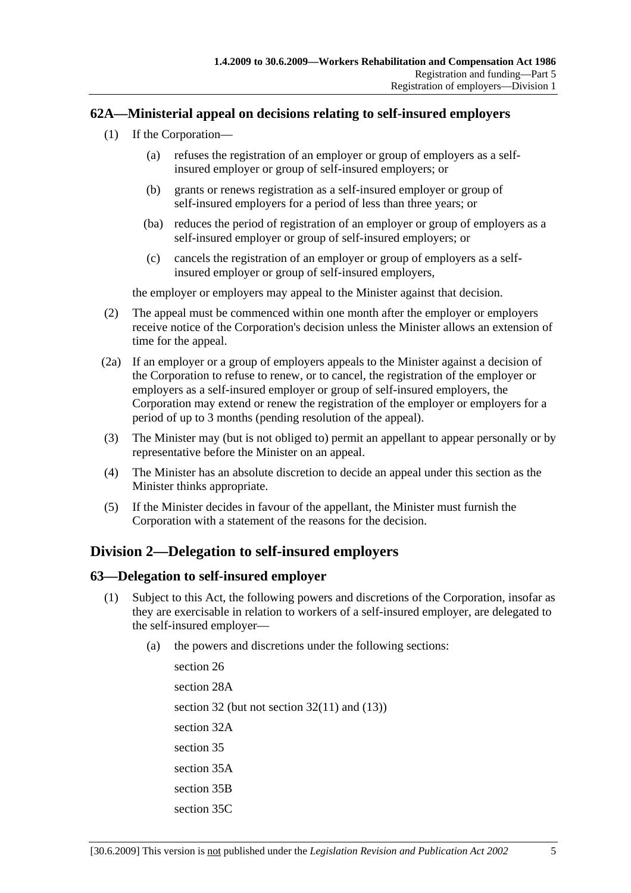### **62A—Ministerial appeal on decisions relating to self-insured employers**

- (1) If the Corporation—
	- (a) refuses the registration of an employer or group of employers as a selfinsured employer or group of self-insured employers; or
	- (b) grants or renews registration as a self-insured employer or group of self-insured employers for a period of less than three years; or
	- (ba) reduces the period of registration of an employer or group of employers as a self-insured employer or group of self-insured employers; or
	- (c) cancels the registration of an employer or group of employers as a selfinsured employer or group of self-insured employers,

the employer or employers may appeal to the Minister against that decision.

- (2) The appeal must be commenced within one month after the employer or employers receive notice of the Corporation's decision unless the Minister allows an extension of time for the appeal.
- (2a) If an employer or a group of employers appeals to the Minister against a decision of the Corporation to refuse to renew, or to cancel, the registration of the employer or employers as a self-insured employer or group of self-insured employers, the Corporation may extend or renew the registration of the employer or employers for a period of up to 3 months (pending resolution of the appeal).
- (3) The Minister may (but is not obliged to) permit an appellant to appear personally or by representative before the Minister on an appeal.
- (4) The Minister has an absolute discretion to decide an appeal under this section as the Minister thinks appropriate.
- (5) If the Minister decides in favour of the appellant, the Minister must furnish the Corporation with a statement of the reasons for the decision.

# **Division 2—Delegation to self-insured employers**

### **63—Delegation to self-insured employer**

- (1) Subject to this Act, the following powers and discretions of the Corporation, insofar as they are exercisable in relation to workers of a self-insured employer, are delegated to the self-insured employer—
	- (a) the powers and discretions under the following sections:

section 26 section 28A section 32 (but not section 32(11) and (13)) section 32A section 35 section 35A section 35B section 35C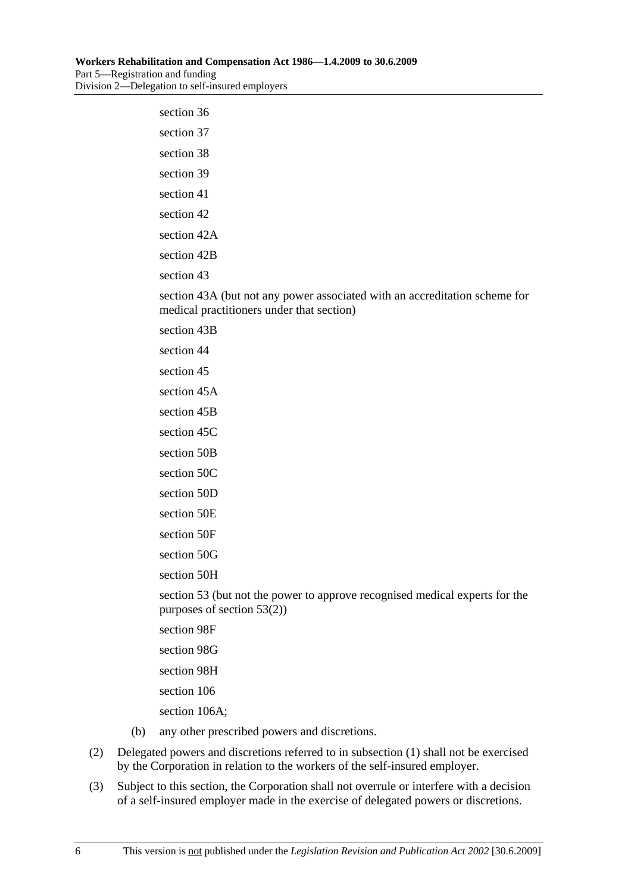| section 36                                                                                                              |
|-------------------------------------------------------------------------------------------------------------------------|
| section 37                                                                                                              |
| section 38                                                                                                              |
| section 39                                                                                                              |
| section 41                                                                                                              |
| section 42                                                                                                              |
| section 42A                                                                                                             |
| section 42B                                                                                                             |
| section 43                                                                                                              |
| section 43A (but not any power associated with an accreditation scheme for<br>medical practitioners under that section) |
| section 43B                                                                                                             |
| section 44                                                                                                              |
| section 45                                                                                                              |
| section 45A                                                                                                             |
| section 45B                                                                                                             |
| section 45C                                                                                                             |
| section 50B                                                                                                             |
| section 50C                                                                                                             |
| section 50D                                                                                                             |
| section 50E                                                                                                             |
| section 50F                                                                                                             |
| section 50G                                                                                                             |
| section 50H                                                                                                             |
| section 53 (but not the power to approve recognised medical experts for the<br>purposes of section 53(2))               |
| section 98F                                                                                                             |
| section 98G                                                                                                             |
| section 98H                                                                                                             |

section 106

section 106A;

- (b) any other prescribed powers and discretions.
- (2) Delegated powers and discretions referred to in subsection (1) shall not be exercised by the Corporation in relation to the workers of the self-insured employer.
- (3) Subject to this section, the Corporation shall not overrule or interfere with a decision of a self-insured employer made in the exercise of delegated powers or discretions.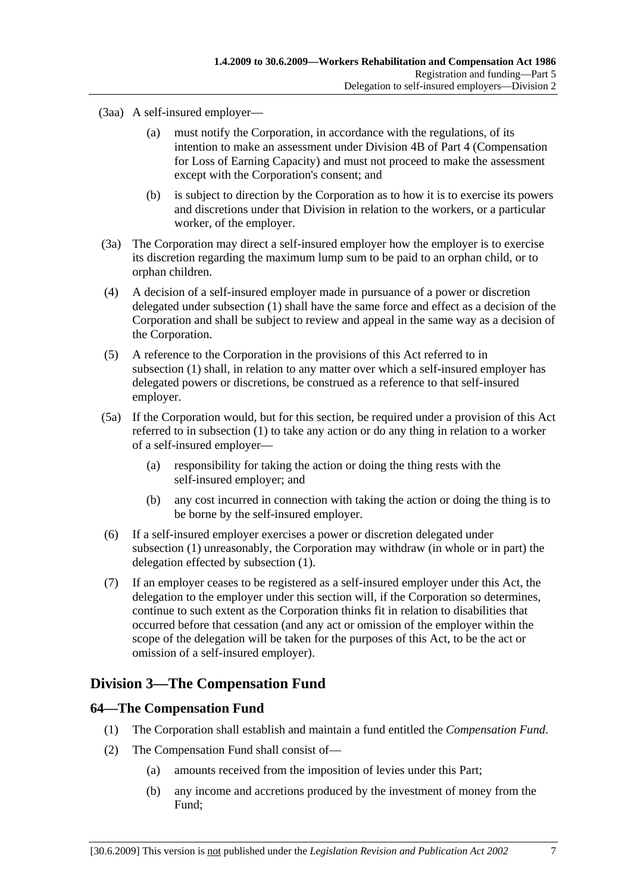(3aa) A self-insured employer—

- (a) must notify the Corporation, in accordance with the regulations, of its intention to make an assessment under Division 4B of Part 4 (Compensation for Loss of Earning Capacity) and must not proceed to make the assessment except with the Corporation's consent; and
- (b) is subject to direction by the Corporation as to how it is to exercise its powers and discretions under that Division in relation to the workers, or a particular worker, of the employer.
- (3a) The Corporation may direct a self-insured employer how the employer is to exercise its discretion regarding the maximum lump sum to be paid to an orphan child, or to orphan children.
- (4) A decision of a self-insured employer made in pursuance of a power or discretion delegated under subsection (1) shall have the same force and effect as a decision of the Corporation and shall be subject to review and appeal in the same way as a decision of the Corporation.
- (5) A reference to the Corporation in the provisions of this Act referred to in subsection (1) shall, in relation to any matter over which a self-insured employer has delegated powers or discretions, be construed as a reference to that self-insured employer.
- (5a) If the Corporation would, but for this section, be required under a provision of this Act referred to in subsection (1) to take any action or do any thing in relation to a worker of a self-insured employer—
	- (a) responsibility for taking the action or doing the thing rests with the self-insured employer; and
	- (b) any cost incurred in connection with taking the action or doing the thing is to be borne by the self-insured employer.
- (6) If a self-insured employer exercises a power or discretion delegated under subsection (1) unreasonably, the Corporation may withdraw (in whole or in part) the delegation effected by subsection (1).
- (7) If an employer ceases to be registered as a self-insured employer under this Act, the delegation to the employer under this section will, if the Corporation so determines, continue to such extent as the Corporation thinks fit in relation to disabilities that occurred before that cessation (and any act or omission of the employer within the scope of the delegation will be taken for the purposes of this Act, to be the act or omission of a self-insured employer).

# **Division 3—The Compensation Fund**

# **64—The Compensation Fund**

- (1) The Corporation shall establish and maintain a fund entitled the *Compensation Fund*.
- (2) The Compensation Fund shall consist of—
	- (a) amounts received from the imposition of levies under this Part;
	- (b) any income and accretions produced by the investment of money from the Fund;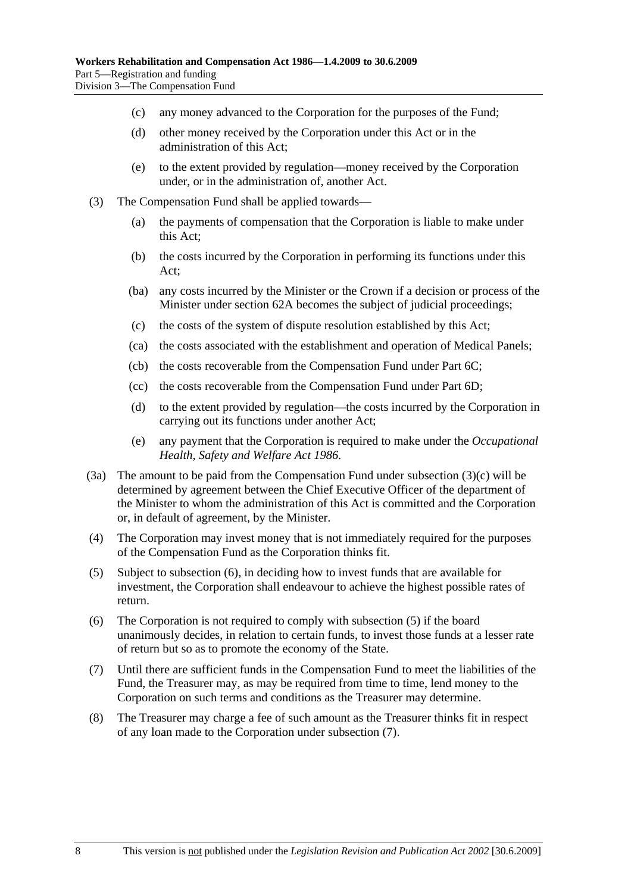- (c) any money advanced to the Corporation for the purposes of the Fund;
- (d) other money received by the Corporation under this Act or in the administration of this Act;
- (e) to the extent provided by regulation—money received by the Corporation under, or in the administration of, another Act.
- (3) The Compensation Fund shall be applied towards—
	- (a) the payments of compensation that the Corporation is liable to make under this Act;
	- (b) the costs incurred by the Corporation in performing its functions under this Act;
	- (ba) any costs incurred by the Minister or the Crown if a decision or process of the Minister under section 62A becomes the subject of judicial proceedings;
	- (c) the costs of the system of dispute resolution established by this Act;
	- (ca) the costs associated with the establishment and operation of Medical Panels;
	- (cb) the costs recoverable from the Compensation Fund under Part 6C;
	- (cc) the costs recoverable from the Compensation Fund under Part 6D;
	- (d) to the extent provided by regulation—the costs incurred by the Corporation in carrying out its functions under another Act;
	- (e) any payment that the Corporation is required to make under the *Occupational Health, Safety and Welfare Act 1986*.
- (3a) The amount to be paid from the Compensation Fund under subsection (3)(c) will be determined by agreement between the Chief Executive Officer of the department of the Minister to whom the administration of this Act is committed and the Corporation or, in default of agreement, by the Minister.
- (4) The Corporation may invest money that is not immediately required for the purposes of the Compensation Fund as the Corporation thinks fit.
- (5) Subject to subsection (6), in deciding how to invest funds that are available for investment, the Corporation shall endeavour to achieve the highest possible rates of return.
- (6) The Corporation is not required to comply with subsection (5) if the board unanimously decides, in relation to certain funds, to invest those funds at a lesser rate of return but so as to promote the economy of the State.
- (7) Until there are sufficient funds in the Compensation Fund to meet the liabilities of the Fund, the Treasurer may, as may be required from time to time, lend money to the Corporation on such terms and conditions as the Treasurer may determine.
- (8) The Treasurer may charge a fee of such amount as the Treasurer thinks fit in respect of any loan made to the Corporation under subsection (7).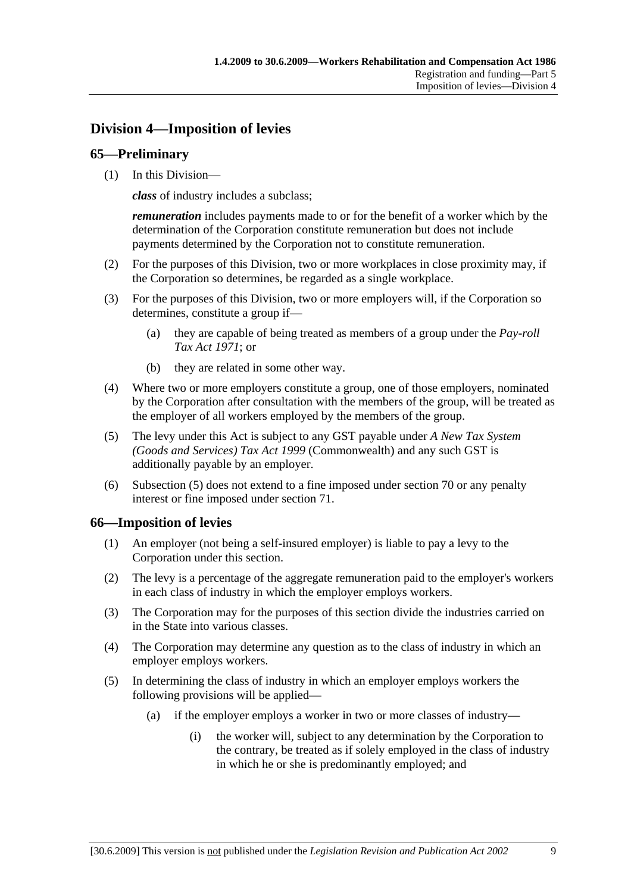# **Division 4—Imposition of levies**

### **65—Preliminary**

(1) In this Division—

*class* of industry includes a subclass;

*remuneration* includes payments made to or for the benefit of a worker which by the determination of the Corporation constitute remuneration but does not include payments determined by the Corporation not to constitute remuneration.

- (2) For the purposes of this Division, two or more workplaces in close proximity may, if the Corporation so determines, be regarded as a single workplace.
- (3) For the purposes of this Division, two or more employers will, if the Corporation so determines, constitute a group if—
	- (a) they are capable of being treated as members of a group under the *Pay-roll Tax Act 1971*; or
	- (b) they are related in some other way.
- (4) Where two or more employers constitute a group, one of those employers, nominated by the Corporation after consultation with the members of the group, will be treated as the employer of all workers employed by the members of the group.
- (5) The levy under this Act is subject to any GST payable under *A New Tax System (Goods and Services) Tax Act 1999* (Commonwealth) and any such GST is additionally payable by an employer.
- (6) Subsection (5) does not extend to a fine imposed under section 70 or any penalty interest or fine imposed under section 71.

### **66—Imposition of levies**

- (1) An employer (not being a self-insured employer) is liable to pay a levy to the Corporation under this section.
- (2) The levy is a percentage of the aggregate remuneration paid to the employer's workers in each class of industry in which the employer employs workers.
- (3) The Corporation may for the purposes of this section divide the industries carried on in the State into various classes.
- (4) The Corporation may determine any question as to the class of industry in which an employer employs workers.
- (5) In determining the class of industry in which an employer employs workers the following provisions will be applied—
	- (a) if the employer employs a worker in two or more classes of industry—
		- (i) the worker will, subject to any determination by the Corporation to the contrary, be treated as if solely employed in the class of industry in which he or she is predominantly employed; and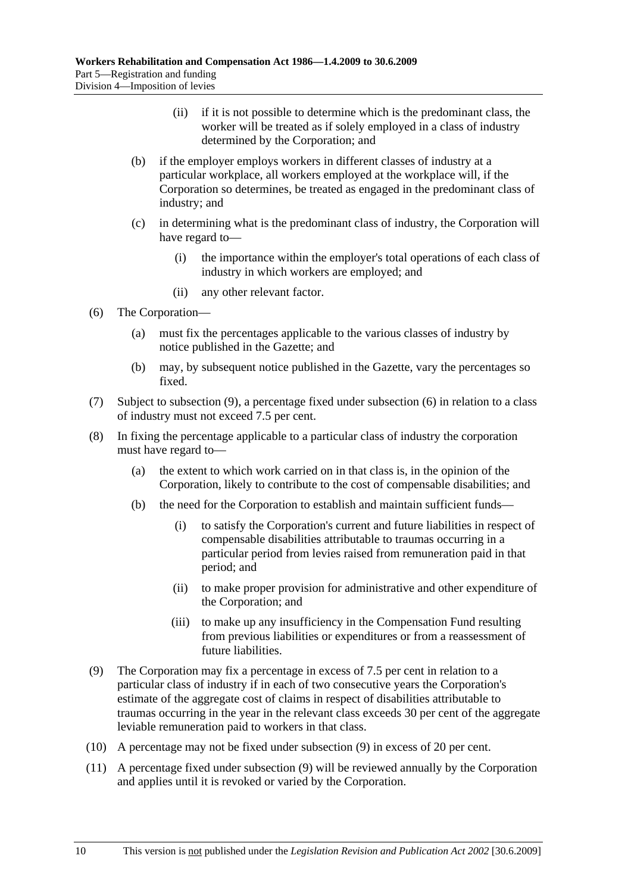- (ii) if it is not possible to determine which is the predominant class, the worker will be treated as if solely employed in a class of industry determined by the Corporation; and
- (b) if the employer employs workers in different classes of industry at a particular workplace, all workers employed at the workplace will, if the Corporation so determines, be treated as engaged in the predominant class of industry; and
- (c) in determining what is the predominant class of industry, the Corporation will have regard to—
	- (i) the importance within the employer's total operations of each class of industry in which workers are employed; and
	- (ii) any other relevant factor.
- (6) The Corporation—
	- (a) must fix the percentages applicable to the various classes of industry by notice published in the Gazette; and
	- (b) may, by subsequent notice published in the Gazette, vary the percentages so fixed.
- (7) Subject to subsection (9), a percentage fixed under subsection (6) in relation to a class of industry must not exceed 7.5 per cent.
- (8) In fixing the percentage applicable to a particular class of industry the corporation must have regard to—
	- (a) the extent to which work carried on in that class is, in the opinion of the Corporation, likely to contribute to the cost of compensable disabilities; and
	- (b) the need for the Corporation to establish and maintain sufficient funds—
		- (i) to satisfy the Corporation's current and future liabilities in respect of compensable disabilities attributable to traumas occurring in a particular period from levies raised from remuneration paid in that period; and
		- (ii) to make proper provision for administrative and other expenditure of the Corporation; and
		- (iii) to make up any insufficiency in the Compensation Fund resulting from previous liabilities or expenditures or from a reassessment of future liabilities.
- (9) The Corporation may fix a percentage in excess of 7.5 per cent in relation to a particular class of industry if in each of two consecutive years the Corporation's estimate of the aggregate cost of claims in respect of disabilities attributable to traumas occurring in the year in the relevant class exceeds 30 per cent of the aggregate leviable remuneration paid to workers in that class.
- (10) A percentage may not be fixed under subsection (9) in excess of 20 per cent.
- (11) A percentage fixed under subsection (9) will be reviewed annually by the Corporation and applies until it is revoked or varied by the Corporation.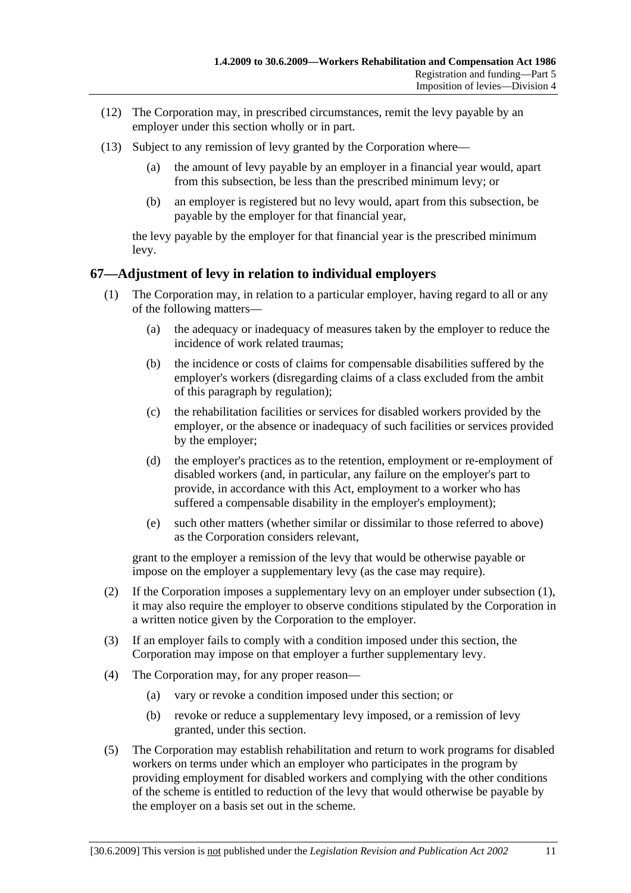- (12) The Corporation may, in prescribed circumstances, remit the levy payable by an employer under this section wholly or in part.
- (13) Subject to any remission of levy granted by the Corporation where—
	- (a) the amount of levy payable by an employer in a financial year would, apart from this subsection, be less than the prescribed minimum levy; or
	- (b) an employer is registered but no levy would, apart from this subsection, be payable by the employer for that financial year,

the levy payable by the employer for that financial year is the prescribed minimum levy.

### **67—Adjustment of levy in relation to individual employers**

- (1) The Corporation may, in relation to a particular employer, having regard to all or any of the following matters—
	- (a) the adequacy or inadequacy of measures taken by the employer to reduce the incidence of work related traumas;
	- (b) the incidence or costs of claims for compensable disabilities suffered by the employer's workers (disregarding claims of a class excluded from the ambit of this paragraph by regulation);
	- (c) the rehabilitation facilities or services for disabled workers provided by the employer, or the absence or inadequacy of such facilities or services provided by the employer;
	- (d) the employer's practices as to the retention, employment or re-employment of disabled workers (and, in particular, any failure on the employer's part to provide, in accordance with this Act, employment to a worker who has suffered a compensable disability in the employer's employment);
	- (e) such other matters (whether similar or dissimilar to those referred to above) as the Corporation considers relevant,

grant to the employer a remission of the levy that would be otherwise payable or impose on the employer a supplementary levy (as the case may require).

- (2) If the Corporation imposes a supplementary levy on an employer under subsection (1), it may also require the employer to observe conditions stipulated by the Corporation in a written notice given by the Corporation to the employer.
- (3) If an employer fails to comply with a condition imposed under this section, the Corporation may impose on that employer a further supplementary levy.
- (4) The Corporation may, for any proper reason—
	- (a) vary or revoke a condition imposed under this section; or
	- (b) revoke or reduce a supplementary levy imposed, or a remission of levy granted, under this section.
- (5) The Corporation may establish rehabilitation and return to work programs for disabled workers on terms under which an employer who participates in the program by providing employment for disabled workers and complying with the other conditions of the scheme is entitled to reduction of the levy that would otherwise be payable by the employer on a basis set out in the scheme.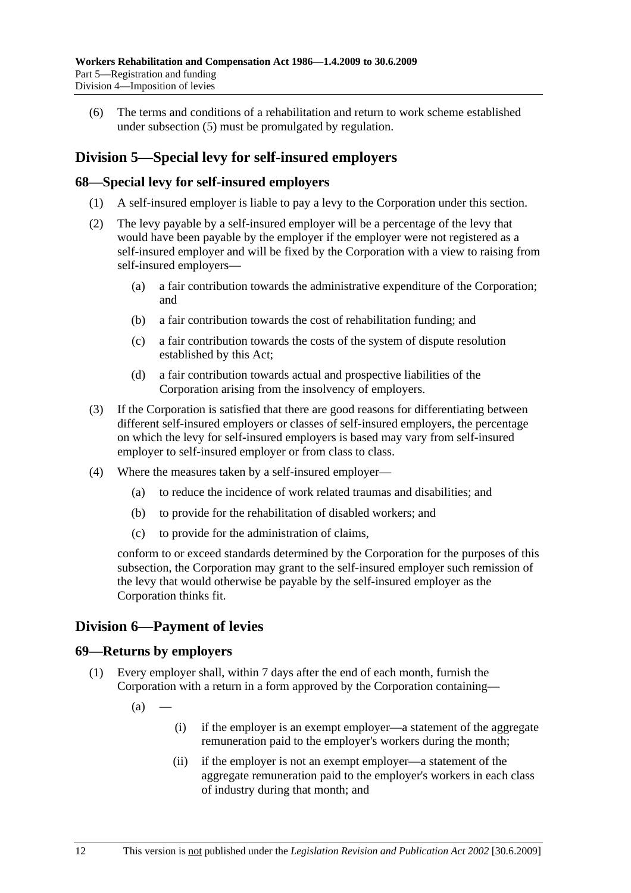(6) The terms and conditions of a rehabilitation and return to work scheme established under subsection (5) must be promulgated by regulation.

# **Division 5—Special levy for self-insured employers**

### **68—Special levy for self-insured employers**

- (1) A self-insured employer is liable to pay a levy to the Corporation under this section.
- (2) The levy payable by a self-insured employer will be a percentage of the levy that would have been payable by the employer if the employer were not registered as a self-insured employer and will be fixed by the Corporation with a view to raising from self-insured employers—
	- (a) a fair contribution towards the administrative expenditure of the Corporation; and
	- (b) a fair contribution towards the cost of rehabilitation funding; and
	- (c) a fair contribution towards the costs of the system of dispute resolution established by this Act;
	- (d) a fair contribution towards actual and prospective liabilities of the Corporation arising from the insolvency of employers.
- (3) If the Corporation is satisfied that there are good reasons for differentiating between different self-insured employers or classes of self-insured employers, the percentage on which the levy for self-insured employers is based may vary from self-insured employer to self-insured employer or from class to class.
- (4) Where the measures taken by a self-insured employer—
	- (a) to reduce the incidence of work related traumas and disabilities; and
	- (b) to provide for the rehabilitation of disabled workers; and
	- (c) to provide for the administration of claims,

conform to or exceed standards determined by the Corporation for the purposes of this subsection, the Corporation may grant to the self-insured employer such remission of the levy that would otherwise be payable by the self-insured employer as the Corporation thinks fit.

# **Division 6—Payment of levies**

#### **69—Returns by employers**

- (1) Every employer shall, within 7 days after the end of each month, furnish the Corporation with a return in a form approved by the Corporation containing—
	- $(a)$
- (i) if the employer is an exempt employer—a statement of the aggregate remuneration paid to the employer's workers during the month;
- (ii) if the employer is not an exempt employer—a statement of the aggregate remuneration paid to the employer's workers in each class of industry during that month; and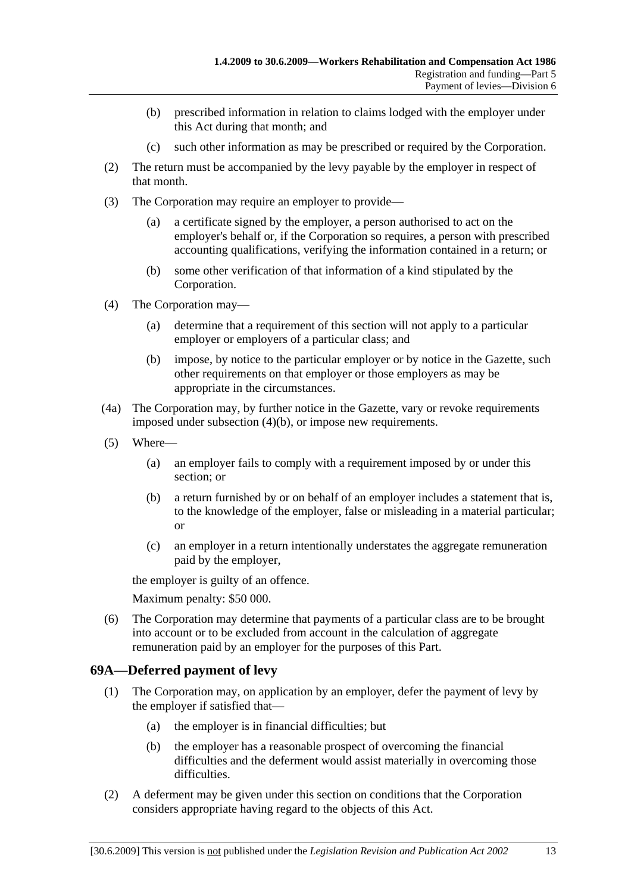- (b) prescribed information in relation to claims lodged with the employer under this Act during that month; and
- (c) such other information as may be prescribed or required by the Corporation.
- (2) The return must be accompanied by the levy payable by the employer in respect of that month.
- (3) The Corporation may require an employer to provide—
	- (a) a certificate signed by the employer, a person authorised to act on the employer's behalf or, if the Corporation so requires, a person with prescribed accounting qualifications, verifying the information contained in a return; or
	- (b) some other verification of that information of a kind stipulated by the Corporation.
- (4) The Corporation may—
	- (a) determine that a requirement of this section will not apply to a particular employer or employers of a particular class; and
	- (b) impose, by notice to the particular employer or by notice in the Gazette, such other requirements on that employer or those employers as may be appropriate in the circumstances.
- (4a) The Corporation may, by further notice in the Gazette, vary or revoke requirements imposed under subsection (4)(b), or impose new requirements.
- (5) Where—
	- (a) an employer fails to comply with a requirement imposed by or under this section; or
	- (b) a return furnished by or on behalf of an employer includes a statement that is, to the knowledge of the employer, false or misleading in a material particular; or
	- (c) an employer in a return intentionally understates the aggregate remuneration paid by the employer,

the employer is guilty of an offence.

Maximum penalty: \$50 000.

 (6) The Corporation may determine that payments of a particular class are to be brought into account or to be excluded from account in the calculation of aggregate remuneration paid by an employer for the purposes of this Part.

### **69A—Deferred payment of levy**

- (1) The Corporation may, on application by an employer, defer the payment of levy by the employer if satisfied that—
	- (a) the employer is in financial difficulties; but
	- (b) the employer has a reasonable prospect of overcoming the financial difficulties and the deferment would assist materially in overcoming those difficulties.
- (2) A deferment may be given under this section on conditions that the Corporation considers appropriate having regard to the objects of this Act.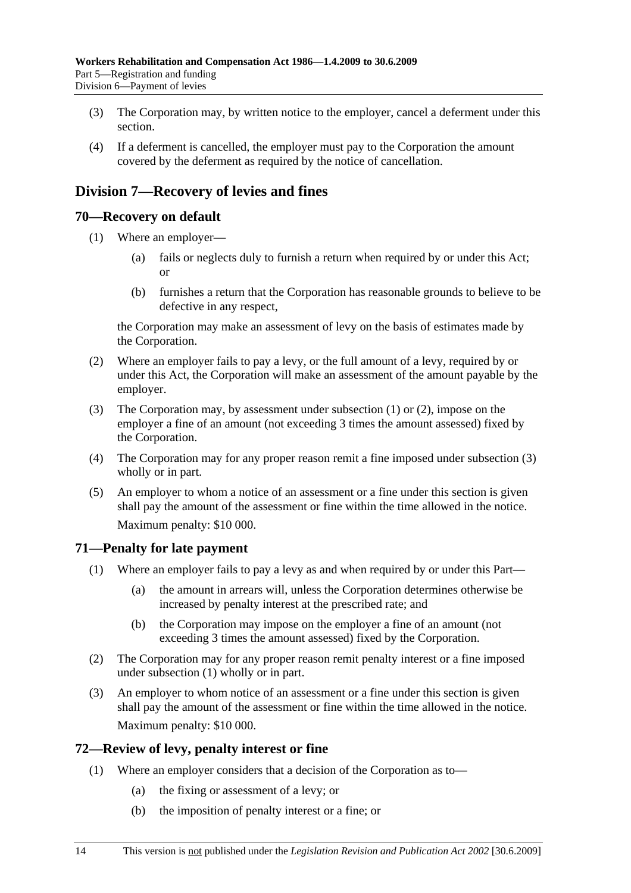- (3) The Corporation may, by written notice to the employer, cancel a deferment under this section.
- (4) If a deferment is cancelled, the employer must pay to the Corporation the amount covered by the deferment as required by the notice of cancellation.

# **Division 7—Recovery of levies and fines**

### **70—Recovery on default**

- (1) Where an employer—
	- (a) fails or neglects duly to furnish a return when required by or under this Act; or
	- (b) furnishes a return that the Corporation has reasonable grounds to believe to be defective in any respect,

the Corporation may make an assessment of levy on the basis of estimates made by the Corporation.

- (2) Where an employer fails to pay a levy, or the full amount of a levy, required by or under this Act, the Corporation will make an assessment of the amount payable by the employer.
- (3) The Corporation may, by assessment under subsection (1) or (2), impose on the employer a fine of an amount (not exceeding 3 times the amount assessed) fixed by the Corporation.
- (4) The Corporation may for any proper reason remit a fine imposed under subsection (3) wholly or in part.
- (5) An employer to whom a notice of an assessment or a fine under this section is given shall pay the amount of the assessment or fine within the time allowed in the notice. Maximum penalty: \$10 000.

### **71—Penalty for late payment**

- (1) Where an employer fails to pay a levy as and when required by or under this Part—
	- (a) the amount in arrears will, unless the Corporation determines otherwise be increased by penalty interest at the prescribed rate; and
	- (b) the Corporation may impose on the employer a fine of an amount (not exceeding 3 times the amount assessed) fixed by the Corporation.
- (2) The Corporation may for any proper reason remit penalty interest or a fine imposed under subsection (1) wholly or in part.
- (3) An employer to whom notice of an assessment or a fine under this section is given shall pay the amount of the assessment or fine within the time allowed in the notice. Maximum penalty: \$10 000.

### **72—Review of levy, penalty interest or fine**

- (1) Where an employer considers that a decision of the Corporation as to—
	- (a) the fixing or assessment of a levy; or
	- (b) the imposition of penalty interest or a fine; or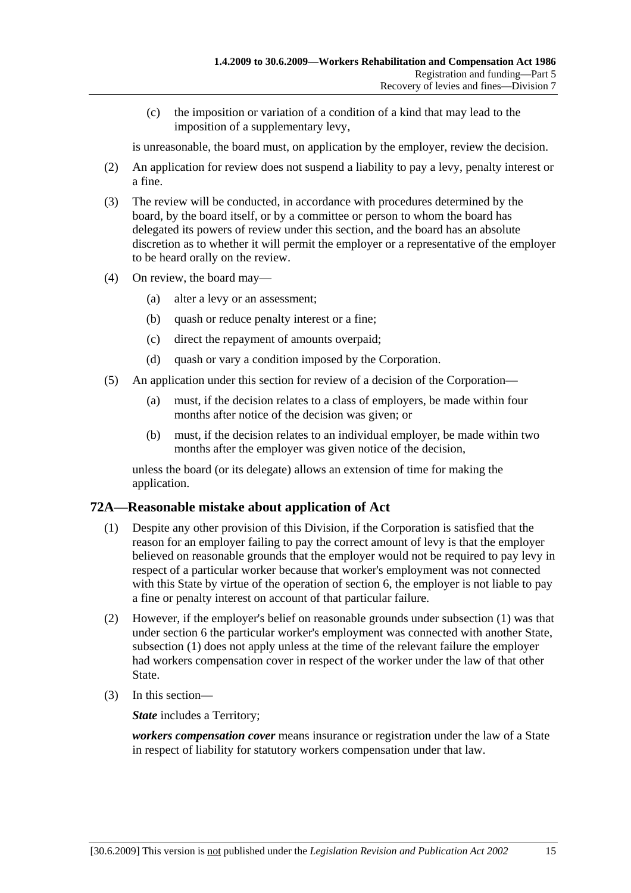(c) the imposition or variation of a condition of a kind that may lead to the imposition of a supplementary levy,

is unreasonable, the board must, on application by the employer, review the decision.

- (2) An application for review does not suspend a liability to pay a levy, penalty interest or a fine.
- (3) The review will be conducted, in accordance with procedures determined by the board, by the board itself, or by a committee or person to whom the board has delegated its powers of review under this section, and the board has an absolute discretion as to whether it will permit the employer or a representative of the employer to be heard orally on the review.
- (4) On review, the board may—
	- (a) alter a levy or an assessment;
	- (b) quash or reduce penalty interest or a fine;
	- (c) direct the repayment of amounts overpaid;
	- (d) quash or vary a condition imposed by the Corporation.
- (5) An application under this section for review of a decision of the Corporation—
	- (a) must, if the decision relates to a class of employers, be made within four months after notice of the decision was given; or
	- (b) must, if the decision relates to an individual employer, be made within two months after the employer was given notice of the decision,

unless the board (or its delegate) allows an extension of time for making the application.

### **72A—Reasonable mistake about application of Act**

- (1) Despite any other provision of this Division, if the Corporation is satisfied that the reason for an employer failing to pay the correct amount of levy is that the employer believed on reasonable grounds that the employer would not be required to pay levy in respect of a particular worker because that worker's employment was not connected with this State by virtue of the operation of section 6, the employer is not liable to pay a fine or penalty interest on account of that particular failure.
- (2) However, if the employer's belief on reasonable grounds under subsection (1) was that under section 6 the particular worker's employment was connected with another State, subsection (1) does not apply unless at the time of the relevant failure the employer had workers compensation cover in respect of the worker under the law of that other State.
- (3) In this section—

*State* includes a Territory;

*workers compensation cover* means insurance or registration under the law of a State in respect of liability for statutory workers compensation under that law.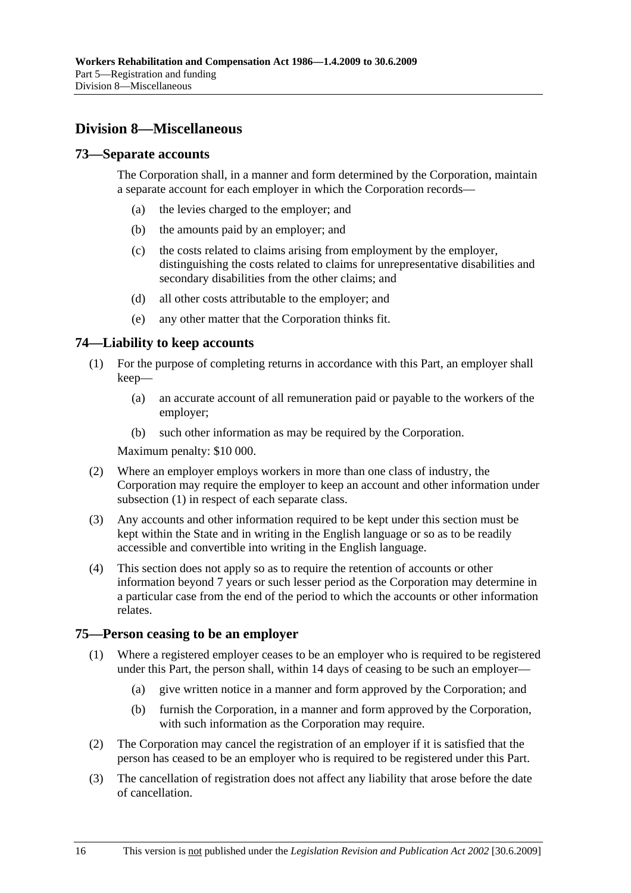# **Division 8—Miscellaneous**

### **73—Separate accounts**

The Corporation shall, in a manner and form determined by the Corporation, maintain a separate account for each employer in which the Corporation records—

- (a) the levies charged to the employer; and
- (b) the amounts paid by an employer; and
- (c) the costs related to claims arising from employment by the employer, distinguishing the costs related to claims for unrepresentative disabilities and secondary disabilities from the other claims; and
- (d) all other costs attributable to the employer; and
- (e) any other matter that the Corporation thinks fit.

### **74—Liability to keep accounts**

- (1) For the purpose of completing returns in accordance with this Part, an employer shall keep—
	- (a) an accurate account of all remuneration paid or payable to the workers of the employer;
	- (b) such other information as may be required by the Corporation.

Maximum penalty: \$10 000.

- (2) Where an employer employs workers in more than one class of industry, the Corporation may require the employer to keep an account and other information under subsection (1) in respect of each separate class.
- (3) Any accounts and other information required to be kept under this section must be kept within the State and in writing in the English language or so as to be readily accessible and convertible into writing in the English language.
- (4) This section does not apply so as to require the retention of accounts or other information beyond 7 years or such lesser period as the Corporation may determine in a particular case from the end of the period to which the accounts or other information relates.

#### **75—Person ceasing to be an employer**

- (1) Where a registered employer ceases to be an employer who is required to be registered under this Part, the person shall, within 14 days of ceasing to be such an employer—
	- (a) give written notice in a manner and form approved by the Corporation; and
	- (b) furnish the Corporation, in a manner and form approved by the Corporation, with such information as the Corporation may require.
- (2) The Corporation may cancel the registration of an employer if it is satisfied that the person has ceased to be an employer who is required to be registered under this Part.
- (3) The cancellation of registration does not affect any liability that arose before the date of cancellation.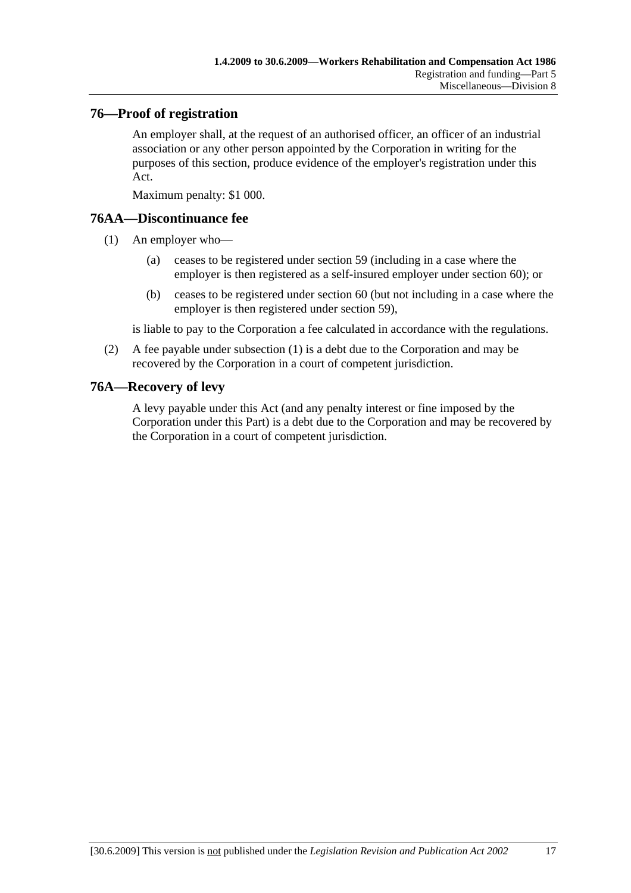### **76—Proof of registration**

An employer shall, at the request of an authorised officer, an officer of an industrial association or any other person appointed by the Corporation in writing for the purposes of this section, produce evidence of the employer's registration under this Act.

Maximum penalty: \$1 000.

### **76AA—Discontinuance fee**

- (1) An employer who—
	- (a) ceases to be registered under section 59 (including in a case where the employer is then registered as a self-insured employer under section 60); or
	- (b) ceases to be registered under section 60 (but not including in a case where the employer is then registered under section 59),

is liable to pay to the Corporation a fee calculated in accordance with the regulations.

 (2) A fee payable under subsection (1) is a debt due to the Corporation and may be recovered by the Corporation in a court of competent jurisdiction.

### **76A—Recovery of levy**

A levy payable under this Act (and any penalty interest or fine imposed by the Corporation under this Part) is a debt due to the Corporation and may be recovered by the Corporation in a court of competent jurisdiction.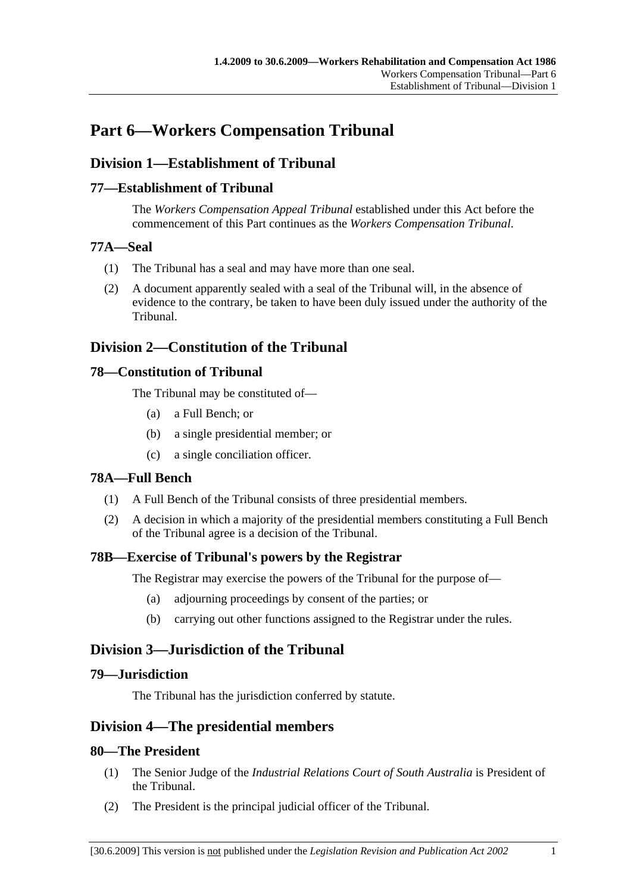# **Part 6—Workers Compensation Tribunal**

# **Division 1—Establishment of Tribunal**

### **77—Establishment of Tribunal**

The *Workers Compensation Appeal Tribunal* established under this Act before the commencement of this Part continues as the *Workers Compensation Tribunal*.

### **77A—Seal**

- (1) The Tribunal has a seal and may have more than one seal.
- (2) A document apparently sealed with a seal of the Tribunal will, in the absence of evidence to the contrary, be taken to have been duly issued under the authority of the Tribunal.

# **Division 2—Constitution of the Tribunal**

### **78—Constitution of Tribunal**

The Tribunal may be constituted of—

- (a) a Full Bench; or
- (b) a single presidential member; or
- (c) a single conciliation officer.

### **78A—Full Bench**

- (1) A Full Bench of the Tribunal consists of three presidential members.
- (2) A decision in which a majority of the presidential members constituting a Full Bench of the Tribunal agree is a decision of the Tribunal.

# **78B—Exercise of Tribunal's powers by the Registrar**

The Registrar may exercise the powers of the Tribunal for the purpose of—

- (a) adjourning proceedings by consent of the parties; or
- (b) carrying out other functions assigned to the Registrar under the rules.

# **Division 3—Jurisdiction of the Tribunal**

### **79—Jurisdiction**

The Tribunal has the jurisdiction conferred by statute.

# **Division 4—The presidential members**

### **80—The President**

- (1) The Senior Judge of the *Industrial Relations Court of South Australia* is President of the Tribunal.
- (2) The President is the principal judicial officer of the Tribunal.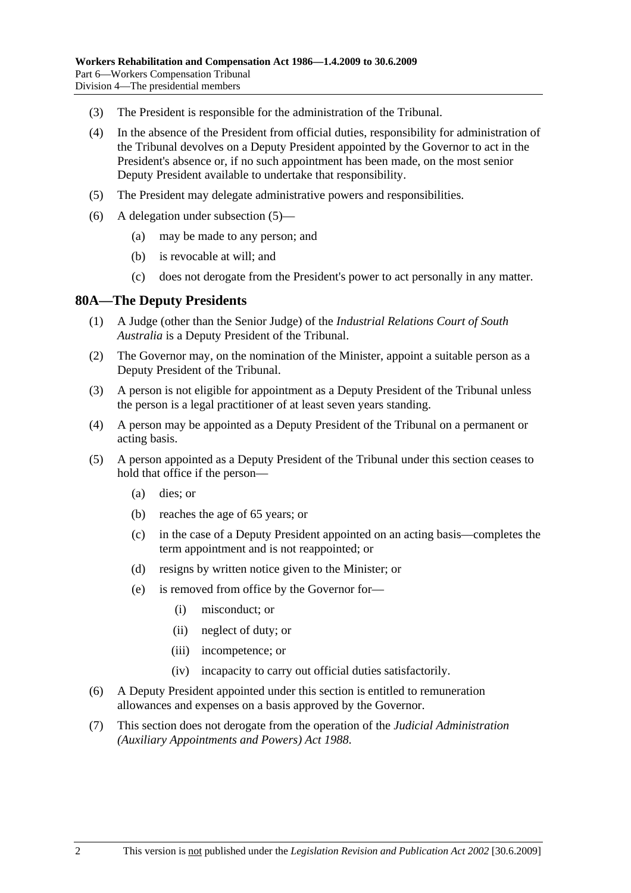- (3) The President is responsible for the administration of the Tribunal.
- (4) In the absence of the President from official duties, responsibility for administration of the Tribunal devolves on a Deputy President appointed by the Governor to act in the President's absence or, if no such appointment has been made, on the most senior Deputy President available to undertake that responsibility.
- (5) The President may delegate administrative powers and responsibilities.
- (6) A delegation under subsection (5)—
	- (a) may be made to any person; and
	- (b) is revocable at will; and
	- (c) does not derogate from the President's power to act personally in any matter.

### **80A—The Deputy Presidents**

- (1) A Judge (other than the Senior Judge) of the *Industrial Relations Court of South Australia* is a Deputy President of the Tribunal.
- (2) The Governor may, on the nomination of the Minister, appoint a suitable person as a Deputy President of the Tribunal.
- (3) A person is not eligible for appointment as a Deputy President of the Tribunal unless the person is a legal practitioner of at least seven years standing.
- (4) A person may be appointed as a Deputy President of the Tribunal on a permanent or acting basis.
- (5) A person appointed as a Deputy President of the Tribunal under this section ceases to hold that office if the person—
	- (a) dies; or
	- (b) reaches the age of 65 years; or
	- (c) in the case of a Deputy President appointed on an acting basis—completes the term appointment and is not reappointed; or
	- (d) resigns by written notice given to the Minister; or
	- (e) is removed from office by the Governor for—
		- (i) misconduct; or
		- (ii) neglect of duty; or
		- (iii) incompetence; or
		- (iv) incapacity to carry out official duties satisfactorily.
- (6) A Deputy President appointed under this section is entitled to remuneration allowances and expenses on a basis approved by the Governor.
- (7) This section does not derogate from the operation of the *Judicial Administration (Auxiliary Appointments and Powers) Act 1988*.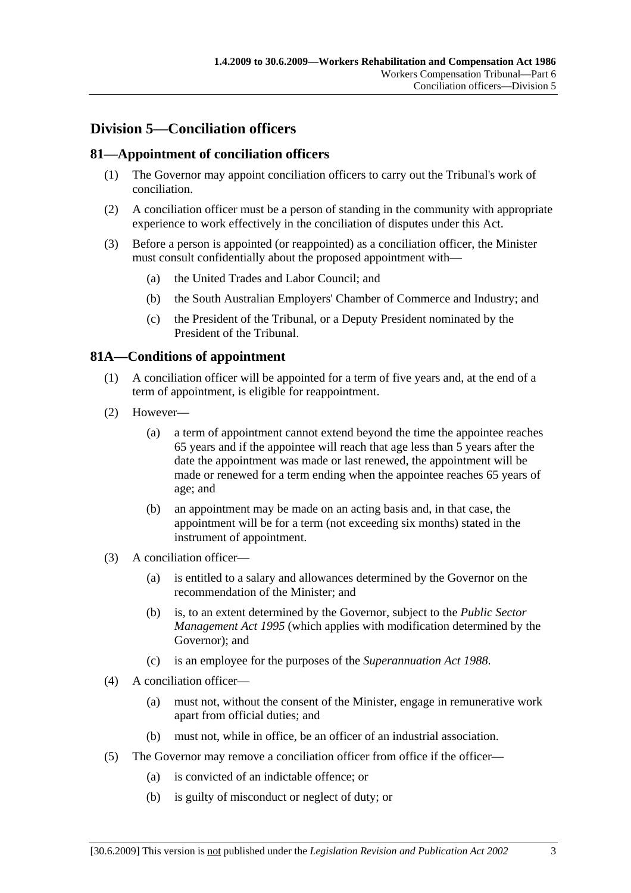# **Division 5—Conciliation officers**

### **81—Appointment of conciliation officers**

- (1) The Governor may appoint conciliation officers to carry out the Tribunal's work of conciliation.
- (2) A conciliation officer must be a person of standing in the community with appropriate experience to work effectively in the conciliation of disputes under this Act.
- (3) Before a person is appointed (or reappointed) as a conciliation officer, the Minister must consult confidentially about the proposed appointment with—
	- (a) the United Trades and Labor Council; and
	- (b) the South Australian Employers' Chamber of Commerce and Industry; and
	- (c) the President of the Tribunal, or a Deputy President nominated by the President of the Tribunal.

### **81A—Conditions of appointment**

- (1) A conciliation officer will be appointed for a term of five years and, at the end of a term of appointment, is eligible for reappointment.
- (2) However—
	- (a) a term of appointment cannot extend beyond the time the appointee reaches 65 years and if the appointee will reach that age less than 5 years after the date the appointment was made or last renewed, the appointment will be made or renewed for a term ending when the appointee reaches 65 years of age; and
	- (b) an appointment may be made on an acting basis and, in that case, the appointment will be for a term (not exceeding six months) stated in the instrument of appointment.
- (3) A conciliation officer—
	- (a) is entitled to a salary and allowances determined by the Governor on the recommendation of the Minister; and
	- (b) is, to an extent determined by the Governor, subject to the *Public Sector Management Act 1995* (which applies with modification determined by the Governor); and
	- (c) is an employee for the purposes of the *Superannuation Act 1988*.
- (4) A conciliation officer—
	- (a) must not, without the consent of the Minister, engage in remunerative work apart from official duties; and
	- (b) must not, while in office, be an officer of an industrial association.
- (5) The Governor may remove a conciliation officer from office if the officer—
	- (a) is convicted of an indictable offence; or
	- (b) is guilty of misconduct or neglect of duty; or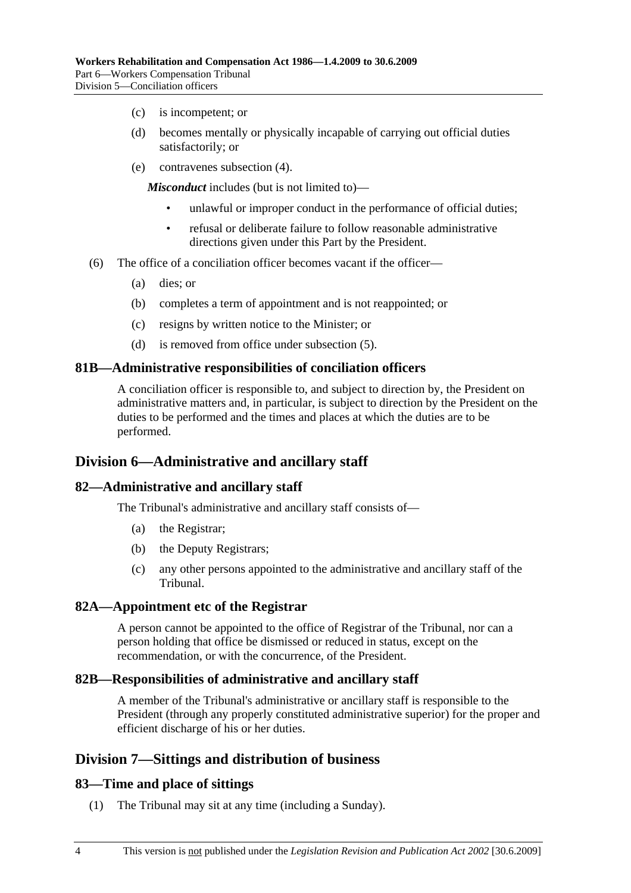- (c) is incompetent; or
- (d) becomes mentally or physically incapable of carrying out official duties satisfactorily; or
- (e) contravenes subsection (4).

*Misconduct* includes (but is not limited to)—

- unlawful or improper conduct in the performance of official duties;
- refusal or deliberate failure to follow reasonable administrative directions given under this Part by the President.
- (6) The office of a conciliation officer becomes vacant if the officer—
	- (a) dies; or
	- (b) completes a term of appointment and is not reappointed; or
	- (c) resigns by written notice to the Minister; or
	- (d) is removed from office under subsection (5).

#### **81B—Administrative responsibilities of conciliation officers**

A conciliation officer is responsible to, and subject to direction by, the President on administrative matters and, in particular, is subject to direction by the President on the duties to be performed and the times and places at which the duties are to be performed.

### **Division 6—Administrative and ancillary staff**

#### **82—Administrative and ancillary staff**

The Tribunal's administrative and ancillary staff consists of—

- (a) the Registrar;
- (b) the Deputy Registrars;
- (c) any other persons appointed to the administrative and ancillary staff of the Tribunal.

#### **82A—Appointment etc of the Registrar**

A person cannot be appointed to the office of Registrar of the Tribunal, nor can a person holding that office be dismissed or reduced in status, except on the recommendation, or with the concurrence, of the President.

#### **82B—Responsibilities of administrative and ancillary staff**

A member of the Tribunal's administrative or ancillary staff is responsible to the President (through any properly constituted administrative superior) for the proper and efficient discharge of his or her duties.

# **Division 7—Sittings and distribution of business**

#### **83—Time and place of sittings**

(1) The Tribunal may sit at any time (including a Sunday).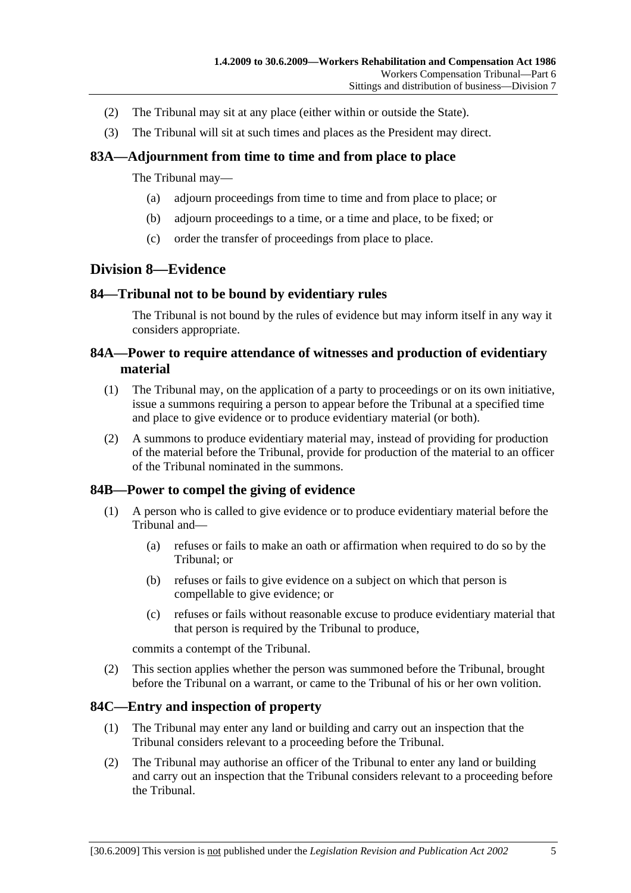- (2) The Tribunal may sit at any place (either within or outside the State).
- (3) The Tribunal will sit at such times and places as the President may direct.

### **83A—Adjournment from time to time and from place to place**

The Tribunal may—

- (a) adjourn proceedings from time to time and from place to place; or
- (b) adjourn proceedings to a time, or a time and place, to be fixed; or
- (c) order the transfer of proceedings from place to place.

# **Division 8—Evidence**

### **84—Tribunal not to be bound by evidentiary rules**

The Tribunal is not bound by the rules of evidence but may inform itself in any way it considers appropriate.

### **84A—Power to require attendance of witnesses and production of evidentiary material**

- (1) The Tribunal may, on the application of a party to proceedings or on its own initiative, issue a summons requiring a person to appear before the Tribunal at a specified time and place to give evidence or to produce evidentiary material (or both).
- (2) A summons to produce evidentiary material may, instead of providing for production of the material before the Tribunal, provide for production of the material to an officer of the Tribunal nominated in the summons.

### **84B—Power to compel the giving of evidence**

- (1) A person who is called to give evidence or to produce evidentiary material before the Tribunal and—
	- (a) refuses or fails to make an oath or affirmation when required to do so by the Tribunal; or
	- (b) refuses or fails to give evidence on a subject on which that person is compellable to give evidence; or
	- (c) refuses or fails without reasonable excuse to produce evidentiary material that that person is required by the Tribunal to produce,

commits a contempt of the Tribunal.

 (2) This section applies whether the person was summoned before the Tribunal, brought before the Tribunal on a warrant, or came to the Tribunal of his or her own volition.

### **84C—Entry and inspection of property**

- (1) The Tribunal may enter any land or building and carry out an inspection that the Tribunal considers relevant to a proceeding before the Tribunal.
- (2) The Tribunal may authorise an officer of the Tribunal to enter any land or building and carry out an inspection that the Tribunal considers relevant to a proceeding before the Tribunal.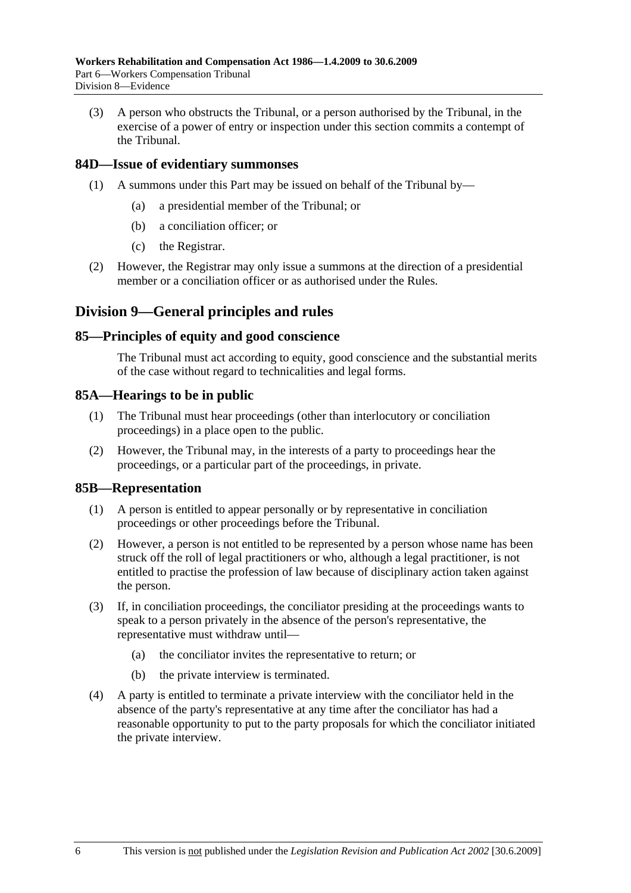(3) A person who obstructs the Tribunal, or a person authorised by the Tribunal, in the exercise of a power of entry or inspection under this section commits a contempt of the Tribunal.

### **84D—Issue of evidentiary summonses**

- (1) A summons under this Part may be issued on behalf of the Tribunal by—
	- (a) a presidential member of the Tribunal; or
	- (b) a conciliation officer; or
	- (c) the Registrar.
- (2) However, the Registrar may only issue a summons at the direction of a presidential member or a conciliation officer or as authorised under the Rules.

# **Division 9—General principles and rules**

#### **85—Principles of equity and good conscience**

The Tribunal must act according to equity, good conscience and the substantial merits of the case without regard to technicalities and legal forms.

#### **85A—Hearings to be in public**

- (1) The Tribunal must hear proceedings (other than interlocutory or conciliation proceedings) in a place open to the public.
- (2) However, the Tribunal may, in the interests of a party to proceedings hear the proceedings, or a particular part of the proceedings, in private.

#### **85B—Representation**

- (1) A person is entitled to appear personally or by representative in conciliation proceedings or other proceedings before the Tribunal.
- (2) However, a person is not entitled to be represented by a person whose name has been struck off the roll of legal practitioners or who, although a legal practitioner, is not entitled to practise the profession of law because of disciplinary action taken against the person.
- (3) If, in conciliation proceedings, the conciliator presiding at the proceedings wants to speak to a person privately in the absence of the person's representative, the representative must withdraw until—
	- (a) the conciliator invites the representative to return; or
	- (b) the private interview is terminated.
- (4) A party is entitled to terminate a private interview with the conciliator held in the absence of the party's representative at any time after the conciliator has had a reasonable opportunity to put to the party proposals for which the conciliator initiated the private interview.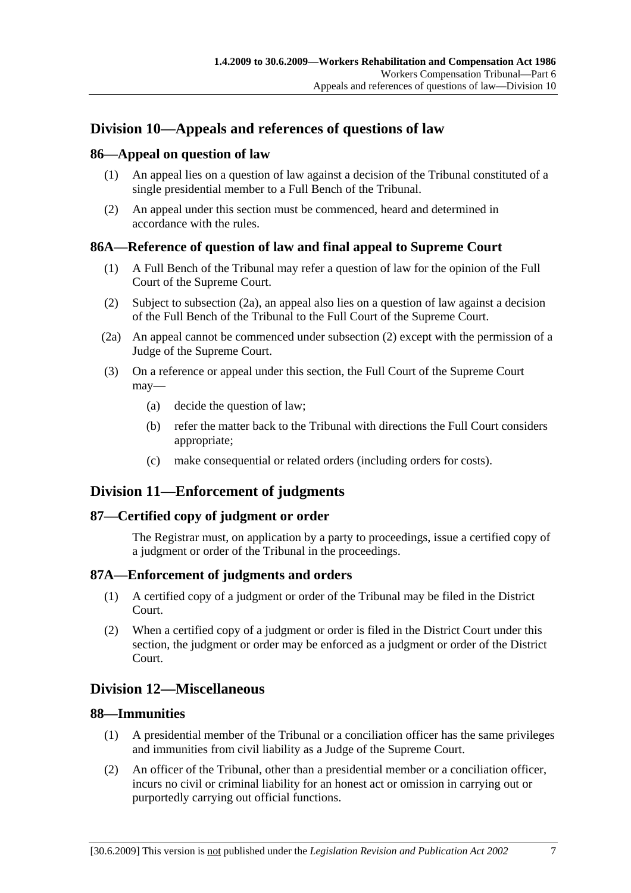# **Division 10—Appeals and references of questions of law**

### **86—Appeal on question of law**

- (1) An appeal lies on a question of law against a decision of the Tribunal constituted of a single presidential member to a Full Bench of the Tribunal.
- (2) An appeal under this section must be commenced, heard and determined in accordance with the rules.

### **86A—Reference of question of law and final appeal to Supreme Court**

- (1) A Full Bench of the Tribunal may refer a question of law for the opinion of the Full Court of the Supreme Court.
- (2) Subject to subsection (2a), an appeal also lies on a question of law against a decision of the Full Bench of the Tribunal to the Full Court of the Supreme Court.
- (2a) An appeal cannot be commenced under subsection (2) except with the permission of a Judge of the Supreme Court.
- (3) On a reference or appeal under this section, the Full Court of the Supreme Court may—
	- (a) decide the question of law;
	- (b) refer the matter back to the Tribunal with directions the Full Court considers appropriate;
	- (c) make consequential or related orders (including orders for costs).

# **Division 11—Enforcement of judgments**

### **87—Certified copy of judgment or order**

The Registrar must, on application by a party to proceedings, issue a certified copy of a judgment or order of the Tribunal in the proceedings.

### **87A—Enforcement of judgments and orders**

- (1) A certified copy of a judgment or order of the Tribunal may be filed in the District Court.
- (2) When a certified copy of a judgment or order is filed in the District Court under this section, the judgment or order may be enforced as a judgment or order of the District Court.

# **Division 12—Miscellaneous**

### **88—Immunities**

- (1) A presidential member of the Tribunal or a conciliation officer has the same privileges and immunities from civil liability as a Judge of the Supreme Court.
- (2) An officer of the Tribunal, other than a presidential member or a conciliation officer, incurs no civil or criminal liability for an honest act or omission in carrying out or purportedly carrying out official functions.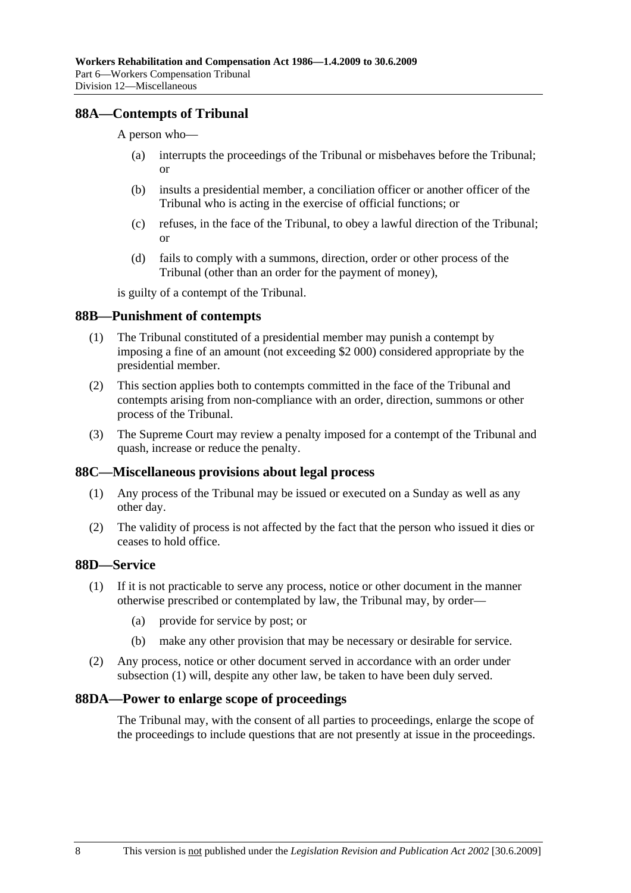### **88A—Contempts of Tribunal**

A person who—

- (a) interrupts the proceedings of the Tribunal or misbehaves before the Tribunal; or
- (b) insults a presidential member, a conciliation officer or another officer of the Tribunal who is acting in the exercise of official functions; or
- (c) refuses, in the face of the Tribunal, to obey a lawful direction of the Tribunal; or
- (d) fails to comply with a summons, direction, order or other process of the Tribunal (other than an order for the payment of money),

is guilty of a contempt of the Tribunal.

#### **88B—Punishment of contempts**

- (1) The Tribunal constituted of a presidential member may punish a contempt by imposing a fine of an amount (not exceeding \$2 000) considered appropriate by the presidential member.
- (2) This section applies both to contempts committed in the face of the Tribunal and contempts arising from non-compliance with an order, direction, summons or other process of the Tribunal.
- (3) The Supreme Court may review a penalty imposed for a contempt of the Tribunal and quash, increase or reduce the penalty.

#### **88C—Miscellaneous provisions about legal process**

- (1) Any process of the Tribunal may be issued or executed on a Sunday as well as any other day.
- (2) The validity of process is not affected by the fact that the person who issued it dies or ceases to hold office.

### **88D—Service**

- (1) If it is not practicable to serve any process, notice or other document in the manner otherwise prescribed or contemplated by law, the Tribunal may, by order—
	- (a) provide for service by post; or
	- (b) make any other provision that may be necessary or desirable for service.
- (2) Any process, notice or other document served in accordance with an order under subsection (1) will, despite any other law, be taken to have been duly served.

#### **88DA—Power to enlarge scope of proceedings**

The Tribunal may, with the consent of all parties to proceedings, enlarge the scope of the proceedings to include questions that are not presently at issue in the proceedings.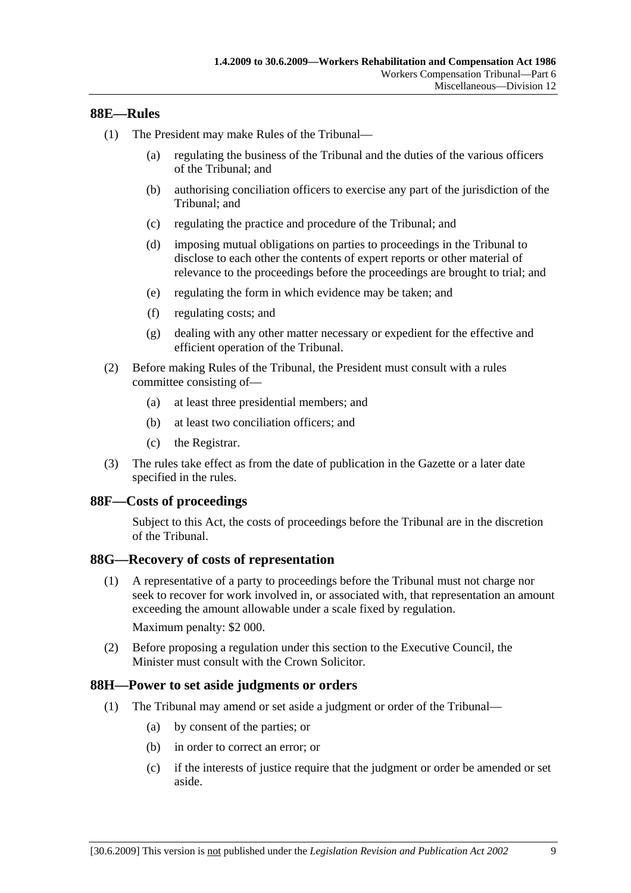### **88E—Rules**

- (1) The President may make Rules of the Tribunal—
	- (a) regulating the business of the Tribunal and the duties of the various officers of the Tribunal; and
	- (b) authorising conciliation officers to exercise any part of the jurisdiction of the Tribunal; and
	- (c) regulating the practice and procedure of the Tribunal; and
	- (d) imposing mutual obligations on parties to proceedings in the Tribunal to disclose to each other the contents of expert reports or other material of relevance to the proceedings before the proceedings are brought to trial; and
	- (e) regulating the form in which evidence may be taken; and
	- (f) regulating costs; and
	- (g) dealing with any other matter necessary or expedient for the effective and efficient operation of the Tribunal.
- (2) Before making Rules of the Tribunal, the President must consult with a rules committee consisting of—
	- (a) at least three presidential members; and
	- (b) at least two conciliation officers; and
	- (c) the Registrar.
- (3) The rules take effect as from the date of publication in the Gazette or a later date specified in the rules.

### **88F—Costs of proceedings**

Subject to this Act, the costs of proceedings before the Tribunal are in the discretion of the Tribunal.

### **88G—Recovery of costs of representation**

 (1) A representative of a party to proceedings before the Tribunal must not charge nor seek to recover for work involved in, or associated with, that representation an amount exceeding the amount allowable under a scale fixed by regulation.

Maximum penalty: \$2 000.

 (2) Before proposing a regulation under this section to the Executive Council, the Minister must consult with the Crown Solicitor.

### **88H—Power to set aside judgments or orders**

- (1) The Tribunal may amend or set aside a judgment or order of the Tribunal—
	- (a) by consent of the parties; or
	- (b) in order to correct an error; or
	- (c) if the interests of justice require that the judgment or order be amended or set aside.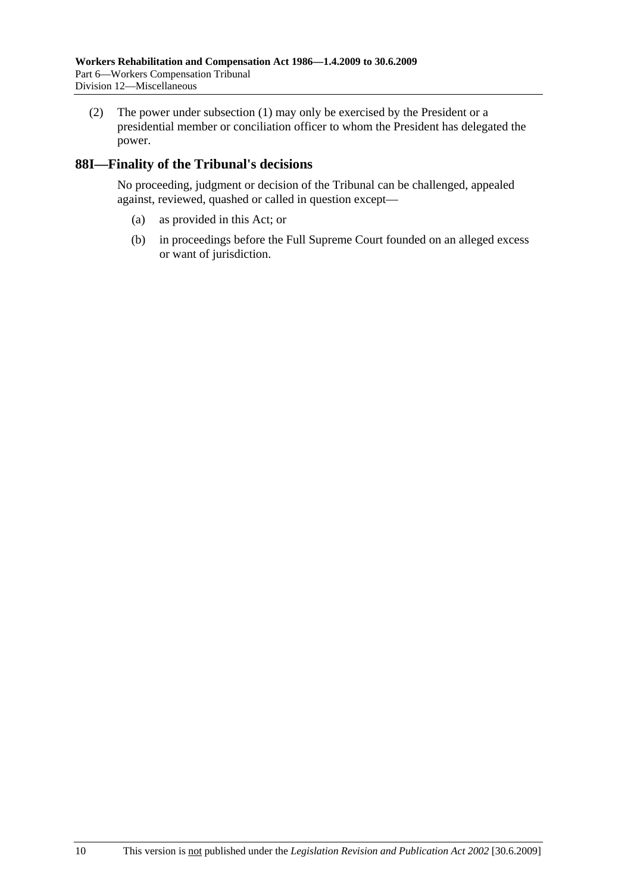(2) The power under subsection (1) may only be exercised by the President or a presidential member or conciliation officer to whom the President has delegated the power.

# **88I—Finality of the Tribunal's decisions**

No proceeding, judgment or decision of the Tribunal can be challenged, appealed against, reviewed, quashed or called in question except—

- (a) as provided in this Act; or
- (b) in proceedings before the Full Supreme Court founded on an alleged excess or want of jurisdiction.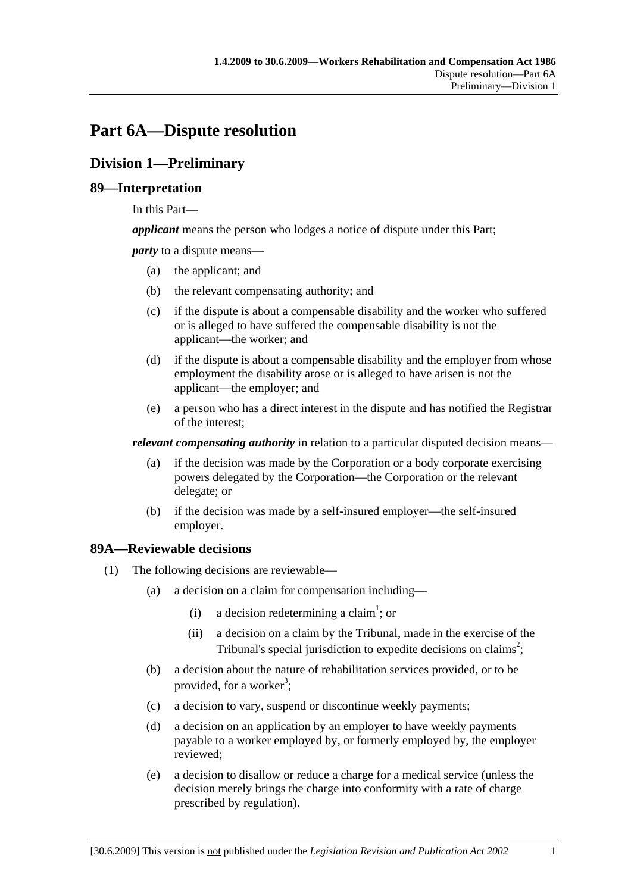# **Part 6A—Dispute resolution**

# **Division 1—Preliminary**

# **89—Interpretation**

In this Part—

*applicant* means the person who lodges a notice of dispute under this Part;

*party* to a dispute means—

- (a) the applicant; and
- (b) the relevant compensating authority; and
- (c) if the dispute is about a compensable disability and the worker who suffered or is alleged to have suffered the compensable disability is not the applicant—the worker; and
- (d) if the dispute is about a compensable disability and the employer from whose employment the disability arose or is alleged to have arisen is not the applicant—the employer; and
- (e) a person who has a direct interest in the dispute and has notified the Registrar of the interest;

*relevant compensating authority* in relation to a particular disputed decision means—

- (a) if the decision was made by the Corporation or a body corporate exercising powers delegated by the Corporation—the Corporation or the relevant delegate; or
- (b) if the decision was made by a self-insured employer—the self-insured employer.

# **89A—Reviewable decisions**

- (1) The following decisions are reviewable—
	- (a) a decision on a claim for compensation including—
		- (i) a decision redetermining a claim<sup>1</sup>; or
			- (ii) a decision on a claim by the Tribunal, made in the exercise of the Tribunal's special jurisdiction to expedite decisions on claims<sup>2</sup>;
	- (b) a decision about the nature of rehabilitation services provided, or to be provided, for a worker<sup>3</sup>;
	- (c) a decision to vary, suspend or discontinue weekly payments;
	- (d) a decision on an application by an employer to have weekly payments payable to a worker employed by, or formerly employed by, the employer reviewed;
	- (e) a decision to disallow or reduce a charge for a medical service (unless the decision merely brings the charge into conformity with a rate of charge prescribed by regulation).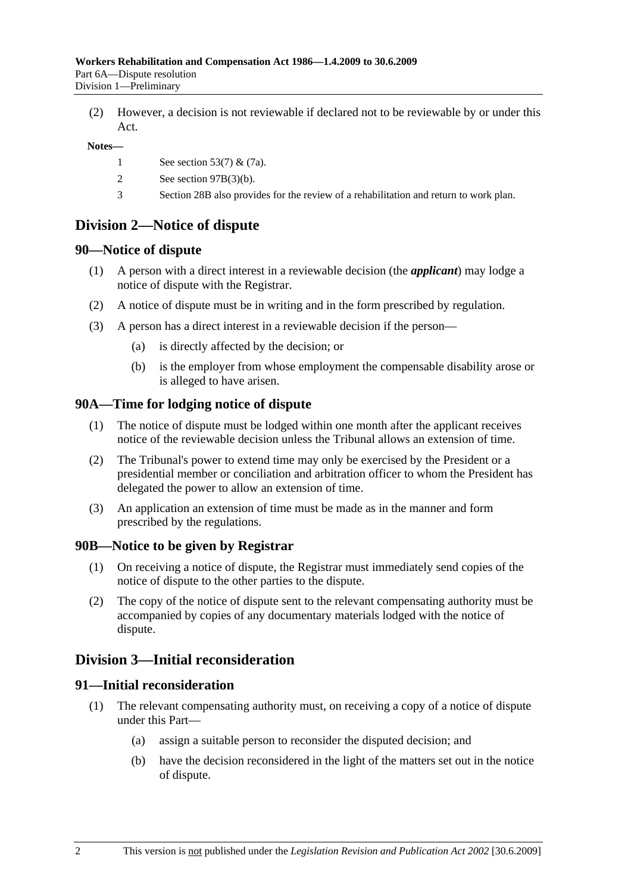(2) However, a decision is not reviewable if declared not to be reviewable by or under this Act.

#### **Notes—**

- 1 See section 53(7) & (7a).
- 2 See section 97B(3)(b).
- 3 Section 28B also provides for the review of a rehabilitation and return to work plan.

# **Division 2—Notice of dispute**

### **90—Notice of dispute**

- (1) A person with a direct interest in a reviewable decision (the *applicant*) may lodge a notice of dispute with the Registrar.
- (2) A notice of dispute must be in writing and in the form prescribed by regulation.
- (3) A person has a direct interest in a reviewable decision if the person—
	- (a) is directly affected by the decision; or
	- (b) is the employer from whose employment the compensable disability arose or is alleged to have arisen.

### **90A—Time for lodging notice of dispute**

- (1) The notice of dispute must be lodged within one month after the applicant receives notice of the reviewable decision unless the Tribunal allows an extension of time.
- (2) The Tribunal's power to extend time may only be exercised by the President or a presidential member or conciliation and arbitration officer to whom the President has delegated the power to allow an extension of time.
- (3) An application an extension of time must be made as in the manner and form prescribed by the regulations.

### **90B—Notice to be given by Registrar**

- (1) On receiving a notice of dispute, the Registrar must immediately send copies of the notice of dispute to the other parties to the dispute.
- (2) The copy of the notice of dispute sent to the relevant compensating authority must be accompanied by copies of any documentary materials lodged with the notice of dispute.

# **Division 3—Initial reconsideration**

### **91—Initial reconsideration**

- (1) The relevant compensating authority must, on receiving a copy of a notice of dispute under this Part—
	- (a) assign a suitable person to reconsider the disputed decision; and
	- (b) have the decision reconsidered in the light of the matters set out in the notice of dispute.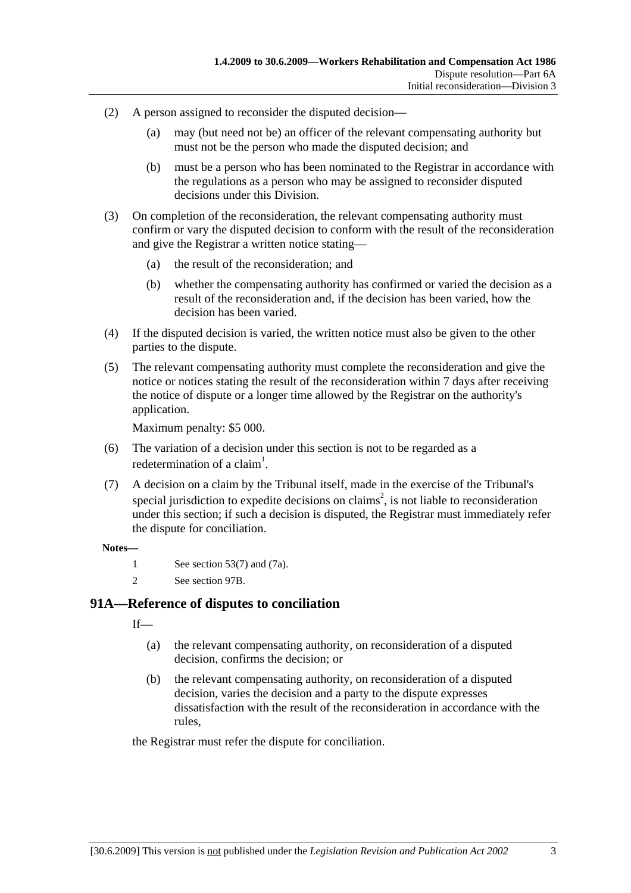- (2) A person assigned to reconsider the disputed decision—
	- (a) may (but need not be) an officer of the relevant compensating authority but must not be the person who made the disputed decision; and
	- (b) must be a person who has been nominated to the Registrar in accordance with the regulations as a person who may be assigned to reconsider disputed decisions under this Division.
- (3) On completion of the reconsideration, the relevant compensating authority must confirm or vary the disputed decision to conform with the result of the reconsideration and give the Registrar a written notice stating—
	- (a) the result of the reconsideration; and
	- (b) whether the compensating authority has confirmed or varied the decision as a result of the reconsideration and, if the decision has been varied, how the decision has been varied.
- (4) If the disputed decision is varied, the written notice must also be given to the other parties to the dispute.
- (5) The relevant compensating authority must complete the reconsideration and give the notice or notices stating the result of the reconsideration within 7 days after receiving the notice of dispute or a longer time allowed by the Registrar on the authority's application.

Maximum penalty: \$5 000.

- (6) The variation of a decision under this section is not to be regarded as a redetermination of a claim<sup>1</sup>.
- (7) A decision on a claim by the Tribunal itself, made in the exercise of the Tribunal's special jurisdiction to expedite decisions on claims<sup>2</sup>, is not liable to reconsideration under this section; if such a decision is disputed, the Registrar must immediately refer the dispute for conciliation.

#### **Notes—**

- 1 See section 53(7) and (7a).
- 2 See section 97B.

# **91A—Reference of disputes to conciliation**

 $If$ <sub>—</sub>

- (a) the relevant compensating authority, on reconsideration of a disputed decision, confirms the decision; or
- (b) the relevant compensating authority, on reconsideration of a disputed decision, varies the decision and a party to the dispute expresses dissatisfaction with the result of the reconsideration in accordance with the rules,

the Registrar must refer the dispute for conciliation.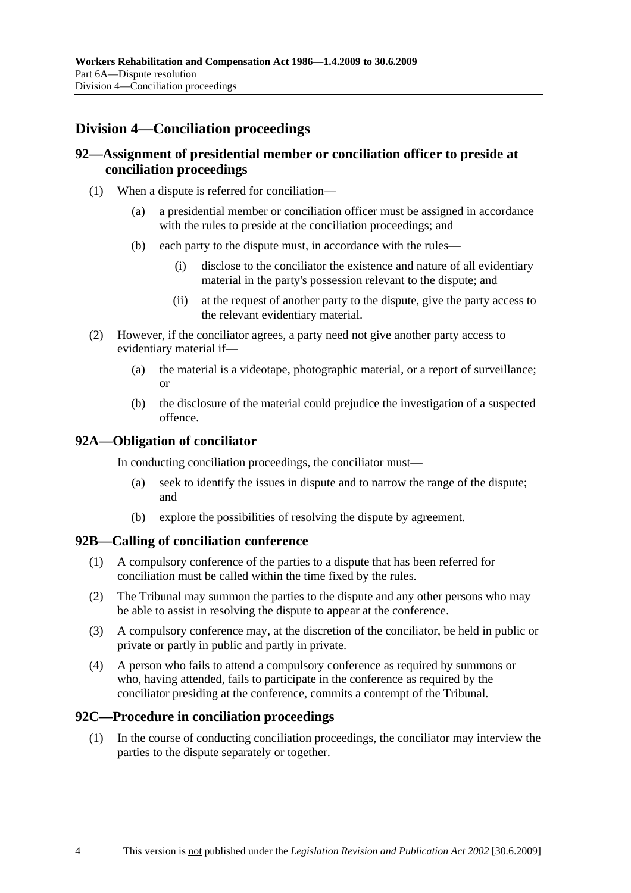# **Division 4—Conciliation proceedings**

# **92—Assignment of presidential member or conciliation officer to preside at conciliation proceedings**

- (1) When a dispute is referred for conciliation—
	- (a) a presidential member or conciliation officer must be assigned in accordance with the rules to preside at the conciliation proceedings; and
	- (b) each party to the dispute must, in accordance with the rules—
		- (i) disclose to the conciliator the existence and nature of all evidentiary material in the party's possession relevant to the dispute; and
		- (ii) at the request of another party to the dispute, give the party access to the relevant evidentiary material.
- (2) However, if the conciliator agrees, a party need not give another party access to evidentiary material if—
	- (a) the material is a videotape, photographic material, or a report of surveillance; or
	- (b) the disclosure of the material could prejudice the investigation of a suspected offence.

### **92A—Obligation of conciliator**

In conducting conciliation proceedings, the conciliator must—

- (a) seek to identify the issues in dispute and to narrow the range of the dispute; and
- (b) explore the possibilities of resolving the dispute by agreement.

### **92B—Calling of conciliation conference**

- (1) A compulsory conference of the parties to a dispute that has been referred for conciliation must be called within the time fixed by the rules.
- (2) The Tribunal may summon the parties to the dispute and any other persons who may be able to assist in resolving the dispute to appear at the conference.
- (3) A compulsory conference may, at the discretion of the conciliator, be held in public or private or partly in public and partly in private.
- (4) A person who fails to attend a compulsory conference as required by summons or who, having attended, fails to participate in the conference as required by the conciliator presiding at the conference, commits a contempt of the Tribunal.

### **92C—Procedure in conciliation proceedings**

 (1) In the course of conducting conciliation proceedings, the conciliator may interview the parties to the dispute separately or together.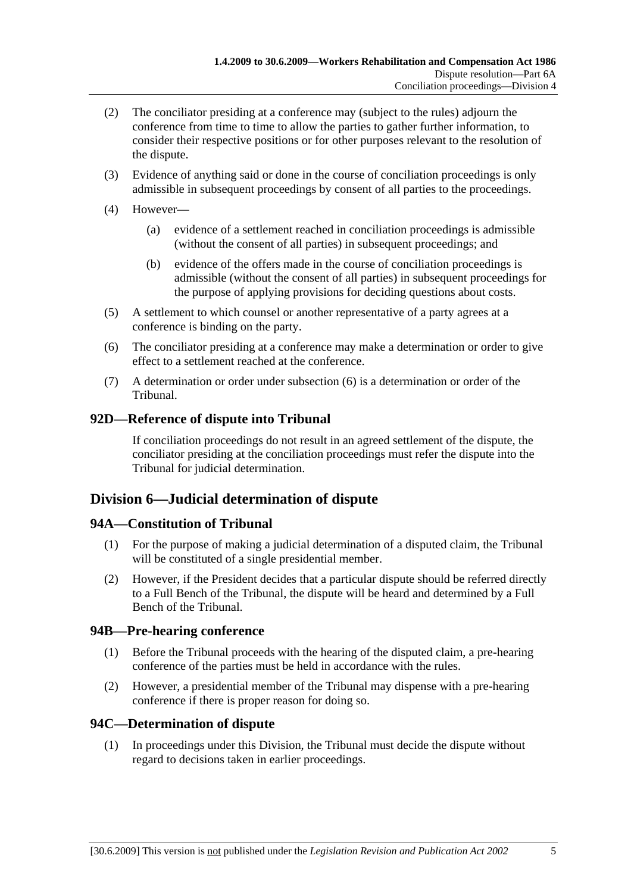- (2) The conciliator presiding at a conference may (subject to the rules) adjourn the conference from time to time to allow the parties to gather further information, to consider their respective positions or for other purposes relevant to the resolution of the dispute.
- (3) Evidence of anything said or done in the course of conciliation proceedings is only admissible in subsequent proceedings by consent of all parties to the proceedings.
- (4) However—
	- (a) evidence of a settlement reached in conciliation proceedings is admissible (without the consent of all parties) in subsequent proceedings; and
	- (b) evidence of the offers made in the course of conciliation proceedings is admissible (without the consent of all parties) in subsequent proceedings for the purpose of applying provisions for deciding questions about costs.
- (5) A settlement to which counsel or another representative of a party agrees at a conference is binding on the party.
- (6) The conciliator presiding at a conference may make a determination or order to give effect to a settlement reached at the conference.
- (7) A determination or order under subsection (6) is a determination or order of the Tribunal.

# **92D—Reference of dispute into Tribunal**

If conciliation proceedings do not result in an agreed settlement of the dispute, the conciliator presiding at the conciliation proceedings must refer the dispute into the Tribunal for judicial determination.

# **Division 6—Judicial determination of dispute**

# **94A—Constitution of Tribunal**

- (1) For the purpose of making a judicial determination of a disputed claim, the Tribunal will be constituted of a single presidential member.
- (2) However, if the President decides that a particular dispute should be referred directly to a Full Bench of the Tribunal, the dispute will be heard and determined by a Full Bench of the Tribunal.

# **94B—Pre-hearing conference**

- (1) Before the Tribunal proceeds with the hearing of the disputed claim, a pre-hearing conference of the parties must be held in accordance with the rules.
- (2) However, a presidential member of the Tribunal may dispense with a pre-hearing conference if there is proper reason for doing so.

# **94C—Determination of dispute**

 (1) In proceedings under this Division, the Tribunal must decide the dispute without regard to decisions taken in earlier proceedings.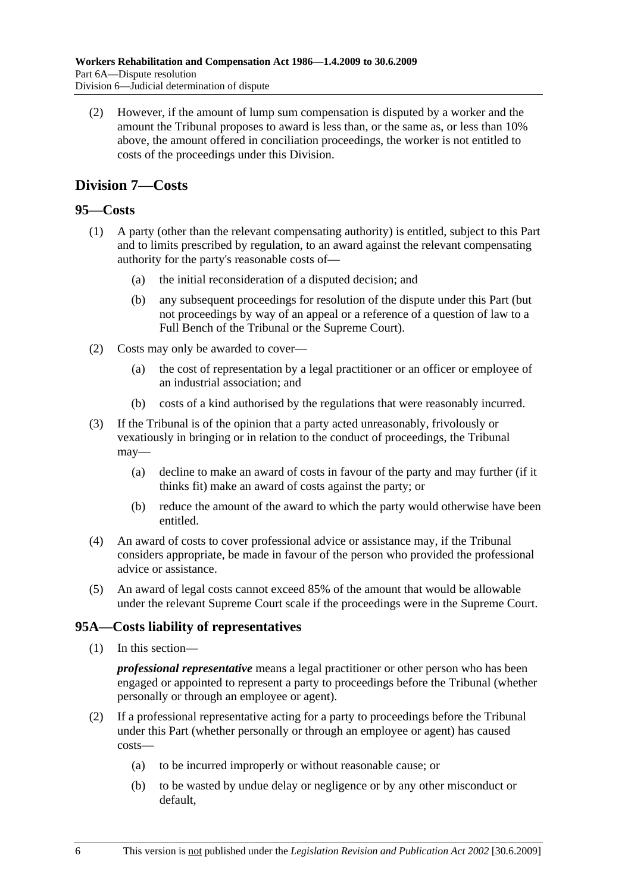(2) However, if the amount of lump sum compensation is disputed by a worker and the amount the Tribunal proposes to award is less than, or the same as, or less than 10% above, the amount offered in conciliation proceedings, the worker is not entitled to costs of the proceedings under this Division.

# **Division 7—Costs**

# **95—Costs**

- (1) A party (other than the relevant compensating authority) is entitled, subject to this Part and to limits prescribed by regulation, to an award against the relevant compensating authority for the party's reasonable costs of—
	- (a) the initial reconsideration of a disputed decision; and
	- (b) any subsequent proceedings for resolution of the dispute under this Part (but not proceedings by way of an appeal or a reference of a question of law to a Full Bench of the Tribunal or the Supreme Court).
- (2) Costs may only be awarded to cover—
	- (a) the cost of representation by a legal practitioner or an officer or employee of an industrial association; and
	- (b) costs of a kind authorised by the regulations that were reasonably incurred.
- (3) If the Tribunal is of the opinion that a party acted unreasonably, frivolously or vexatiously in bringing or in relation to the conduct of proceedings, the Tribunal may—
	- (a) decline to make an award of costs in favour of the party and may further (if it thinks fit) make an award of costs against the party; or
	- (b) reduce the amount of the award to which the party would otherwise have been entitled.
- (4) An award of costs to cover professional advice or assistance may, if the Tribunal considers appropriate, be made in favour of the person who provided the professional advice or assistance.
- (5) An award of legal costs cannot exceed 85% of the amount that would be allowable under the relevant Supreme Court scale if the proceedings were in the Supreme Court.

# **95A—Costs liability of representatives**

(1) In this section—

*professional representative* means a legal practitioner or other person who has been engaged or appointed to represent a party to proceedings before the Tribunal (whether personally or through an employee or agent).

- (2) If a professional representative acting for a party to proceedings before the Tribunal under this Part (whether personally or through an employee or agent) has caused costs—
	- (a) to be incurred improperly or without reasonable cause; or
	- (b) to be wasted by undue delay or negligence or by any other misconduct or default,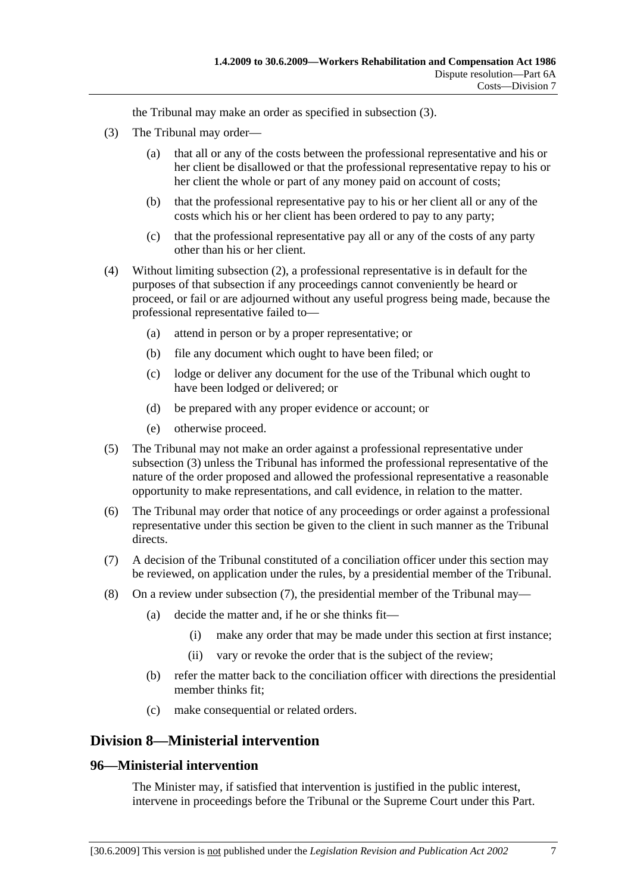the Tribunal may make an order as specified in subsection (3).

- (3) The Tribunal may order—
	- (a) that all or any of the costs between the professional representative and his or her client be disallowed or that the professional representative repay to his or her client the whole or part of any money paid on account of costs;
	- (b) that the professional representative pay to his or her client all or any of the costs which his or her client has been ordered to pay to any party;
	- (c) that the professional representative pay all or any of the costs of any party other than his or her client.
- (4) Without limiting subsection (2), a professional representative is in default for the purposes of that subsection if any proceedings cannot conveniently be heard or proceed, or fail or are adjourned without any useful progress being made, because the professional representative failed to—
	- (a) attend in person or by a proper representative; or
	- (b) file any document which ought to have been filed; or
	- (c) lodge or deliver any document for the use of the Tribunal which ought to have been lodged or delivered; or
	- (d) be prepared with any proper evidence or account; or
	- (e) otherwise proceed.
- (5) The Tribunal may not make an order against a professional representative under subsection (3) unless the Tribunal has informed the professional representative of the nature of the order proposed and allowed the professional representative a reasonable opportunity to make representations, and call evidence, in relation to the matter.
- (6) The Tribunal may order that notice of any proceedings or order against a professional representative under this section be given to the client in such manner as the Tribunal directs.
- (7) A decision of the Tribunal constituted of a conciliation officer under this section may be reviewed, on application under the rules, by a presidential member of the Tribunal.
- (8) On a review under subsection (7), the presidential member of the Tribunal may—
	- (a) decide the matter and, if he or she thinks fit—
		- (i) make any order that may be made under this section at first instance;
		- (ii) vary or revoke the order that is the subject of the review;
	- (b) refer the matter back to the conciliation officer with directions the presidential member thinks fit;
	- (c) make consequential or related orders.

# **Division 8—Ministerial intervention**

# **96—Ministerial intervention**

The Minister may, if satisfied that intervention is justified in the public interest, intervene in proceedings before the Tribunal or the Supreme Court under this Part.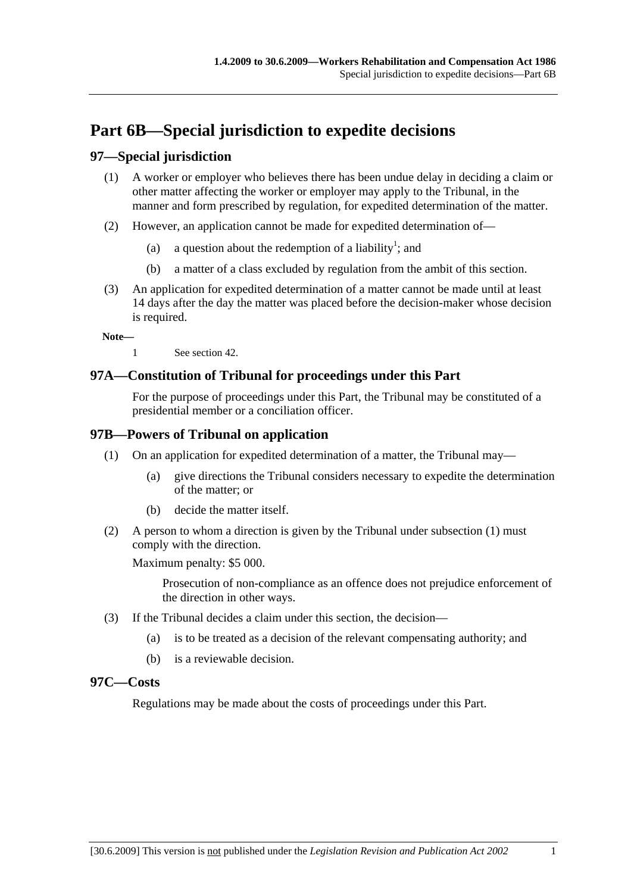# **Part 6B—Special jurisdiction to expedite decisions**

# **97—Special jurisdiction**

- (1) A worker or employer who believes there has been undue delay in deciding a claim or other matter affecting the worker or employer may apply to the Tribunal, in the manner and form prescribed by regulation, for expedited determination of the matter.
- (2) However, an application cannot be made for expedited determination of—
	- (a) a question about the redemption of a liability<sup>1</sup>; and
		- (b) a matter of a class excluded by regulation from the ambit of this section.
- (3) An application for expedited determination of a matter cannot be made until at least 14 days after the day the matter was placed before the decision-maker whose decision is required.

**Note—** 

1 See section 42.

# **97A—Constitution of Tribunal for proceedings under this Part**

For the purpose of proceedings under this Part, the Tribunal may be constituted of a presidential member or a conciliation officer.

# **97B—Powers of Tribunal on application**

- (1) On an application for expedited determination of a matter, the Tribunal may—
	- (a) give directions the Tribunal considers necessary to expedite the determination of the matter; or
	- (b) decide the matter itself.
- (2) A person to whom a direction is given by the Tribunal under subsection (1) must comply with the direction.

Maximum penalty: \$5 000.

Prosecution of non-compliance as an offence does not prejudice enforcement of the direction in other ways.

- (3) If the Tribunal decides a claim under this section, the decision—
	- (a) is to be treated as a decision of the relevant compensating authority; and
	- (b) is a reviewable decision.

### **97C—Costs**

Regulations may be made about the costs of proceedings under this Part.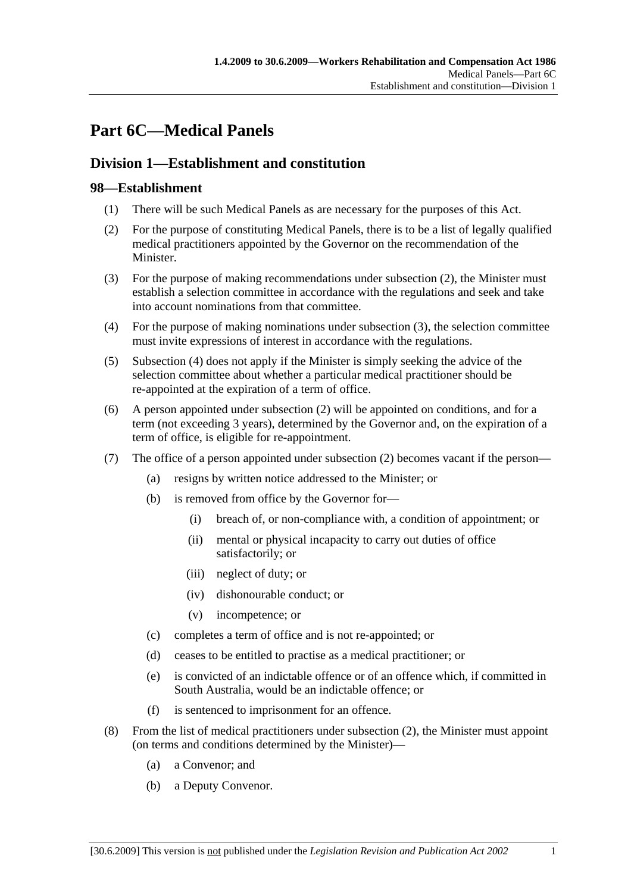# **Part 6C—Medical Panels**

# **Division 1—Establishment and constitution**

# **98—Establishment**

- (1) There will be such Medical Panels as are necessary for the purposes of this Act.
- (2) For the purpose of constituting Medical Panels, there is to be a list of legally qualified medical practitioners appointed by the Governor on the recommendation of the Minister.
- (3) For the purpose of making recommendations under subsection (2), the Minister must establish a selection committee in accordance with the regulations and seek and take into account nominations from that committee.
- (4) For the purpose of making nominations under subsection (3), the selection committee must invite expressions of interest in accordance with the regulations.
- (5) Subsection (4) does not apply if the Minister is simply seeking the advice of the selection committee about whether a particular medical practitioner should be re-appointed at the expiration of a term of office.
- (6) A person appointed under subsection (2) will be appointed on conditions, and for a term (not exceeding 3 years), determined by the Governor and, on the expiration of a term of office, is eligible for re-appointment.
- (7) The office of a person appointed under subsection (2) becomes vacant if the person—
	- (a) resigns by written notice addressed to the Minister; or
	- (b) is removed from office by the Governor for—
		- (i) breach of, or non-compliance with, a condition of appointment; or
		- (ii) mental or physical incapacity to carry out duties of office satisfactorily; or
		- (iii) neglect of duty; or
		- (iv) dishonourable conduct; or
		- (v) incompetence; or
	- (c) completes a term of office and is not re-appointed; or
	- (d) ceases to be entitled to practise as a medical practitioner; or
	- (e) is convicted of an indictable offence or of an offence which, if committed in South Australia, would be an indictable offence; or
	- (f) is sentenced to imprisonment for an offence.
- (8) From the list of medical practitioners under subsection (2), the Minister must appoint (on terms and conditions determined by the Minister)—
	- (a) a Convenor; and
	- (b) a Deputy Convenor.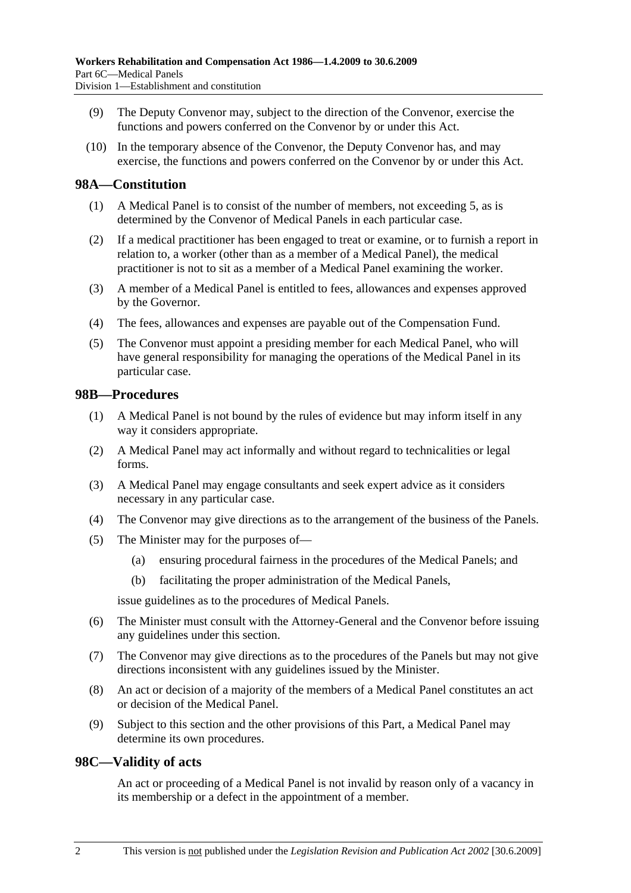- (9) The Deputy Convenor may, subject to the direction of the Convenor, exercise the functions and powers conferred on the Convenor by or under this Act.
- (10) In the temporary absence of the Convenor, the Deputy Convenor has, and may exercise, the functions and powers conferred on the Convenor by or under this Act.

### **98A—Constitution**

- (1) A Medical Panel is to consist of the number of members, not exceeding 5, as is determined by the Convenor of Medical Panels in each particular case.
- (2) If a medical practitioner has been engaged to treat or examine, or to furnish a report in relation to, a worker (other than as a member of a Medical Panel), the medical practitioner is not to sit as a member of a Medical Panel examining the worker.
- (3) A member of a Medical Panel is entitled to fees, allowances and expenses approved by the Governor.
- (4) The fees, allowances and expenses are payable out of the Compensation Fund.
- (5) The Convenor must appoint a presiding member for each Medical Panel, who will have general responsibility for managing the operations of the Medical Panel in its particular case.

### **98B—Procedures**

- (1) A Medical Panel is not bound by the rules of evidence but may inform itself in any way it considers appropriate.
- (2) A Medical Panel may act informally and without regard to technicalities or legal forms.
- (3) A Medical Panel may engage consultants and seek expert advice as it considers necessary in any particular case.
- (4) The Convenor may give directions as to the arrangement of the business of the Panels.
- (5) The Minister may for the purposes of—
	- (a) ensuring procedural fairness in the procedures of the Medical Panels; and
	- (b) facilitating the proper administration of the Medical Panels,

issue guidelines as to the procedures of Medical Panels.

- (6) The Minister must consult with the Attorney-General and the Convenor before issuing any guidelines under this section.
- (7) The Convenor may give directions as to the procedures of the Panels but may not give directions inconsistent with any guidelines issued by the Minister.
- (8) An act or decision of a majority of the members of a Medical Panel constitutes an act or decision of the Medical Panel.
- (9) Subject to this section and the other provisions of this Part, a Medical Panel may determine its own procedures.

### **98C—Validity of acts**

An act or proceeding of a Medical Panel is not invalid by reason only of a vacancy in its membership or a defect in the appointment of a member.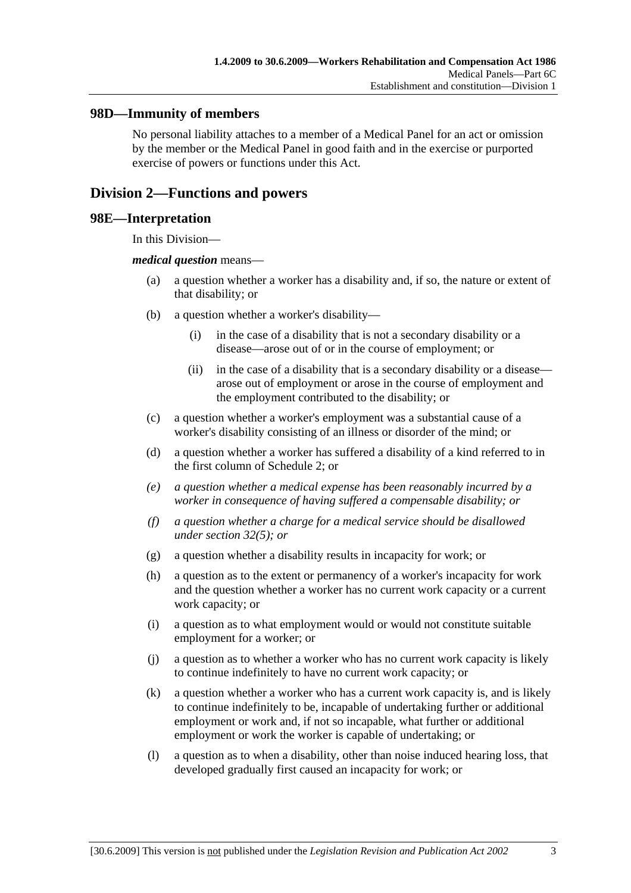### **98D—Immunity of members**

No personal liability attaches to a member of a Medical Panel for an act or omission by the member or the Medical Panel in good faith and in the exercise or purported exercise of powers or functions under this Act.

# **Division 2—Functions and powers**

### **98E—Interpretation**

In this Division—

#### *medical question* means—

- (a) a question whether a worker has a disability and, if so, the nature or extent of that disability; or
- (b) a question whether a worker's disability—
	- (i) in the case of a disability that is not a secondary disability or a disease—arose out of or in the course of employment; or
	- (ii) in the case of a disability that is a secondary disability or a disease arose out of employment or arose in the course of employment and the employment contributed to the disability; or
- (c) a question whether a worker's employment was a substantial cause of a worker's disability consisting of an illness or disorder of the mind; or
- (d) a question whether a worker has suffered a disability of a kind referred to in the first column of Schedule 2; or
- *(e) a question whether a medical expense has been reasonably incurred by a worker in consequence of having suffered a compensable disability; or*
- *(f) a question whether a charge for a medical service should be disallowed under section 32(5); or*
- (g) a question whether a disability results in incapacity for work; or
- (h) a question as to the extent or permanency of a worker's incapacity for work and the question whether a worker has no current work capacity or a current work capacity; or
- (i) a question as to what employment would or would not constitute suitable employment for a worker; or
- (j) a question as to whether a worker who has no current work capacity is likely to continue indefinitely to have no current work capacity; or
- (k) a question whether a worker who has a current work capacity is, and is likely to continue indefinitely to be, incapable of undertaking further or additional employment or work and, if not so incapable, what further or additional employment or work the worker is capable of undertaking; or
- (l) a question as to when a disability, other than noise induced hearing loss, that developed gradually first caused an incapacity for work; or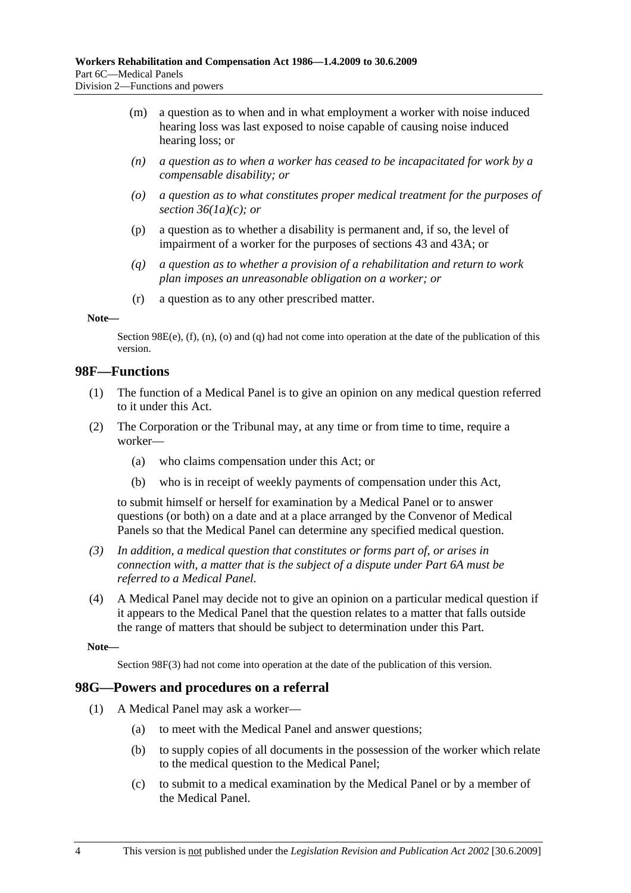- (m) a question as to when and in what employment a worker with noise induced hearing loss was last exposed to noise capable of causing noise induced hearing loss; or
- *(n) a question as to when a worker has ceased to be incapacitated for work by a compensable disability; or*
- *(o) a question as to what constitutes proper medical treatment for the purposes of section 36(1a)(c); or*
- (p) a question as to whether a disability is permanent and, if so, the level of impairment of a worker for the purposes of sections 43 and 43A; or
- *(q) a question as to whether a provision of a rehabilitation and return to work plan imposes an unreasonable obligation on a worker; or*
- (r) a question as to any other prescribed matter.

#### **Note—**

Section 98E(e),  $(f)$ ,  $(n)$ ,  $(o)$  and  $(q)$  had not come into operation at the date of the publication of this version.

### **98F—Functions**

- (1) The function of a Medical Panel is to give an opinion on any medical question referred to it under this Act.
- (2) The Corporation or the Tribunal may, at any time or from time to time, require a worker—
	- (a) who claims compensation under this Act; or
	- (b) who is in receipt of weekly payments of compensation under this Act,

to submit himself or herself for examination by a Medical Panel or to answer questions (or both) on a date and at a place arranged by the Convenor of Medical Panels so that the Medical Panel can determine any specified medical question.

- *(3) In addition, a medical question that constitutes or forms part of, or arises in connection with, a matter that is the subject of a dispute under Part 6A must be referred to a Medical Panel.*
- (4) A Medical Panel may decide not to give an opinion on a particular medical question if it appears to the Medical Panel that the question relates to a matter that falls outside the range of matters that should be subject to determination under this Part.

**Note—** 

Section 98F(3) had not come into operation at the date of the publication of this version.

### **98G—Powers and procedures on a referral**

- (1) A Medical Panel may ask a worker—
	- (a) to meet with the Medical Panel and answer questions;
	- (b) to supply copies of all documents in the possession of the worker which relate to the medical question to the Medical Panel;
	- (c) to submit to a medical examination by the Medical Panel or by a member of the Medical Panel.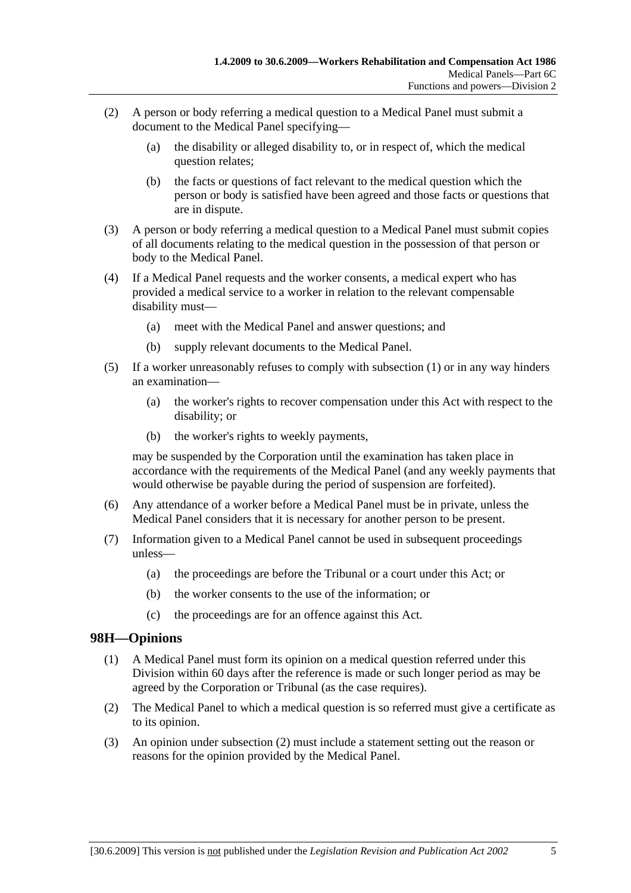- (2) A person or body referring a medical question to a Medical Panel must submit a document to the Medical Panel specifying—
	- (a) the disability or alleged disability to, or in respect of, which the medical question relates;
	- (b) the facts or questions of fact relevant to the medical question which the person or body is satisfied have been agreed and those facts or questions that are in dispute.
- (3) A person or body referring a medical question to a Medical Panel must submit copies of all documents relating to the medical question in the possession of that person or body to the Medical Panel.
- (4) If a Medical Panel requests and the worker consents, a medical expert who has provided a medical service to a worker in relation to the relevant compensable disability must—
	- (a) meet with the Medical Panel and answer questions; and
	- (b) supply relevant documents to the Medical Panel.
- (5) If a worker unreasonably refuses to comply with subsection (1) or in any way hinders an examination—
	- (a) the worker's rights to recover compensation under this Act with respect to the disability; or
	- (b) the worker's rights to weekly payments,

may be suspended by the Corporation until the examination has taken place in accordance with the requirements of the Medical Panel (and any weekly payments that would otherwise be payable during the period of suspension are forfeited).

- (6) Any attendance of a worker before a Medical Panel must be in private, unless the Medical Panel considers that it is necessary for another person to be present.
- (7) Information given to a Medical Panel cannot be used in subsequent proceedings unless—
	- (a) the proceedings are before the Tribunal or a court under this Act; or
	- (b) the worker consents to the use of the information; or
	- (c) the proceedings are for an offence against this Act.

# **98H—Opinions**

- (1) A Medical Panel must form its opinion on a medical question referred under this Division within 60 days after the reference is made or such longer period as may be agreed by the Corporation or Tribunal (as the case requires).
- (2) The Medical Panel to which a medical question is so referred must give a certificate as to its opinion.
- (3) An opinion under subsection (2) must include a statement setting out the reason or reasons for the opinion provided by the Medical Panel.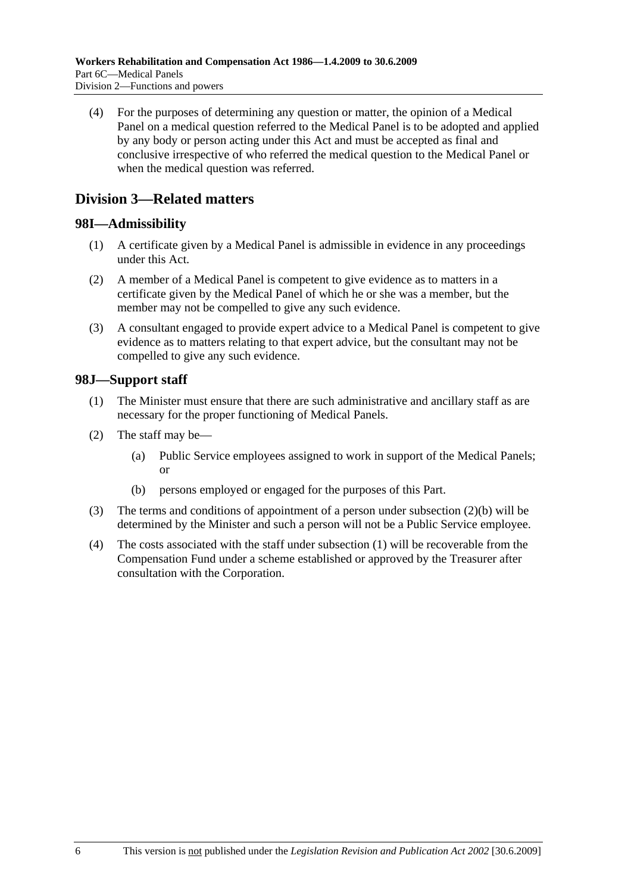(4) For the purposes of determining any question or matter, the opinion of a Medical Panel on a medical question referred to the Medical Panel is to be adopted and applied by any body or person acting under this Act and must be accepted as final and conclusive irrespective of who referred the medical question to the Medical Panel or when the medical question was referred.

# **Division 3—Related matters**

# **98I—Admissibility**

- (1) A certificate given by a Medical Panel is admissible in evidence in any proceedings under this Act.
- (2) A member of a Medical Panel is competent to give evidence as to matters in a certificate given by the Medical Panel of which he or she was a member, but the member may not be compelled to give any such evidence.
- (3) A consultant engaged to provide expert advice to a Medical Panel is competent to give evidence as to matters relating to that expert advice, but the consultant may not be compelled to give any such evidence.

# **98J—Support staff**

- (1) The Minister must ensure that there are such administrative and ancillary staff as are necessary for the proper functioning of Medical Panels.
- (2) The staff may be—
	- (a) Public Service employees assigned to work in support of the Medical Panels; or
	- (b) persons employed or engaged for the purposes of this Part.
- (3) The terms and conditions of appointment of a person under subsection (2)(b) will be determined by the Minister and such a person will not be a Public Service employee.
- (4) The costs associated with the staff under subsection (1) will be recoverable from the Compensation Fund under a scheme established or approved by the Treasurer after consultation with the Corporation.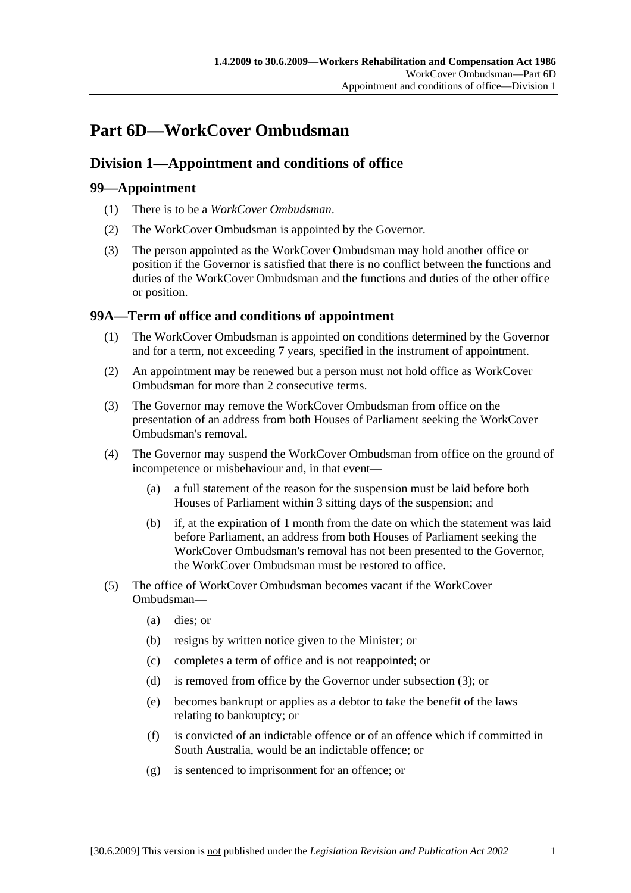# **Part 6D—WorkCover Ombudsman**

# **Division 1—Appointment and conditions of office**

# **99—Appointment**

- (1) There is to be a *WorkCover Ombudsman*.
- (2) The WorkCover Ombudsman is appointed by the Governor.
- (3) The person appointed as the WorkCover Ombudsman may hold another office or position if the Governor is satisfied that there is no conflict between the functions and duties of the WorkCover Ombudsman and the functions and duties of the other office or position.

# **99A—Term of office and conditions of appointment**

- (1) The WorkCover Ombudsman is appointed on conditions determined by the Governor and for a term, not exceeding 7 years, specified in the instrument of appointment.
- (2) An appointment may be renewed but a person must not hold office as WorkCover Ombudsman for more than 2 consecutive terms.
- (3) The Governor may remove the WorkCover Ombudsman from office on the presentation of an address from both Houses of Parliament seeking the WorkCover Ombudsman's removal.
- (4) The Governor may suspend the WorkCover Ombudsman from office on the ground of incompetence or misbehaviour and, in that event—
	- (a) a full statement of the reason for the suspension must be laid before both Houses of Parliament within 3 sitting days of the suspension; and
	- (b) if, at the expiration of 1 month from the date on which the statement was laid before Parliament, an address from both Houses of Parliament seeking the WorkCover Ombudsman's removal has not been presented to the Governor, the WorkCover Ombudsman must be restored to office.
- (5) The office of WorkCover Ombudsman becomes vacant if the WorkCover Ombudsman—
	- (a) dies; or
	- (b) resigns by written notice given to the Minister; or
	- (c) completes a term of office and is not reappointed; or
	- (d) is removed from office by the Governor under subsection (3); or
	- (e) becomes bankrupt or applies as a debtor to take the benefit of the laws relating to bankruptcy; or
	- (f) is convicted of an indictable offence or of an offence which if committed in South Australia, would be an indictable offence; or
	- (g) is sentenced to imprisonment for an offence; or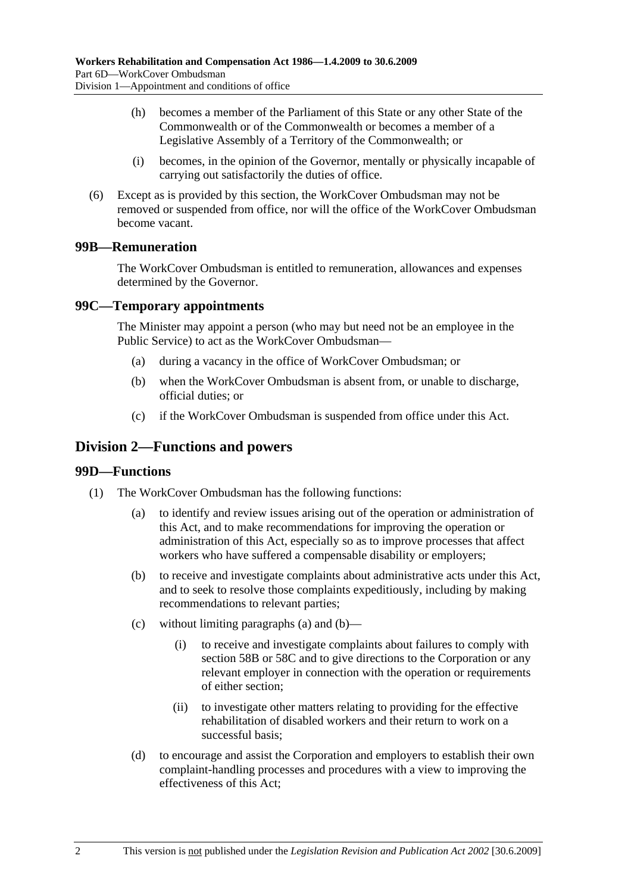- (h) becomes a member of the Parliament of this State or any other State of the Commonwealth or of the Commonwealth or becomes a member of a Legislative Assembly of a Territory of the Commonwealth; or
- (i) becomes, in the opinion of the Governor, mentally or physically incapable of carrying out satisfactorily the duties of office.
- (6) Except as is provided by this section, the WorkCover Ombudsman may not be removed or suspended from office, nor will the office of the WorkCover Ombudsman become vacant.

# **99B—Remuneration**

The WorkCover Ombudsman is entitled to remuneration, allowances and expenses determined by the Governor.

# **99C—Temporary appointments**

The Minister may appoint a person (who may but need not be an employee in the Public Service) to act as the WorkCover Ombudsman—

- (a) during a vacancy in the office of WorkCover Ombudsman; or
- (b) when the WorkCover Ombudsman is absent from, or unable to discharge, official duties; or
- (c) if the WorkCover Ombudsman is suspended from office under this Act.

# **Division 2—Functions and powers**

### **99D—Functions**

- (1) The WorkCover Ombudsman has the following functions:
	- (a) to identify and review issues arising out of the operation or administration of this Act, and to make recommendations for improving the operation or administration of this Act, especially so as to improve processes that affect workers who have suffered a compensable disability or employers;
	- (b) to receive and investigate complaints about administrative acts under this Act, and to seek to resolve those complaints expeditiously, including by making recommendations to relevant parties;
	- (c) without limiting paragraphs (a) and (b)—
		- (i) to receive and investigate complaints about failures to comply with section 58B or 58C and to give directions to the Corporation or any relevant employer in connection with the operation or requirements of either section;
		- (ii) to investigate other matters relating to providing for the effective rehabilitation of disabled workers and their return to work on a successful basis;
	- (d) to encourage and assist the Corporation and employers to establish their own complaint-handling processes and procedures with a view to improving the effectiveness of this Act;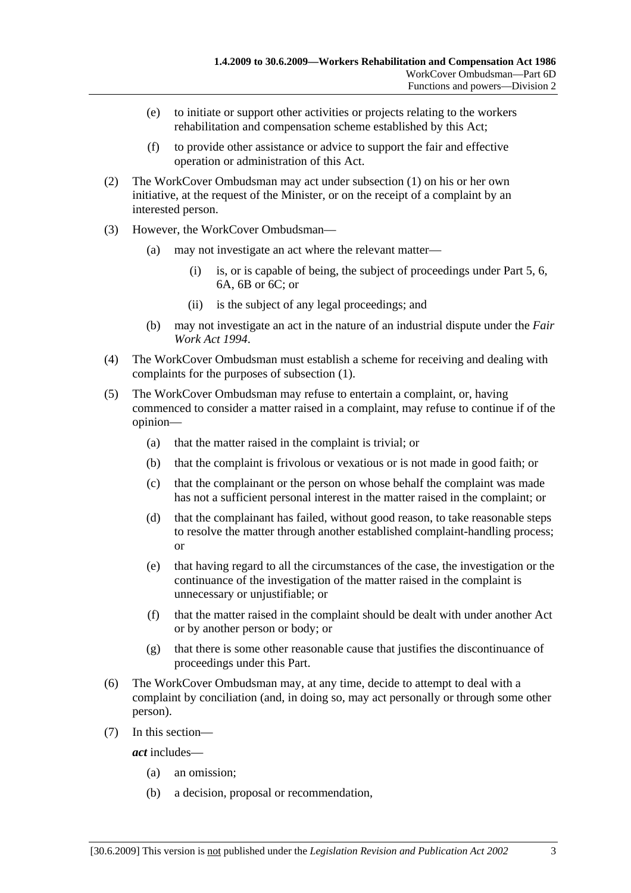- (e) to initiate or support other activities or projects relating to the workers rehabilitation and compensation scheme established by this Act;
- (f) to provide other assistance or advice to support the fair and effective operation or administration of this Act.
- (2) The WorkCover Ombudsman may act under subsection (1) on his or her own initiative, at the request of the Minister, or on the receipt of a complaint by an interested person.
- (3) However, the WorkCover Ombudsman—
	- (a) may not investigate an act where the relevant matter—
		- (i) is, or is capable of being, the subject of proceedings under Part 5, 6, 6A, 6B or 6C; or
		- (ii) is the subject of any legal proceedings; and
	- (b) may not investigate an act in the nature of an industrial dispute under the *Fair Work Act 1994*.
- (4) The WorkCover Ombudsman must establish a scheme for receiving and dealing with complaints for the purposes of subsection (1).
- (5) The WorkCover Ombudsman may refuse to entertain a complaint, or, having commenced to consider a matter raised in a complaint, may refuse to continue if of the opinion—
	- (a) that the matter raised in the complaint is trivial; or
	- (b) that the complaint is frivolous or vexatious or is not made in good faith; or
	- (c) that the complainant or the person on whose behalf the complaint was made has not a sufficient personal interest in the matter raised in the complaint; or
	- (d) that the complainant has failed, without good reason, to take reasonable steps to resolve the matter through another established complaint-handling process; or
	- (e) that having regard to all the circumstances of the case, the investigation or the continuance of the investigation of the matter raised in the complaint is unnecessary or unjustifiable; or
	- (f) that the matter raised in the complaint should be dealt with under another Act or by another person or body; or
	- (g) that there is some other reasonable cause that justifies the discontinuance of proceedings under this Part.
- (6) The WorkCover Ombudsman may, at any time, decide to attempt to deal with a complaint by conciliation (and, in doing so, may act personally or through some other person).
- (7) In this section—

*act* includes—

- (a) an omission;
- (b) a decision, proposal or recommendation,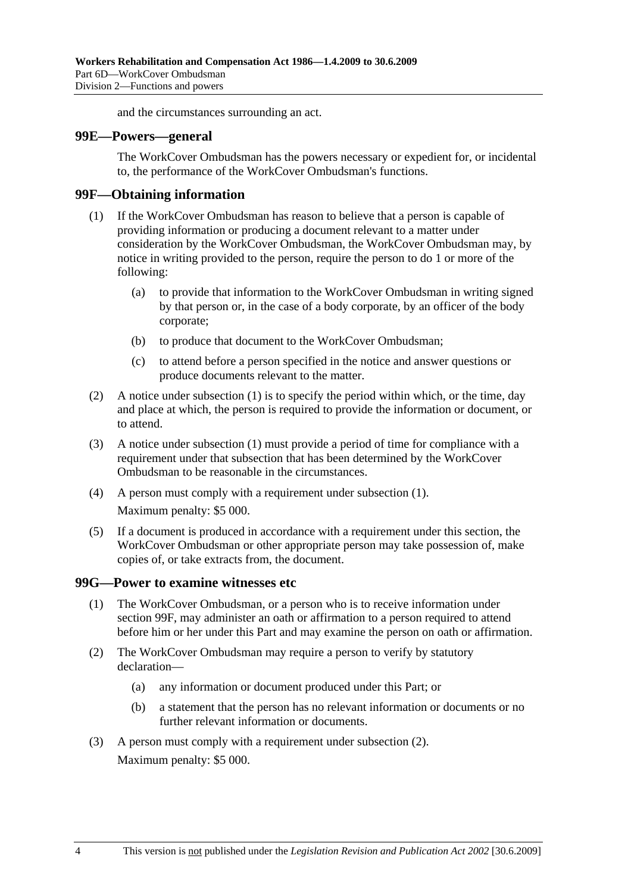and the circumstances surrounding an act.

#### **99E—Powers—general**

The WorkCover Ombudsman has the powers necessary or expedient for, or incidental to, the performance of the WorkCover Ombudsman's functions.

### **99F—Obtaining information**

- (1) If the WorkCover Ombudsman has reason to believe that a person is capable of providing information or producing a document relevant to a matter under consideration by the WorkCover Ombudsman, the WorkCover Ombudsman may, by notice in writing provided to the person, require the person to do 1 or more of the following:
	- (a) to provide that information to the WorkCover Ombudsman in writing signed by that person or, in the case of a body corporate, by an officer of the body corporate;
	- (b) to produce that document to the WorkCover Ombudsman;
	- (c) to attend before a person specified in the notice and answer questions or produce documents relevant to the matter.
- (2) A notice under subsection (1) is to specify the period within which, or the time, day and place at which, the person is required to provide the information or document, or to attend.
- (3) A notice under subsection (1) must provide a period of time for compliance with a requirement under that subsection that has been determined by the WorkCover Ombudsman to be reasonable in the circumstances.
- (4) A person must comply with a requirement under subsection (1). Maximum penalty: \$5 000.
- (5) If a document is produced in accordance with a requirement under this section, the WorkCover Ombudsman or other appropriate person may take possession of, make copies of, or take extracts from, the document.

### **99G—Power to examine witnesses etc**

- (1) The WorkCover Ombudsman, or a person who is to receive information under section 99F, may administer an oath or affirmation to a person required to attend before him or her under this Part and may examine the person on oath or affirmation.
- (2) The WorkCover Ombudsman may require a person to verify by statutory declaration—
	- (a) any information or document produced under this Part; or
	- (b) a statement that the person has no relevant information or documents or no further relevant information or documents.
- (3) A person must comply with a requirement under subsection (2). Maximum penalty: \$5 000.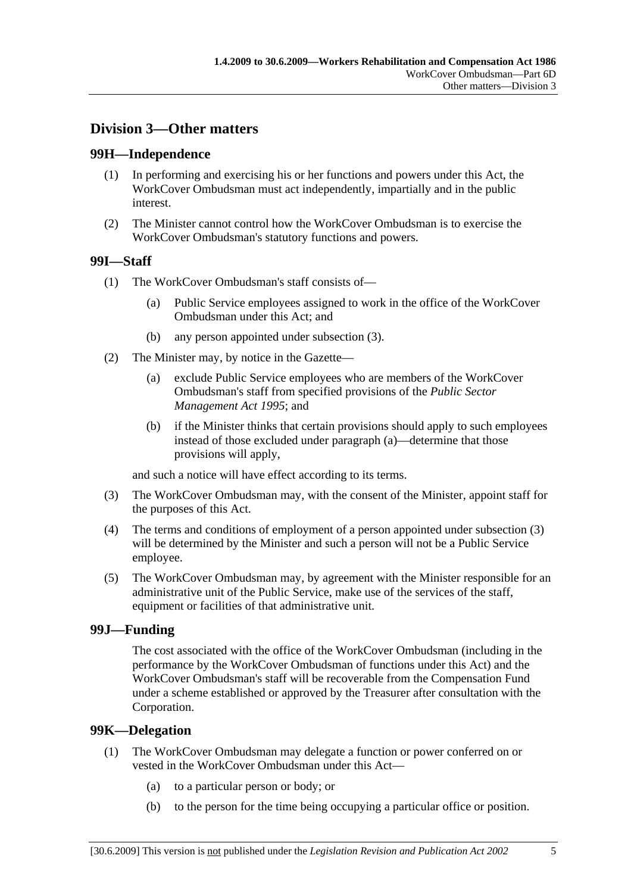# **Division 3—Other matters**

# **99H—Independence**

- (1) In performing and exercising his or her functions and powers under this Act, the WorkCover Ombudsman must act independently, impartially and in the public interest.
- (2) The Minister cannot control how the WorkCover Ombudsman is to exercise the WorkCover Ombudsman's statutory functions and powers.

# **99I—Staff**

- (1) The WorkCover Ombudsman's staff consists of—
	- (a) Public Service employees assigned to work in the office of the WorkCover Ombudsman under this Act; and
	- (b) any person appointed under subsection (3).
- (2) The Minister may, by notice in the Gazette—
	- (a) exclude Public Service employees who are members of the WorkCover Ombudsman's staff from specified provisions of the *Public Sector Management Act 1995*; and
	- (b) if the Minister thinks that certain provisions should apply to such employees instead of those excluded under paragraph (a)—determine that those provisions will apply,

and such a notice will have effect according to its terms.

- (3) The WorkCover Ombudsman may, with the consent of the Minister, appoint staff for the purposes of this Act.
- (4) The terms and conditions of employment of a person appointed under subsection (3) will be determined by the Minister and such a person will not be a Public Service employee.
- (5) The WorkCover Ombudsman may, by agreement with the Minister responsible for an administrative unit of the Public Service, make use of the services of the staff, equipment or facilities of that administrative unit.

# **99J—Funding**

The cost associated with the office of the WorkCover Ombudsman (including in the performance by the WorkCover Ombudsman of functions under this Act) and the WorkCover Ombudsman's staff will be recoverable from the Compensation Fund under a scheme established or approved by the Treasurer after consultation with the Corporation.

# **99K—Delegation**

- (1) The WorkCover Ombudsman may delegate a function or power conferred on or vested in the WorkCover Ombudsman under this Act—
	- (a) to a particular person or body; or
	- (b) to the person for the time being occupying a particular office or position.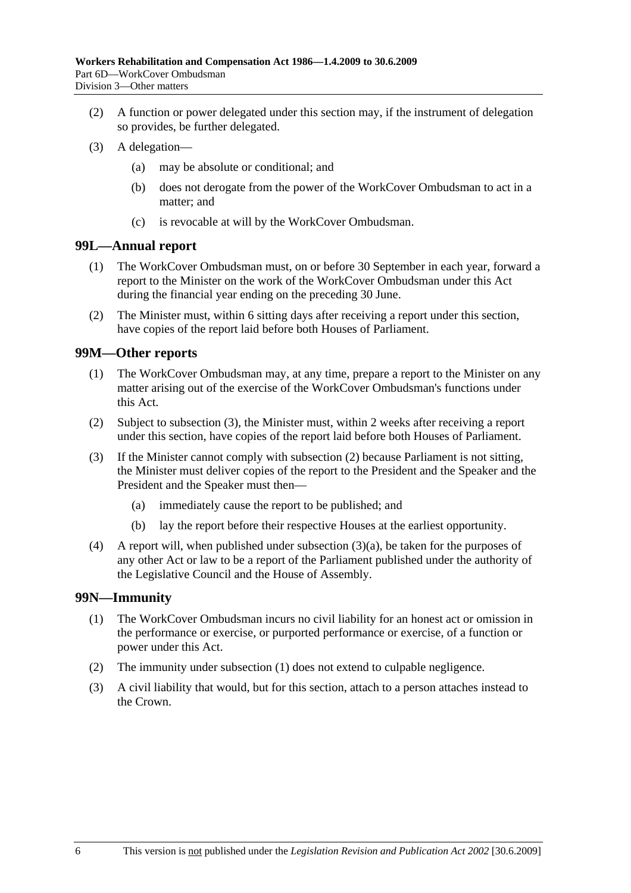- (2) A function or power delegated under this section may, if the instrument of delegation so provides, be further delegated.
- (3) A delegation—
	- (a) may be absolute or conditional; and
	- (b) does not derogate from the power of the WorkCover Ombudsman to act in a matter; and
	- (c) is revocable at will by the WorkCover Ombudsman.

### **99L—Annual report**

- (1) The WorkCover Ombudsman must, on or before 30 September in each year, forward a report to the Minister on the work of the WorkCover Ombudsman under this Act during the financial year ending on the preceding 30 June.
- (2) The Minister must, within 6 sitting days after receiving a report under this section, have copies of the report laid before both Houses of Parliament.

### **99M—Other reports**

- (1) The WorkCover Ombudsman may, at any time, prepare a report to the Minister on any matter arising out of the exercise of the WorkCover Ombudsman's functions under this Act.
- (2) Subject to subsection (3), the Minister must, within 2 weeks after receiving a report under this section, have copies of the report laid before both Houses of Parliament.
- (3) If the Minister cannot comply with subsection (2) because Parliament is not sitting, the Minister must deliver copies of the report to the President and the Speaker and the President and the Speaker must then—
	- (a) immediately cause the report to be published; and
	- (b) lay the report before their respective Houses at the earliest opportunity.
- (4) A report will, when published under subsection (3)(a), be taken for the purposes of any other Act or law to be a report of the Parliament published under the authority of the Legislative Council and the House of Assembly.

# **99N—Immunity**

- (1) The WorkCover Ombudsman incurs no civil liability for an honest act or omission in the performance or exercise, or purported performance or exercise, of a function or power under this Act.
- (2) The immunity under subsection (1) does not extend to culpable negligence.
- (3) A civil liability that would, but for this section, attach to a person attaches instead to the Crown.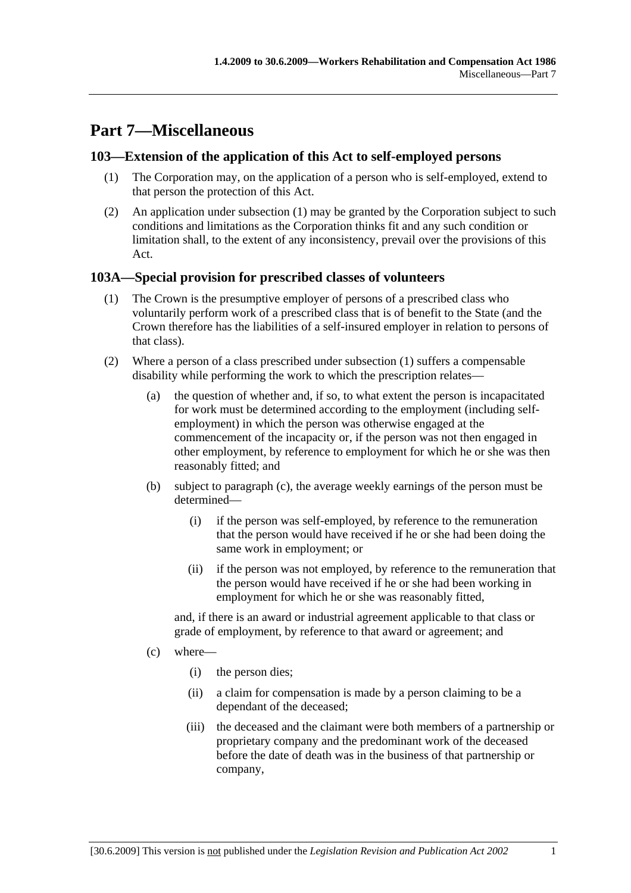# **Part 7—Miscellaneous**

# **103—Extension of the application of this Act to self-employed persons**

- (1) The Corporation may, on the application of a person who is self-employed, extend to that person the protection of this Act.
- (2) An application under subsection (1) may be granted by the Corporation subject to such conditions and limitations as the Corporation thinks fit and any such condition or limitation shall, to the extent of any inconsistency, prevail over the provisions of this Act.

# **103A—Special provision for prescribed classes of volunteers**

- (1) The Crown is the presumptive employer of persons of a prescribed class who voluntarily perform work of a prescribed class that is of benefit to the State (and the Crown therefore has the liabilities of a self-insured employer in relation to persons of that class).
- (2) Where a person of a class prescribed under subsection (1) suffers a compensable disability while performing the work to which the prescription relates—
	- (a) the question of whether and, if so, to what extent the person is incapacitated for work must be determined according to the employment (including selfemployment) in which the person was otherwise engaged at the commencement of the incapacity or, if the person was not then engaged in other employment, by reference to employment for which he or she was then reasonably fitted; and
	- (b) subject to paragraph (c), the average weekly earnings of the person must be determined—
		- (i) if the person was self-employed, by reference to the remuneration that the person would have received if he or she had been doing the same work in employment; or
		- (ii) if the person was not employed, by reference to the remuneration that the person would have received if he or she had been working in employment for which he or she was reasonably fitted,

and, if there is an award or industrial agreement applicable to that class or grade of employment, by reference to that award or agreement; and

- (c) where—
	- (i) the person dies;
	- (ii) a claim for compensation is made by a person claiming to be a dependant of the deceased;
	- (iii) the deceased and the claimant were both members of a partnership or proprietary company and the predominant work of the deceased before the date of death was in the business of that partnership or company,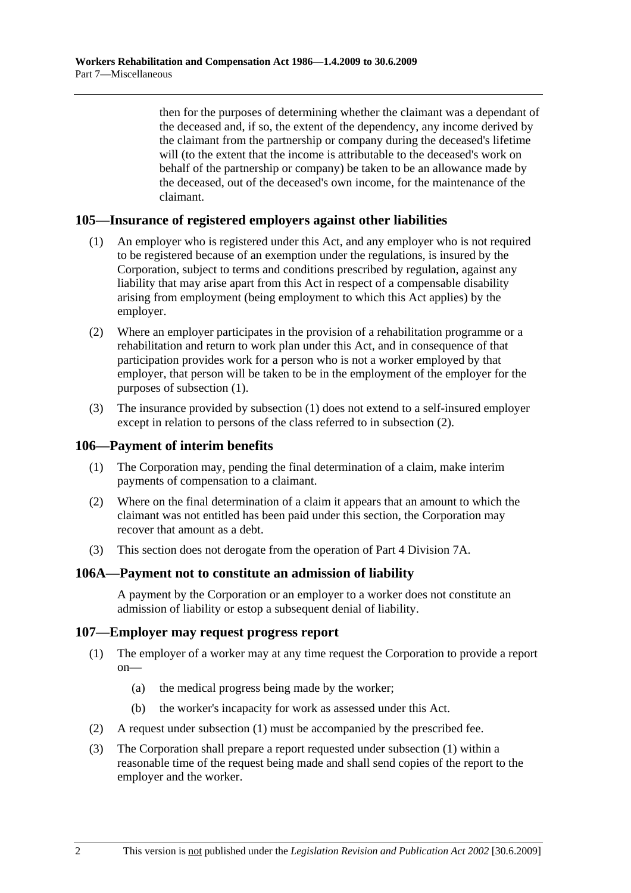then for the purposes of determining whether the claimant was a dependant of the deceased and, if so, the extent of the dependency, any income derived by the claimant from the partnership or company during the deceased's lifetime will (to the extent that the income is attributable to the deceased's work on behalf of the partnership or company) be taken to be an allowance made by the deceased, out of the deceased's own income, for the maintenance of the claimant.

# **105—Insurance of registered employers against other liabilities**

- (1) An employer who is registered under this Act, and any employer who is not required to be registered because of an exemption under the regulations, is insured by the Corporation, subject to terms and conditions prescribed by regulation, against any liability that may arise apart from this Act in respect of a compensable disability arising from employment (being employment to which this Act applies) by the employer.
- (2) Where an employer participates in the provision of a rehabilitation programme or a rehabilitation and return to work plan under this Act, and in consequence of that participation provides work for a person who is not a worker employed by that employer, that person will be taken to be in the employment of the employer for the purposes of subsection (1).
- (3) The insurance provided by subsection (1) does not extend to a self-insured employer except in relation to persons of the class referred to in subsection (2).

### **106—Payment of interim benefits**

- (1) The Corporation may, pending the final determination of a claim, make interim payments of compensation to a claimant.
- (2) Where on the final determination of a claim it appears that an amount to which the claimant was not entitled has been paid under this section, the Corporation may recover that amount as a debt.
- (3) This section does not derogate from the operation of Part 4 Division 7A.

### **106A—Payment not to constitute an admission of liability**

A payment by the Corporation or an employer to a worker does not constitute an admission of liability or estop a subsequent denial of liability.

### **107—Employer may request progress report**

- (1) The employer of a worker may at any time request the Corporation to provide a report on—
	- (a) the medical progress being made by the worker;
	- (b) the worker's incapacity for work as assessed under this Act.
- (2) A request under subsection (1) must be accompanied by the prescribed fee.
- (3) The Corporation shall prepare a report requested under subsection (1) within a reasonable time of the request being made and shall send copies of the report to the employer and the worker.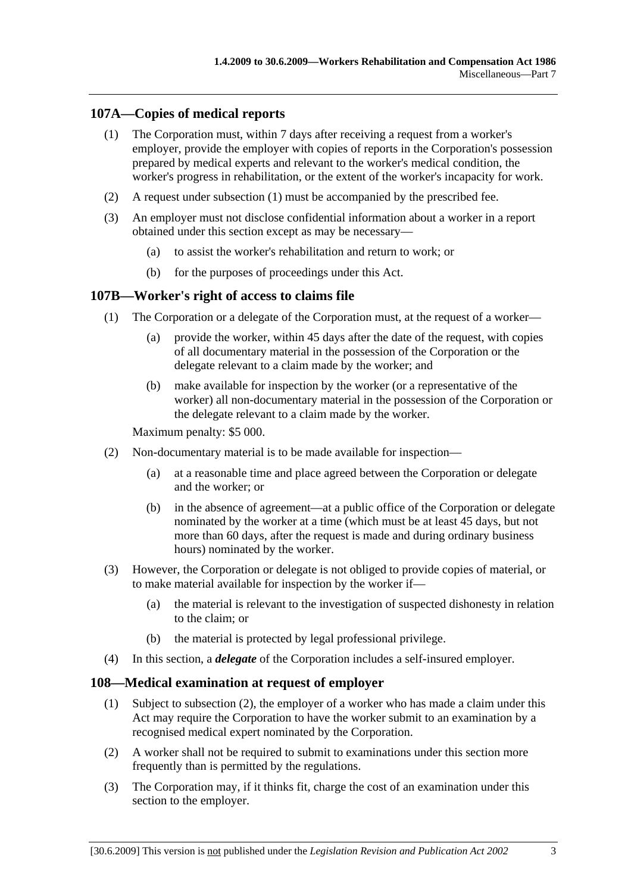# **107A—Copies of medical reports**

- (1) The Corporation must, within 7 days after receiving a request from a worker's employer, provide the employer with copies of reports in the Corporation's possession prepared by medical experts and relevant to the worker's medical condition, the worker's progress in rehabilitation, or the extent of the worker's incapacity for work.
- (2) A request under subsection (1) must be accompanied by the prescribed fee.
- (3) An employer must not disclose confidential information about a worker in a report obtained under this section except as may be necessary—
	- (a) to assist the worker's rehabilitation and return to work; or
	- (b) for the purposes of proceedings under this Act.

### **107B—Worker's right of access to claims file**

- (1) The Corporation or a delegate of the Corporation must, at the request of a worker—
	- (a) provide the worker, within 45 days after the date of the request, with copies of all documentary material in the possession of the Corporation or the delegate relevant to a claim made by the worker; and
	- (b) make available for inspection by the worker (or a representative of the worker) all non-documentary material in the possession of the Corporation or the delegate relevant to a claim made by the worker.

Maximum penalty: \$5 000.

- (2) Non-documentary material is to be made available for inspection—
	- (a) at a reasonable time and place agreed between the Corporation or delegate and the worker; or
	- (b) in the absence of agreement—at a public office of the Corporation or delegate nominated by the worker at a time (which must be at least 45 days, but not more than 60 days, after the request is made and during ordinary business hours) nominated by the worker.
- (3) However, the Corporation or delegate is not obliged to provide copies of material, or to make material available for inspection by the worker if—
	- (a) the material is relevant to the investigation of suspected dishonesty in relation to the claim; or
	- (b) the material is protected by legal professional privilege.
- (4) In this section, a *delegate* of the Corporation includes a self-insured employer.

### **108—Medical examination at request of employer**

- (1) Subject to subsection (2), the employer of a worker who has made a claim under this Act may require the Corporation to have the worker submit to an examination by a recognised medical expert nominated by the Corporation.
- (2) A worker shall not be required to submit to examinations under this section more frequently than is permitted by the regulations.
- (3) The Corporation may, if it thinks fit, charge the cost of an examination under this section to the employer.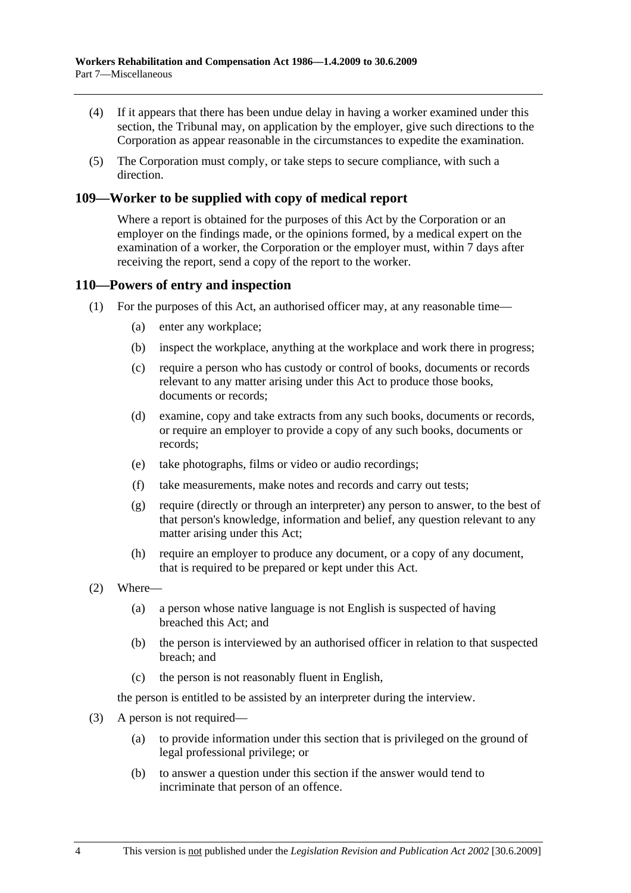- (4) If it appears that there has been undue delay in having a worker examined under this section, the Tribunal may, on application by the employer, give such directions to the Corporation as appear reasonable in the circumstances to expedite the examination.
- (5) The Corporation must comply, or take steps to secure compliance, with such a direction.

# **109—Worker to be supplied with copy of medical report**

Where a report is obtained for the purposes of this Act by the Corporation or an employer on the findings made, or the opinions formed, by a medical expert on the examination of a worker, the Corporation or the employer must, within 7 days after receiving the report, send a copy of the report to the worker.

### **110—Powers of entry and inspection**

- (1) For the purposes of this Act, an authorised officer may, at any reasonable time—
	- (a) enter any workplace;
	- (b) inspect the workplace, anything at the workplace and work there in progress;
	- (c) require a person who has custody or control of books, documents or records relevant to any matter arising under this Act to produce those books, documents or records;
	- (d) examine, copy and take extracts from any such books, documents or records, or require an employer to provide a copy of any such books, documents or records;
	- (e) take photographs, films or video or audio recordings;
	- (f) take measurements, make notes and records and carry out tests;
	- (g) require (directly or through an interpreter) any person to answer, to the best of that person's knowledge, information and belief, any question relevant to any matter arising under this Act;
	- (h) require an employer to produce any document, or a copy of any document, that is required to be prepared or kept under this Act.
- (2) Where—
	- (a) a person whose native language is not English is suspected of having breached this Act; and
	- (b) the person is interviewed by an authorised officer in relation to that suspected breach; and
	- (c) the person is not reasonably fluent in English,

the person is entitled to be assisted by an interpreter during the interview.

- (3) A person is not required—
	- (a) to provide information under this section that is privileged on the ground of legal professional privilege; or
	- (b) to answer a question under this section if the answer would tend to incriminate that person of an offence.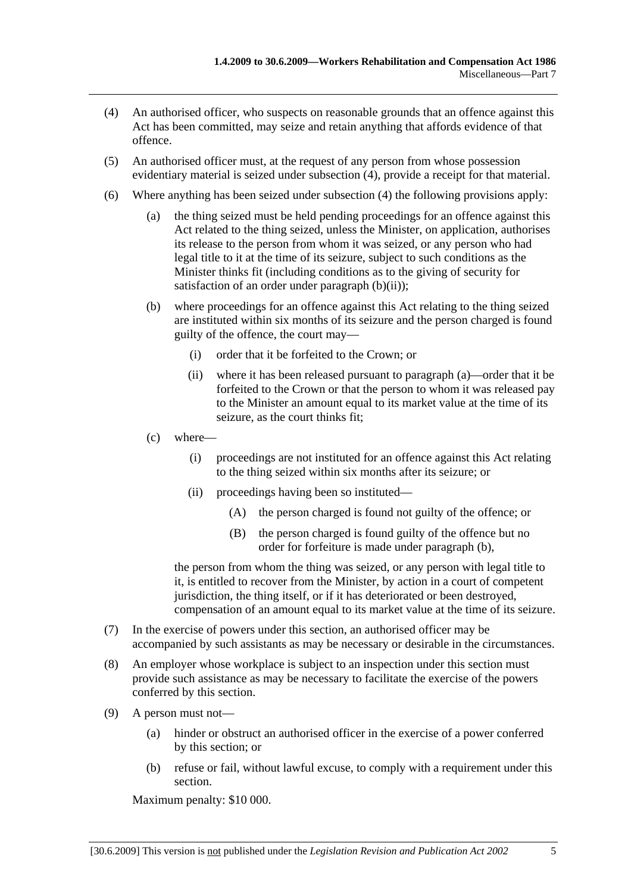- (4) An authorised officer, who suspects on reasonable grounds that an offence against this Act has been committed, may seize and retain anything that affords evidence of that offence.
- (5) An authorised officer must, at the request of any person from whose possession evidentiary material is seized under subsection (4), provide a receipt for that material.
- (6) Where anything has been seized under subsection (4) the following provisions apply:
	- (a) the thing seized must be held pending proceedings for an offence against this Act related to the thing seized, unless the Minister, on application, authorises its release to the person from whom it was seized, or any person who had legal title to it at the time of its seizure, subject to such conditions as the Minister thinks fit (including conditions as to the giving of security for satisfaction of an order under paragraph  $(b)(ii)$ ;
	- (b) where proceedings for an offence against this Act relating to the thing seized are instituted within six months of its seizure and the person charged is found guilty of the offence, the court may—
		- (i) order that it be forfeited to the Crown; or
		- (ii) where it has been released pursuant to paragraph (a)—order that it be forfeited to the Crown or that the person to whom it was released pay to the Minister an amount equal to its market value at the time of its seizure, as the court thinks fit;
	- (c) where—
		- (i) proceedings are not instituted for an offence against this Act relating to the thing seized within six months after its seizure; or
		- (ii) proceedings having been so instituted—
			- (A) the person charged is found not guilty of the offence; or
			- (B) the person charged is found guilty of the offence but no order for forfeiture is made under paragraph (b),

the person from whom the thing was seized, or any person with legal title to it, is entitled to recover from the Minister, by action in a court of competent jurisdiction, the thing itself, or if it has deteriorated or been destroyed, compensation of an amount equal to its market value at the time of its seizure.

- (7) In the exercise of powers under this section, an authorised officer may be accompanied by such assistants as may be necessary or desirable in the circumstances.
- (8) An employer whose workplace is subject to an inspection under this section must provide such assistance as may be necessary to facilitate the exercise of the powers conferred by this section.
- (9) A person must not—
	- (a) hinder or obstruct an authorised officer in the exercise of a power conferred by this section; or
	- (b) refuse or fail, without lawful excuse, to comply with a requirement under this section.

Maximum penalty: \$10 000.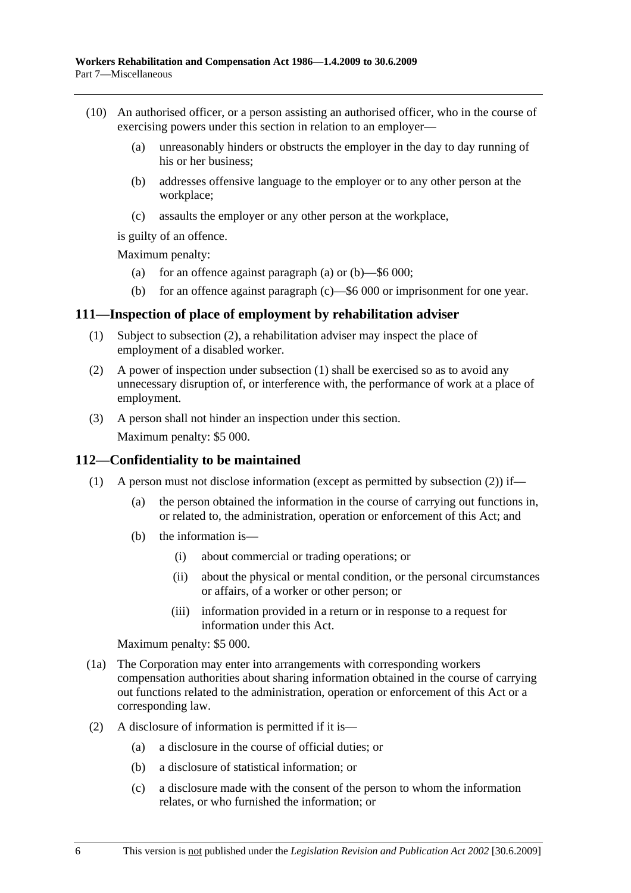- (10) An authorised officer, or a person assisting an authorised officer, who in the course of exercising powers under this section in relation to an employer—
	- (a) unreasonably hinders or obstructs the employer in the day to day running of his or her business;
	- (b) addresses offensive language to the employer or to any other person at the workplace;
	- (c) assaults the employer or any other person at the workplace,

is guilty of an offence.

Maximum penalty:

- (a) for an offence against paragraph (a) or  $(b)$ —\$6 000;
- (b) for an offence against paragraph (c)—\$6 000 or imprisonment for one year.

### **111—Inspection of place of employment by rehabilitation adviser**

- (1) Subject to subsection (2), a rehabilitation adviser may inspect the place of employment of a disabled worker.
- (2) A power of inspection under subsection (1) shall be exercised so as to avoid any unnecessary disruption of, or interference with, the performance of work at a place of employment.
- (3) A person shall not hinder an inspection under this section.

Maximum penalty: \$5 000.

### **112—Confidentiality to be maintained**

- (1) A person must not disclose information (except as permitted by subsection (2)) if—
	- (a) the person obtained the information in the course of carrying out functions in, or related to, the administration, operation or enforcement of this Act; and
	- (b) the information is—
		- (i) about commercial or trading operations; or
		- (ii) about the physical or mental condition, or the personal circumstances or affairs, of a worker or other person; or
		- (iii) information provided in a return or in response to a request for information under this Act.

Maximum penalty: \$5 000.

- (1a) The Corporation may enter into arrangements with corresponding workers compensation authorities about sharing information obtained in the course of carrying out functions related to the administration, operation or enforcement of this Act or a corresponding law.
- (2) A disclosure of information is permitted if it is—
	- (a) a disclosure in the course of official duties; or
	- (b) a disclosure of statistical information; or
	- (c) a disclosure made with the consent of the person to whom the information relates, or who furnished the information; or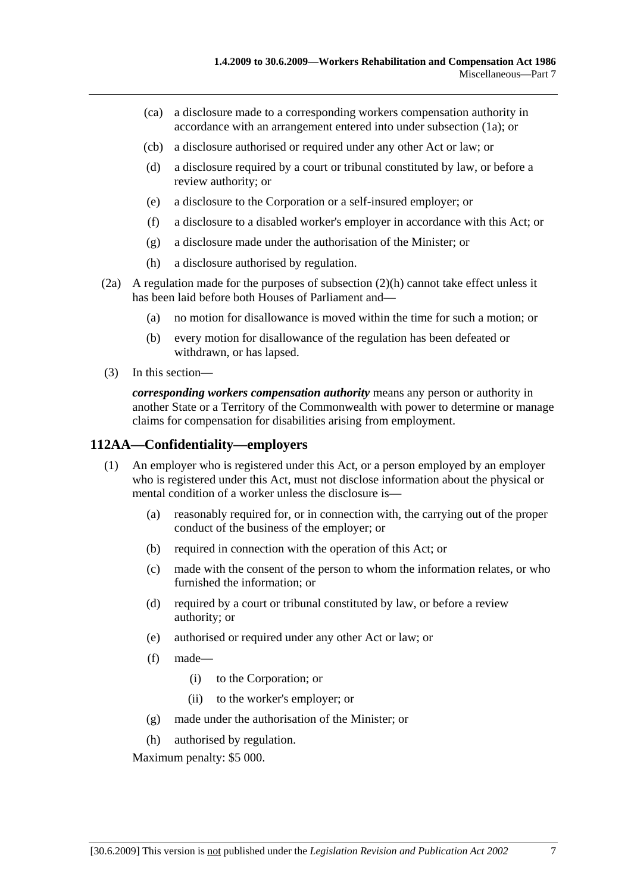- (ca) a disclosure made to a corresponding workers compensation authority in accordance with an arrangement entered into under subsection (1a); or
- (cb) a disclosure authorised or required under any other Act or law; or
- (d) a disclosure required by a court or tribunal constituted by law, or before a review authority; or
- (e) a disclosure to the Corporation or a self-insured employer; or
- (f) a disclosure to a disabled worker's employer in accordance with this Act; or
- (g) a disclosure made under the authorisation of the Minister; or
- (h) a disclosure authorised by regulation.
- (2a) A regulation made for the purposes of subsection (2)(h) cannot take effect unless it has been laid before both Houses of Parliament and—
	- (a) no motion for disallowance is moved within the time for such a motion; or
	- (b) every motion for disallowance of the regulation has been defeated or withdrawn, or has lapsed.
- (3) In this section—

*corresponding workers compensation authority* means any person or authority in another State or a Territory of the Commonwealth with power to determine or manage claims for compensation for disabilities arising from employment.

### **112AA—Confidentiality—employers**

- (1) An employer who is registered under this Act, or a person employed by an employer who is registered under this Act, must not disclose information about the physical or mental condition of a worker unless the disclosure is—
	- (a) reasonably required for, or in connection with, the carrying out of the proper conduct of the business of the employer; or
	- (b) required in connection with the operation of this Act; or
	- (c) made with the consent of the person to whom the information relates, or who furnished the information; or
	- (d) required by a court or tribunal constituted by law, or before a review authority; or
	- (e) authorised or required under any other Act or law; or
	- (f) made—
		- (i) to the Corporation; or
		- (ii) to the worker's employer; or
	- (g) made under the authorisation of the Minister; or
	- (h) authorised by regulation.

Maximum penalty: \$5 000.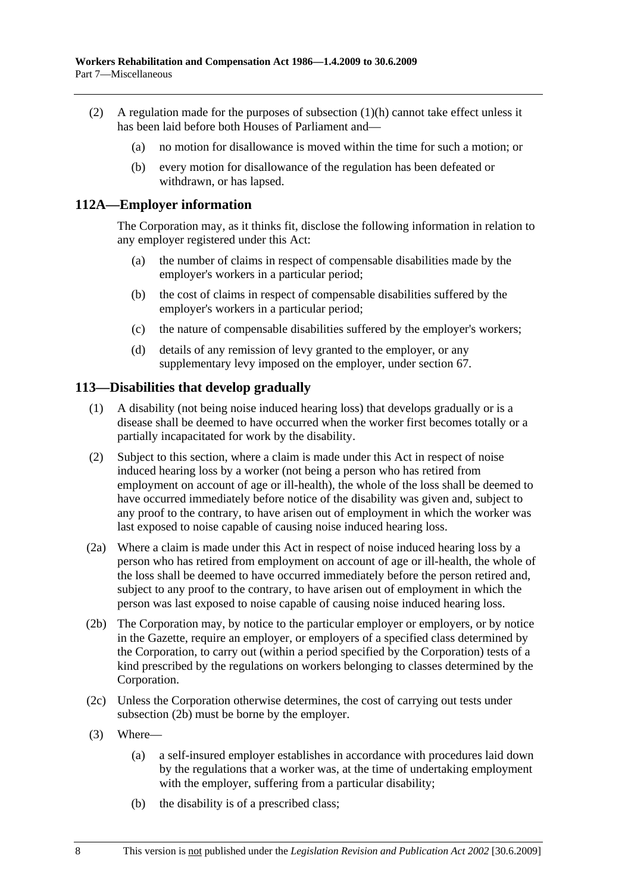- (2) A regulation made for the purposes of subsection (1)(h) cannot take effect unless it has been laid before both Houses of Parliament and—
	- (a) no motion for disallowance is moved within the time for such a motion; or
	- (b) every motion for disallowance of the regulation has been defeated or withdrawn, or has lapsed.

### **112A—Employer information**

The Corporation may, as it thinks fit, disclose the following information in relation to any employer registered under this Act:

- (a) the number of claims in respect of compensable disabilities made by the employer's workers in a particular period;
- (b) the cost of claims in respect of compensable disabilities suffered by the employer's workers in a particular period;
- (c) the nature of compensable disabilities suffered by the employer's workers;
- (d) details of any remission of levy granted to the employer, or any supplementary levy imposed on the employer, under section 67.

### **113—Disabilities that develop gradually**

- (1) A disability (not being noise induced hearing loss) that develops gradually or is a disease shall be deemed to have occurred when the worker first becomes totally or a partially incapacitated for work by the disability.
- (2) Subject to this section, where a claim is made under this Act in respect of noise induced hearing loss by a worker (not being a person who has retired from employment on account of age or ill-health), the whole of the loss shall be deemed to have occurred immediately before notice of the disability was given and, subject to any proof to the contrary, to have arisen out of employment in which the worker was last exposed to noise capable of causing noise induced hearing loss.
- (2a) Where a claim is made under this Act in respect of noise induced hearing loss by a person who has retired from employment on account of age or ill-health, the whole of the loss shall be deemed to have occurred immediately before the person retired and, subject to any proof to the contrary, to have arisen out of employment in which the person was last exposed to noise capable of causing noise induced hearing loss.
- (2b) The Corporation may, by notice to the particular employer or employers, or by notice in the Gazette, require an employer, or employers of a specified class determined by the Corporation, to carry out (within a period specified by the Corporation) tests of a kind prescribed by the regulations on workers belonging to classes determined by the Corporation.
- (2c) Unless the Corporation otherwise determines, the cost of carrying out tests under subsection (2b) must be borne by the employer.
- (3) Where—
	- (a) a self-insured employer establishes in accordance with procedures laid down by the regulations that a worker was, at the time of undertaking employment with the employer, suffering from a particular disability;
	- (b) the disability is of a prescribed class;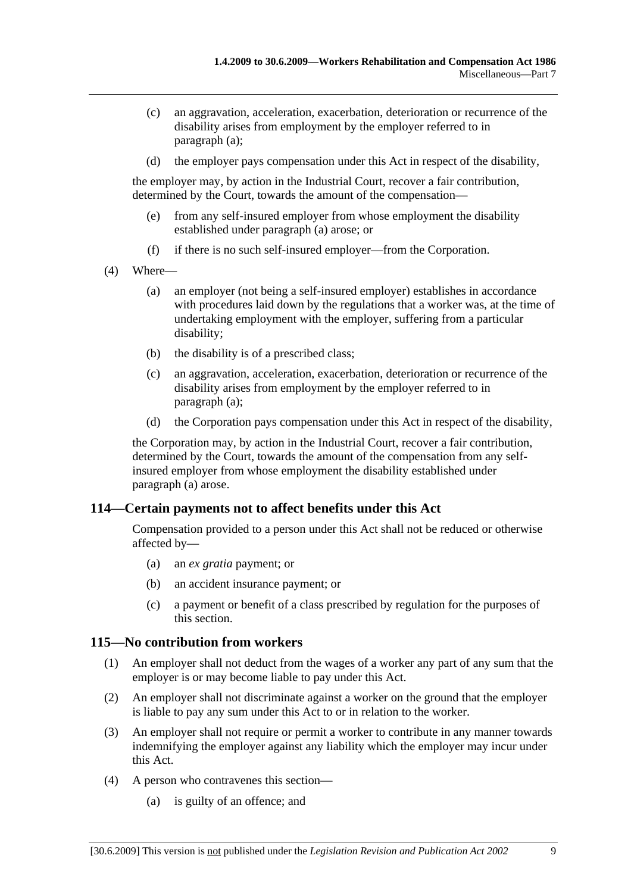- (c) an aggravation, acceleration, exacerbation, deterioration or recurrence of the disability arises from employment by the employer referred to in paragraph (a);
- (d) the employer pays compensation under this Act in respect of the disability,

the employer may, by action in the Industrial Court, recover a fair contribution, determined by the Court, towards the amount of the compensation—

- (e) from any self-insured employer from whose employment the disability established under paragraph (a) arose; or
- (f) if there is no such self-insured employer—from the Corporation.
- (4) Where—
	- (a) an employer (not being a self-insured employer) establishes in accordance with procedures laid down by the regulations that a worker was, at the time of undertaking employment with the employer, suffering from a particular disability;
	- (b) the disability is of a prescribed class;
	- (c) an aggravation, acceleration, exacerbation, deterioration or recurrence of the disability arises from employment by the employer referred to in paragraph (a);
	- (d) the Corporation pays compensation under this Act in respect of the disability,

the Corporation may, by action in the Industrial Court, recover a fair contribution, determined by the Court, towards the amount of the compensation from any selfinsured employer from whose employment the disability established under paragraph (a) arose.

# **114—Certain payments not to affect benefits under this Act**

Compensation provided to a person under this Act shall not be reduced or otherwise affected by—

- (a) an *ex gratia* payment; or
- (b) an accident insurance payment; or
- (c) a payment or benefit of a class prescribed by regulation for the purposes of this section.

### **115—No contribution from workers**

- (1) An employer shall not deduct from the wages of a worker any part of any sum that the employer is or may become liable to pay under this Act.
- (2) An employer shall not discriminate against a worker on the ground that the employer is liable to pay any sum under this Act to or in relation to the worker.
- (3) An employer shall not require or permit a worker to contribute in any manner towards indemnifying the employer against any liability which the employer may incur under this Act.
- (4) A person who contravenes this section—
	- (a) is guilty of an offence; and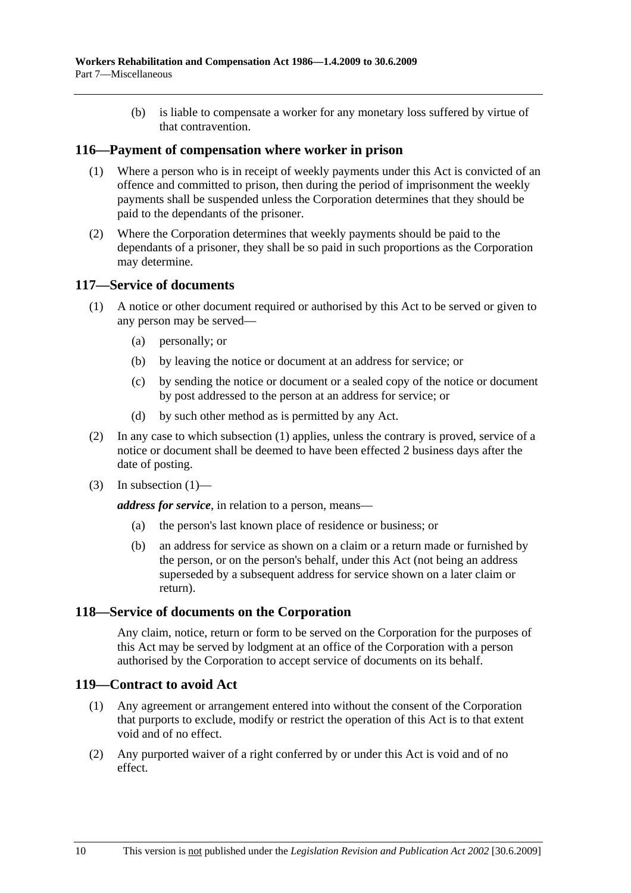(b) is liable to compensate a worker for any monetary loss suffered by virtue of that contravention.

### **116—Payment of compensation where worker in prison**

- (1) Where a person who is in receipt of weekly payments under this Act is convicted of an offence and committed to prison, then during the period of imprisonment the weekly payments shall be suspended unless the Corporation determines that they should be paid to the dependants of the prisoner.
- (2) Where the Corporation determines that weekly payments should be paid to the dependants of a prisoner, they shall be so paid in such proportions as the Corporation may determine.

### **117—Service of documents**

- (1) A notice or other document required or authorised by this Act to be served or given to any person may be served—
	- (a) personally; or
	- (b) by leaving the notice or document at an address for service; or
	- (c) by sending the notice or document or a sealed copy of the notice or document by post addressed to the person at an address for service; or
	- (d) by such other method as is permitted by any Act.
- (2) In any case to which subsection (1) applies, unless the contrary is proved, service of a notice or document shall be deemed to have been effected 2 business days after the date of posting.
- $(3)$  In subsection  $(1)$ —

*address for service*, in relation to a person, means—

- (a) the person's last known place of residence or business; or
- (b) an address for service as shown on a claim or a return made or furnished by the person, or on the person's behalf, under this Act (not being an address superseded by a subsequent address for service shown on a later claim or return).

### **118—Service of documents on the Corporation**

Any claim, notice, return or form to be served on the Corporation for the purposes of this Act may be served by lodgment at an office of the Corporation with a person authorised by the Corporation to accept service of documents on its behalf.

### **119—Contract to avoid Act**

- (1) Any agreement or arrangement entered into without the consent of the Corporation that purports to exclude, modify or restrict the operation of this Act is to that extent void and of no effect.
- (2) Any purported waiver of a right conferred by or under this Act is void and of no effect.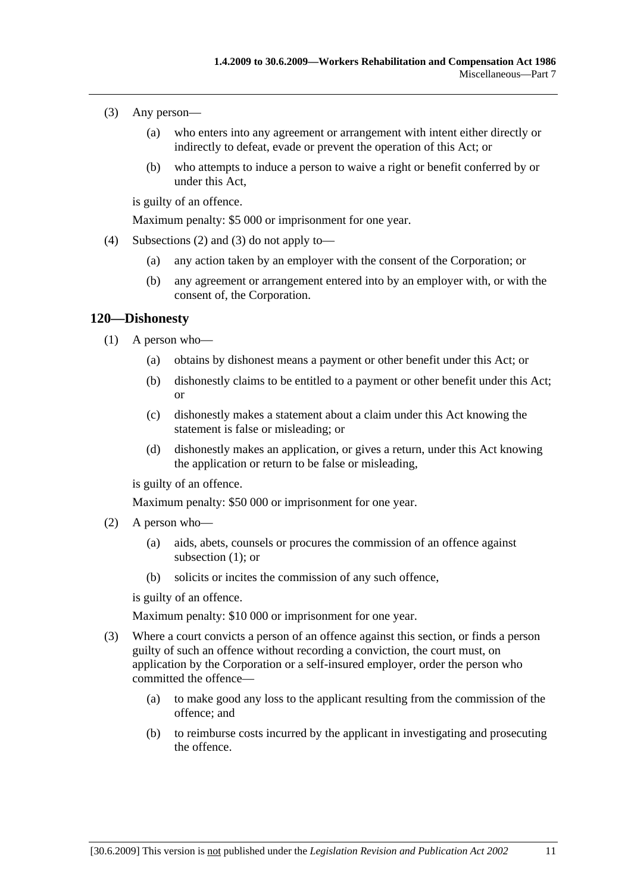- (3) Any person—
	- (a) who enters into any agreement or arrangement with intent either directly or indirectly to defeat, evade or prevent the operation of this Act; or
	- (b) who attempts to induce a person to waive a right or benefit conferred by or under this Act,

is guilty of an offence.

Maximum penalty: \$5 000 or imprisonment for one year.

- (4) Subsections (2) and (3) do not apply to—
	- (a) any action taken by an employer with the consent of the Corporation; or
	- (b) any agreement or arrangement entered into by an employer with, or with the consent of, the Corporation.

### **120—Dishonesty**

- (1) A person who—
	- (a) obtains by dishonest means a payment or other benefit under this Act; or
	- (b) dishonestly claims to be entitled to a payment or other benefit under this Act; or
	- (c) dishonestly makes a statement about a claim under this Act knowing the statement is false or misleading; or
	- (d) dishonestly makes an application, or gives a return, under this Act knowing the application or return to be false or misleading,

is guilty of an offence.

Maximum penalty: \$50 000 or imprisonment for one year.

- (2) A person who—
	- (a) aids, abets, counsels or procures the commission of an offence against subsection (1); or
	- (b) solicits or incites the commission of any such offence,

is guilty of an offence.

Maximum penalty: \$10 000 or imprisonment for one year.

- (3) Where a court convicts a person of an offence against this section, or finds a person guilty of such an offence without recording a conviction, the court must, on application by the Corporation or a self-insured employer, order the person who committed the offence—
	- (a) to make good any loss to the applicant resulting from the commission of the offence; and
	- (b) to reimburse costs incurred by the applicant in investigating and prosecuting the offence.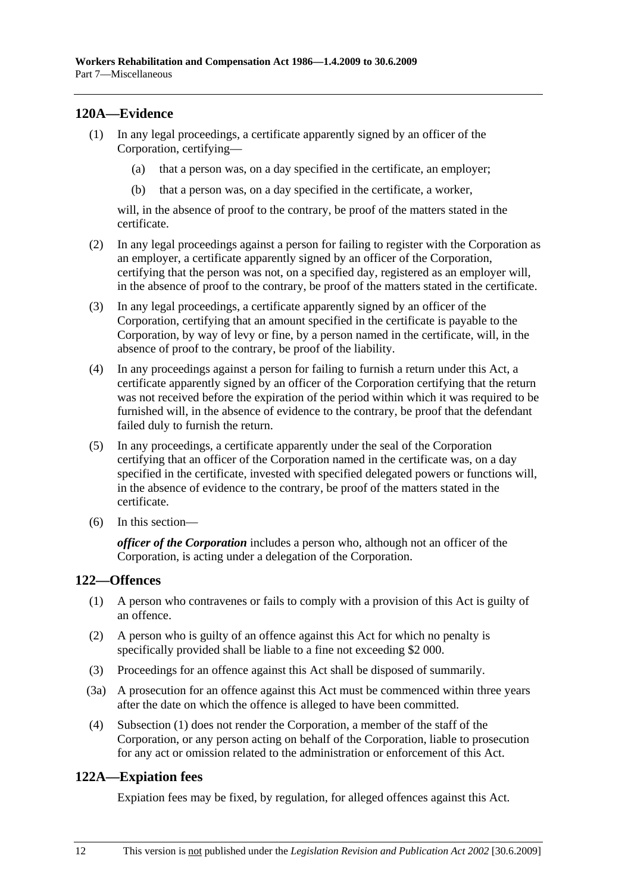# **120A—Evidence**

- (1) In any legal proceedings, a certificate apparently signed by an officer of the Corporation, certifying—
	- (a) that a person was, on a day specified in the certificate, an employer;
	- (b) that a person was, on a day specified in the certificate, a worker,

will, in the absence of proof to the contrary, be proof of the matters stated in the certificate.

- (2) In any legal proceedings against a person for failing to register with the Corporation as an employer, a certificate apparently signed by an officer of the Corporation, certifying that the person was not, on a specified day, registered as an employer will, in the absence of proof to the contrary, be proof of the matters stated in the certificate.
- (3) In any legal proceedings, a certificate apparently signed by an officer of the Corporation, certifying that an amount specified in the certificate is payable to the Corporation, by way of levy or fine, by a person named in the certificate, will, in the absence of proof to the contrary, be proof of the liability.
- (4) In any proceedings against a person for failing to furnish a return under this Act, a certificate apparently signed by an officer of the Corporation certifying that the return was not received before the expiration of the period within which it was required to be furnished will, in the absence of evidence to the contrary, be proof that the defendant failed duly to furnish the return.
- (5) In any proceedings, a certificate apparently under the seal of the Corporation certifying that an officer of the Corporation named in the certificate was, on a day specified in the certificate, invested with specified delegated powers or functions will, in the absence of evidence to the contrary, be proof of the matters stated in the certificate.
- (6) In this section—

*officer of the Corporation* includes a person who, although not an officer of the Corporation, is acting under a delegation of the Corporation.

# **122—Offences**

- (1) A person who contravenes or fails to comply with a provision of this Act is guilty of an offence.
- (2) A person who is guilty of an offence against this Act for which no penalty is specifically provided shall be liable to a fine not exceeding \$2 000.
- (3) Proceedings for an offence against this Act shall be disposed of summarily.
- (3a) A prosecution for an offence against this Act must be commenced within three years after the date on which the offence is alleged to have been committed.
- (4) Subsection (1) does not render the Corporation, a member of the staff of the Corporation, or any person acting on behalf of the Corporation, liable to prosecution for any act or omission related to the administration or enforcement of this Act.

# **122A—Expiation fees**

Expiation fees may be fixed, by regulation, for alleged offences against this Act.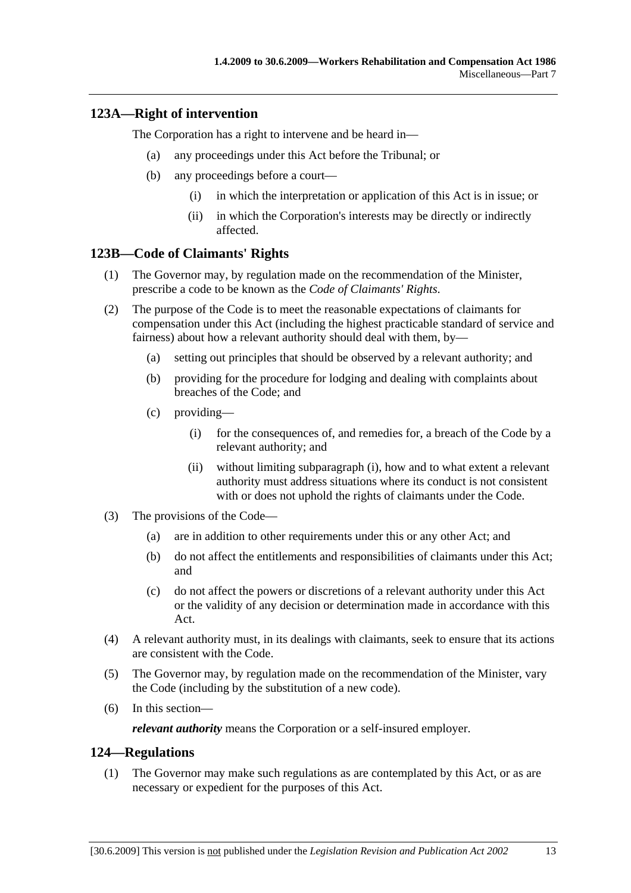#### **123A—Right of intervention**

The Corporation has a right to intervene and be heard in—

- (a) any proceedings under this Act before the Tribunal; or
- (b) any proceedings before a court—
	- (i) in which the interpretation or application of this Act is in issue; or
	- (ii) in which the Corporation's interests may be directly or indirectly affected.

#### **123B—Code of Claimants' Rights**

- (1) The Governor may, by regulation made on the recommendation of the Minister, prescribe a code to be known as the *Code of Claimants' Rights*.
- (2) The purpose of the Code is to meet the reasonable expectations of claimants for compensation under this Act (including the highest practicable standard of service and fairness) about how a relevant authority should deal with them, by—
	- (a) setting out principles that should be observed by a relevant authority; and
	- (b) providing for the procedure for lodging and dealing with complaints about breaches of the Code; and
	- (c) providing—
		- (i) for the consequences of, and remedies for, a breach of the Code by a relevant authority; and
		- (ii) without limiting subparagraph (i), how and to what extent a relevant authority must address situations where its conduct is not consistent with or does not uphold the rights of claimants under the Code.
- (3) The provisions of the Code—
	- (a) are in addition to other requirements under this or any other Act; and
	- (b) do not affect the entitlements and responsibilities of claimants under this Act; and
	- (c) do not affect the powers or discretions of a relevant authority under this Act or the validity of any decision or determination made in accordance with this Act.
- (4) A relevant authority must, in its dealings with claimants, seek to ensure that its actions are consistent with the Code.
- (5) The Governor may, by regulation made on the recommendation of the Minister, vary the Code (including by the substitution of a new code).
- (6) In this section—

*relevant authority* means the Corporation or a self-insured employer.

#### **124—Regulations**

 (1) The Governor may make such regulations as are contemplated by this Act, or as are necessary or expedient for the purposes of this Act.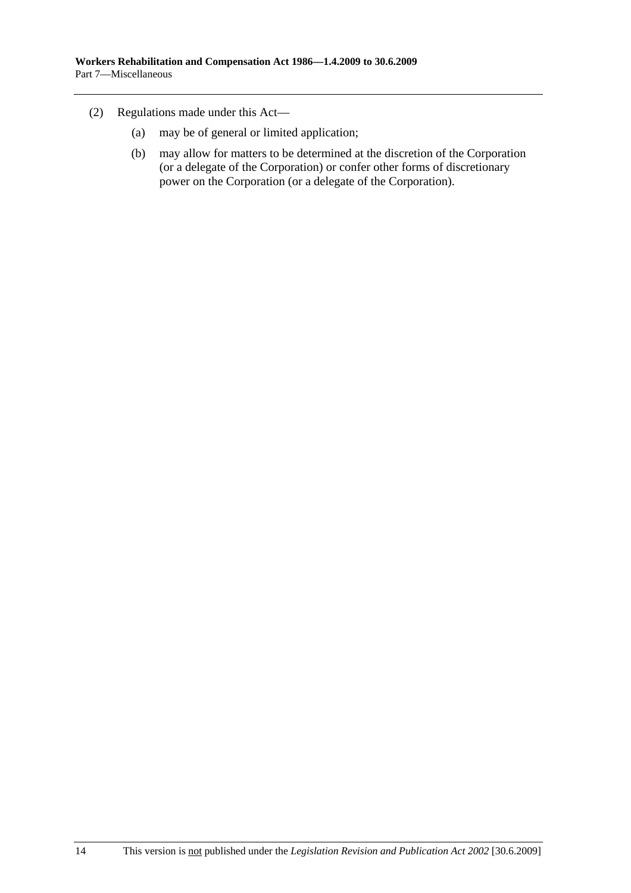- (2) Regulations made under this Act—
	- (a) may be of general or limited application;
	- (b) may allow for matters to be determined at the discretion of the Corporation (or a delegate of the Corporation) or confer other forms of discretionary power on the Corporation (or a delegate of the Corporation).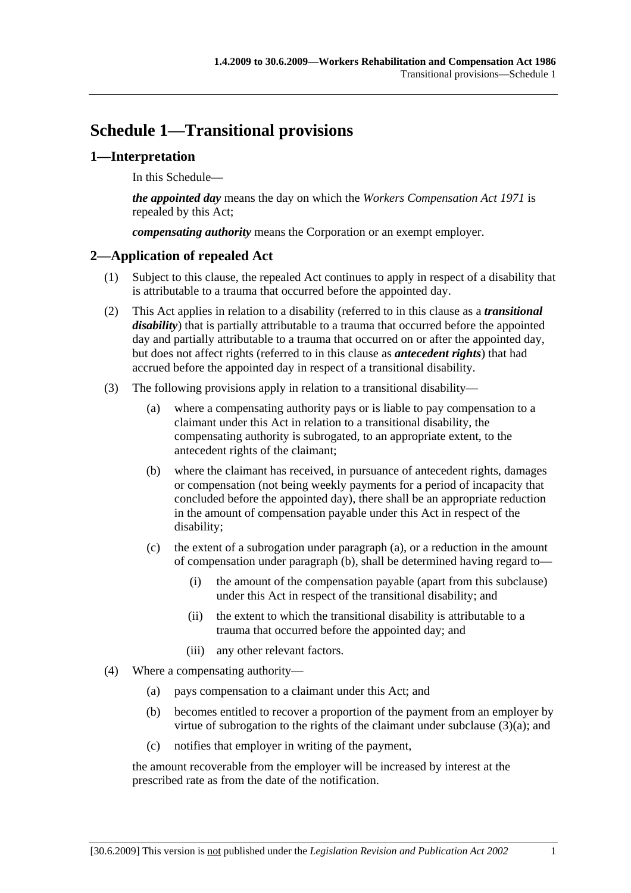# **Schedule 1—Transitional provisions**

#### **1—Interpretation**

In this Schedule—

*the appointed day* means the day on which the *Workers Compensation Act 1971* is repealed by this Act;

*compensating authority* means the Corporation or an exempt employer.

#### **2—Application of repealed Act**

- (1) Subject to this clause, the repealed Act continues to apply in respect of a disability that is attributable to a trauma that occurred before the appointed day.
- (2) This Act applies in relation to a disability (referred to in this clause as a *transitional disability*) that is partially attributable to a trauma that occurred before the appointed day and partially attributable to a trauma that occurred on or after the appointed day, but does not affect rights (referred to in this clause as *antecedent rights*) that had accrued before the appointed day in respect of a transitional disability.
- (3) The following provisions apply in relation to a transitional disability—
	- (a) where a compensating authority pays or is liable to pay compensation to a claimant under this Act in relation to a transitional disability, the compensating authority is subrogated, to an appropriate extent, to the antecedent rights of the claimant;
	- (b) where the claimant has received, in pursuance of antecedent rights, damages or compensation (not being weekly payments for a period of incapacity that concluded before the appointed day), there shall be an appropriate reduction in the amount of compensation payable under this Act in respect of the disability;
	- (c) the extent of a subrogation under paragraph (a), or a reduction in the amount of compensation under paragraph (b), shall be determined having regard to—
		- (i) the amount of the compensation payable (apart from this subclause) under this Act in respect of the transitional disability; and
		- (ii) the extent to which the transitional disability is attributable to a trauma that occurred before the appointed day; and
		- (iii) any other relevant factors.
- (4) Where a compensating authority—
	- (a) pays compensation to a claimant under this Act; and
	- (b) becomes entitled to recover a proportion of the payment from an employer by virtue of subrogation to the rights of the claimant under subclause (3)(a); and
	- (c) notifies that employer in writing of the payment,

the amount recoverable from the employer will be increased by interest at the prescribed rate as from the date of the notification.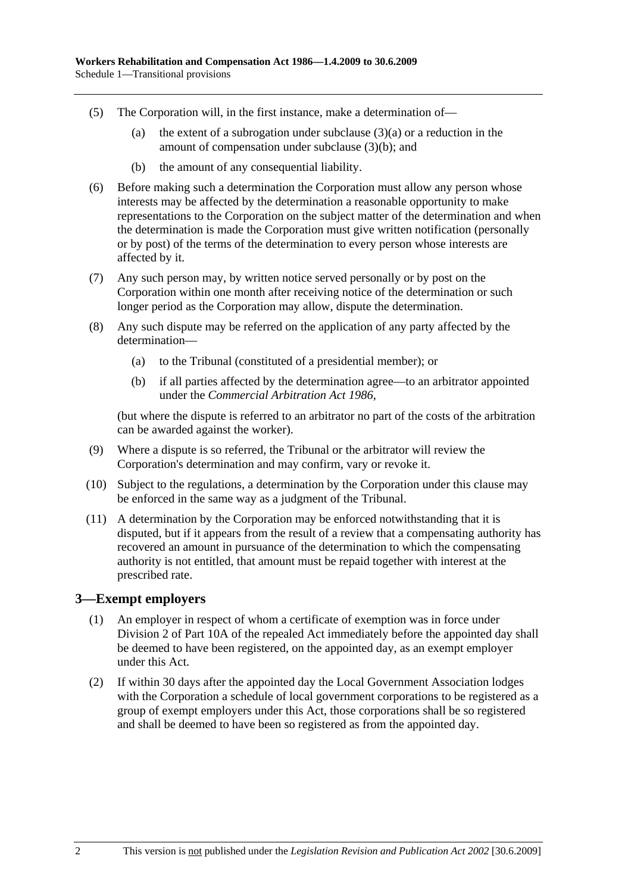- (5) The Corporation will, in the first instance, make a determination of—
	- (a) the extent of a subrogation under subclause  $(3)(a)$  or a reduction in the amount of compensation under subclause (3)(b); and
	- (b) the amount of any consequential liability.
- (6) Before making such a determination the Corporation must allow any person whose interests may be affected by the determination a reasonable opportunity to make representations to the Corporation on the subject matter of the determination and when the determination is made the Corporation must give written notification (personally or by post) of the terms of the determination to every person whose interests are affected by it.
- (7) Any such person may, by written notice served personally or by post on the Corporation within one month after receiving notice of the determination or such longer period as the Corporation may allow, dispute the determination.
- (8) Any such dispute may be referred on the application of any party affected by the determination—
	- (a) to the Tribunal (constituted of a presidential member); or
	- (b) if all parties affected by the determination agree—to an arbitrator appointed under the *Commercial Arbitration Act 1986*,

(but where the dispute is referred to an arbitrator no part of the costs of the arbitration can be awarded against the worker).

- (9) Where a dispute is so referred, the Tribunal or the arbitrator will review the Corporation's determination and may confirm, vary or revoke it.
- (10) Subject to the regulations, a determination by the Corporation under this clause may be enforced in the same way as a judgment of the Tribunal.
- (11) A determination by the Corporation may be enforced notwithstanding that it is disputed, but if it appears from the result of a review that a compensating authority has recovered an amount in pursuance of the determination to which the compensating authority is not entitled, that amount must be repaid together with interest at the prescribed rate.

#### **3—Exempt employers**

- (1) An employer in respect of whom a certificate of exemption was in force under Division 2 of Part 10A of the repealed Act immediately before the appointed day shall be deemed to have been registered, on the appointed day, as an exempt employer under this Act.
- (2) If within 30 days after the appointed day the Local Government Association lodges with the Corporation a schedule of local government corporations to be registered as a group of exempt employers under this Act, those corporations shall be so registered and shall be deemed to have been so registered as from the appointed day.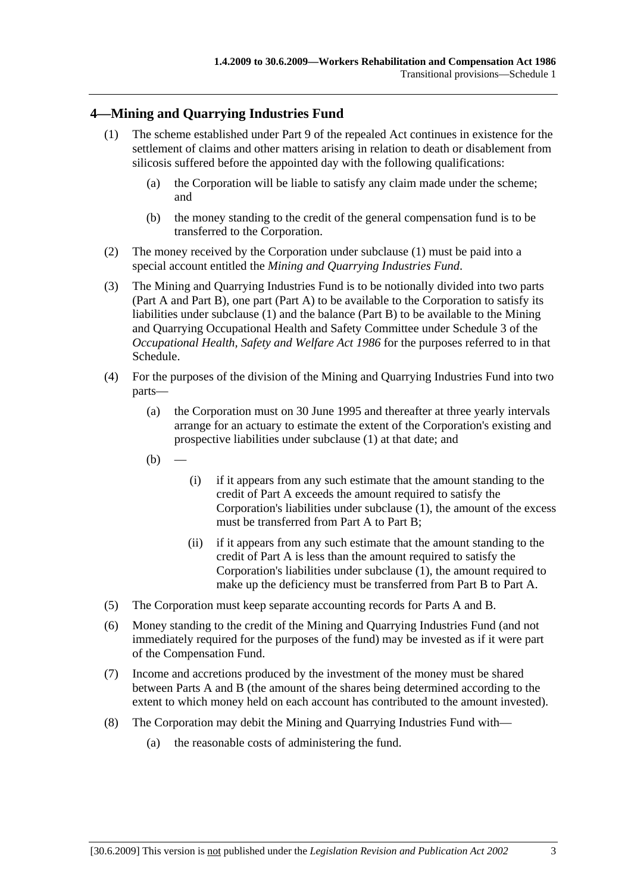#### **4—Mining and Quarrying Industries Fund**

- (1) The scheme established under Part 9 of the repealed Act continues in existence for the settlement of claims and other matters arising in relation to death or disablement from silicosis suffered before the appointed day with the following qualifications:
	- (a) the Corporation will be liable to satisfy any claim made under the scheme; and
	- (b) the money standing to the credit of the general compensation fund is to be transferred to the Corporation.
- (2) The money received by the Corporation under subclause (1) must be paid into a special account entitled the *Mining and Quarrying Industries Fund*.
- (3) The Mining and Quarrying Industries Fund is to be notionally divided into two parts (Part A and Part B), one part (Part A) to be available to the Corporation to satisfy its liabilities under subclause (1) and the balance (Part B) to be available to the Mining and Quarrying Occupational Health and Safety Committee under Schedule 3 of the *Occupational Health, Safety and Welfare Act 1986* for the purposes referred to in that Schedule.
- (4) For the purposes of the division of the Mining and Quarrying Industries Fund into two parts—
	- (a) the Corporation must on 30 June 1995 and thereafter at three yearly intervals arrange for an actuary to estimate the extent of the Corporation's existing and prospective liabilities under subclause (1) at that date; and
	- $(b)$
- (i) if it appears from any such estimate that the amount standing to the credit of Part A exceeds the amount required to satisfy the Corporation's liabilities under subclause (1), the amount of the excess must be transferred from Part A to Part B;
- (ii) if it appears from any such estimate that the amount standing to the credit of Part A is less than the amount required to satisfy the Corporation's liabilities under subclause (1), the amount required to make up the deficiency must be transferred from Part B to Part A.
- (5) The Corporation must keep separate accounting records for Parts A and B.
- (6) Money standing to the credit of the Mining and Quarrying Industries Fund (and not immediately required for the purposes of the fund) may be invested as if it were part of the Compensation Fund.
- (7) Income and accretions produced by the investment of the money must be shared between Parts A and B (the amount of the shares being determined according to the extent to which money held on each account has contributed to the amount invested).
- (8) The Corporation may debit the Mining and Quarrying Industries Fund with—
	- (a) the reasonable costs of administering the fund.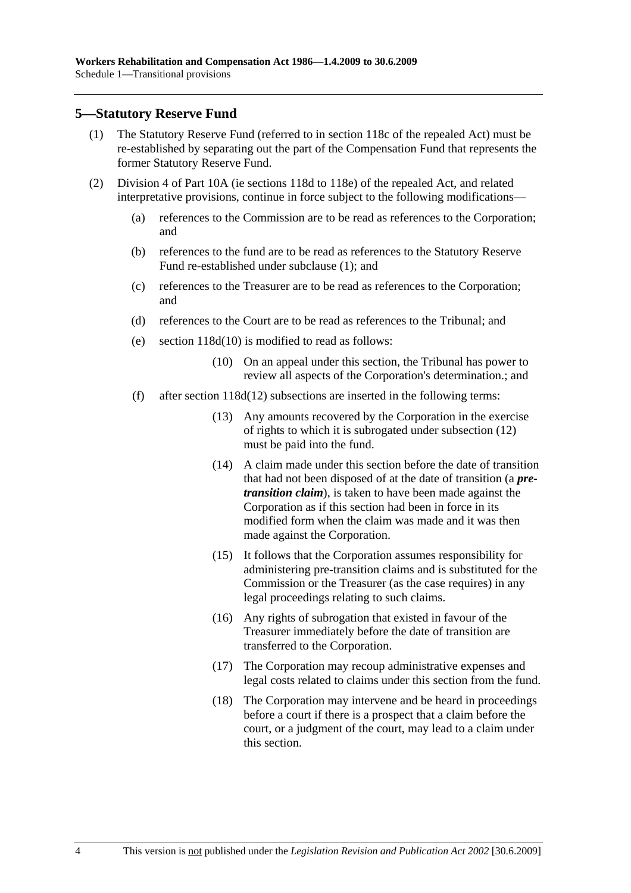#### **5—Statutory Reserve Fund**

- (1) The Statutory Reserve Fund (referred to in section 118c of the repealed Act) must be re-established by separating out the part of the Compensation Fund that represents the former Statutory Reserve Fund.
- (2) Division 4 of Part 10A (ie sections 118d to 118e) of the repealed Act, and related interpretative provisions, continue in force subject to the following modifications—
	- (a) references to the Commission are to be read as references to the Corporation; and
	- (b) references to the fund are to be read as references to the Statutory Reserve Fund re-established under subclause (1); and
	- (c) references to the Treasurer are to be read as references to the Corporation; and
	- (d) references to the Court are to be read as references to the Tribunal; and
	- (e) section 118d(10) is modified to read as follows:
		- (10) On an appeal under this section, the Tribunal has power to review all aspects of the Corporation's determination.; and
	- (f) after section 118d(12) subsections are inserted in the following terms:
		- (13) Any amounts recovered by the Corporation in the exercise of rights to which it is subrogated under subsection (12) must be paid into the fund.
		- (14) A claim made under this section before the date of transition that had not been disposed of at the date of transition (a *pretransition claim*), is taken to have been made against the Corporation as if this section had been in force in its modified form when the claim was made and it was then made against the Corporation.
		- (15) It follows that the Corporation assumes responsibility for administering pre-transition claims and is substituted for the Commission or the Treasurer (as the case requires) in any legal proceedings relating to such claims.
		- (16) Any rights of subrogation that existed in favour of the Treasurer immediately before the date of transition are transferred to the Corporation.
		- (17) The Corporation may recoup administrative expenses and legal costs related to claims under this section from the fund.
		- (18) The Corporation may intervene and be heard in proceedings before a court if there is a prospect that a claim before the court, or a judgment of the court, may lead to a claim under this section.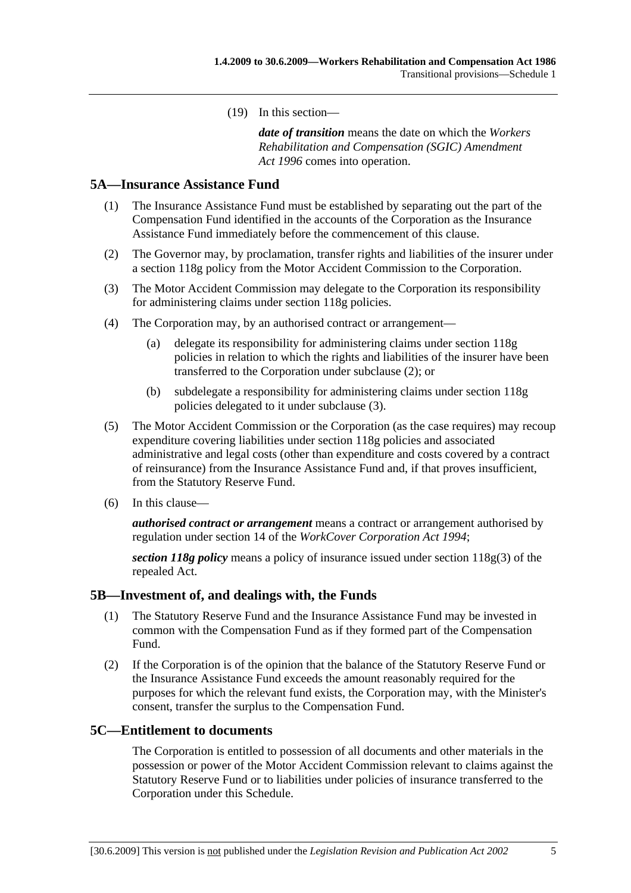(19) In this section—

*date of transition* means the date on which the *Workers Rehabilitation and Compensation (SGIC) Amendment Act 1996* comes into operation.

#### **5A—Insurance Assistance Fund**

- (1) The Insurance Assistance Fund must be established by separating out the part of the Compensation Fund identified in the accounts of the Corporation as the Insurance Assistance Fund immediately before the commencement of this clause.
- (2) The Governor may, by proclamation, transfer rights and liabilities of the insurer under a section 118g policy from the Motor Accident Commission to the Corporation.
- (3) The Motor Accident Commission may delegate to the Corporation its responsibility for administering claims under section 118g policies.
- (4) The Corporation may, by an authorised contract or arrangement—
	- (a) delegate its responsibility for administering claims under section 118g policies in relation to which the rights and liabilities of the insurer have been transferred to the Corporation under subclause (2); or
	- (b) subdelegate a responsibility for administering claims under section 118g policies delegated to it under subclause (3).
- (5) The Motor Accident Commission or the Corporation (as the case requires) may recoup expenditure covering liabilities under section 118g policies and associated administrative and legal costs (other than expenditure and costs covered by a contract of reinsurance) from the Insurance Assistance Fund and, if that proves insufficient, from the Statutory Reserve Fund.
- (6) In this clause—

*authorised contract or arrangement* means a contract or arrangement authorised by regulation under section 14 of the *WorkCover Corporation Act 1994*;

*section 118g policy* means a policy of insurance issued under section 118g(3) of the repealed Act.

#### **5B—Investment of, and dealings with, the Funds**

- (1) The Statutory Reserve Fund and the Insurance Assistance Fund may be invested in common with the Compensation Fund as if they formed part of the Compensation Fund.
- (2) If the Corporation is of the opinion that the balance of the Statutory Reserve Fund or the Insurance Assistance Fund exceeds the amount reasonably required for the purposes for which the relevant fund exists, the Corporation may, with the Minister's consent, transfer the surplus to the Compensation Fund.

#### **5C—Entitlement to documents**

The Corporation is entitled to possession of all documents and other materials in the possession or power of the Motor Accident Commission relevant to claims against the Statutory Reserve Fund or to liabilities under policies of insurance transferred to the Corporation under this Schedule.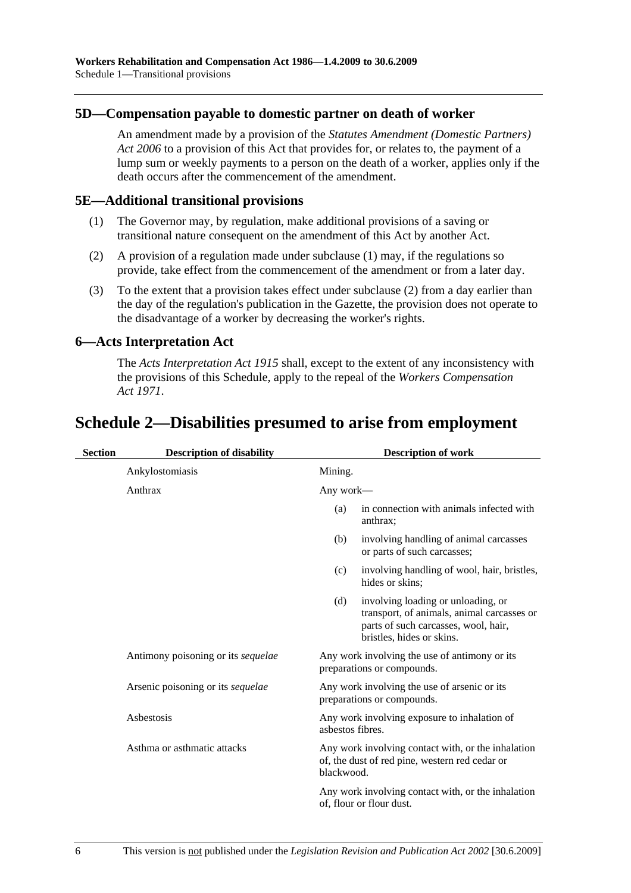#### **5D—Compensation payable to domestic partner on death of worker**

An amendment made by a provision of the *Statutes Amendment (Domestic Partners) Act 2006* to a provision of this Act that provides for, or relates to, the payment of a lump sum or weekly payments to a person on the death of a worker, applies only if the death occurs after the commencement of the amendment.

#### **5E—Additional transitional provisions**

- (1) The Governor may, by regulation, make additional provisions of a saving or transitional nature consequent on the amendment of this Act by another Act.
- (2) A provision of a regulation made under subclause (1) may, if the regulations so provide, take effect from the commencement of the amendment or from a later day.
- (3) To the extent that a provision takes effect under subclause (2) from a day earlier than the day of the regulation's publication in the Gazette, the provision does not operate to the disadvantage of a worker by decreasing the worker's rights.

#### **6—Acts Interpretation Act**

The *Acts Interpretation Act 1915* shall, except to the extent of any inconsistency with the provisions of this Schedule, apply to the repeal of the *Workers Compensation Act 1971*.

## **Schedule 2—Disabilities presumed to arise from employment**

| <b>Section</b> | <b>Description of disability</b>   | <b>Description of work</b> |                                                                                                                                                       |
|----------------|------------------------------------|----------------------------|-------------------------------------------------------------------------------------------------------------------------------------------------------|
|                | Ankylostomiasis                    | Mining.                    |                                                                                                                                                       |
|                | Anthrax                            | Any work—                  |                                                                                                                                                       |
|                |                                    | (a)                        | in connection with animals infected with<br>anthrax;                                                                                                  |
|                |                                    | (b)                        | involving handling of animal carcasses<br>or parts of such carcasses;                                                                                 |
|                |                                    | (c)                        | involving handling of wool, hair, bristles,<br>hides or skins;                                                                                        |
|                |                                    | (d)                        | involving loading or unloading, or<br>transport, of animals, animal carcasses or<br>parts of such carcasses, wool, hair,<br>bristles, hides or skins. |
|                | Antimony poisoning or its sequelae |                            | Any work involving the use of antimony or its<br>preparations or compounds.                                                                           |
|                | Arsenic poisoning or its sequelae  |                            | Any work involving the use of arsenic or its<br>preparations or compounds.                                                                            |
|                | Asbestosis                         | asbestos fibres.           | Any work involving exposure to inhalation of                                                                                                          |
|                | Asthma or asthmatic attacks        | blackwood.                 | Any work involving contact with, or the inhalation<br>of, the dust of red pine, western red cedar or                                                  |
|                |                                    |                            | Any work involving contact with, or the inhalation<br>of, flour or flour dust.                                                                        |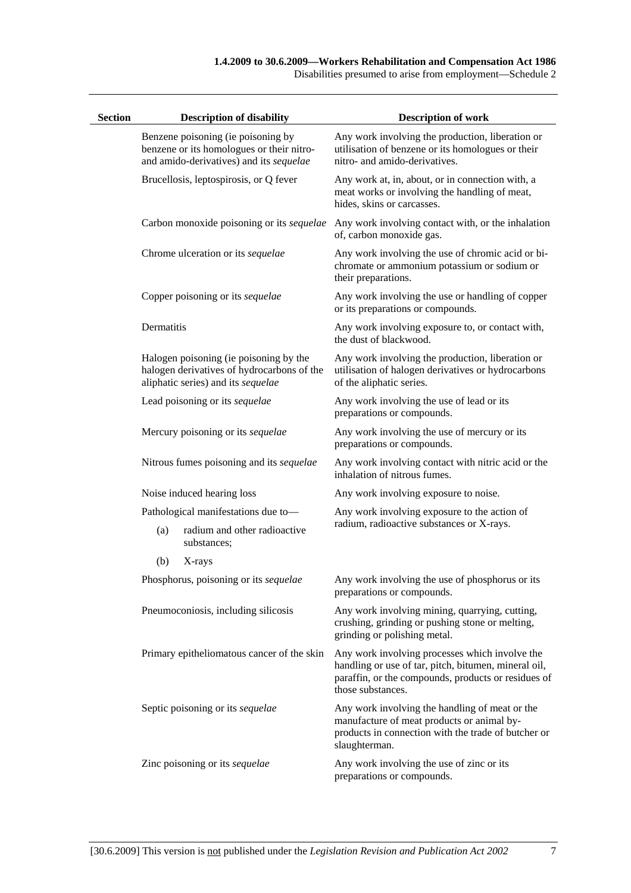Disabilities presumed to arise from employment—Schedule 2

| <b>Section</b> |            | <b>Description of disability</b>                                                                                           | <b>Description of work</b>                                                                                                                                                         |
|----------------|------------|----------------------------------------------------------------------------------------------------------------------------|------------------------------------------------------------------------------------------------------------------------------------------------------------------------------------|
|                |            | Benzene poisoning (ie poisoning by<br>benzene or its homologues or their nitro-<br>and amido-derivatives) and its sequelae | Any work involving the production, liberation or<br>utilisation of benzene or its homologues or their<br>nitro- and amido-derivatives.                                             |
|                |            | Brucellosis, leptospirosis, or Q fever                                                                                     | Any work at, in, about, or in connection with, a<br>meat works or involving the handling of meat,<br>hides, skins or carcasses.                                                    |
|                |            |                                                                                                                            | Carbon monoxide poisoning or its <i>sequelae</i> Any work involving contact with, or the inhalation<br>of, carbon monoxide gas.                                                    |
|                |            | Chrome ulceration or its sequelae                                                                                          | Any work involving the use of chromic acid or bi-<br>chromate or ammonium potassium or sodium or<br>their preparations.                                                            |
|                |            | Copper poisoning or its sequelae                                                                                           | Any work involving the use or handling of copper<br>or its preparations or compounds.                                                                                              |
|                | Dermatitis |                                                                                                                            | Any work involving exposure to, or contact with,<br>the dust of blackwood.                                                                                                         |
|                |            | Halogen poisoning (ie poisoning by the<br>halogen derivatives of hydrocarbons of the<br>aliphatic series) and its sequelae | Any work involving the production, liberation or<br>utilisation of halogen derivatives or hydrocarbons<br>of the aliphatic series.                                                 |
|                |            | Lead poisoning or its sequelae                                                                                             | Any work involving the use of lead or its<br>preparations or compounds.                                                                                                            |
|                |            | Mercury poisoning or its sequelae                                                                                          | Any work involving the use of mercury or its<br>preparations or compounds.                                                                                                         |
|                |            | Nitrous fumes poisoning and its sequelae                                                                                   | Any work involving contact with nitric acid or the<br>inhalation of nitrous fumes.                                                                                                 |
|                |            | Noise induced hearing loss                                                                                                 | Any work involving exposure to noise.                                                                                                                                              |
|                |            | Pathological manifestations due to-                                                                                        | Any work involving exposure to the action of                                                                                                                                       |
|                | (a)        | radium and other radioactive<br>substances;                                                                                | radium, radioactive substances or X-rays.                                                                                                                                          |
|                | (b)        | X-rays                                                                                                                     |                                                                                                                                                                                    |
|                |            | Phosphorus, poisoning or its sequelae                                                                                      | Any work involving the use of phosphorus or its<br>preparations or compounds.                                                                                                      |
|                |            | Pneumoconiosis, including silicosis                                                                                        | Any work involving mining, quarrying, cutting,<br>crushing, grinding or pushing stone or melting,<br>grinding or polishing metal.                                                  |
|                |            | Primary epitheliomatous cancer of the skin                                                                                 | Any work involving processes which involve the<br>handling or use of tar, pitch, bitumen, mineral oil,<br>paraffin, or the compounds, products or residues of<br>those substances. |
|                |            | Septic poisoning or its sequelae                                                                                           | Any work involving the handling of meat or the<br>manufacture of meat products or animal by-<br>products in connection with the trade of butcher or<br>slaughterman.               |
|                |            | Zinc poisoning or its sequelae                                                                                             | Any work involving the use of zinc or its<br>preparations or compounds.                                                                                                            |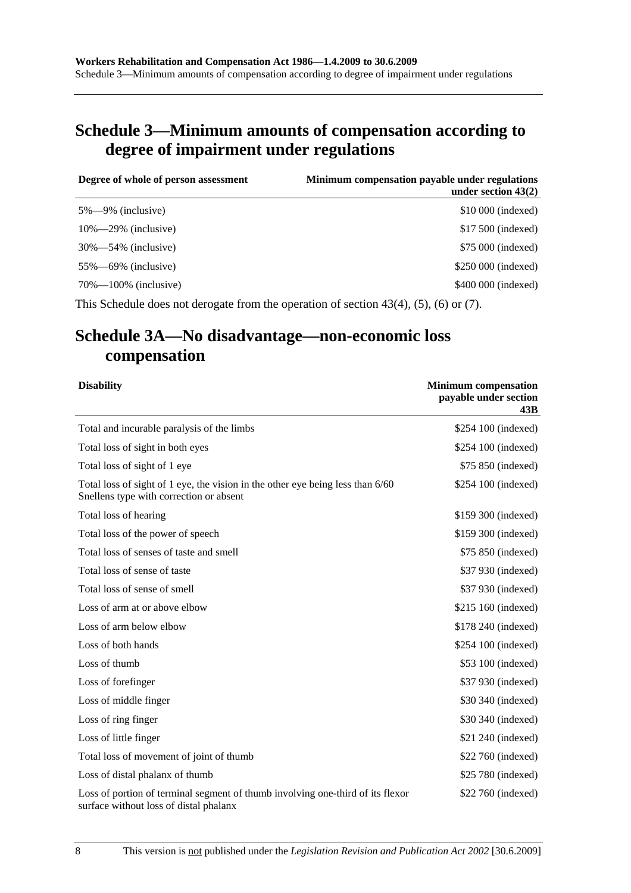# **Schedule 3—Minimum amounts of compensation according to degree of impairment under regulations**

| Degree of whole of person assessment | Minimum compensation payable under regulations<br>under section $43(2)$ |
|--------------------------------------|-------------------------------------------------------------------------|
| $5\% - 9\%$ (inclusive)              | \$10,000 (indexed)                                                      |
| $10\% - 29\%$ (inclusive)            | \$17,500 (indexed)                                                      |
| $30\% - 54\%$ (inclusive)            | \$75 000 (indexed)                                                      |
| $55\% - 69\%$ (inclusive)            | \$250 000 (indexed)                                                     |
| $70\% - 100\%$ (inclusive)           | \$400 000 (indexed)                                                     |
|                                      |                                                                         |

This Schedule does not derogate from the operation of section 43(4), (5), (6) or (7).

# **Schedule 3A—No disadvantage—non-economic loss compensation**

| <b>Disability</b>                                                                                                         | <b>Minimum compensation</b><br>payable under section<br>43B |
|---------------------------------------------------------------------------------------------------------------------------|-------------------------------------------------------------|
| Total and incurable paralysis of the limbs                                                                                | \$254 100 (indexed)                                         |
| Total loss of sight in both eyes                                                                                          | \$254 100 (indexed)                                         |
| Total loss of sight of 1 eye                                                                                              | \$75 850 (indexed)                                          |
| Total loss of sight of 1 eye, the vision in the other eye being less than 6/60<br>Snellens type with correction or absent | \$254 100 (indexed)                                         |
| Total loss of hearing                                                                                                     | \$159 300 (indexed)                                         |
| Total loss of the power of speech                                                                                         | \$159 300 (indexed)                                         |
| Total loss of senses of taste and smell                                                                                   | \$75 850 (indexed)                                          |
| Total loss of sense of taste                                                                                              | \$37 930 (indexed)                                          |
| Total loss of sense of smell                                                                                              | \$37 930 (indexed)                                          |
| Loss of arm at or above elbow                                                                                             | \$215 160 (indexed)                                         |
| Loss of arm below elbow                                                                                                   | \$178 240 (indexed)                                         |
| Loss of both hands                                                                                                        | \$254 100 (indexed)                                         |
| Loss of thumb                                                                                                             | \$53 100 (indexed)                                          |
| Loss of forefinger                                                                                                        | \$37 930 (indexed)                                          |
| Loss of middle finger                                                                                                     | \$30 340 (indexed)                                          |
| Loss of ring finger                                                                                                       | \$30 340 (indexed)                                          |
| Loss of little finger                                                                                                     | \$21 240 (indexed)                                          |
| Total loss of movement of joint of thumb                                                                                  | \$22 760 (indexed)                                          |
| Loss of distal phalanx of thumb                                                                                           | \$25 780 (indexed)                                          |
| Loss of portion of terminal segment of thumb involving one-third of its flexor<br>surface without loss of distal phalanx  | \$22 760 (indexed)                                          |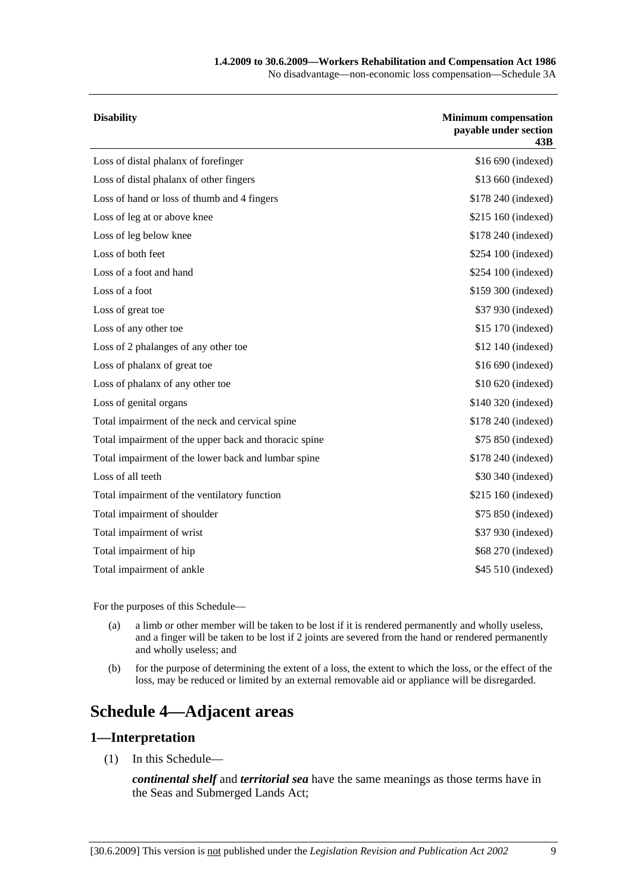#### **1.4.2009 to 30.6.2009—Workers Rehabilitation and Compensation Act 1986**

No disadvantage—non-economic loss compensation—Schedule 3A

| <b>Disability</b>                                     | <b>Minimum compensation</b><br>payable under section<br>43B |
|-------------------------------------------------------|-------------------------------------------------------------|
| Loss of distal phalanx of forefinger                  | \$16 690 (indexed)                                          |
| Loss of distal phalanx of other fingers               | \$13 660 (indexed)                                          |
| Loss of hand or loss of thumb and 4 fingers           | \$178 240 (indexed)                                         |
| Loss of leg at or above knee                          | \$215 160 (indexed)                                         |
| Loss of leg below knee                                | \$178 240 (indexed)                                         |
| Loss of both feet                                     | \$254 100 (indexed)                                         |
| Loss of a foot and hand                               | \$254 100 (indexed)                                         |
| Loss of a foot                                        | \$159 300 (indexed)                                         |
| Loss of great toe                                     | \$37 930 (indexed)                                          |
| Loss of any other toe                                 | \$15 170 (indexed)                                          |
| Loss of 2 phalanges of any other toe                  | \$12 140 (indexed)                                          |
| Loss of phalanx of great toe                          | \$16 690 (indexed)                                          |
| Loss of phalanx of any other toe                      | \$10 620 (indexed)                                          |
| Loss of genital organs                                | \$140 320 (indexed)                                         |
| Total impairment of the neck and cervical spine       | \$178 240 (indexed)                                         |
| Total impairment of the upper back and thoracic spine | \$75 850 (indexed)                                          |
| Total impairment of the lower back and lumbar spine   | \$178 240 (indexed)                                         |
| Loss of all teeth                                     | \$30 340 (indexed)                                          |
| Total impairment of the ventilatory function          | \$215 160 (indexed)                                         |
| Total impairment of shoulder                          | \$75 850 (indexed)                                          |
| Total impairment of wrist                             | \$37 930 (indexed)                                          |
| Total impairment of hip                               | \$68 270 (indexed)                                          |
| Total impairment of ankle                             | \$45 510 (indexed)                                          |
|                                                       |                                                             |

For the purposes of this Schedule—

- (a) a limb or other member will be taken to be lost if it is rendered permanently and wholly useless, and a finger will be taken to be lost if 2 joints are severed from the hand or rendered permanently and wholly useless; and
- (b) for the purpose of determining the extent of a loss, the extent to which the loss, or the effect of the loss, may be reduced or limited by an external removable aid or appliance will be disregarded.

# **Schedule 4—Adjacent areas**

#### **1—Interpretation**

(1) In this Schedule—

*continental shelf* and *territorial sea* have the same meanings as those terms have in the Seas and Submerged Lands Act;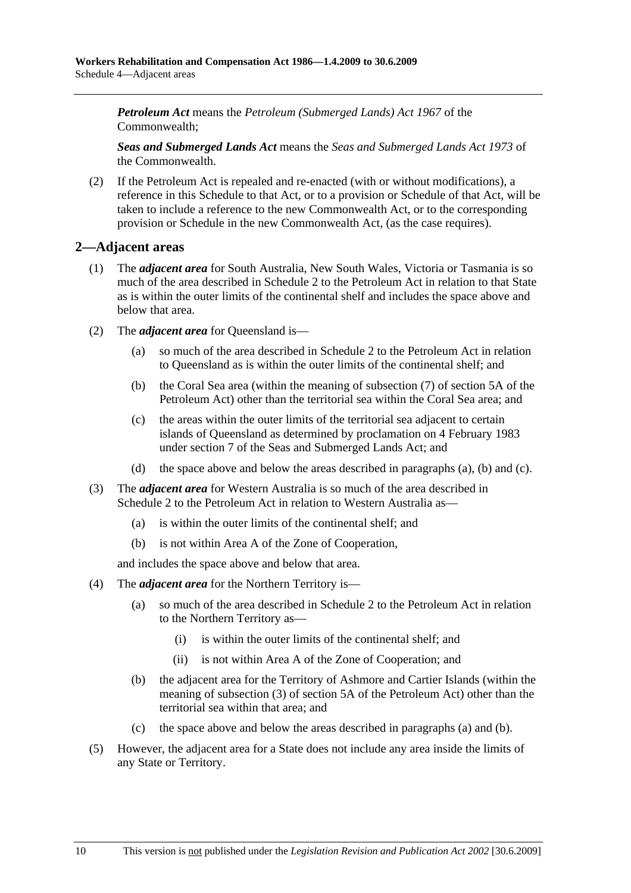*Petroleum Act* means the *Petroleum (Submerged Lands) Act 1967* of the Commonwealth;

*Seas and Submerged Lands Act* means the *Seas and Submerged Lands Act 1973* of the Commonwealth.

 (2) If the Petroleum Act is repealed and re-enacted (with or without modifications), a reference in this Schedule to that Act, or to a provision or Schedule of that Act, will be taken to include a reference to the new Commonwealth Act, or to the corresponding provision or Schedule in the new Commonwealth Act, (as the case requires).

#### **2—Adjacent areas**

- (1) The *adjacent area* for South Australia, New South Wales, Victoria or Tasmania is so much of the area described in Schedule 2 to the Petroleum Act in relation to that State as is within the outer limits of the continental shelf and includes the space above and below that area.
- (2) The *adjacent area* for Queensland is—
	- (a) so much of the area described in Schedule 2 to the Petroleum Act in relation to Queensland as is within the outer limits of the continental shelf; and
	- (b) the Coral Sea area (within the meaning of subsection (7) of section 5A of the Petroleum Act) other than the territorial sea within the Coral Sea area; and
	- (c) the areas within the outer limits of the territorial sea adjacent to certain islands of Queensland as determined by proclamation on 4 February 1983 under section 7 of the Seas and Submerged Lands Act; and
	- (d) the space above and below the areas described in paragraphs (a), (b) and (c).
- (3) The *adjacent area* for Western Australia is so much of the area described in Schedule 2 to the Petroleum Act in relation to Western Australia as—
	- (a) is within the outer limits of the continental shelf; and
	- (b) is not within Area A of the Zone of Cooperation,

and includes the space above and below that area.

- (4) The *adjacent area* for the Northern Territory is—
	- (a) so much of the area described in Schedule 2 to the Petroleum Act in relation to the Northern Territory as—
		- (i) is within the outer limits of the continental shelf; and
		- (ii) is not within Area A of the Zone of Cooperation; and
	- (b) the adjacent area for the Territory of Ashmore and Cartier Islands (within the meaning of subsection (3) of section 5A of the Petroleum Act) other than the territorial sea within that area; and
	- (c) the space above and below the areas described in paragraphs (a) and (b).
- (5) However, the adjacent area for a State does not include any area inside the limits of any State or Territory.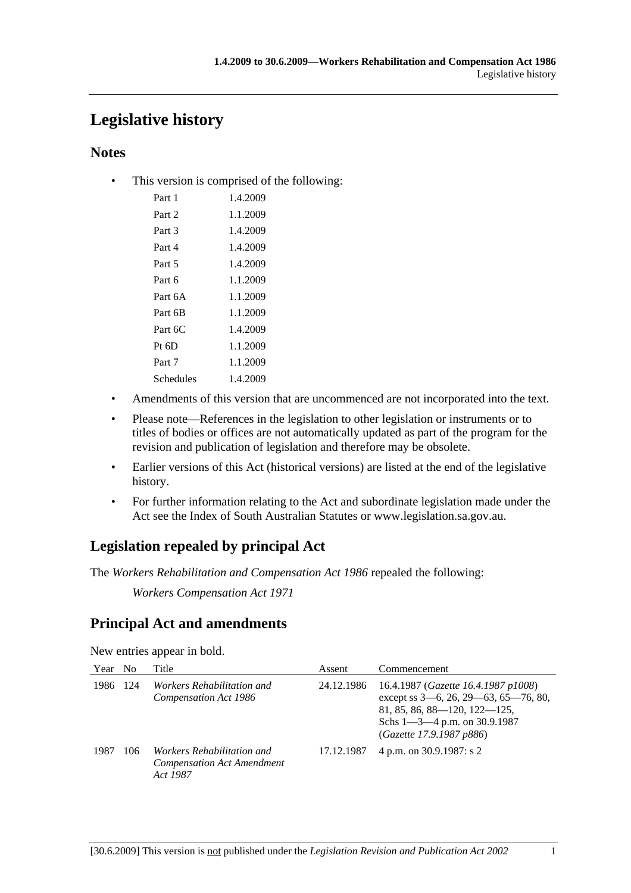# **Legislative history**

### **Notes**

• This version is comprised of the following:

| Part 1    | 1.4.2009 |
|-----------|----------|
| Part 2    | 1.1.2009 |
| Part 3    | 1.4.2009 |
| Part 4    | 1.4.2009 |
| Part 5    | 1.4.2009 |
| Part 6    | 1.1.2009 |
| Part 6A   | 1.1.2009 |
| Part 6B   | 1.1.2009 |
| Part 6C   | 1.4.2009 |
| $Pt\;6D$  | 1.1.2009 |
| Part 7    | 1.1.2009 |
| Schedules | 1.4.2009 |

- Amendments of this version that are uncommenced are not incorporated into the text.
- Please note—References in the legislation to other legislation or instruments or to titles of bodies or offices are not automatically updated as part of the program for the revision and publication of legislation and therefore may be obsolete.
- Earlier versions of this Act (historical versions) are listed at the end of the legislative history.
- For further information relating to the Act and subordinate legislation made under the Act see the Index of South Australian Statutes or www.legislation.sa.gov.au.

## **Legislation repealed by principal Act**

The *Workers Rehabilitation and Compensation Act 1986* repealed the following:

*Workers Compensation Act 1971*

## **Principal Act and amendments**

New entries appear in bold.

| Year | N <sub>0</sub> | Title                                                                              | Assent     | Commencement                                                                                                                                                                        |
|------|----------------|------------------------------------------------------------------------------------|------------|-------------------------------------------------------------------------------------------------------------------------------------------------------------------------------------|
| 1986 | 124            | <i>Workers Rehabilitation and</i><br>Compensation Act 1986                         | 24.12.1986 | 16.4.1987 (Gazette 16.4.1987 p1008)<br>except ss 3-6, 26, 29-63, 65-76, 80,<br>$81, 85, 86, 88 - 120, 122 - 125,$<br>Schs $1 - 3 - 4$ p.m. on 30.9.1987<br>(Gazette 17.9.1987 p886) |
| 1987 | 106            | <i>Workers Rehabilitation and</i><br><b>Compensation Act Amendment</b><br>Act 1987 | 17.12.1987 | 4 p.m. on 30.9.1987: s 2                                                                                                                                                            |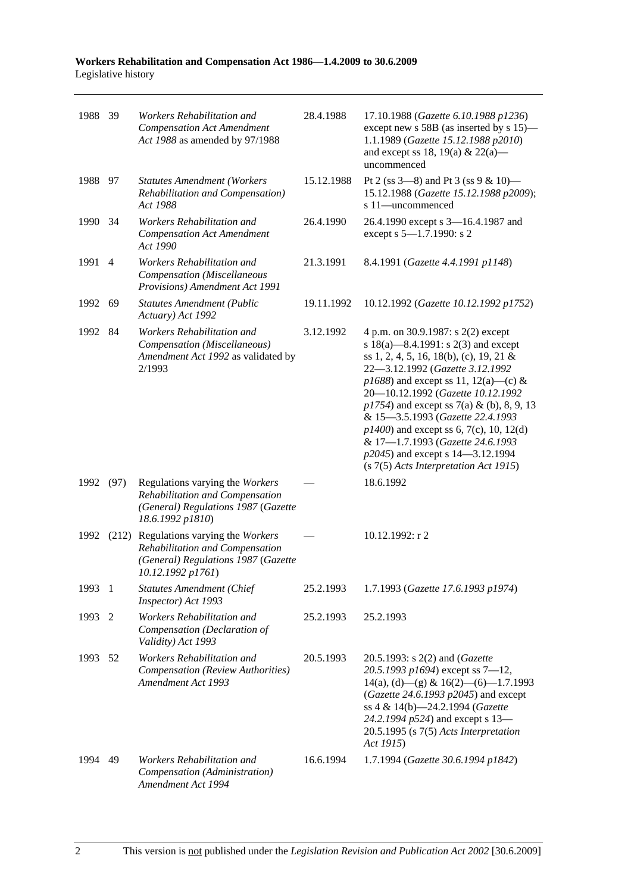| 1988 39 |                | Workers Rehabilitation and<br><b>Compensation Act Amendment</b><br>Act 1988 as amended by 97/1988                                    | 28.4.1988  | 17.10.1988 (Gazette 6.10.1988 p1236)<br>except new s 58B (as inserted by s 15)—<br>1.1.1989 (Gazette 15.12.1988 p2010)<br>and except ss 18, 19(a) & 22(a)—<br>uncommenced                                                                                                                                                                                                                                                                                                                         |
|---------|----------------|--------------------------------------------------------------------------------------------------------------------------------------|------------|---------------------------------------------------------------------------------------------------------------------------------------------------------------------------------------------------------------------------------------------------------------------------------------------------------------------------------------------------------------------------------------------------------------------------------------------------------------------------------------------------|
| 1988 97 |                | <b>Statutes Amendment (Workers</b><br>Rehabilitation and Compensation)<br>Act 1988                                                   | 15.12.1988 | Pt 2 (ss $3-8$ ) and Pt 3 (ss $9 & 10$ )<br>15.12.1988 (Gazette 15.12.1988 p2009);<br>s 11-uncommenced                                                                                                                                                                                                                                                                                                                                                                                            |
| 1990    | - 34           | Workers Rehabilitation and<br><b>Compensation Act Amendment</b><br>Act 1990                                                          | 26.4.1990  | 26.4.1990 except s 3-16.4.1987 and<br>except s 5-1.7.1990: s 2                                                                                                                                                                                                                                                                                                                                                                                                                                    |
| 1991    | $\overline{4}$ | Workers Rehabilitation and<br>Compensation (Miscellaneous<br>Provisions) Amendment Act 1991                                          | 21.3.1991  | 8.4.1991 (Gazette 4.4.1991 p1148)                                                                                                                                                                                                                                                                                                                                                                                                                                                                 |
| 1992    | 69             | <b>Statutes Amendment (Public</b><br>Actuary) Act 1992                                                                               | 19.11.1992 | 10.12.1992 (Gazette 10.12.1992 p1752)                                                                                                                                                                                                                                                                                                                                                                                                                                                             |
| 1992    | -84            | Workers Rehabilitation and<br>Compensation (Miscellaneous)<br>Amendment Act 1992 as validated by<br>2/1993                           | 3.12.1992  | 4 p.m. on 30.9.1987: s 2(2) except<br>s $18(a)$ —8.4.1991: s $2(3)$ and except<br>ss 1, 2, 4, 5, 16, 18(b), (c), 19, 21 &<br>22-3.12.1992 (Gazette 3.12.1992<br>$p1688$ ) and except ss 11, 12(a)—(c) &<br>20-10.12.1992 (Gazette 10.12.1992<br>$p1754$ ) and except ss 7(a) & (b), 8, 9, 13<br>& 15-3.5.1993 (Gazette 22.4.1993<br>$p1400$ ) and except ss 6, 7(c), 10, 12(d)<br>& 17-1.7.1993 (Gazette 24.6.1993<br>p2045) and except s 14–3.12.1994<br>$(s 7(5)$ Acts Interpretation Act 1915) |
| 1992    | (97)           | Regulations varying the Workers<br>Rehabilitation and Compensation<br>(General) Regulations 1987 (Gazette<br>18.6.1992 p1810)        |            | 18.6.1992                                                                                                                                                                                                                                                                                                                                                                                                                                                                                         |
| 1992    |                | (212) Regulations varying the Workers<br>Rehabilitation and Compensation<br>(General) Regulations 1987 (Gazette<br>10.12.1992 p1761) |            | 10.12.1992: r 2                                                                                                                                                                                                                                                                                                                                                                                                                                                                                   |
| 1993 1  |                | <b>Statutes Amendment (Chief</b><br>Inspector) Act 1993                                                                              | 25.2.1993  | 1.7.1993 (Gazette 17.6.1993 p1974)                                                                                                                                                                                                                                                                                                                                                                                                                                                                |
| 1993    | 2              | Workers Rehabilitation and<br>Compensation (Declaration of<br>Validity) Act 1993                                                     | 25.2.1993  | 25.2.1993                                                                                                                                                                                                                                                                                                                                                                                                                                                                                         |
| 1993    | -52            | Workers Rehabilitation and<br>Compensation (Review Authorities)<br>Amendment Act 1993                                                | 20.5.1993  | 20.5.1993: s 2(2) and (Gazette<br>20.5.1993 p1694) except ss $7-12$ ,<br>$14(a)$ , (d) - (g) & $16(2)$ - (6) - 1.7.1993<br>(Gazette 24.6.1993 p2045) and except<br>ss 4 & 14(b)-24.2.1994 (Gazette<br>24.2.1994 p524) and except s 13-<br>$20.5.1995$ (s $7(5)$ Acts Interpretation<br>Act 1915)                                                                                                                                                                                                  |
| 1994    | 49             | Workers Rehabilitation and<br>Compensation (Administration)<br>Amendment Act 1994                                                    | 16.6.1994  | 1.7.1994 (Gazette 30.6.1994 p1842)                                                                                                                                                                                                                                                                                                                                                                                                                                                                |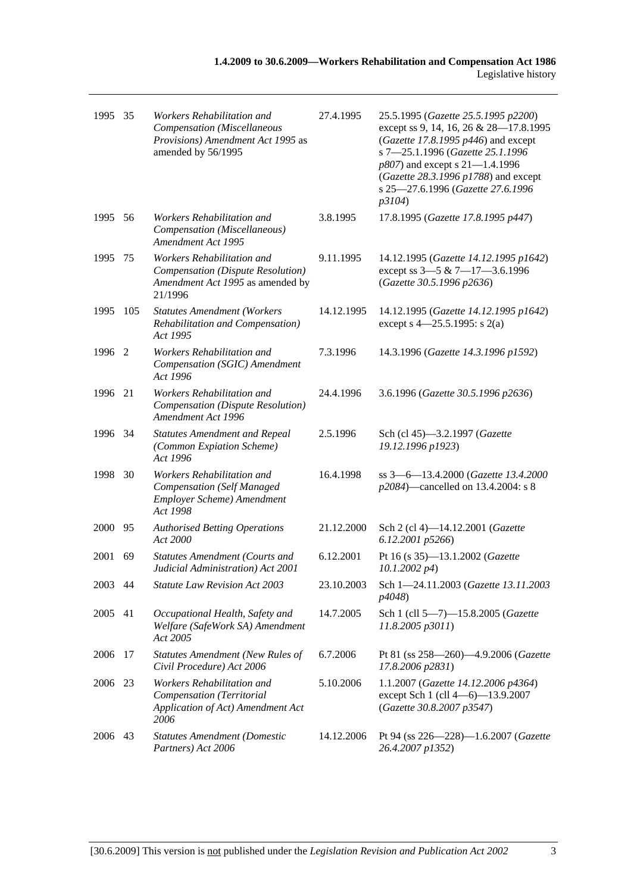| 1995 35 |      | Workers Rehabilitation and<br>Compensation (Miscellaneous<br>Provisions) Amendment Act 1995 as<br>amended by 56/1995 | 27.4.1995  | 25.5.1995 (Gazette 25.5.1995 p2200)<br>except ss 9, 14, 16, 26 & 28-17.8.1995<br>(Gazette 17.8.1995 p446) and except<br>s 7-25.1.1996 (Gazette 25.1.1996<br>p807) and except s 21-1.4.1996<br>(Gazette 28.3.1996 p1788) and except<br>s 25-27.6.1996 (Gazette 27.6.1996<br>p3104) |
|---------|------|----------------------------------------------------------------------------------------------------------------------|------------|-----------------------------------------------------------------------------------------------------------------------------------------------------------------------------------------------------------------------------------------------------------------------------------|
| 1995 56 |      | Workers Rehabilitation and<br>Compensation (Miscellaneous)<br>Amendment Act 1995                                     | 3.8.1995   | 17.8.1995 (Gazette 17.8.1995 p447)                                                                                                                                                                                                                                                |
| 1995    | 75   | Workers Rehabilitation and<br>Compensation (Dispute Resolution)<br>Amendment Act 1995 as amended by<br>21/1996       | 9.11.1995  | 14.12.1995 (Gazette 14.12.1995 p1642)<br>except ss 3-5 & 7-17-3.6.1996<br>(Gazette 30.5.1996 p2636)                                                                                                                                                                               |
| 1995    | 105  | <b>Statutes Amendment (Workers</b><br>Rehabilitation and Compensation)<br>Act 1995                                   | 14.12.1995 | 14.12.1995 (Gazette 14.12.1995 p1642)<br>except s $4 - 25.5.1995$ : s 2(a)                                                                                                                                                                                                        |
| 1996 2  |      | Workers Rehabilitation and<br>Compensation (SGIC) Amendment<br>Act 1996                                              | 7.3.1996   | 14.3.1996 (Gazette 14.3.1996 p1592)                                                                                                                                                                                                                                               |
| 1996    | 21   | Workers Rehabilitation and<br>Compensation (Dispute Resolution)<br>Amendment Act 1996                                | 24.4.1996  | 3.6.1996 (Gazette 30.5.1996 p2636)                                                                                                                                                                                                                                                |
| 1996 34 |      | <b>Statutes Amendment and Repeal</b><br>(Common Expiation Scheme)<br>Act 1996                                        | 2.5.1996   | Sch (cl 45)-3.2.1997 (Gazette<br>19.12.1996 p1923)                                                                                                                                                                                                                                |
| 1998    | 30   | Workers Rehabilitation and<br><b>Compensation</b> (Self Managed<br>Employer Scheme) Amendment<br>Act 1998            | 16.4.1998  | ss 3-6-13.4.2000 (Gazette 13.4.2000<br>p2084)—cancelled on 13.4.2004: s 8                                                                                                                                                                                                         |
| 2000    | - 95 | <b>Authorised Betting Operations</b><br>Act 2000                                                                     | 21.12.2000 | Sch 2 (cl 4)-14.12.2001 (Gazette<br>6.12.2001 p5266)                                                                                                                                                                                                                              |
| 2001    | 69   | <b>Statutes Amendment (Courts and</b><br>Judicial Administration) Act 2001                                           | 6.12.2001  | Pt 16 (s 35)-13.1.2002 (Gazette<br>$10.1.2002\ p4)$                                                                                                                                                                                                                               |
| 2003 44 |      | Statute Law Revision Act 2003                                                                                        | 23.10.2003 | Sch 1-24.11.2003 (Gazette 13.11.2003<br>p4048)                                                                                                                                                                                                                                    |
| 2005    | 41   | Occupational Health, Safety and<br>Welfare (SafeWork SA) Amendment<br>Act 2005                                       | 14.7.2005  | Sch 1 (cll 5-7)-15.8.2005 (Gazette<br>11.8.2005 p3011)                                                                                                                                                                                                                            |
| 2006    | 17   | <b>Statutes Amendment (New Rules of</b><br>Civil Procedure) Act 2006                                                 | 6.7.2006   | Pt 81 (ss 258-260)-4.9.2006 (Gazette<br>17.8.2006 p2831)                                                                                                                                                                                                                          |
| 2006    | 23   | Workers Rehabilitation and<br>Compensation (Territorial<br>Application of Act) Amendment Act<br>2006                 | 5.10.2006  | 1.1.2007 (Gazette 14.12.2006 p4364)<br>except Sch 1 (cll 4-6)-13.9.2007<br>(Gazette 30.8.2007 p3547)                                                                                                                                                                              |
| 2006    | 43   | <b>Statutes Amendment (Domestic</b><br>Partners) Act 2006                                                            | 14.12.2006 | Pt 94 (ss 226-228)-1.6.2007 (Gazette<br>26.4.2007 p1352)                                                                                                                                                                                                                          |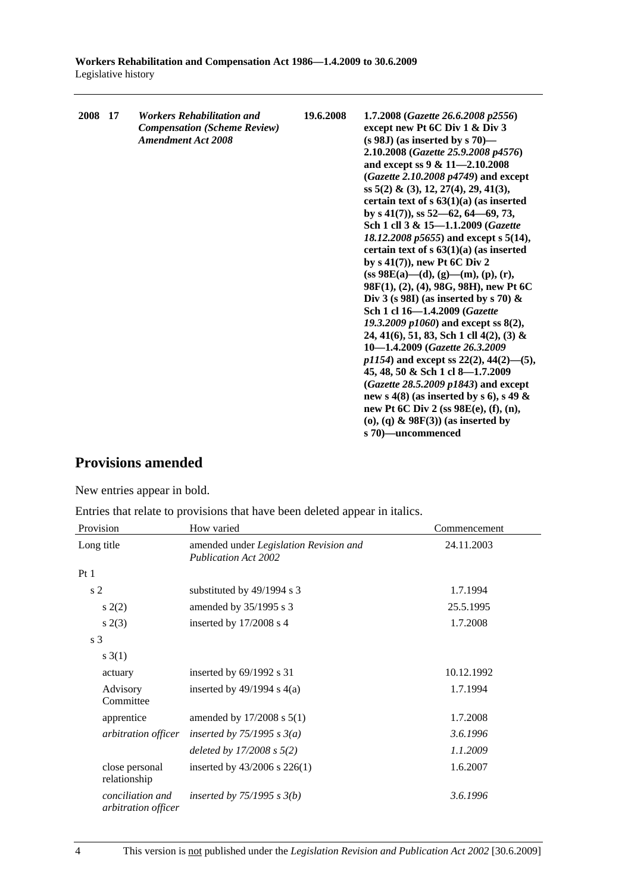| 2008 17 | <b>Workers Rehabilitation and</b><br><b>Compensation (Scheme Review)</b><br><b>Amendment Act 2008</b> | 19.6.2008 | 1.7.2008 (Gazette 26.6.2008 p2556)<br>except new Pt 6C Div 1 & Div 3<br>$(s 98J)$ (as inserted by s 70)—<br>2.10.2008 (Gazette 25.9.2008 p4576)<br>and except ss 9 & 11-2.10.2008<br>(Gazette 2.10.2008 p4749) and except<br>ss 5(2) & (3), 12, 27(4), 29, 41(3),<br>certain text of $s$ 63(1)(a) (as inserted<br>by s $41(7)$ , ss $52-62$ , $64-69$ , 73,<br>Sch 1 cll 3 & 15-1.1.2009 (Gazette<br>18.12.2008 p5655) and except s 5(14),<br>certain text of $s$ 63(1)(a) (as inserted<br>by $s(41(7))$ , new Pt 6C Div 2<br>$(ss 98E(a)$ —(d), (g)—(m), (p), (r),<br>98F(1), (2), (4), 98G, 98H), new Pt 6C<br>Div 3 (s 98I) (as inserted by s 70) $\&$<br>Sch 1 cl 16-1.4.2009 (Gazette<br>19.3.2009 p1060) and except ss 8(2),<br>24, 41(6), 51, 83, Sch 1 cll 4(2), (3) &<br>10-1.4.2009 (Gazette 26.3.2009)<br>$p1154$ ) and except ss 22(2), 44(2)–(5),<br>45, 48, 50 & Sch 1 cl 8-1.7.2009<br>$(Gazette 28.5.2009 p1843)$ and except |
|---------|-------------------------------------------------------------------------------------------------------|-----------|----------------------------------------------------------------------------------------------------------------------------------------------------------------------------------------------------------------------------------------------------------------------------------------------------------------------------------------------------------------------------------------------------------------------------------------------------------------------------------------------------------------------------------------------------------------------------------------------------------------------------------------------------------------------------------------------------------------------------------------------------------------------------------------------------------------------------------------------------------------------------------------------------------------------------------------------|
|         |                                                                                                       |           |                                                                                                                                                                                                                                                                                                                                                                                                                                                                                                                                                                                                                                                                                                                                                                                                                                                                                                                                              |
|         |                                                                                                       |           | new s 4(8) (as inserted by s 6), s 49 $\&$<br>new Pt 6C Div 2 (ss 98E(e), (f), (n),                                                                                                                                                                                                                                                                                                                                                                                                                                                                                                                                                                                                                                                                                                                                                                                                                                                          |
|         |                                                                                                       |           | (o), (q) $\&$ 98F(3)) (as inserted by<br>s 70)-uncommenced                                                                                                                                                                                                                                                                                                                                                                                                                                                                                                                                                                                                                                                                                                                                                                                                                                                                                   |

## **Provisions amended**

New entries appear in bold.

Entries that relate to provisions that have been deleted appear in italics.

| Provision                               | How varied                                                            | Commencement |
|-----------------------------------------|-----------------------------------------------------------------------|--------------|
| Long title                              | amended under Legislation Revision and<br><b>Publication Act 2002</b> | 24.11.2003   |
| Pt1                                     |                                                                       |              |
| s <sub>2</sub>                          | substituted by 49/1994 s 3                                            | 1.7.1994     |
| s(2)                                    | amended by 35/1995 s 3                                                | 25.5.1995    |
| s(2(3))                                 | inserted by $17/2008$ s 4                                             | 1.7.2008     |
| s <sub>3</sub>                          |                                                                       |              |
| s(3(1))                                 |                                                                       |              |
| actuary                                 | inserted by 69/1992 s 31                                              | 10.12.1992   |
| Advisory<br>Committee                   | inserted by $49/1994$ s $4(a)$                                        | 1.7.1994     |
| apprentice                              | amended by $17/2008$ s $5(1)$                                         | 1.7.2008     |
| arbitration officer                     | inserted by $75/1995 s 3(a)$                                          | 3.6.1996     |
|                                         | deleted by $17/2008 s 5(2)$                                           | 1.1.2009     |
| close personal<br>relationship          | inserted by $43/2006$ s $226(1)$                                      | 1.6.2007     |
| conciliation and<br>arbitration officer | inserted by $75/1995$ s $3(b)$                                        | 3.6.1996     |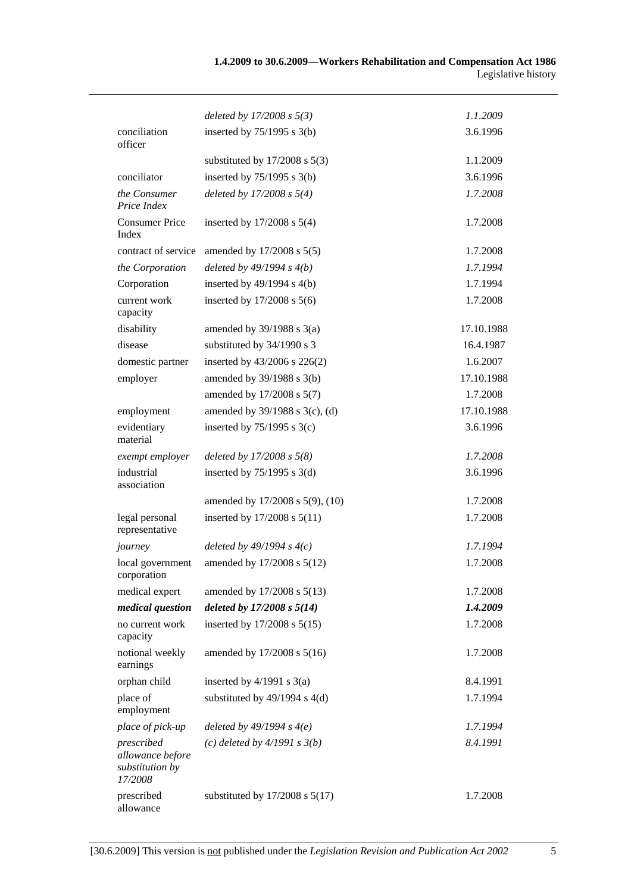|                                                              | deleted by $17/2008 s 5(3)$        | 1.1.2009   |
|--------------------------------------------------------------|------------------------------------|------------|
| conciliation<br>officer                                      | inserted by $75/1995$ s 3(b)       | 3.6.1996   |
|                                                              | substituted by $17/2008$ s $5(3)$  | 1.1.2009   |
| conciliator                                                  | inserted by $75/1995$ s 3(b)       | 3.6.1996   |
| the Consumer<br>Price Index                                  | deleted by $17/2008 s 5(4)$        | 1.7.2008   |
| <b>Consumer Price</b><br>Index                               | inserted by $17/2008$ s $5(4)$     | 1.7.2008   |
| contract of service                                          | amended by $17/2008$ s $5(5)$      | 1.7.2008   |
| the Corporation                                              | deleted by $49/1994 s 4(b)$        | 1.7.1994   |
| Corporation                                                  | inserted by $49/1994$ s $4(b)$     | 1.7.1994   |
| current work<br>capacity                                     | inserted by $17/2008$ s $5(6)$     | 1.7.2008   |
| disability                                                   | amended by $39/1988$ s $3(a)$      | 17.10.1988 |
| disease                                                      | substituted by 34/1990 s 3         | 16.4.1987  |
| domestic partner                                             | inserted by $43/2006$ s $226(2)$   | 1.6.2007   |
| employer                                                     | amended by 39/1988 s 3(b)          | 17.10.1988 |
|                                                              | amended by 17/2008 s 5(7)          | 1.7.2008   |
| employment                                                   | amended by 39/1988 s 3(c), (d)     | 17.10.1988 |
| evidentiary<br>material                                      | inserted by $75/1995$ s 3(c)       | 3.6.1996   |
| exempt employer                                              | deleted by $17/2008 s 5(8)$        | 1.7.2008   |
| industrial<br>association                                    | inserted by $75/1995$ s 3(d)       | 3.6.1996   |
|                                                              | amended by 17/2008 s 5(9), (10)    | 1.7.2008   |
| legal personal<br>representative                             | inserted by 17/2008 s 5(11)        | 1.7.2008   |
| journey                                                      | deleted by $49/1994 s 4(c)$        | 1.7.1994   |
| local government<br>corporation                              | amended by 17/2008 s 5(12)         | 1.7.2008   |
| medical expert                                               | amended by 17/2008 s 5(13)         | 1.7.2008   |
| medical question                                             | deleted by $17/2008 s 5(14)$       | 1.4.2009   |
| no current work<br>capacity                                  | inserted by 17/2008 s 5(15)        | 1.7.2008   |
| notional weekly<br>earnings                                  | amended by 17/2008 s 5(16)         | 1.7.2008   |
| orphan child                                                 | inserted by $4/1991$ s $3(a)$      | 8.4.1991   |
| place of<br>employment                                       | substituted by $49/1994$ s $4(d)$  | 1.7.1994   |
| place of pick-up                                             | deleted by $49/1994 s 4(e)$        | 1.7.1994   |
| prescribed<br>allowance before<br>substitution by<br>17/2008 | (c) deleted by $4/1991 s 3(b)$     | 8.4.1991   |
| prescribed<br>allowance                                      | substituted by $17/2008$ s $5(17)$ | 1.7.2008   |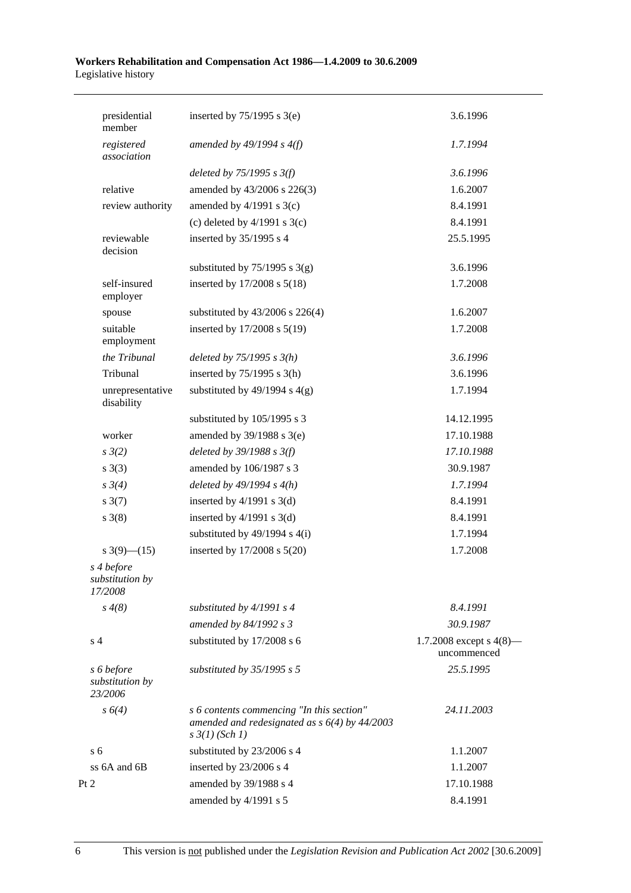| presidential<br>member                   | inserted by $75/1995$ s 3(e)                                                                                            | 3.6.1996                                  |
|------------------------------------------|-------------------------------------------------------------------------------------------------------------------------|-------------------------------------------|
| registered<br>association                | amended by $49/1994$ s $4(f)$                                                                                           | 1.7.1994                                  |
|                                          | deleted by $75/1995$ s $3(f)$                                                                                           | 3.6.1996                                  |
| relative                                 | amended by 43/2006 s 226(3)                                                                                             | 1.6.2007                                  |
| review authority                         | amended by $4/1991$ s 3(c)                                                                                              | 8.4.1991                                  |
|                                          | (c) deleted by $4/1991$ s $3(c)$                                                                                        | 8.4.1991                                  |
| reviewable<br>decision                   | inserted by 35/1995 s 4                                                                                                 | 25.5.1995                                 |
|                                          | substituted by $75/1995$ s 3(g)                                                                                         | 3.6.1996                                  |
| self-insured<br>employer                 | inserted by 17/2008 s 5(18)                                                                                             | 1.7.2008                                  |
| spouse                                   | substituted by 43/2006 s 226(4)                                                                                         | 1.6.2007                                  |
| suitable<br>employment                   | inserted by 17/2008 s 5(19)                                                                                             | 1.7.2008                                  |
| the Tribunal                             | deleted by $75/1995 s 3(h)$                                                                                             | 3.6.1996                                  |
| Tribunal                                 | inserted by $75/1995$ s 3(h)                                                                                            | 3.6.1996                                  |
| unrepresentative<br>disability           | substituted by $49/1994$ s $4(g)$                                                                                       | 1.7.1994                                  |
|                                          | substituted by 105/1995 s 3                                                                                             | 14.12.1995                                |
| worker                                   | amended by $39/1988$ s $3(e)$                                                                                           | 17.10.1988                                |
| $s \frac{3}{2}$                          | deleted by $39/1988$ s $3(f)$                                                                                           | 17.10.1988                                |
| s(3)                                     | amended by 106/1987 s 3                                                                                                 | 30.9.1987                                 |
| $s \frac{3}{4}$                          | deleted by $49/1994 s 4(h)$                                                                                             | 1.7.1994                                  |
| $s \frac{3(7)}{2}$                       | inserted by $4/1991$ s $3(d)$                                                                                           | 8.4.1991                                  |
| $s \; 3(8)$                              | inserted by $4/1991$ s $3(d)$                                                                                           | 8.4.1991                                  |
|                                          | substituted by $49/1994$ s $4(i)$                                                                                       | 1.7.1994                                  |
| s $3(9)$ — $(15)$                        | inserted by 17/2008 s 5(20)                                                                                             | 1.7.2008                                  |
| s 4 before<br>substitution by<br>17/2008 |                                                                                                                         |                                           |
| $s \, 4(8)$                              | substituted by $4/1991 s 4$                                                                                             | 8.4.1991                                  |
|                                          | amended by 84/1992 s 3                                                                                                  | 30.9.1987                                 |
| s <sub>4</sub>                           | substituted by 17/2008 s 6                                                                                              | 1.7.2008 except s $4(8)$ —<br>uncommenced |
| s 6 before<br>substitution by<br>23/2006 | substituted by $35/1995$ s 5                                                                                            | 25.5.1995                                 |
| $s \, 6(4)$                              | s 6 contents commencing "In this section"<br>amended and redesignated as $s$ 6(4) by 44/2003<br>$s \frac{3}{1}$ (Sch 1) | 24.11.2003                                |
| s <sub>6</sub>                           | substituted by 23/2006 s 4                                                                                              | 1.1.2007                                  |
| ss 6A and 6B                             | inserted by 23/2006 s 4                                                                                                 | 1.1.2007                                  |
| Pt 2                                     | amended by 39/1988 s 4                                                                                                  | 17.10.1988                                |
|                                          | amended by 4/1991 s 5                                                                                                   | 8.4.1991                                  |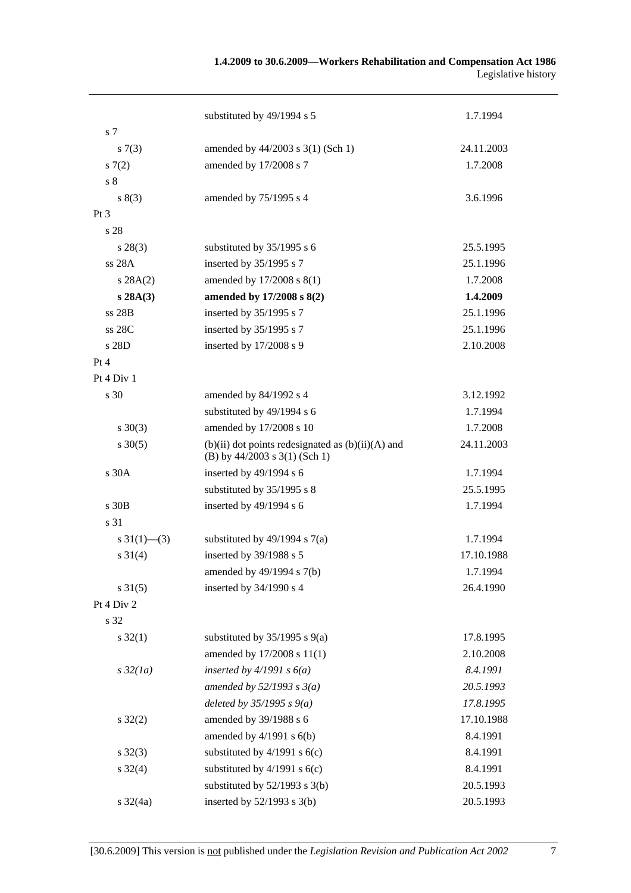#### **1.4.2009 to 30.6.2009—Workers Rehabilitation and Compensation Act 1986**  Legislative history

| s 7                       | substituted by 49/1994 s 5                            | 1.7.1994   |
|---------------------------|-------------------------------------------------------|------------|
| s(7(3))                   | amended by 44/2003 s 3(1) (Sch 1)                     | 24.11.2003 |
| 57(2)                     | amended by 17/2008 s 7                                | 1.7.2008   |
| $\sqrt{s}$ 8              |                                                       |            |
| s(3)                      | amended by 75/1995 s 4                                | 3.6.1996   |
| $Pt\,3$                   |                                                       |            |
| s 28                      |                                                       |            |
| $s\,28(3)$                | substituted by 35/1995 s 6                            | 25.5.1995  |
| ss 28A                    | inserted by 35/1995 s 7                               | 25.1.1996  |
| s 28A(2)                  | amended by $17/2008$ s $8(1)$                         | 1.7.2008   |
| s 28A(3)                  | amended by 17/2008 s 8(2)                             | 1.4.2009   |
| ss 28B                    | inserted by 35/1995 s 7                               | 25.1.1996  |
| ss 28C                    | inserted by 35/1995 s 7                               | 25.1.1996  |
| s 28D                     | inserted by 17/2008 s 9                               | 2.10.2008  |
| Pt 4                      |                                                       |            |
| Pt 4 Div 1                |                                                       |            |
| s 30                      | amended by 84/1992 s 4                                | 3.12.1992  |
|                           | substituted by 49/1994 s 6                            | 1.7.1994   |
| $s \ 30(3)$               | amended by 17/2008 s 10                               | 1.7.2008   |
| $s \ 30(5)$               | $(b)(ii)$ dot points redesignated as $(b)(ii)(A)$ and | 24.11.2003 |
|                           | (B) by 44/2003 s 3(1) (Sch 1)                         |            |
| s 30A                     | inserted by 49/1994 s 6                               | 1.7.1994   |
|                           | substituted by 35/1995 s 8                            | 25.5.1995  |
| s 30 <sub>B</sub>         | inserted by 49/1994 s 6                               | 1.7.1994   |
| s 31                      |                                                       |            |
| $s \frac{31(1) - (3)}{2}$ | substituted by $49/1994$ s $7(a)$                     | 1.7.1994   |
| $s \ 31(4)$               | inserted by 39/1988 s 5                               | 17.10.1988 |
|                           | amended by $49/1994$ s $7(b)$                         | 1.7.1994   |
| $s \, 31(5)$              | inserted by 34/1990 s 4                               | 26.4.1990  |
| Pt 4 Div 2                |                                                       |            |
| s 32                      |                                                       |            |
| $s \, 32(1)$              | substituted by $35/1995$ s $9(a)$                     | 17.8.1995  |
|                           | amended by 17/2008 s 11(1)                            | 2.10.2008  |
| $s\,32(1a)$               | inserted by $4/1991 s 6(a)$                           | 8.4.1991   |
|                           | amended by $52/1993$ s $3(a)$                         | 20.5.1993  |
|                           | deleted by $35/1995 s 9(a)$                           | 17.8.1995  |
| $s \, 32(2)$              | amended by 39/1988 s 6                                | 17.10.1988 |
|                           | amended by $4/1991$ s $6(b)$                          | 8.4.1991   |
| $s \, 32(3)$              | substituted by $4/1991$ s $6(c)$                      | 8.4.1991   |
| $s \, 32(4)$              | substituted by $4/1991$ s $6(c)$                      | 8.4.1991   |
|                           | substituted by $52/1993$ s $3(b)$                     | 20.5.1993  |
| $s \frac{32}{4a}$         | inserted by $52/1993$ s $3(b)$                        | 20.5.1993  |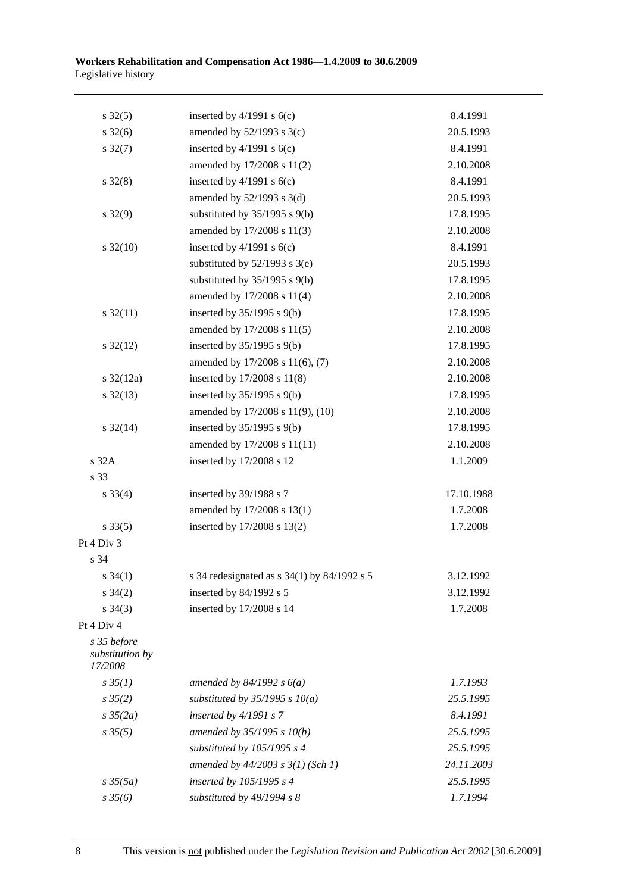| $s \, 32(5)$                              | inserted by $4/1991$ s $6(c)$                   | 8.4.1991   |
|-------------------------------------------|-------------------------------------------------|------------|
| $s \frac{32(6)}{2}$                       | amended by $52/1993$ s $3(c)$                   | 20.5.1993  |
| $s \frac{32(7)}{2}$                       | inserted by $4/1991$ s $6(c)$                   | 8.4.1991   |
|                                           | amended by 17/2008 s 11(2)                      | 2.10.2008  |
| $s \, 32(8)$                              | inserted by $4/1991$ s $6(c)$                   | 8.4.1991   |
|                                           | amended by $52/1993$ s $3(d)$                   | 20.5.1993  |
| $s \frac{32(9)}{9}$                       | substituted by $35/1995$ s $9(b)$               | 17.8.1995  |
|                                           | amended by 17/2008 s 11(3)                      | 2.10.2008  |
| $s \frac{32(10)}{2}$                      | inserted by $4/1991$ s $6(c)$                   | 8.4.1991   |
|                                           | substituted by $52/1993$ s $3(e)$               | 20.5.1993  |
|                                           | substituted by $35/1995$ s $9(b)$               | 17.8.1995  |
|                                           | amended by 17/2008 s 11(4)                      | 2.10.2008  |
| $s \frac{32(11)}{2}$                      | inserted by $35/1995$ s $9(b)$                  | 17.8.1995  |
|                                           | amended by 17/2008 s 11(5)                      | 2.10.2008  |
| $s \frac{32(12)}{2}$                      | inserted by $35/1995$ s $9(b)$                  | 17.8.1995  |
|                                           | amended by 17/2008 s 11(6), (7)                 | 2.10.2008  |
| $s \frac{32(12a)}{2}$                     | inserted by 17/2008 s 11(8)                     | 2.10.2008  |
| $s \frac{32(13)}{2}$                      | inserted by $35/1995$ s $9(b)$                  | 17.8.1995  |
|                                           | amended by 17/2008 s 11(9), (10)                | 2.10.2008  |
| $s \frac{32(14)}{2}$                      | inserted by $35/1995$ s $9(b)$                  | 17.8.1995  |
|                                           | amended by 17/2008 s 11(11)                     | 2.10.2008  |
| s 32A                                     | inserted by 17/2008 s 12                        | 1.1.2009   |
| s 33                                      |                                                 |            |
| $s \, 33(4)$                              | inserted by 39/1988 s 7                         | 17.10.1988 |
|                                           | amended by 17/2008 s 13(1)                      | 1.7.2008   |
| $s \, 33(5)$                              | inserted by 17/2008 s 13(2)                     | 1.7.2008   |
| Pt 4 Div 3                                |                                                 |            |
| s 34                                      |                                                 |            |
| $s \, 34(1)$                              | s 34 redesignated as s $34(1)$ by $84/1992$ s 5 | 3.12.1992  |
| $s \; 34(2)$                              | inserted by $84/1992$ s 5                       | 3.12.1992  |
| $s \; 34(3)$                              | inserted by 17/2008 s 14                        | 1.7.2008   |
| Pt 4 Div 4                                |                                                 |            |
| s 35 before<br>substitution by<br>17/2008 |                                                 |            |
| $s \, 35(1)$                              | amended by $84/1992 s 6(a)$                     | 1.7.1993   |
| $s \, 35(2)$                              | substituted by $35/1995$ s $10(a)$              | 25.5.1995  |
| $s \frac{35}{2a}$                         | inserted by $4/1991 s$ 7                        | 8.4.1991   |
| $s \, 35(5)$                              | amended by 35/1995 s 10(b)                      | 25.5.1995  |
|                                           | substituted by $105/1995 s 4$                   | 25.5.1995  |
|                                           | amended by $44/2003$ s $3(1)$ (Sch 1)           | 24.11.2003 |
| $s \frac{35(5a)}{2}$                      | inserted by 105/1995 s 4                        | 25.5.1995  |
| $s \frac{35}{6}$                          | substituted by 49/1994 s 8                      | 1.7.1994   |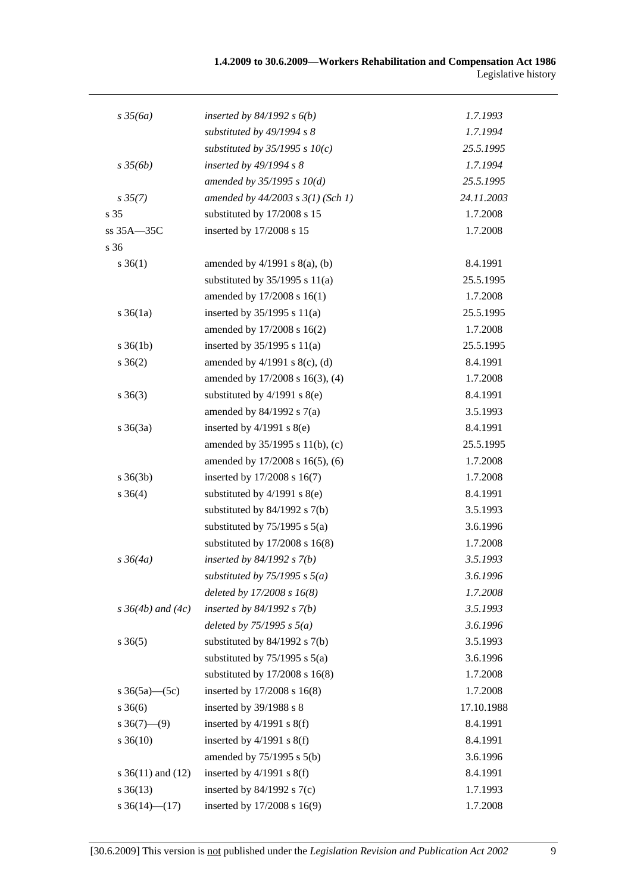| $s \frac{35}{6a}$        | inserted by $84/1992$ s $6(b)$        | 1.7.1993   |
|--------------------------|---------------------------------------|------------|
|                          | substituted by $49/1994 s 8$          | 1.7.1994   |
|                          | substituted by $35/1995$ s $10(c)$    | 25.5.1995  |
| $s \frac{35}{6b}$        | inserted by $49/1994 s 8$             | 1.7.1994   |
|                          | amended by $35/1995 s 10(d)$          | 25.5.1995  |
| $s \, 35(7)$             | amended by $44/2003$ s $3(1)$ (Sch 1) | 24.11.2003 |
| s 35                     | substituted by 17/2008 s 15           | 1.7.2008   |
| ss 35A-35C               | inserted by 17/2008 s 15              | 1.7.2008   |
| s 36                     |                                       |            |
| $s \; 36(1)$             | amended by $4/1991$ s $8(a)$ , (b)    | 8.4.1991   |
|                          | substituted by $35/1995$ s $11(a)$    | 25.5.1995  |
|                          | amended by 17/2008 s 16(1)            | 1.7.2008   |
| $s \, 36(1a)$            | inserted by $35/1995$ s $11(a)$       | 25.5.1995  |
|                          | amended by 17/2008 s 16(2)            | 1.7.2008   |
| $s \; 36(1b)$            | inserted by $35/1995$ s $11(a)$       | 25.5.1995  |
| $s \; 36(2)$             | amended by $4/1991$ s $8(c)$ , (d)    | 8.4.1991   |
|                          | amended by 17/2008 s 16(3), (4)       | 1.7.2008   |
| $s \; 36(3)$             | substituted by $4/1991$ s $8(e)$      | 8.4.1991   |
|                          | amended by $84/1992$ s $7(a)$         | 3.5.1993   |
| $s \; 36(3a)$            | inserted by $4/1991$ s $8(e)$         | 8.4.1991   |
|                          | amended by 35/1995 s 11(b), (c)       | 25.5.1995  |
|                          | amended by 17/2008 s 16(5), (6)       | 1.7.2008   |
| $s \; 36(3b)$            | inserted by 17/2008 s 16(7)           | 1.7.2008   |
| $s \; 36(4)$             | substituted by $4/1991$ s $8(e)$      | 8.4.1991   |
|                          | substituted by $84/1992$ s $7(b)$     | 3.5.1993   |
|                          | substituted by $75/1995$ s $5(a)$     | 3.6.1996   |
|                          | substituted by $17/2008$ s $16(8)$    | 1.7.2008   |
| $s \, 36(4a)$            | inserted by $84/1992 s 7(b)$          | 3.5.1993   |
|                          | substituted by $75/1995$ s $5(a)$     | 3.6.1996   |
|                          | deleted by 17/2008 s 16(8)            | 1.7.2008   |
| $s \, 36(4b)$ and $(4c)$ | inserted by $84/1992 s 7(b)$          | 3.5.1993   |
|                          | deleted by $75/1995$ s $5(a)$         | 3.6.1996   |
| $s \; 36(5)$             | substituted by $84/1992$ s $7(b)$     | 3.5.1993   |
|                          | substituted by $75/1995$ s $5(a)$     | 3.6.1996   |
|                          | substituted by 17/2008 s 16(8)        | 1.7.2008   |
| s $36(5a)$ (5c)          | inserted by 17/2008 s 16(8)           | 1.7.2008   |
| $s \; 36(6)$             | inserted by 39/1988 s 8               | 17.10.1988 |
| $s \, 36(7)$ —(9)        | inserted by $4/1991$ s $8(f)$         | 8.4.1991   |
| $s \, 36(10)$            | inserted by $4/1991$ s $8(f)$         | 8.4.1991   |
|                          | amended by 75/1995 s 5(b)             | 3.6.1996   |
| s $36(11)$ and $(12)$    | inserted by $4/1991$ s $8(f)$         | 8.4.1991   |
| $s \; 36(13)$            | inserted by $84/1992$ s $7(c)$        | 1.7.1993   |
| s $36(14)$ (17)          | inserted by 17/2008 s 16(9)           | 1.7.2008   |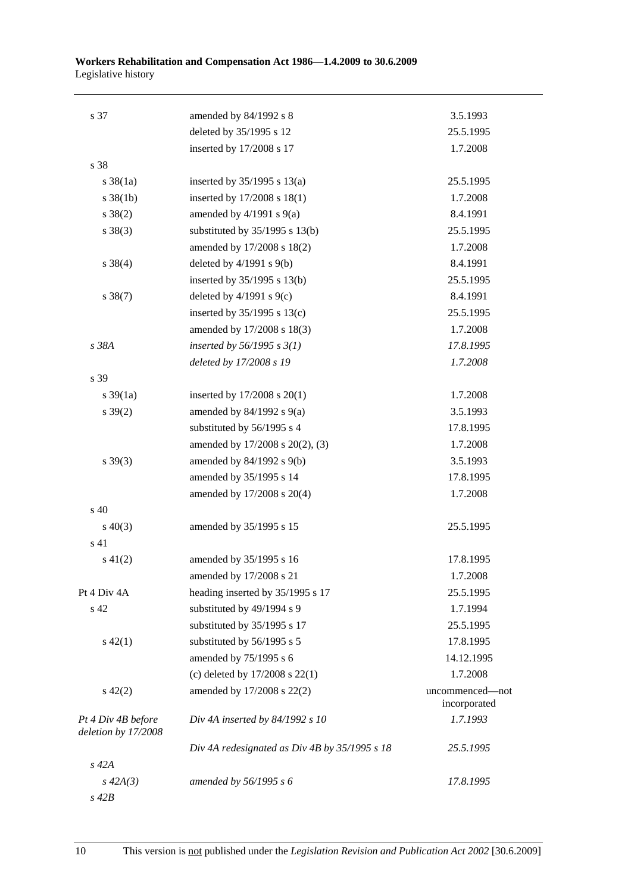| s 37                                      | amended by 84/1992 s 8                        | 3.5.1993                        |
|-------------------------------------------|-----------------------------------------------|---------------------------------|
|                                           | deleted by 35/1995 s 12                       | 25.5.1995                       |
|                                           | inserted by 17/2008 s 17                      | 1.7.2008                        |
| s 38                                      |                                               |                                 |
| $s \frac{38}{1a}$                         | inserted by $35/1995$ s $13(a)$               | 25.5.1995                       |
| $s \, 38(1b)$                             | inserted by 17/2008 s 18(1)                   | 1.7.2008                        |
| $s \ 38(2)$                               | amended by $4/1991$ s $9(a)$                  | 8.4.1991                        |
| $s \ 38(3)$                               | substituted by 35/1995 s 13(b)                | 25.5.1995                       |
|                                           | amended by 17/2008 s 18(2)                    | 1.7.2008                        |
| $s \ 38(4)$                               | deleted by $4/1991$ s $9(b)$                  | 8.4.1991                        |
|                                           | inserted by 35/1995 s 13(b)                   | 25.5.1995                       |
| $s \, 38(7)$                              | deleted by $4/1991$ s $9(c)$                  | 8.4.1991                        |
|                                           | inserted by $35/1995$ s $13(c)$               | 25.5.1995                       |
|                                           | amended by 17/2008 s 18(3)                    | 1.7.2008                        |
| s 38A                                     | inserted by $56/1995 s 3(1)$                  | 17.8.1995                       |
|                                           | deleted by 17/2008 s 19                       | 1.7.2008                        |
| s 39                                      |                                               |                                 |
| $s \frac{39}{1a}$                         | inserted by $17/2008$ s $20(1)$               | 1.7.2008                        |
| $s \, 39(2)$                              | amended by $84/1992$ s $9(a)$                 | 3.5.1993                        |
|                                           | substituted by 56/1995 s 4                    | 17.8.1995                       |
|                                           | amended by 17/2008 s 20(2), (3)               | 1.7.2008                        |
| $s \, 39(3)$                              | amended by 84/1992 s 9(b)                     | 3.5.1993                        |
|                                           | amended by 35/1995 s 14                       | 17.8.1995                       |
|                                           | amended by 17/2008 s 20(4)                    | 1.7.2008                        |
| s 40                                      |                                               |                                 |
| $s\ 40(3)$                                | amended by 35/1995 s 15                       | 25.5.1995                       |
| s 41                                      |                                               |                                 |
| $s\ 41(2)$                                | amended by 35/1995 s 16                       | 17.8.1995                       |
|                                           | amended by 17/2008 s 21                       | 1.7.2008                        |
| Pt 4 Div 4A                               | heading inserted by 35/1995 s 17              | 25.5.1995                       |
| s 42                                      | substituted by 49/1994 s 9                    | 1.7.1994                        |
|                                           | substituted by 35/1995 s 17                   | 25.5.1995                       |
| $s\ 42(1)$                                | substituted by 56/1995 s 5                    | 17.8.1995                       |
|                                           | amended by 75/1995 s 6                        | 14.12.1995                      |
|                                           | (c) deleted by $17/2008$ s $22(1)$            | 1.7.2008                        |
| $s\ 42(2)$                                | amended by 17/2008 s 22(2)                    | uncommenced—not<br>incorporated |
| Pt 4 Div 4B before<br>deletion by 17/2008 | Div 4A inserted by $84/1992 s 10$             | 1.7.1993                        |
|                                           | Div 4A redesignated as Div 4B by 35/1995 s 18 | 25.5.1995                       |
| $s$ 42 $A$                                |                                               |                                 |
| $s\,42A(3)$                               | amended by 56/1995 s 6                        | 17.8.1995                       |
|                                           |                                               |                                 |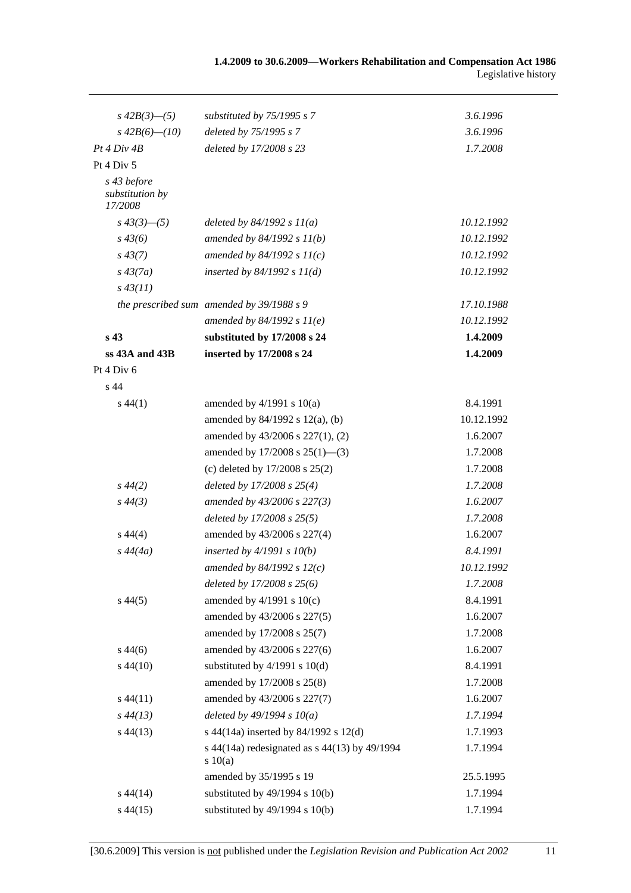| $s\,42B(3)$ —(5)                          | substituted by 75/1995 s 7                             | 3.6.1996   |
|-------------------------------------------|--------------------------------------------------------|------------|
| $s\,42B(6)$ - (10)                        | deleted by 75/1995 s 7                                 | 3.6.1996   |
| Pt 4 Div 4B                               | deleted by 17/2008 s 23                                | 1.7.2008   |
| Pt 4 Div 5                                |                                                        |            |
| s 43 before<br>substitution by<br>17/2008 |                                                        |            |
| $s\,43(3)$ —(5)                           | deleted by $84/1992 s 11(a)$                           | 10.12.1992 |
| $s\,43(6)$                                | amended by $84/1992 s 11(b)$                           | 10.12.1992 |
| $s\,43(7)$                                | amended by $84/1992 s 11(c)$                           | 10.12.1992 |
| $s\,43(7a)$                               | inserted by $84/1992 s 11(d)$                          | 10.12.1992 |
| $s\,43(11)$                               |                                                        |            |
|                                           | the prescribed sum amended by $39/1988 s 9$            | 17.10.1988 |
|                                           | amended by $84/1992 s 11(e)$                           | 10.12.1992 |
| s <sub>43</sub>                           | substituted by 17/2008 s 24                            | 1.4.2009   |
| ss 43A and 43B                            | inserted by 17/2008 s 24                               | 1.4.2009   |
| Pt 4 Div 6                                |                                                        |            |
| s 44                                      |                                                        |            |
| $s\,44(1)$                                | amended by $4/1991$ s $10(a)$                          | 8.4.1991   |
|                                           | amended by $84/1992$ s $12(a)$ , (b)                   | 10.12.1992 |
|                                           | amended by 43/2006 s 227(1), (2)                       | 1.6.2007   |
|                                           | amended by $17/2008$ s $25(1)$ —(3)                    | 1.7.2008   |
|                                           | (c) deleted by $17/2008$ s $25(2)$                     | 1.7.2008   |
| $s\,44(2)$                                | deleted by $17/2008$ s $25(4)$                         | 1.7.2008   |
| $s\,44(3)$                                | amended by 43/2006 s 227(3)                            | 1.6.2007   |
|                                           | deleted by 17/2008 s 25(5)                             | 1.7.2008   |
| $s\,44(4)$                                | amended by 43/2006 s 227(4)                            | 1.6.2007   |
| $s\,44(4a)$                               | inserted by $4/1991 s 10(b)$                           | 8.4.1991   |
|                                           | amended by $84/1992 s 12(c)$                           | 10.12.1992 |
|                                           | deleted by 17/2008 s 25(6)                             | 1.7.2008   |
| $s\,44(5)$                                | amended by $4/1991$ s $10(c)$                          | 8.4.1991   |
|                                           | amended by 43/2006 s 227(5)                            | 1.6.2007   |
|                                           | amended by 17/2008 s 25(7)                             | 1.7.2008   |
| $s\,44(6)$                                | amended by 43/2006 s 227(6)                            | 1.6.2007   |
| $s\,44(10)$                               | substituted by $4/1991$ s $10(d)$                      | 8.4.1991   |
|                                           | amended by 17/2008 s 25(8)                             | 1.7.2008   |
| $s\,44(11)$                               | amended by 43/2006 s 227(7)                            | 1.6.2007   |
| $s\,44(13)$                               | deleted by $49/1994 s 10(a)$                           | 1.7.1994   |
| $s\,44(13)$                               | s 44(14a) inserted by 84/1992 s 12(d)                  | 1.7.1993   |
|                                           | s 44(14a) redesignated as s 44(13) by 49/1994<br>10(a) | 1.7.1994   |
|                                           | amended by 35/1995 s 19                                | 25.5.1995  |
| $s\,44(14)$                               | substituted by $49/1994$ s $10(b)$                     | 1.7.1994   |
| $s\,44(15)$                               | substituted by $49/1994$ s $10(b)$                     | 1.7.1994   |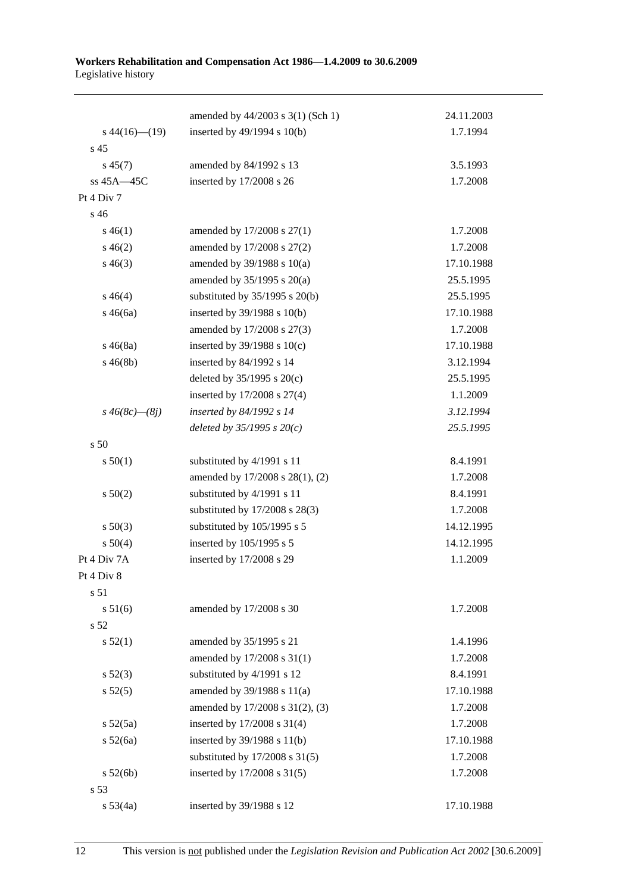|                      | amended by 44/2003 s 3(1) (Sch 1)  | 24.11.2003 |
|----------------------|------------------------------------|------------|
| $s\,44(16)$ (19)     | inserted by 49/1994 s 10(b)        | 1.7.1994   |
| s 45                 |                                    |            |
| $s\,45(7)$           | amended by 84/1992 s 13            | 3.5.1993   |
| ss 45A-45C           | inserted by 17/2008 s 26           | 1.7.2008   |
| Pt 4 Div 7           |                                    |            |
| s 46                 |                                    |            |
| $s\,46(1)$           | amended by 17/2008 s 27(1)         | 1.7.2008   |
| $s\,46(2)$           | amended by 17/2008 s 27(2)         | 1.7.2008   |
| $s\,46(3)$           | amended by $39/1988$ s $10(a)$     | 17.10.1988 |
|                      | amended by $35/1995$ s $20(a)$     | 25.5.1995  |
| $s\,46(4)$           | substituted by $35/1995$ s $20(b)$ | 25.5.1995  |
| $s\,46(6a)$          | inserted by 39/1988 s 10(b)        | 17.10.1988 |
|                      | amended by 17/2008 s 27(3)         | 1.7.2008   |
| $s\,46(8a)$          | inserted by $39/1988$ s $10(c)$    | 17.10.1988 |
| $s\,46(8b)$          | inserted by 84/1992 s 14           | 3.12.1994  |
|                      | deleted by $35/1995$ s $20(c)$     | 25.5.1995  |
|                      | inserted by 17/2008 s 27(4)        | 1.1.2009   |
| $s\,46(8c)$ — $(8j)$ | inserted by 84/1992 s 14           | 3.12.1994  |
|                      | deleted by $35/1995 s 20(c)$       | 25.5.1995  |
| s 50                 |                                    |            |
| s 50(1)              | substituted by 4/1991 s 11         | 8.4.1991   |
|                      | amended by 17/2008 s 28(1), (2)    | 1.7.2008   |
| s 50(2)              | substituted by 4/1991 s 11         | 8.4.1991   |
|                      | substituted by 17/2008 s 28(3)     | 1.7.2008   |
| $s\ 50(3)$           | substituted by 105/1995 s 5        | 14.12.1995 |
| s 50(4)              | inserted by 105/1995 s 5           | 14.12.1995 |
| Pt 4 Div 7A          | inserted by 17/2008 s 29           | 1.1.2009   |
| Pt 4 Div 8           |                                    |            |
| s 51                 |                                    |            |
| s 51(6)              | amended by 17/2008 s 30            | 1.7.2008   |
| s 52                 |                                    |            |
| s 52(1)              | amended by 35/1995 s 21            | 1.4.1996   |
|                      | amended by 17/2008 s 31(1)         | 1.7.2008   |
| $s\ 52(3)$           | substituted by 4/1991 s 12         | 8.4.1991   |
| s 52(5)              | amended by 39/1988 s 11(a)         | 17.10.1988 |
|                      | amended by 17/2008 s 31(2), (3)    | 1.7.2008   |
| $s\,52(5a)$          | inserted by 17/2008 s 31(4)        | 1.7.2008   |
| s 52(6a)             | inserted by 39/1988 s 11(b)        | 17.10.1988 |
|                      | substituted by $17/2008$ s $31(5)$ | 1.7.2008   |
| s 52(6b)             | inserted by 17/2008 s 31(5)        | 1.7.2008   |
| s 53                 |                                    |            |
| $s\,53(4a)$          | inserted by 39/1988 s 12           | 17.10.1988 |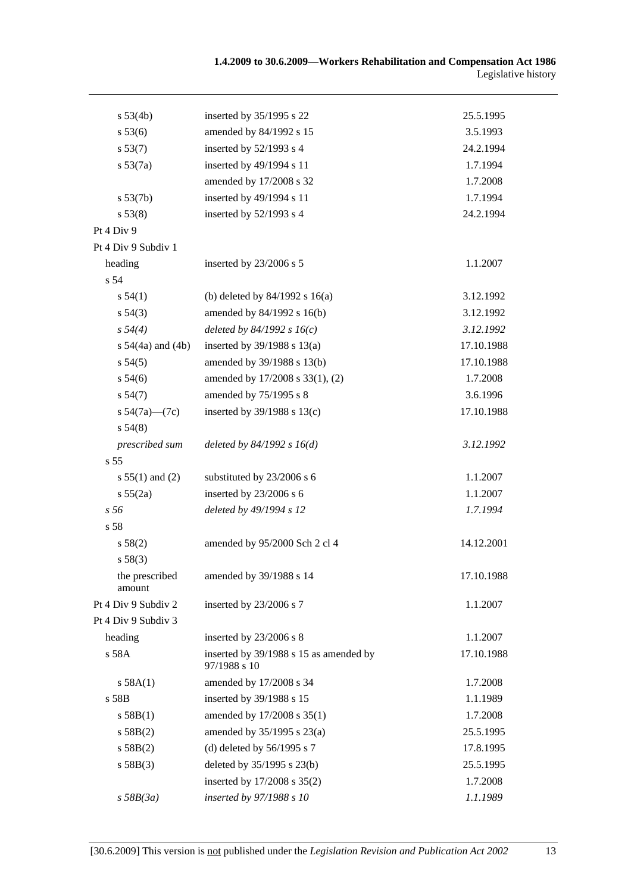| s 53(4b)                 | inserted by 35/1995 s 22                               | 25.5.1995  |
|--------------------------|--------------------------------------------------------|------------|
| s 53(6)                  | amended by 84/1992 s 15                                | 3.5.1993   |
| s 53(7)                  | inserted by 52/1993 s 4                                | 24.2.1994  |
| s 53(7a)                 | inserted by 49/1994 s 11                               | 1.7.1994   |
|                          | amended by 17/2008 s 32                                | 1.7.2008   |
| s 53(7b)                 | inserted by 49/1994 s 11                               | 1.7.1994   |
| s 53(8)                  | inserted by 52/1993 s 4                                | 24.2.1994  |
| Pt 4 Div 9               |                                                        |            |
| Pt 4 Div 9 Subdiv 1      |                                                        |            |
| heading                  | inserted by 23/2006 s 5                                | 1.1.2007   |
| s 54                     |                                                        |            |
| s 54(1)                  | (b) deleted by $84/1992$ s $16(a)$                     | 3.12.1992  |
| $s\,54(3)$               | amended by 84/1992 s 16(b)                             | 3.12.1992  |
| s 54(4)                  | deleted by $84/1992 s 16(c)$                           | 3.12.1992  |
| s $54(4a)$ and $(4b)$    | inserted by $39/1988$ s $13(a)$                        | 17.10.1988 |
| s 54(5)                  | amended by 39/1988 s 13(b)                             | 17.10.1988 |
| $s\,54(6)$               | amended by 17/2008 s 33(1), (2)                        | 1.7.2008   |
| s 54(7)                  | amended by 75/1995 s 8                                 | 3.6.1996   |
| s $54(7a)$ — $(7c)$      | inserted by 39/1988 s 13(c)                            | 17.10.1988 |
| s 54(8)                  |                                                        |            |
| prescribed sum           | deleted by $84/1992 s 16(d)$                           | 3.12.1992  |
| s <sub>55</sub>          |                                                        |            |
| $s 55(1)$ and (2)        | substituted by 23/2006 s 6                             | 1.1.2007   |
| s 55(2a)                 | inserted by 23/2006 s 6                                | 1.1.2007   |
| s 56                     | deleted by 49/1994 s 12                                | 1.7.1994   |
| s 58                     |                                                        |            |
| s 58(2)                  | amended by 95/2000 Sch 2 cl 4                          | 14.12.2001 |
| s 58(3)                  |                                                        |            |
| the prescribed<br>amount | amended by 39/1988 s 14                                | 17.10.1988 |
| Pt 4 Div 9 Subdiv 2      | inserted by 23/2006 s 7                                | 1.1.2007   |
| Pt 4 Div 9 Subdiv 3      |                                                        |            |
| heading                  | inserted by 23/2006 s 8                                | 1.1.2007   |
| s 58A                    | inserted by 39/1988 s 15 as amended by<br>97/1988 s 10 | 17.10.1988 |
| s 58A(1)                 | amended by 17/2008 s 34                                | 1.7.2008   |
| s 58B                    | inserted by 39/1988 s 15                               | 1.1.1989   |
| s 58B(1)                 | amended by 17/2008 s 35(1)                             | 1.7.2008   |
| s 58B(2)                 | amended by 35/1995 s 23(a)                             | 25.5.1995  |
| s 58B(2)                 | (d) deleted by $56/1995$ s 7                           | 17.8.1995  |
| s 58B(3)                 | deleted by 35/1995 s 23(b)                             | 25.5.1995  |
|                          | inserted by 17/2008 s 35(2)                            | 1.7.2008   |
| $s$ 58B(3a)              | inserted by 97/1988 s 10                               | 1.1.1989   |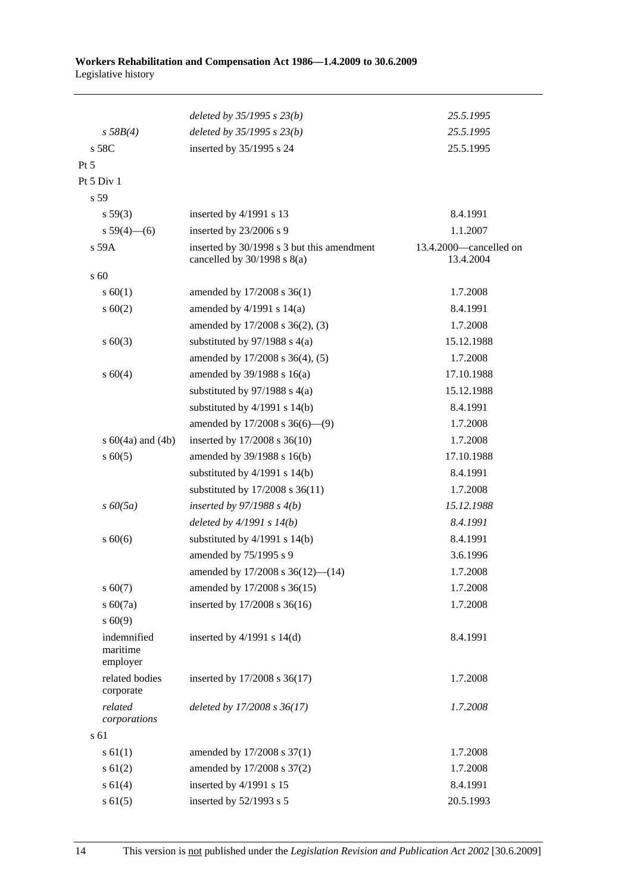|                                     | deleted by 35/1995 s 23(b)                                                    | 25.5.1995                           |
|-------------------------------------|-------------------------------------------------------------------------------|-------------------------------------|
| s 58B(4)                            | deleted by $35/1995 s 23(b)$                                                  | 25.5.1995                           |
| s 58C                               | inserted by 35/1995 s 24                                                      | 25.5.1995                           |
| $Pt\,5$                             |                                                                               |                                     |
| Pt 5 Div 1                          |                                                                               |                                     |
| s 59                                |                                                                               |                                     |
| s 59(3)                             | inserted by $4/1991$ s 13                                                     | 8.4.1991                            |
| $s 59(4)$ (6)                       | inserted by 23/2006 s 9                                                       | 1.1.2007                            |
| s 59A                               | inserted by 30/1998 s 3 but this amendment<br>cancelled by $30/1998$ s $8(a)$ | 13.4.2000-cancelled on<br>13.4.2004 |
| s 60                                |                                                                               |                                     |
| s 60(1)                             | amended by 17/2008 s 36(1)                                                    | 1.7.2008                            |
| $s \ 60(2)$                         | amended by $4/1991$ s $14(a)$                                                 | 8.4.1991                            |
|                                     | amended by 17/2008 s 36(2), (3)                                               | 1.7.2008                            |
| $s \ 60(3)$                         | substituted by $97/1988$ s 4(a)                                               | 15.12.1988                          |
|                                     | amended by 17/2008 s 36(4), (5)                                               | 1.7.2008                            |
| s 60(4)                             | amended by 39/1988 s 16(a)                                                    | 17.10.1988                          |
|                                     | substituted by $97/1988$ s $4(a)$                                             | 15.12.1988                          |
|                                     | substituted by $4/1991$ s $14(b)$                                             | 8.4.1991                            |
|                                     | amended by 17/2008 s 36(6)-(9)                                                | 1.7.2008                            |
| s $60(4a)$ and $(4b)$               | inserted by 17/2008 s 36(10)                                                  | 1.7.2008                            |
| $s \ 60(5)$                         | amended by 39/1988 s 16(b)                                                    | 17.10.1988                          |
|                                     | substituted by $4/1991$ s $14(b)$                                             | 8.4.1991                            |
|                                     | substituted by 17/2008 s 36(11)                                               | 1.7.2008                            |
| $s\,60(5a)$                         | inserted by $97/1988$ s $4(b)$                                                | 15.12.1988                          |
|                                     | deleted by $4/1991 s 14(b)$                                                   | 8.4.1991                            |
| $s\ 60(6)$                          | substituted by $4/1991$ s $14(b)$                                             | 8.4.1991                            |
|                                     | amended by 75/1995 s 9                                                        | 3.6.1996                            |
|                                     | amended by $17/2008$ s $36(12)$ — $(14)$                                      | 1.7.2008                            |
| $s\ 60(7)$                          | amended by 17/2008 s 36(15)                                                   | 1.7.2008                            |
| $s\ 60(7a)$                         | inserted by 17/2008 s 36(16)                                                  | 1.7.2008                            |
| $s\ 60(9)$                          |                                                                               |                                     |
| indemnified<br>maritime<br>employer | inserted by $4/1991$ s $14(d)$                                                | 8.4.1991                            |
| related bodies<br>corporate         | inserted by 17/2008 s 36(17)                                                  | 1.7.2008                            |
| related<br>corporations             | deleted by 17/2008 s 36(17)                                                   | 1.7.2008                            |
| s 61                                |                                                                               |                                     |
| $s \, 61(1)$                        | amended by 17/2008 s 37(1)                                                    | 1.7.2008                            |
| $s \ 61(2)$                         | amended by 17/2008 s 37(2)                                                    | 1.7.2008                            |
| s 61(4)                             | inserted by 4/1991 s 15                                                       | 8.4.1991                            |
| $s \ 61(5)$                         | inserted by 52/1993 s 5                                                       | 20.5.1993                           |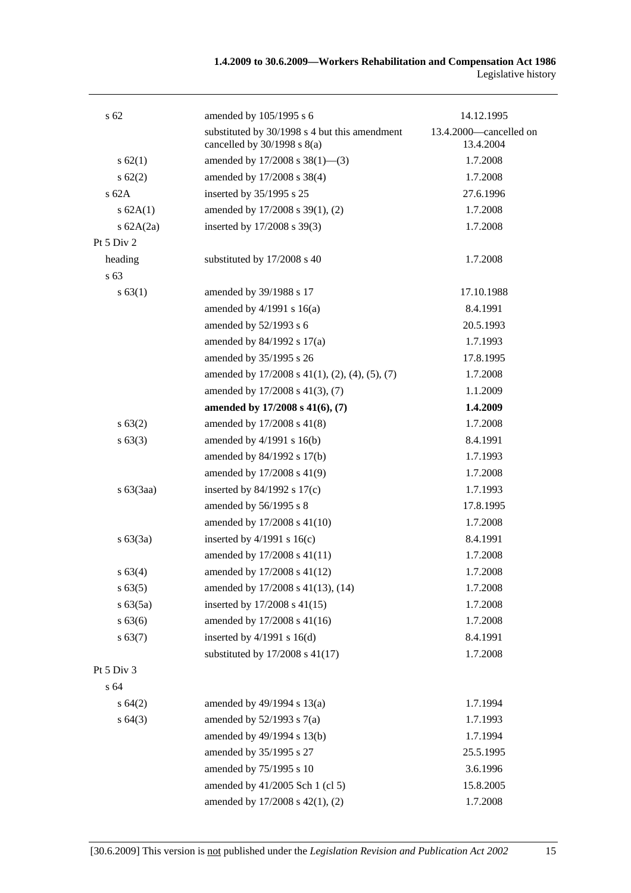| s <sub>62</sub> | amended by 105/1995 s 6                                                          | 14.12.1995                          |
|-----------------|----------------------------------------------------------------------------------|-------------------------------------|
|                 | substituted by 30/1998 s 4 but this amendment<br>cancelled by $30/1998$ s $8(a)$ | 13.4.2000—cancelled on<br>13.4.2004 |
| s 62(1)         | amended by $17/2008$ s $38(1)$ —(3)                                              | 1.7.2008                            |
| $s \, 62(2)$    | amended by 17/2008 s 38(4)                                                       | 1.7.2008                            |
| $s$ 62A         | inserted by 35/1995 s 25                                                         | 27.6.1996                           |
| s 62A(1)        | amended by 17/2008 s 39(1), (2)                                                  | 1.7.2008                            |
| s $62A(2a)$     | inserted by 17/2008 s 39(3)                                                      | 1.7.2008                            |
| Pt 5 Div 2      |                                                                                  |                                     |
| heading         | substituted by 17/2008 s 40                                                      | 1.7.2008                            |
| s 63            |                                                                                  |                                     |
| s 63(1)         | amended by 39/1988 s 17                                                          | 17.10.1988                          |
|                 | amended by $4/1991$ s $16(a)$                                                    | 8.4.1991                            |
|                 | amended by 52/1993 s 6                                                           | 20.5.1993                           |
|                 | amended by 84/1992 s 17(a)                                                       | 1.7.1993                            |
|                 | amended by 35/1995 s 26                                                          | 17.8.1995                           |
|                 | amended by $17/2008$ s $41(1)$ , $(2)$ , $(4)$ , $(5)$ , $(7)$                   | 1.7.2008                            |
|                 | amended by 17/2008 s 41(3), (7)                                                  | 1.1.2009                            |
|                 | amended by 17/2008 s 41(6), (7)                                                  | 1.4.2009                            |
| s 63(2)         | amended by 17/2008 s 41(8)                                                       | 1.7.2008                            |
| s 63(3)         | amended by $4/1991$ s $16(b)$                                                    | 8.4.1991                            |
|                 | amended by 84/1992 s 17(b)                                                       | 1.7.1993                            |
|                 | amended by 17/2008 s 41(9)                                                       | 1.7.2008                            |
| $s\ 63(3aa)$    | inserted by $84/1992$ s $17(c)$                                                  | 1.7.1993                            |
|                 | amended by 56/1995 s 8                                                           | 17.8.1995                           |
|                 | amended by 17/2008 s 41(10)                                                      | 1.7.2008                            |
| $s\ 63(3a)$     | inserted by $4/1991$ s $16(c)$                                                   | 8.4.1991                            |
|                 | amended by 17/2008 s 41(11)                                                      | 1.7.2008                            |
| s 63(4)         | amended by 17/2008 s 41(12)                                                      | 1.7.2008                            |
| s 63(5)         | amended by 17/2008 s 41(13), (14)                                                | 1.7.2008                            |
| s 63(5a)        | inserted by 17/2008 s 41(15)                                                     | 1.7.2008                            |
| s 63(6)         | amended by 17/2008 s 41(16)                                                      | 1.7.2008                            |
| s 63(7)         | inserted by $4/1991$ s $16(d)$                                                   | 8.4.1991                            |
|                 | substituted by 17/2008 s 41(17)                                                  | 1.7.2008                            |
| Pt 5 Div 3      |                                                                                  |                                     |
| s 64            |                                                                                  |                                     |
| s 64(2)         | amended by 49/1994 s 13(a)                                                       | 1.7.1994                            |
| s64(3)          | amended by $52/1993$ s $7(a)$                                                    | 1.7.1993                            |
|                 | amended by 49/1994 s 13(b)                                                       | 1.7.1994                            |
|                 | amended by 35/1995 s 27                                                          | 25.5.1995                           |
|                 | amended by 75/1995 s 10                                                          | 3.6.1996                            |
|                 | amended by 41/2005 Sch 1 (cl 5)                                                  | 15.8.2005                           |
|                 | amended by 17/2008 s 42(1), (2)                                                  | 1.7.2008                            |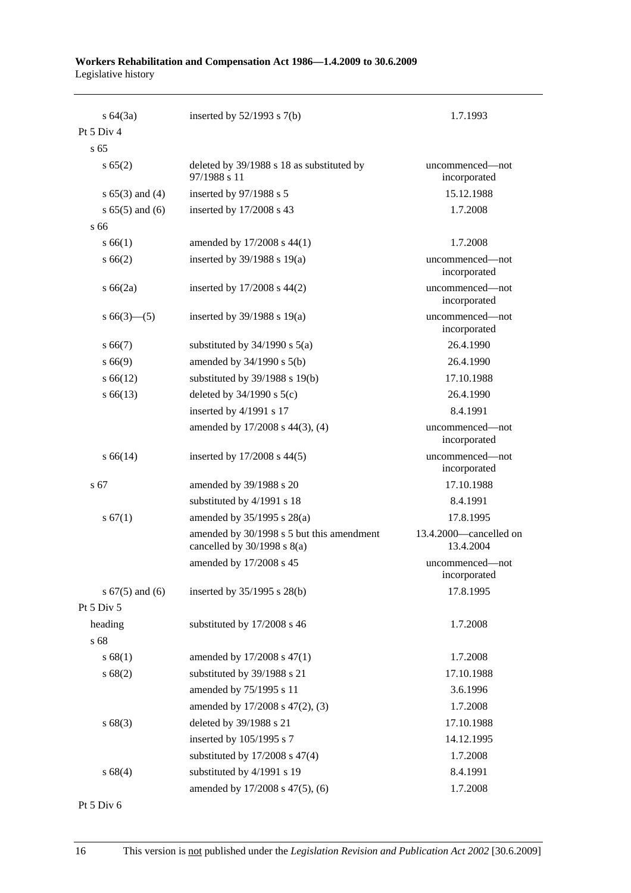| $s \, 64(3a)$       | inserted by $52/1993$ s $7(b)$                                               | 1.7.1993                            |
|---------------------|------------------------------------------------------------------------------|-------------------------------------|
| Pt 5 Div 4          |                                                                              |                                     |
| s <sub>65</sub>     |                                                                              |                                     |
| s 65(2)             | deleted by 39/1988 s 18 as substituted by<br>97/1988 s 11                    | uncommenced—not<br>incorporated     |
| s $65(3)$ and $(4)$ | inserted by 97/1988 s 5                                                      | 15.12.1988                          |
| $s 65(5)$ and $(6)$ | inserted by 17/2008 s 43                                                     | 1.7.2008                            |
| s 66                |                                                                              |                                     |
| s 66(1)             | amended by 17/2008 s 44(1)                                                   | 1.7.2008                            |
| s 66(2)             | inserted by $39/1988$ s $19(a)$                                              | uncommenced-not<br>incorporated     |
| $s\,66(2a)$         | inserted by $17/2008$ s $44(2)$                                              | uncommenced-not<br>incorporated     |
| $s66(3)$ (5)        | inserted by $39/1988$ s $19(a)$                                              | uncommenced-not<br>incorporated     |
| $s\,66(7)$          | substituted by $34/1990$ s $5(a)$                                            | 26.4.1990                           |
| s 66(9)             | amended by $34/1990$ s $5(b)$                                                | 26.4.1990                           |
| $s\,66(12)$         | substituted by $39/1988$ s $19(b)$                                           | 17.10.1988                          |
| $s\,66(13)$         | deleted by $34/1990$ s $5(c)$                                                | 26.4.1990                           |
|                     | inserted by 4/1991 s 17                                                      | 8.4.1991                            |
|                     | amended by 17/2008 s 44(3), (4)                                              | uncommenced—not<br>incorporated     |
| $s\,66(14)$         | inserted by $17/2008$ s $44(5)$                                              | uncommenced-not<br>incorporated     |
| s 67                | amended by 39/1988 s 20                                                      | 17.10.1988                          |
|                     | substituted by 4/1991 s 18                                                   | 8.4.1991                            |
| s 67(1)             | amended by 35/1995 s 28(a)                                                   | 17.8.1995                           |
|                     | amended by 30/1998 s 5 but this amendment<br>cancelled by $30/1998$ s $8(a)$ | 13.4.2000—cancelled on<br>13.4.2004 |
|                     | amended by 17/2008 s 45                                                      | uncommenced-not<br>incorporated     |
| s $67(5)$ and $(6)$ | inserted by 35/1995 s 28(b)                                                  | 17.8.1995                           |
| Pt 5 Div 5          |                                                                              |                                     |
| heading             | substituted by 17/2008 s 46                                                  | 1.7.2008                            |
| s 68                |                                                                              |                                     |
| s 68(1)             | amended by 17/2008 s 47(1)                                                   | 1.7.2008                            |
| s 68(2)             | substituted by 39/1988 s 21                                                  | 17.10.1988                          |
|                     | amended by 75/1995 s 11                                                      | 3.6.1996                            |
|                     | amended by 17/2008 s 47(2), (3)                                              | 1.7.2008                            |
| s 68(3)             | deleted by 39/1988 s 21                                                      | 17.10.1988                          |
|                     | inserted by 105/1995 s 7                                                     | 14.12.1995                          |
|                     | substituted by $17/2008$ s $47(4)$                                           | 1.7.2008                            |
| s 68(4)             | substituted by 4/1991 s 19                                                   | 8.4.1991                            |
|                     | amended by 17/2008 s 47(5), (6)                                              | 1.7.2008                            |

Pt 5 Div 6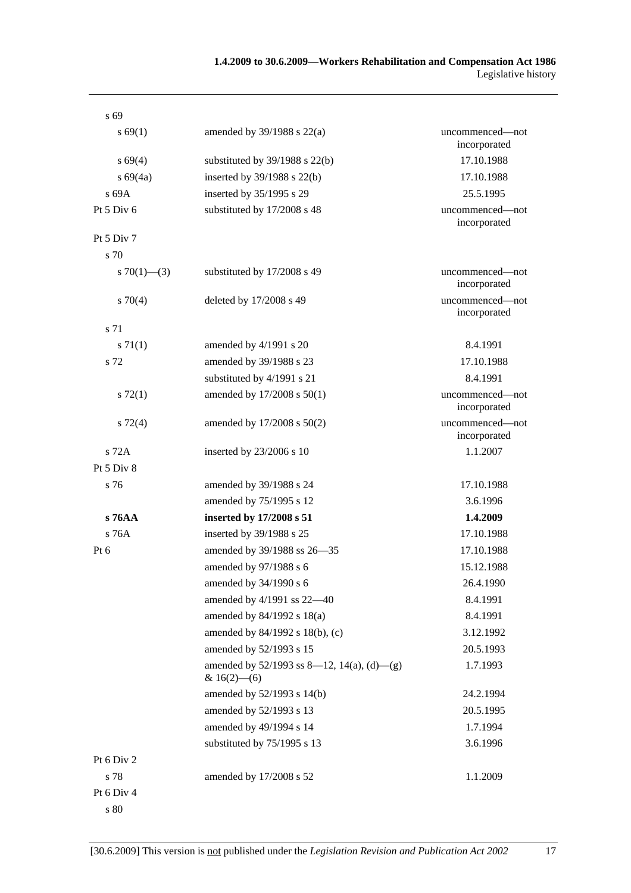| $s\,69$           |                                                                 |                                 |
|-------------------|-----------------------------------------------------------------|---------------------------------|
| s 69(1)           | amended by $39/1988$ s $22(a)$                                  | uncommenced—not<br>incorporated |
| $s\,69(4)$        | substituted by $39/1988$ s $22(b)$                              | 17.10.1988                      |
| s 69(4a)          | inserted by 39/1988 s 22(b)                                     | 17.10.1988                      |
| s 69A             | inserted by 35/1995 s 29                                        | 25.5.1995                       |
| Pt 5 Div 6        | substituted by 17/2008 s 48                                     | uncommenced—not<br>incorporated |
| Pt $5$ Div $7$    |                                                                 |                                 |
| s 70              |                                                                 |                                 |
| s $70(1)$ — $(3)$ | substituted by 17/2008 s 49                                     | uncommenced—not<br>incorporated |
| 570(4)            | deleted by 17/2008 s 49                                         | uncommenced-not<br>incorporated |
| s 71              |                                                                 |                                 |
| s 71(1)           | amended by $4/1991$ s 20                                        | 8.4.1991                        |
| s 72              | amended by 39/1988 s 23                                         | 17.10.1988                      |
|                   | substituted by 4/1991 s 21                                      | 8.4.1991                        |
| $s\ 72(1)$        | amended by 17/2008 s 50(1)                                      | uncommenced-not<br>incorporated |
| $s\ 72(4)$        | amended by 17/2008 s 50(2)                                      | uncommenced-not<br>incorporated |
| s 72A             | inserted by 23/2006 s 10                                        | 1.1.2007                        |
| Pt 5 Div 8        |                                                                 |                                 |
| s 76              | amended by 39/1988 s 24                                         | 17.10.1988                      |
|                   | amended by 75/1995 s 12                                         | 3.6.1996                        |
| $s\,76AA$         | inserted by 17/2008 s 51                                        | 1.4.2009                        |
| s 76A             | inserted by 39/1988 s 25                                        | 17.10.1988                      |
| Pt $6$            | amended by 39/1988 ss 26-35                                     | 17.10.1988                      |
|                   | amended by 97/1988 s 6                                          | 15.12.1988                      |
|                   | amended by 34/1990 s 6                                          | 26.4.1990                       |
|                   | amended by 4/1991 ss 22-40                                      | 8.4.1991                        |
|                   | amended by 84/1992 s 18(a)                                      | 8.4.1991                        |
|                   | amended by 84/1992 s 18(b), (c)                                 | 3.12.1992                       |
|                   | amended by 52/1993 s 15                                         | 20.5.1993                       |
|                   | amended by $52/1993$ ss 8—12, 14(a), (d)—(g)<br>& $16(2)$ - (6) | 1.7.1993                        |
|                   | amended by 52/1993 s 14(b)                                      | 24.2.1994                       |
|                   | amended by 52/1993 s 13                                         | 20.5.1995                       |
|                   | amended by 49/1994 s 14                                         | 1.7.1994                        |
|                   | substituted by 75/1995 s 13                                     | 3.6.1996                        |
| Pt 6 Div 2        |                                                                 |                                 |
| s 78              | amended by 17/2008 s 52                                         | 1.1.2009                        |
| Pt 6 Div 4        |                                                                 |                                 |
|                   |                                                                 |                                 |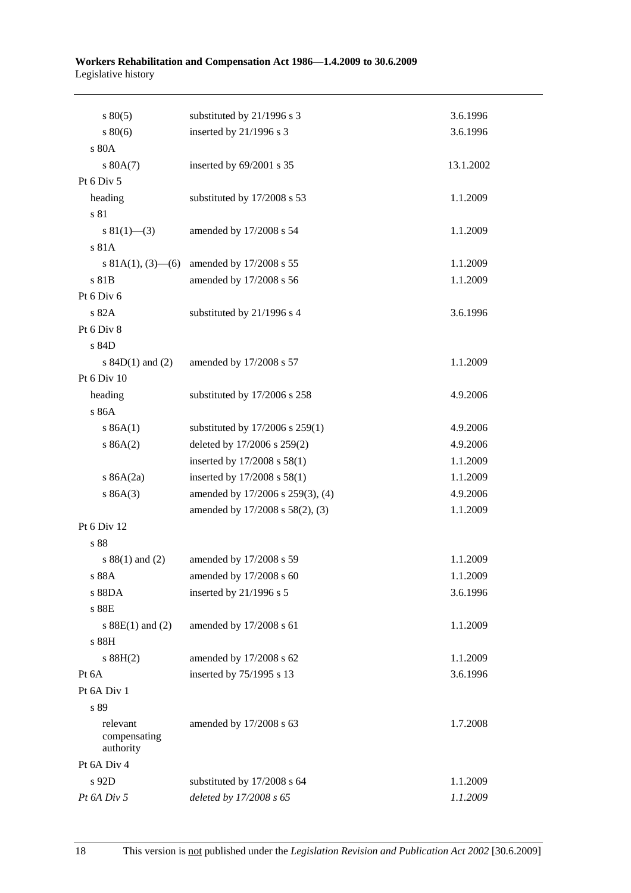| $s\,80(5)$               | substituted by 21/1996 s 3       | 3.6.1996  |
|--------------------------|----------------------------------|-----------|
| $s\,80(6)$               | inserted by 21/1996 s 3          | 3.6.1996  |
| s 80A                    |                                  |           |
| s 80A(7)                 | inserted by 69/2001 s 35         | 13.1.2002 |
| Pt 6 Div 5               |                                  |           |
| heading                  | substituted by 17/2008 s 53      | 1.1.2009  |
| s 81                     |                                  |           |
| s 81(1)–(3)              | amended by 17/2008 s 54          | 1.1.2009  |
| s 81A                    |                                  |           |
| s 81A(1), $(3)$ — $(6)$  | amended by 17/2008 s 55          | 1.1.2009  |
| s 81B                    | amended by 17/2008 s 56          | 1.1.2009  |
| Pt 6 Div 6               |                                  |           |
| s 82A                    | substituted by 21/1996 s 4       | 3.6.1996  |
| Pt 6 Div 8               |                                  |           |
| s 84D                    |                                  |           |
| s $84D(1)$ and $(2)$     | amended by 17/2008 s 57          | 1.1.2009  |
| Pt 6 Div 10              |                                  |           |
| heading                  | substituted by 17/2006 s 258     | 4.9.2006  |
| s 86A                    |                                  |           |
| s 86A(1)                 | substituted by 17/2006 s 259(1)  | 4.9.2006  |
| s 86A(2)                 | deleted by 17/2006 s 259(2)      | 4.9.2006  |
|                          | inserted by 17/2008 s 58(1)      | 1.1.2009  |
| s $86A(2a)$              | inserted by $17/2008$ s $58(1)$  | 1.1.2009  |
| s 86A(3)                 | amended by 17/2006 s 259(3), (4) | 4.9.2006  |
|                          | amended by 17/2008 s 58(2), (3)  | 1.1.2009  |
| Pt 6 Div 12              |                                  |           |
| s 88                     |                                  |           |
| $s 88(1)$ and (2)        | amended by 17/2008 s 59          | 1.1.2009  |
| s 88A                    | amended by 17/2008 s 60          | 1.1.2009  |
| s 88DA                   | inserted by 21/1996 s 5          | 3.6.1996  |
| s 88E                    |                                  |           |
| s $88E(1)$ and $(2)$     | amended by 17/2008 s 61          | 1.1.2009  |
| s 88H                    |                                  |           |
| s 88H(2)                 | amended by 17/2008 s 62          | 1.1.2009  |
| Pt 6A                    | inserted by 75/1995 s 13         | 3.6.1996  |
| Pt 6A Div 1              |                                  |           |
| s 89                     |                                  |           |
| relevant<br>compensating | amended by 17/2008 s 63          | 1.7.2008  |
| authority                |                                  |           |
| Pt 6A Div 4              |                                  |           |
| s 92D                    | substituted by 17/2008 s 64      | 1.1.2009  |
| Pt 6A Div 5              | deleted by 17/2008 s 65          | 1.1.2009  |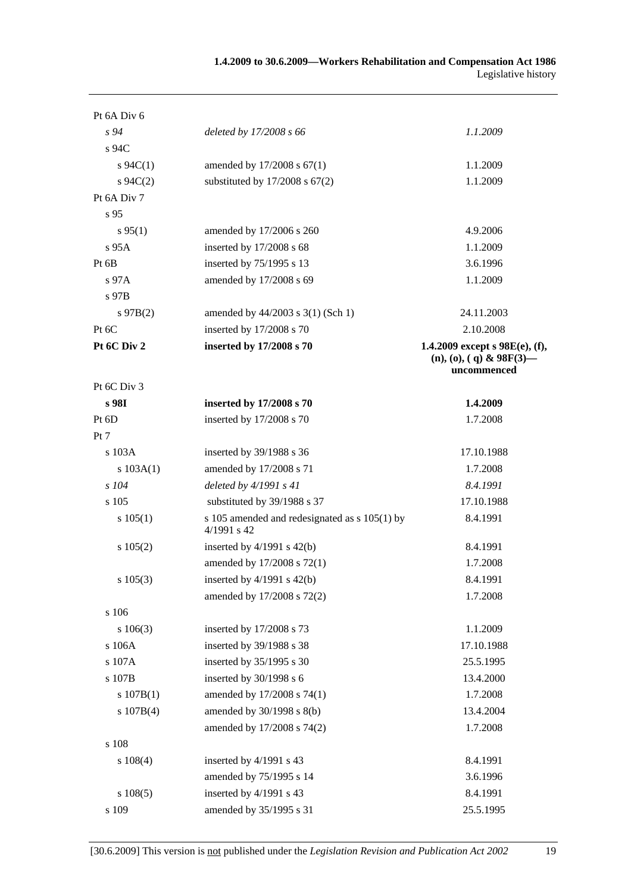| Pt 6A Div 6   |                                                              |                                                                               |
|---------------|--------------------------------------------------------------|-------------------------------------------------------------------------------|
| $s\,94$       | deleted by 17/2008 s 66                                      | 1.1.2009                                                                      |
| s 94C         |                                                              |                                                                               |
| $s \, 94C(1)$ | amended by 17/2008 s 67(1)                                   | 1.1.2009                                                                      |
| $s \, 94C(2)$ | substituted by $17/2008$ s $67(2)$                           | 1.1.2009                                                                      |
| Pt 6A Div 7   |                                                              |                                                                               |
| s 95          |                                                              |                                                                               |
| $s\,95(1)$    | amended by 17/2006 s 260                                     | 4.9.2006                                                                      |
| $s$ 95A       | inserted by 17/2008 s 68                                     | 1.1.2009                                                                      |
| Pt 6B         | inserted by 75/1995 s 13                                     | 3.6.1996                                                                      |
| $s\,97A$      | amended by 17/2008 s 69                                      | 1.1.2009                                                                      |
| s 97B         |                                                              |                                                                               |
| $s\,97B(2)$   | amended by 44/2003 s 3(1) (Sch 1)                            | 24.11.2003                                                                    |
| Pt 6C         | inserted by 17/2008 s 70                                     | 2.10.2008                                                                     |
| Pt 6C Div 2   | inserted by 17/2008 s 70                                     | 1.4.2009 except s $98E(e)$ , (f),<br>$(n), (o), (q)$ & 98F(3)–<br>uncommenced |
| Pt 6C Div 3   |                                                              |                                                                               |
| s 98I         | inserted by 17/2008 s 70                                     | 1.4.2009                                                                      |
| Pt 6D         | inserted by 17/2008 s 70                                     | 1.7.2008                                                                      |
| Pt 7          |                                                              |                                                                               |
| s 103A        | inserted by 39/1988 s 36                                     | 17.10.1988                                                                    |
| s $103A(1)$   | amended by 17/2008 s 71                                      | 1.7.2008                                                                      |
| $s$ 104       | deleted by $4/1991 s 41$                                     | 8.4.1991                                                                      |
| s 105         | substituted by 39/1988 s 37                                  | 17.10.1988                                                                    |
| s 105(1)      | s 105 amended and redesignated as s 105(1) by<br>4/1991 s 42 | 8.4.1991                                                                      |
| $s\ 105(2)$   | inserted by $4/1991$ s $42(b)$                               | 8.4.1991                                                                      |
|               | amended by 17/2008 s 72(1)                                   | 1.7.2008                                                                      |
| $s\ 105(3)$   | inserted by 4/1991 s 42(b)                                   | 8.4.1991                                                                      |
|               | amended by 17/2008 s 72(2)                                   | 1.7.2008                                                                      |
| s 106         |                                                              |                                                                               |
| $s\ 106(3)$   | inserted by 17/2008 s 73                                     | 1.1.2009                                                                      |
| s 106A        | inserted by 39/1988 s 38                                     | 17.10.1988                                                                    |
| s 107A        | inserted by 35/1995 s 30                                     | 25.5.1995                                                                     |
| s 107B        | inserted by 30/1998 s 6                                      | 13.4.2000                                                                     |
| s 107B(1)     | amended by 17/2008 s 74(1)                                   | 1.7.2008                                                                      |
| s 107B(4)     | amended by $30/1998$ s $8(b)$                                | 13.4.2004                                                                     |
|               | amended by 17/2008 s 74(2)                                   | 1.7.2008                                                                      |
| s 108         |                                                              |                                                                               |
| $s\ 108(4)$   | inserted by 4/1991 s 43                                      | 8.4.1991                                                                      |
|               | amended by 75/1995 s 14                                      | 3.6.1996                                                                      |
| s 108(5)      | inserted by 4/1991 s 43                                      | 8.4.1991                                                                      |
| s 109         | amended by 35/1995 s 31                                      | 25.5.1995                                                                     |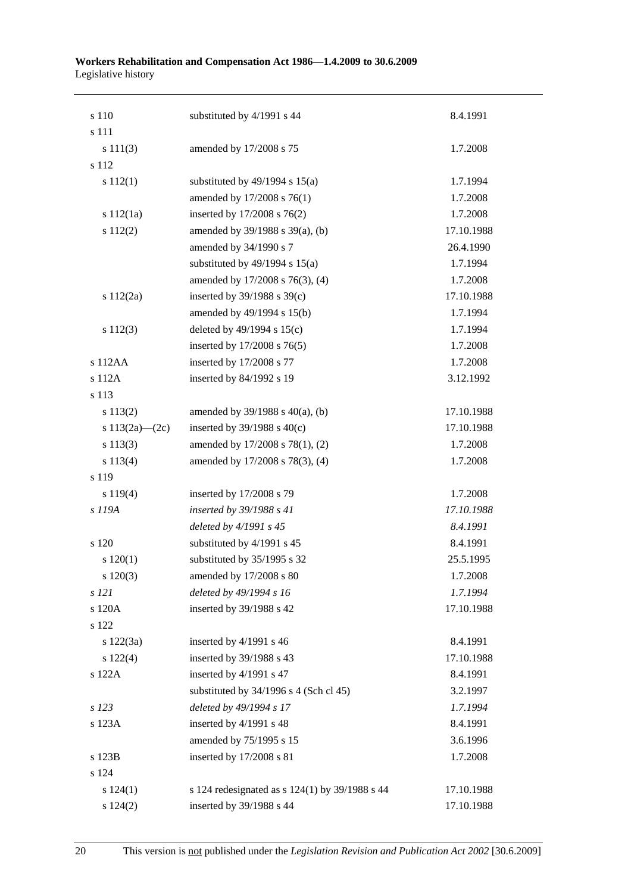| s 111<br>s 111(3)<br>amended by 17/2008 s 75<br>s 112<br>substituted by $49/1994$ s $15(a)$<br>$s\ 112(1)$<br>amended by 17/2008 s 76(1)<br>inserted by 17/2008 s 76(2)<br>s 112(1a)<br>s 112(2)<br>amended by 39/1988 s 39(a), (b)<br>amended by 34/1990 s 7<br>substituted by $49/1994$ s $15(a)$<br>amended by 17/2008 s 76(3), (4)<br>inserted by $39/1988$ s $39(c)$<br>s 112(2a)<br>amended by 49/1994 s 15(b)<br>deleted by $49/1994$ s $15(c)$<br>s 112(3)<br>inserted by 17/2008 s 76(5)<br>s 112AA<br>inserted by 17/2008 s 77<br>s 112A<br>inserted by 84/1992 s 19 | 1.7.2008<br>1.7.1994 |
|--------------------------------------------------------------------------------------------------------------------------------------------------------------------------------------------------------------------------------------------------------------------------------------------------------------------------------------------------------------------------------------------------------------------------------------------------------------------------------------------------------------------------------------------------------------------------------|----------------------|
|                                                                                                                                                                                                                                                                                                                                                                                                                                                                                                                                                                                |                      |
|                                                                                                                                                                                                                                                                                                                                                                                                                                                                                                                                                                                |                      |
|                                                                                                                                                                                                                                                                                                                                                                                                                                                                                                                                                                                |                      |
|                                                                                                                                                                                                                                                                                                                                                                                                                                                                                                                                                                                |                      |
|                                                                                                                                                                                                                                                                                                                                                                                                                                                                                                                                                                                | 1.7.2008             |
|                                                                                                                                                                                                                                                                                                                                                                                                                                                                                                                                                                                | 1.7.2008             |
|                                                                                                                                                                                                                                                                                                                                                                                                                                                                                                                                                                                | 17.10.1988           |
|                                                                                                                                                                                                                                                                                                                                                                                                                                                                                                                                                                                | 26.4.1990            |
|                                                                                                                                                                                                                                                                                                                                                                                                                                                                                                                                                                                | 1.7.1994             |
|                                                                                                                                                                                                                                                                                                                                                                                                                                                                                                                                                                                | 1.7.2008             |
|                                                                                                                                                                                                                                                                                                                                                                                                                                                                                                                                                                                | 17.10.1988           |
|                                                                                                                                                                                                                                                                                                                                                                                                                                                                                                                                                                                | 1.7.1994             |
|                                                                                                                                                                                                                                                                                                                                                                                                                                                                                                                                                                                | 1.7.1994             |
|                                                                                                                                                                                                                                                                                                                                                                                                                                                                                                                                                                                | 1.7.2008             |
|                                                                                                                                                                                                                                                                                                                                                                                                                                                                                                                                                                                | 1.7.2008             |
|                                                                                                                                                                                                                                                                                                                                                                                                                                                                                                                                                                                | 3.12.1992            |
| s 113                                                                                                                                                                                                                                                                                                                                                                                                                                                                                                                                                                          |                      |
| s 113(2)<br>amended by $39/1988$ s $40(a)$ , (b)                                                                                                                                                                                                                                                                                                                                                                                                                                                                                                                               | 17.10.1988           |
| s $113(2a)$ - (2c)<br>inserted by $39/1988$ s $40(c)$                                                                                                                                                                                                                                                                                                                                                                                                                                                                                                                          | 17.10.1988           |
| s 113(3)<br>amended by 17/2008 s 78(1), (2)                                                                                                                                                                                                                                                                                                                                                                                                                                                                                                                                    | 1.7.2008             |
| amended by 17/2008 s 78(3), (4)<br>s 113(4)                                                                                                                                                                                                                                                                                                                                                                                                                                                                                                                                    | 1.7.2008             |
| s 119                                                                                                                                                                                                                                                                                                                                                                                                                                                                                                                                                                          |                      |
| inserted by 17/2008 s 79<br>s 119(4)                                                                                                                                                                                                                                                                                                                                                                                                                                                                                                                                           | 1.7.2008             |
| s 119A<br>inserted by 39/1988 s 41                                                                                                                                                                                                                                                                                                                                                                                                                                                                                                                                             | 17.10.1988           |
| deleted by 4/1991 s 45                                                                                                                                                                                                                                                                                                                                                                                                                                                                                                                                                         | 8.4.1991             |
| substituted by 4/1991 s 45<br>s 120                                                                                                                                                                                                                                                                                                                                                                                                                                                                                                                                            | 8.4.1991             |
| substituted by 35/1995 s 32<br>120(1)                                                                                                                                                                                                                                                                                                                                                                                                                                                                                                                                          | 25.5.1995            |
| 120(3)<br>amended by 17/2008 s 80                                                                                                                                                                                                                                                                                                                                                                                                                                                                                                                                              | 1.7.2008             |
| deleted by 49/1994 s 16<br>s 121                                                                                                                                                                                                                                                                                                                                                                                                                                                                                                                                               | 1.7.1994             |
| s 120A<br>inserted by 39/1988 s 42                                                                                                                                                                                                                                                                                                                                                                                                                                                                                                                                             | 17.10.1988           |
| s 122                                                                                                                                                                                                                                                                                                                                                                                                                                                                                                                                                                          |                      |
| inserted by 4/1991 s 46<br>s 122(3a)                                                                                                                                                                                                                                                                                                                                                                                                                                                                                                                                           | 8.4.1991             |
| inserted by 39/1988 s 43<br>$s\ 122(4)$                                                                                                                                                                                                                                                                                                                                                                                                                                                                                                                                        | 17.10.1988           |
| s 122A<br>inserted by 4/1991 s 47                                                                                                                                                                                                                                                                                                                                                                                                                                                                                                                                              | 8.4.1991             |
| substituted by $34/1996$ s 4 (Sch cl 45)                                                                                                                                                                                                                                                                                                                                                                                                                                                                                                                                       | 3.2.1997             |
| deleted by 49/1994 s 17<br>$s$ 123                                                                                                                                                                                                                                                                                                                                                                                                                                                                                                                                             | 1.7.1994             |
| inserted by 4/1991 s 48<br>s 123A                                                                                                                                                                                                                                                                                                                                                                                                                                                                                                                                              | 8.4.1991             |
| amended by 75/1995 s 15                                                                                                                                                                                                                                                                                                                                                                                                                                                                                                                                                        | 3.6.1996             |
| inserted by 17/2008 s 81<br>s 123B                                                                                                                                                                                                                                                                                                                                                                                                                                                                                                                                             | 1.7.2008             |
| s 124                                                                                                                                                                                                                                                                                                                                                                                                                                                                                                                                                                          |                      |
| s 124 redesignated as s 124(1) by 39/1988 s 44<br>s 124(1)                                                                                                                                                                                                                                                                                                                                                                                                                                                                                                                     | 17.10.1988           |
| inserted by 39/1988 s 44<br>s 124(2)                                                                                                                                                                                                                                                                                                                                                                                                                                                                                                                                           | 17.10.1988           |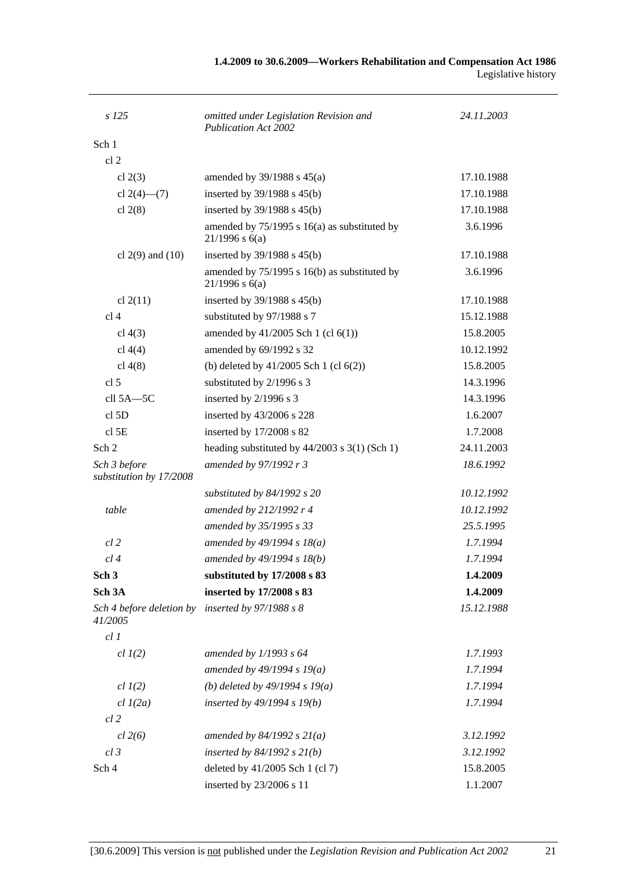| s 125                                   | omitted under Legislation Revision and<br>Publication Act 2002     | 24.11.2003 |
|-----------------------------------------|--------------------------------------------------------------------|------------|
| Sch 1                                   |                                                                    |            |
| cl <sub>2</sub>                         |                                                                    |            |
| cl $2(3)$                               | amended by $39/1988$ s $45(a)$                                     | 17.10.1988 |
| cl $2(4)$ — $(7)$                       | inserted by $39/1988$ s $45(b)$                                    | 17.10.1988 |
| cl $2(8)$                               | inserted by 39/1988 s 45(b)                                        | 17.10.1988 |
|                                         | amended by $75/1995$ s 16(a) as substituted by<br>$21/1996$ s 6(a) | 3.6.1996   |
| cl $2(9)$ and $(10)$                    | inserted by $39/1988$ s $45(b)$                                    | 17.10.1988 |
|                                         | amended by $75/1995$ s 16(b) as substituted by<br>$21/1996$ s 6(a) | 3.6.1996   |
| cl $2(11)$                              | inserted by $39/1988$ s $45(b)$                                    | 17.10.1988 |
| cl <sub>4</sub>                         | substituted by 97/1988 s 7                                         | 15.12.1988 |
| cl $4(3)$                               | amended by 41/2005 Sch 1 (cl 6(1))                                 | 15.8.2005  |
| cl $4(4)$                               | amended by 69/1992 s 32                                            | 10.12.1992 |
| cl $4(8)$                               | (b) deleted by $41/2005$ Sch 1 (cl $6(2)$ )                        | 15.8.2005  |
| cl <sub>5</sub>                         | substituted by 2/1996 s 3                                          | 14.3.1996  |
| cll 5A-5C                               | inserted by 2/1996 s 3                                             | 14.3.1996  |
| cl <sub>5D</sub>                        | inserted by 43/2006 s 228                                          | 1.6.2007   |
| $cl$ 5E                                 | inserted by 17/2008 s 82                                           | 1.7.2008   |
| Sch 2                                   | heading substituted by $44/2003$ s 3(1) (Sch 1)                    | 24.11.2003 |
| Sch 3 before<br>substitution by 17/2008 | amended by 97/1992 r 3                                             | 18.6.1992  |
|                                         | substituted by $84/1992$ s 20                                      | 10.12.1992 |
| table                                   | amended by 212/1992 r 4                                            | 10.12.1992 |
|                                         | amended by 35/1995 s 33                                            | 25.5.1995  |
| $cl$ 2                                  | amended by $49/1994 s 18(a)$                                       | 1.7.1994   |
| cl 4                                    | amended by 49/1994 s 18(b)                                         | 1.7.1994   |
| Sch <sub>3</sub>                        | substituted by 17/2008 s 83                                        | 1.4.2009   |
| Sch <sub>3A</sub>                       | inserted by 17/2008 s 83                                           | 1.4.2009   |
| Sch 4 before deletion by<br>41/2005     | inserted by $97/1988 s 8$                                          | 15.12.1988 |
| $cl$ $I$                                |                                                                    |            |
| $cl$ $I(2)$                             | amended by 1/1993 s 64                                             | 1.7.1993   |
|                                         | amended by $49/1994 s 19(a)$                                       | 1.7.1994   |
| $cl$ $I(2)$                             | (b) deleted by $49/1994 s 19(a)$                                   | 1.7.1994   |
| $cl$ $I(2a)$                            | inserted by $49/1994 s 19(b)$                                      | 1.7.1994   |
| $cl$ 2                                  |                                                                    |            |
| $cl$ 2(6)                               | amended by $84/1992 s 21(a)$                                       | 3.12.1992  |
| $cl$ 3                                  | inserted by $84/1992$ s $21(b)$                                    | 3.12.1992  |
| Sch 4                                   | deleted by 41/2005 Sch 1 (cl 7)                                    | 15.8.2005  |
|                                         | inserted by 23/2006 s 11                                           | 1.1.2007   |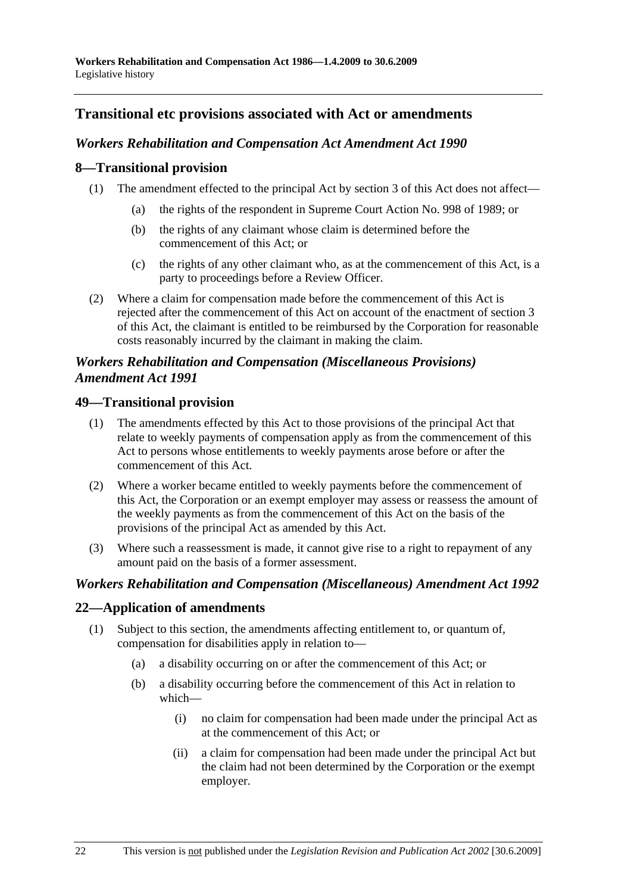### **Transitional etc provisions associated with Act or amendments**

#### *Workers Rehabilitation and Compensation Act Amendment Act 1990*

#### **8—Transitional provision**

- (1) The amendment effected to the principal Act by section 3 of this Act does not affect—
	- (a) the rights of the respondent in Supreme Court Action No. 998 of 1989; or
	- (b) the rights of any claimant whose claim is determined before the commencement of this Act; or
	- (c) the rights of any other claimant who, as at the commencement of this Act, is a party to proceedings before a Review Officer.
- (2) Where a claim for compensation made before the commencement of this Act is rejected after the commencement of this Act on account of the enactment of section 3 of this Act, the claimant is entitled to be reimbursed by the Corporation for reasonable costs reasonably incurred by the claimant in making the claim.

#### *Workers Rehabilitation and Compensation (Miscellaneous Provisions) Amendment Act 1991*

#### **49—Transitional provision**

- (1) The amendments effected by this Act to those provisions of the principal Act that relate to weekly payments of compensation apply as from the commencement of this Act to persons whose entitlements to weekly payments arose before or after the commencement of this Act.
- (2) Where a worker became entitled to weekly payments before the commencement of this Act, the Corporation or an exempt employer may assess or reassess the amount of the weekly payments as from the commencement of this Act on the basis of the provisions of the principal Act as amended by this Act.
- (3) Where such a reassessment is made, it cannot give rise to a right to repayment of any amount paid on the basis of a former assessment.

#### *Workers Rehabilitation and Compensation (Miscellaneous) Amendment Act 1992*

#### **22—Application of amendments**

- (1) Subject to this section, the amendments affecting entitlement to, or quantum of, compensation for disabilities apply in relation to—
	- (a) a disability occurring on or after the commencement of this Act; or
	- (b) a disability occurring before the commencement of this Act in relation to which—
		- (i) no claim for compensation had been made under the principal Act as at the commencement of this Act; or
		- (ii) a claim for compensation had been made under the principal Act but the claim had not been determined by the Corporation or the exempt employer.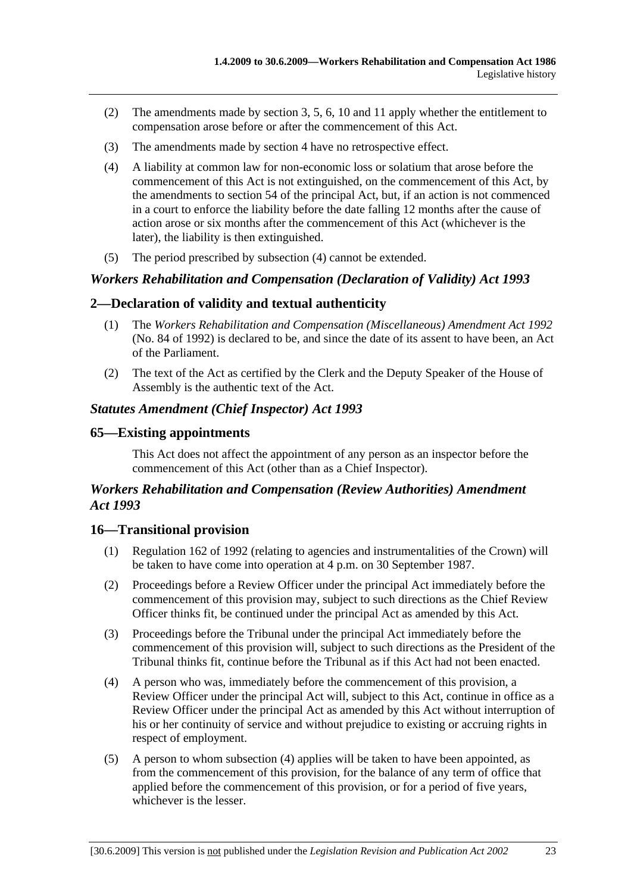- (2) The amendments made by section 3, 5, 6, 10 and 11 apply whether the entitlement to compensation arose before or after the commencement of this Act.
- (3) The amendments made by section 4 have no retrospective effect.
- (4) A liability at common law for non-economic loss or solatium that arose before the commencement of this Act is not extinguished, on the commencement of this Act, by the amendments to section 54 of the principal Act, but, if an action is not commenced in a court to enforce the liability before the date falling 12 months after the cause of action arose or six months after the commencement of this Act (whichever is the later), the liability is then extinguished.
- (5) The period prescribed by subsection (4) cannot be extended.

#### *Workers Rehabilitation and Compensation (Declaration of Validity) Act 1993*

#### **2—Declaration of validity and textual authenticity**

- (1) The *Workers Rehabilitation and Compensation (Miscellaneous) Amendment Act 1992* (No. 84 of 1992) is declared to be, and since the date of its assent to have been, an Act of the Parliament.
- (2) The text of the Act as certified by the Clerk and the Deputy Speaker of the House of Assembly is the authentic text of the Act.

#### *Statutes Amendment (Chief Inspector) Act 1993*

#### **65—Existing appointments**

This Act does not affect the appointment of any person as an inspector before the commencement of this Act (other than as a Chief Inspector).

#### *Workers Rehabilitation and Compensation (Review Authorities) Amendment Act 1993*

#### **16—Transitional provision**

- (1) Regulation 162 of 1992 (relating to agencies and instrumentalities of the Crown) will be taken to have come into operation at 4 p.m. on 30 September 1987.
- (2) Proceedings before a Review Officer under the principal Act immediately before the commencement of this provision may, subject to such directions as the Chief Review Officer thinks fit, be continued under the principal Act as amended by this Act.
- (3) Proceedings before the Tribunal under the principal Act immediately before the commencement of this provision will, subject to such directions as the President of the Tribunal thinks fit, continue before the Tribunal as if this Act had not been enacted.
- (4) A person who was, immediately before the commencement of this provision, a Review Officer under the principal Act will, subject to this Act, continue in office as a Review Officer under the principal Act as amended by this Act without interruption of his or her continuity of service and without prejudice to existing or accruing rights in respect of employment.
- (5) A person to whom subsection (4) applies will be taken to have been appointed, as from the commencement of this provision, for the balance of any term of office that applied before the commencement of this provision, or for a period of five years, whichever is the lesser.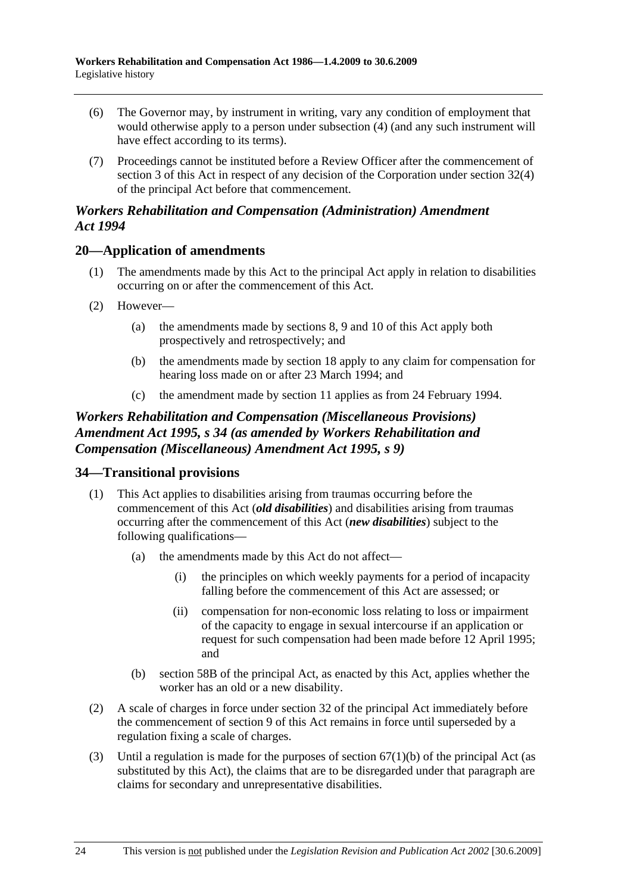- (6) The Governor may, by instrument in writing, vary any condition of employment that would otherwise apply to a person under subsection (4) (and any such instrument will have effect according to its terms).
- (7) Proceedings cannot be instituted before a Review Officer after the commencement of section 3 of this Act in respect of any decision of the Corporation under section 32(4) of the principal Act before that commencement.

#### *Workers Rehabilitation and Compensation (Administration) Amendment Act 1994*

### **20—Application of amendments**

- (1) The amendments made by this Act to the principal Act apply in relation to disabilities occurring on or after the commencement of this Act.
- (2) However—
	- (a) the amendments made by sections 8, 9 and 10 of this Act apply both prospectively and retrospectively; and
	- (b) the amendments made by section 18 apply to any claim for compensation for hearing loss made on or after 23 March 1994; and
	- (c) the amendment made by section 11 applies as from 24 February 1994.

### *Workers Rehabilitation and Compensation (Miscellaneous Provisions) Amendment Act 1995, s 34 (as amended by Workers Rehabilitation and Compensation (Miscellaneous) Amendment Act 1995, s 9)*

### **34—Transitional provisions**

- (1) This Act applies to disabilities arising from traumas occurring before the commencement of this Act (*old disabilities*) and disabilities arising from traumas occurring after the commencement of this Act (*new disabilities*) subject to the following qualifications—
	- (a) the amendments made by this Act do not affect—
		- (i) the principles on which weekly payments for a period of incapacity falling before the commencement of this Act are assessed; or
		- (ii) compensation for non-economic loss relating to loss or impairment of the capacity to engage in sexual intercourse if an application or request for such compensation had been made before 12 April 1995; and
	- (b) section 58B of the principal Act, as enacted by this Act, applies whether the worker has an old or a new disability.
- (2) A scale of charges in force under section 32 of the principal Act immediately before the commencement of section 9 of this Act remains in force until superseded by a regulation fixing a scale of charges.
- (3) Until a regulation is made for the purposes of section  $67(1)(b)$  of the principal Act (as substituted by this Act), the claims that are to be disregarded under that paragraph are claims for secondary and unrepresentative disabilities.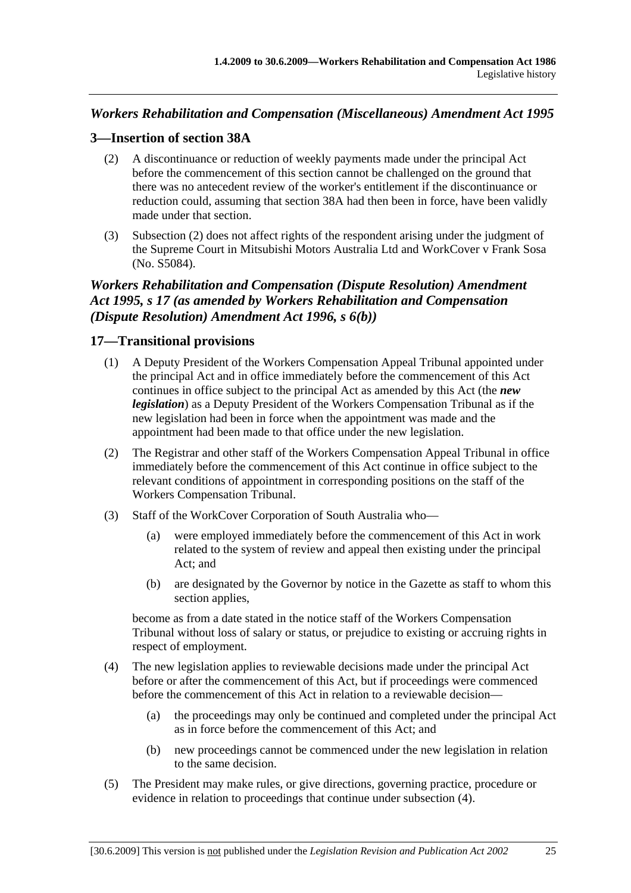# *Workers Rehabilitation and Compensation (Miscellaneous) Amendment Act 1995*

# **3—Insertion of section 38A**

- (2) A discontinuance or reduction of weekly payments made under the principal Act before the commencement of this section cannot be challenged on the ground that there was no antecedent review of the worker's entitlement if the discontinuance or reduction could, assuming that section 38A had then been in force, have been validly made under that section.
- (3) Subsection (2) does not affect rights of the respondent arising under the judgment of the Supreme Court in Mitsubishi Motors Australia Ltd and WorkCover v Frank Sosa (No. S5084).

# *Workers Rehabilitation and Compensation (Dispute Resolution) Amendment Act 1995, s 17 (as amended by Workers Rehabilitation and Compensation (Dispute Resolution) Amendment Act 1996, s 6(b))*

## **17—Transitional provisions**

- (1) A Deputy President of the Workers Compensation Appeal Tribunal appointed under the principal Act and in office immediately before the commencement of this Act continues in office subject to the principal Act as amended by this Act (the *new legislation*) as a Deputy President of the Workers Compensation Tribunal as if the new legislation had been in force when the appointment was made and the appointment had been made to that office under the new legislation.
- (2) The Registrar and other staff of the Workers Compensation Appeal Tribunal in office immediately before the commencement of this Act continue in office subject to the relevant conditions of appointment in corresponding positions on the staff of the Workers Compensation Tribunal.
- (3) Staff of the WorkCover Corporation of South Australia who—
	- (a) were employed immediately before the commencement of this Act in work related to the system of review and appeal then existing under the principal Act; and
	- (b) are designated by the Governor by notice in the Gazette as staff to whom this section applies,

become as from a date stated in the notice staff of the Workers Compensation Tribunal without loss of salary or status, or prejudice to existing or accruing rights in respect of employment.

- (4) The new legislation applies to reviewable decisions made under the principal Act before or after the commencement of this Act, but if proceedings were commenced before the commencement of this Act in relation to a reviewable decision—
	- (a) the proceedings may only be continued and completed under the principal Act as in force before the commencement of this Act; and
	- (b) new proceedings cannot be commenced under the new legislation in relation to the same decision.
- (5) The President may make rules, or give directions, governing practice, procedure or evidence in relation to proceedings that continue under subsection (4).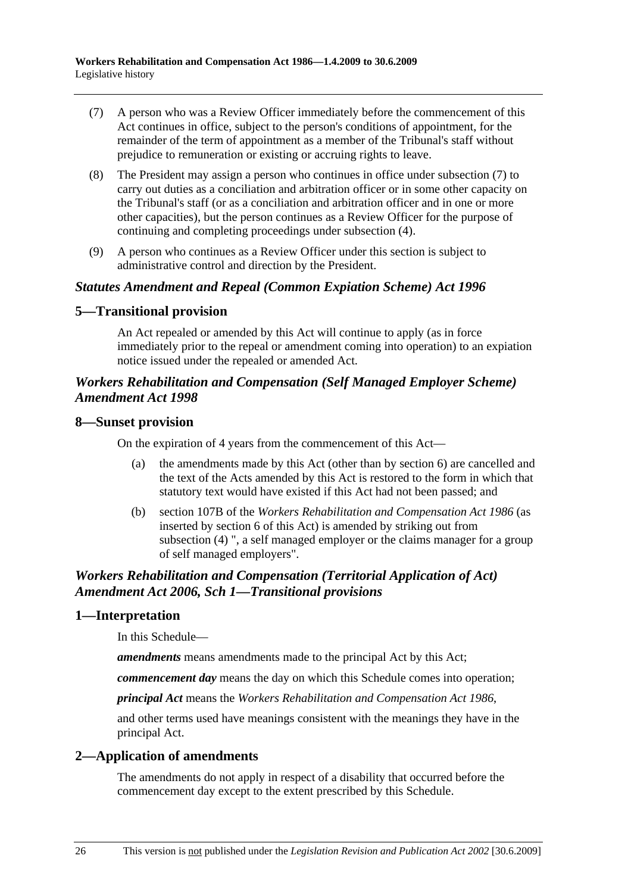- (7) A person who was a Review Officer immediately before the commencement of this Act continues in office, subject to the person's conditions of appointment, for the remainder of the term of appointment as a member of the Tribunal's staff without prejudice to remuneration or existing or accruing rights to leave.
- (8) The President may assign a person who continues in office under subsection (7) to carry out duties as a conciliation and arbitration officer or in some other capacity on the Tribunal's staff (or as a conciliation and arbitration officer and in one or more other capacities), but the person continues as a Review Officer for the purpose of continuing and completing proceedings under subsection (4).
- (9) A person who continues as a Review Officer under this section is subject to administrative control and direction by the President.

#### *Statutes Amendment and Repeal (Common Expiation Scheme) Act 1996*

#### **5—Transitional provision**

An Act repealed or amended by this Act will continue to apply (as in force immediately prior to the repeal or amendment coming into operation) to an expiation notice issued under the repealed or amended Act.

## *Workers Rehabilitation and Compensation (Self Managed Employer Scheme) Amendment Act 1998*

#### **8—Sunset provision**

On the expiration of 4 years from the commencement of this Act—

- (a) the amendments made by this Act (other than by section 6) are cancelled and the text of the Acts amended by this Act is restored to the form in which that statutory text would have existed if this Act had not been passed; and
- (b) section 107B of the *Workers Rehabilitation and Compensation Act 1986* (as inserted by section 6 of this Act) is amended by striking out from subsection (4) ", a self managed employer or the claims manager for a group of self managed employers".

# *Workers Rehabilitation and Compensation (Territorial Application of Act) Amendment Act 2006, Sch 1—Transitional provisions*

## **1—Interpretation**

In this Schedule—

*amendments* means amendments made to the principal Act by this Act;

*commencement day* means the day on which this Schedule comes into operation;

*principal Act* means the *Workers Rehabilitation and Compensation Act 1986*,

and other terms used have meanings consistent with the meanings they have in the principal Act.

## **2—Application of amendments**

The amendments do not apply in respect of a disability that occurred before the commencement day except to the extent prescribed by this Schedule.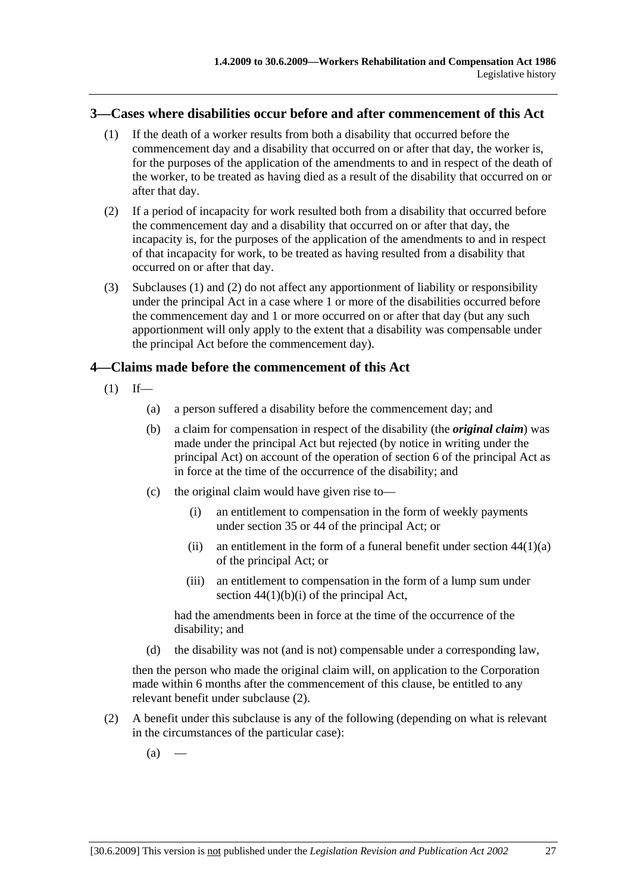#### **3—Cases where disabilities occur before and after commencement of this Act**

- (1) If the death of a worker results from both a disability that occurred before the commencement day and a disability that occurred on or after that day, the worker is, for the purposes of the application of the amendments to and in respect of the death of the worker, to be treated as having died as a result of the disability that occurred on or after that day.
- (2) If a period of incapacity for work resulted both from a disability that occurred before the commencement day and a disability that occurred on or after that day, the incapacity is, for the purposes of the application of the amendments to and in respect of that incapacity for work, to be treated as having resulted from a disability that occurred on or after that day.
- (3) Subclauses (1) and (2) do not affect any apportionment of liability or responsibility under the principal Act in a case where 1 or more of the disabilities occurred before the commencement day and 1 or more occurred on or after that day (but any such apportionment will only apply to the extent that a disability was compensable under the principal Act before the commencement day).

#### **4—Claims made before the commencement of this Act**

- $(1)$  If—
	- (a) a person suffered a disability before the commencement day; and
	- (b) a claim for compensation in respect of the disability (the *original claim*) was made under the principal Act but rejected (by notice in writing under the principal Act) on account of the operation of section 6 of the principal Act as in force at the time of the occurrence of the disability; and
	- (c) the original claim would have given rise to—
		- (i) an entitlement to compensation in the form of weekly payments under section 35 or 44 of the principal Act; or
		- (ii) an entitlement in the form of a funeral benefit under section  $44(1)(a)$ of the principal Act; or
		- (iii) an entitlement to compensation in the form of a lump sum under section  $44(1)(b)(i)$  of the principal Act,

had the amendments been in force at the time of the occurrence of the disability; and

(d) the disability was not (and is not) compensable under a corresponding law,

then the person who made the original claim will, on application to the Corporation made within 6 months after the commencement of this clause, be entitled to any relevant benefit under subclause (2).

- (2) A benefit under this subclause is any of the following (depending on what is relevant in the circumstances of the particular case):
	- $(a)$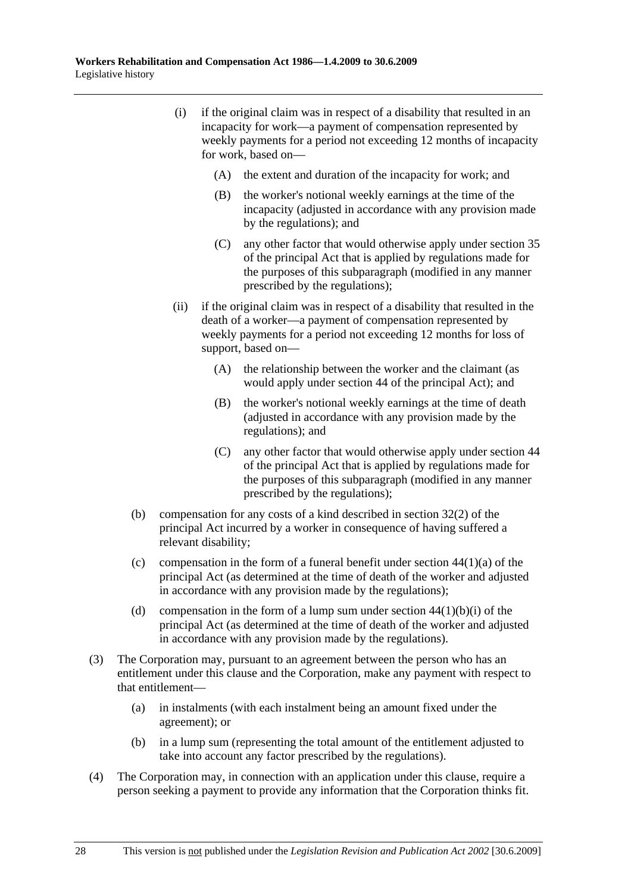- (i) if the original claim was in respect of a disability that resulted in an incapacity for work—a payment of compensation represented by weekly payments for a period not exceeding 12 months of incapacity for work, based on—
	- (A) the extent and duration of the incapacity for work; and
	- (B) the worker's notional weekly earnings at the time of the incapacity (adjusted in accordance with any provision made by the regulations); and
	- (C) any other factor that would otherwise apply under section 35 of the principal Act that is applied by regulations made for the purposes of this subparagraph (modified in any manner prescribed by the regulations);
- (ii) if the original claim was in respect of a disability that resulted in the death of a worker—a payment of compensation represented by weekly payments for a period not exceeding 12 months for loss of support, based on—
	- (A) the relationship between the worker and the claimant (as would apply under section 44 of the principal Act); and
	- (B) the worker's notional weekly earnings at the time of death (adjusted in accordance with any provision made by the regulations); and
	- (C) any other factor that would otherwise apply under section 44 of the principal Act that is applied by regulations made for the purposes of this subparagraph (modified in any manner prescribed by the regulations);
- (b) compensation for any costs of a kind described in section 32(2) of the principal Act incurred by a worker in consequence of having suffered a relevant disability;
- (c) compensation in the form of a funeral benefit under section  $44(1)(a)$  of the principal Act (as determined at the time of death of the worker and adjusted in accordance with any provision made by the regulations);
- (d) compensation in the form of a lump sum under section  $44(1)(b)(i)$  of the principal Act (as determined at the time of death of the worker and adjusted in accordance with any provision made by the regulations).
- (3) The Corporation may, pursuant to an agreement between the person who has an entitlement under this clause and the Corporation, make any payment with respect to that entitlement—
	- (a) in instalments (with each instalment being an amount fixed under the agreement); or
	- (b) in a lump sum (representing the total amount of the entitlement adjusted to take into account any factor prescribed by the regulations).
- (4) The Corporation may, in connection with an application under this clause, require a person seeking a payment to provide any information that the Corporation thinks fit.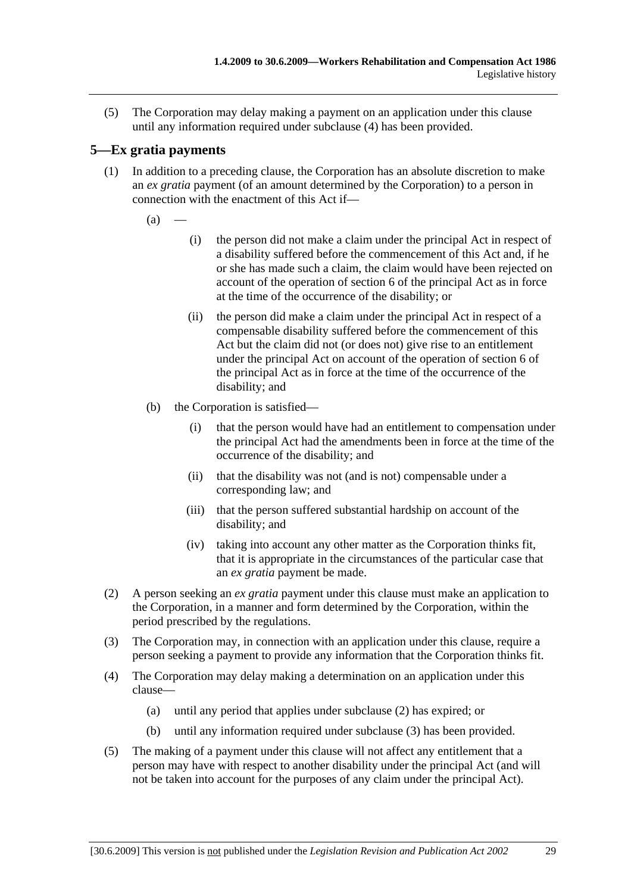(5) The Corporation may delay making a payment on an application under this clause until any information required under subclause (4) has been provided.

# **5—Ex gratia payments**

- (1) In addition to a preceding clause, the Corporation has an absolute discretion to make an *ex gratia* payment (of an amount determined by the Corporation) to a person in connection with the enactment of this Act if—
	- $(a)$
- (i) the person did not make a claim under the principal Act in respect of a disability suffered before the commencement of this Act and, if he or she has made such a claim, the claim would have been rejected on account of the operation of section 6 of the principal Act as in force at the time of the occurrence of the disability; or
- (ii) the person did make a claim under the principal Act in respect of a compensable disability suffered before the commencement of this Act but the claim did not (or does not) give rise to an entitlement under the principal Act on account of the operation of section 6 of the principal Act as in force at the time of the occurrence of the disability; and
- (b) the Corporation is satisfied—
	- (i) that the person would have had an entitlement to compensation under the principal Act had the amendments been in force at the time of the occurrence of the disability; and
	- (ii) that the disability was not (and is not) compensable under a corresponding law; and
	- (iii) that the person suffered substantial hardship on account of the disability; and
	- (iv) taking into account any other matter as the Corporation thinks fit, that it is appropriate in the circumstances of the particular case that an *ex gratia* payment be made.
- (2) A person seeking an *ex gratia* payment under this clause must make an application to the Corporation, in a manner and form determined by the Corporation, within the period prescribed by the regulations.
- (3) The Corporation may, in connection with an application under this clause, require a person seeking a payment to provide any information that the Corporation thinks fit.
- (4) The Corporation may delay making a determination on an application under this clause—
	- (a) until any period that applies under subclause (2) has expired; or
	- (b) until any information required under subclause (3) has been provided.
- (5) The making of a payment under this clause will not affect any entitlement that a person may have with respect to another disability under the principal Act (and will not be taken into account for the purposes of any claim under the principal Act).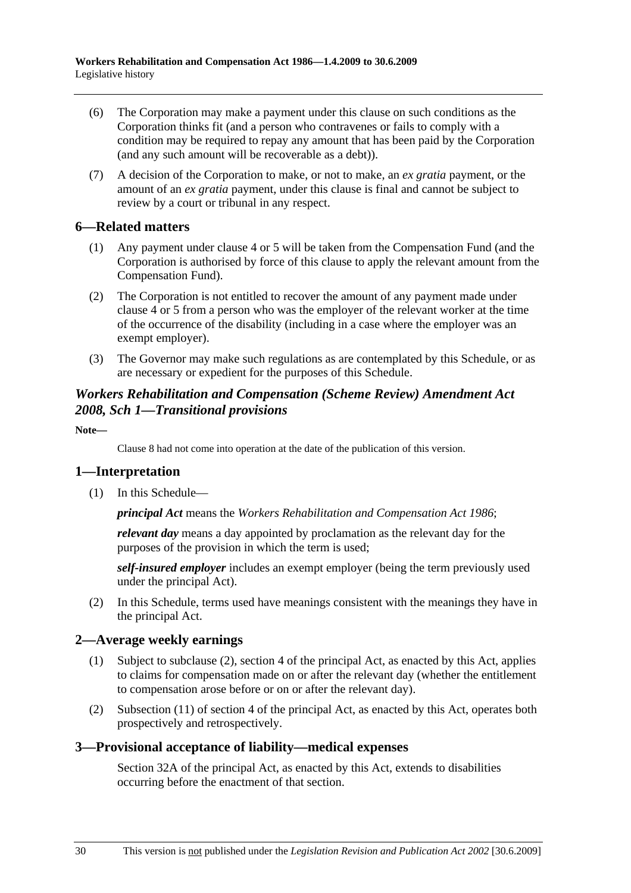- (6) The Corporation may make a payment under this clause on such conditions as the Corporation thinks fit (and a person who contravenes or fails to comply with a condition may be required to repay any amount that has been paid by the Corporation (and any such amount will be recoverable as a debt)).
- (7) A decision of the Corporation to make, or not to make, an *ex gratia* payment, or the amount of an *ex gratia* payment, under this clause is final and cannot be subject to review by a court or tribunal in any respect.

## **6—Related matters**

- (1) Any payment under clause 4 or 5 will be taken from the Compensation Fund (and the Corporation is authorised by force of this clause to apply the relevant amount from the Compensation Fund).
- (2) The Corporation is not entitled to recover the amount of any payment made under clause 4 or 5 from a person who was the employer of the relevant worker at the time of the occurrence of the disability (including in a case where the employer was an exempt employer).
- (3) The Governor may make such regulations as are contemplated by this Schedule, or as are necessary or expedient for the purposes of this Schedule.

## *Workers Rehabilitation and Compensation (Scheme Review) Amendment Act 2008, Sch 1—Transitional provisions*

**Note—** 

Clause 8 had not come into operation at the date of the publication of this version.

## **1—Interpretation**

(1) In this Schedule—

*principal Act* means the *Workers Rehabilitation and Compensation Act 1986*;

*relevant day* means a day appointed by proclamation as the relevant day for the purposes of the provision in which the term is used;

*self-insured employer* includes an exempt employer (being the term previously used under the principal Act).

 (2) In this Schedule, terms used have meanings consistent with the meanings they have in the principal Act.

## **2—Average weekly earnings**

- (1) Subject to subclause (2), section 4 of the principal Act, as enacted by this Act, applies to claims for compensation made on or after the relevant day (whether the entitlement to compensation arose before or on or after the relevant day).
- (2) Subsection (11) of section 4 of the principal Act, as enacted by this Act, operates both prospectively and retrospectively.

## **3—Provisional acceptance of liability—medical expenses**

Section 32A of the principal Act, as enacted by this Act, extends to disabilities occurring before the enactment of that section.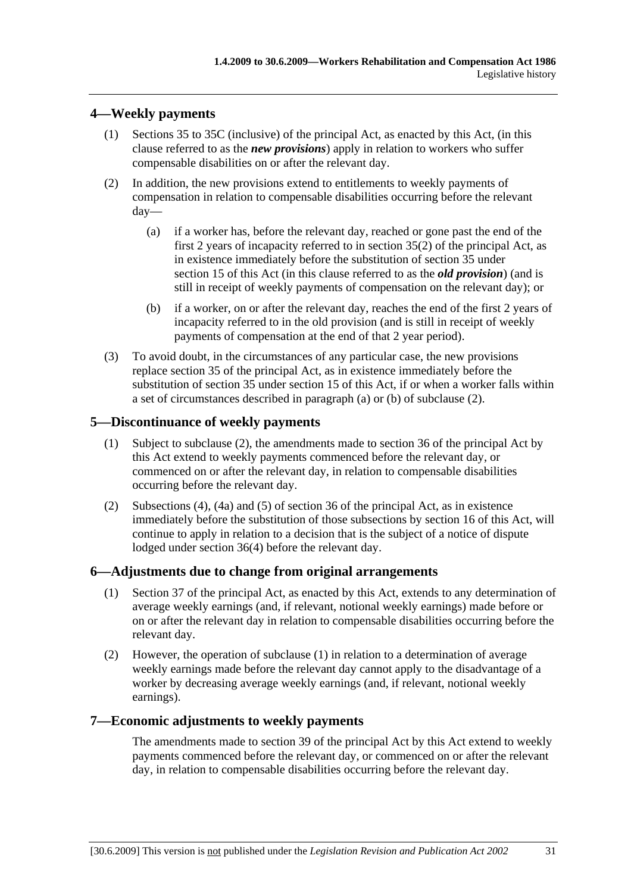# **4—Weekly payments**

- (1) Sections 35 to 35C (inclusive) of the principal Act, as enacted by this Act, (in this clause referred to as the *new provisions*) apply in relation to workers who suffer compensable disabilities on or after the relevant day.
- (2) In addition, the new provisions extend to entitlements to weekly payments of compensation in relation to compensable disabilities occurring before the relevant day—
	- (a) if a worker has, before the relevant day, reached or gone past the end of the first 2 years of incapacity referred to in section 35(2) of the principal Act, as in existence immediately before the substitution of section 35 under section 15 of this Act (in this clause referred to as the *old provision*) (and is still in receipt of weekly payments of compensation on the relevant day); or
	- (b) if a worker, on or after the relevant day, reaches the end of the first 2 years of incapacity referred to in the old provision (and is still in receipt of weekly payments of compensation at the end of that 2 year period).
- (3) To avoid doubt, in the circumstances of any particular case, the new provisions replace section 35 of the principal Act, as in existence immediately before the substitution of section 35 under section 15 of this Act, if or when a worker falls within a set of circumstances described in paragraph (a) or (b) of subclause (2).

## **5—Discontinuance of weekly payments**

- (1) Subject to subclause (2), the amendments made to section 36 of the principal Act by this Act extend to weekly payments commenced before the relevant day, or commenced on or after the relevant day, in relation to compensable disabilities occurring before the relevant day.
- (2) Subsections (4), (4a) and (5) of section 36 of the principal Act, as in existence immediately before the substitution of those subsections by section 16 of this Act, will continue to apply in relation to a decision that is the subject of a notice of dispute lodged under section 36(4) before the relevant day.

#### **6—Adjustments due to change from original arrangements**

- (1) Section 37 of the principal Act, as enacted by this Act, extends to any determination of average weekly earnings (and, if relevant, notional weekly earnings) made before or on or after the relevant day in relation to compensable disabilities occurring before the relevant day.
- (2) However, the operation of subclause (1) in relation to a determination of average weekly earnings made before the relevant day cannot apply to the disadvantage of a worker by decreasing average weekly earnings (and, if relevant, notional weekly earnings).

## **7—Economic adjustments to weekly payments**

The amendments made to section 39 of the principal Act by this Act extend to weekly payments commenced before the relevant day, or commenced on or after the relevant day, in relation to compensable disabilities occurring before the relevant day.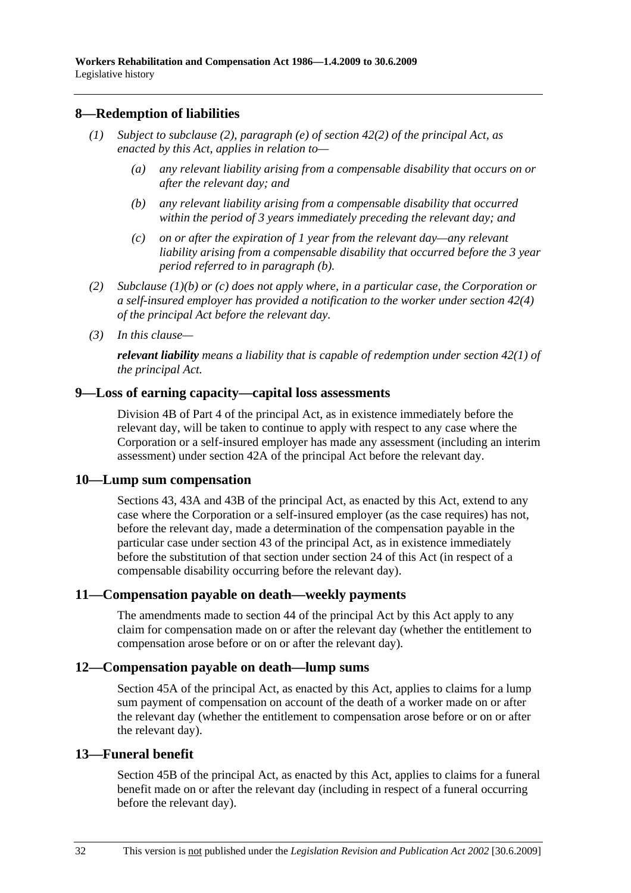### **8—Redemption of liabilities**

- *(1) Subject to subclause (2), paragraph (e) of section 42(2) of the principal Act, as enacted by this Act, applies in relation to—* 
	- *(a) any relevant liability arising from a compensable disability that occurs on or after the relevant day; and*
	- *(b) any relevant liability arising from a compensable disability that occurred within the period of 3 years immediately preceding the relevant day; and*
	- *(c) on or after the expiration of 1 year from the relevant day—any relevant liability arising from a compensable disability that occurred before the 3 year period referred to in paragraph (b).*
- *(2) Subclause (1)(b) or (c) does not apply where, in a particular case, the Corporation or a self-insured employer has provided a notification to the worker under section 42(4) of the principal Act before the relevant day.*
- *(3) In this clause—*

*relevant liability means a liability that is capable of redemption under section 42(1) of the principal Act.* 

#### **9—Loss of earning capacity—capital loss assessments**

Division 4B of Part 4 of the principal Act, as in existence immediately before the relevant day, will be taken to continue to apply with respect to any case where the Corporation or a self-insured employer has made any assessment (including an interim assessment) under section 42A of the principal Act before the relevant day.

#### **10—Lump sum compensation**

Sections 43, 43A and 43B of the principal Act, as enacted by this Act, extend to any case where the Corporation or a self-insured employer (as the case requires) has not, before the relevant day, made a determination of the compensation payable in the particular case under section 43 of the principal Act, as in existence immediately before the substitution of that section under section 24 of this Act (in respect of a compensable disability occurring before the relevant day).

#### **11—Compensation payable on death—weekly payments**

The amendments made to section 44 of the principal Act by this Act apply to any claim for compensation made on or after the relevant day (whether the entitlement to compensation arose before or on or after the relevant day).

#### **12—Compensation payable on death—lump sums**

Section 45A of the principal Act, as enacted by this Act, applies to claims for a lump sum payment of compensation on account of the death of a worker made on or after the relevant day (whether the entitlement to compensation arose before or on or after the relevant day).

#### **13—Funeral benefit**

Section 45B of the principal Act, as enacted by this Act, applies to claims for a funeral benefit made on or after the relevant day (including in respect of a funeral occurring before the relevant day).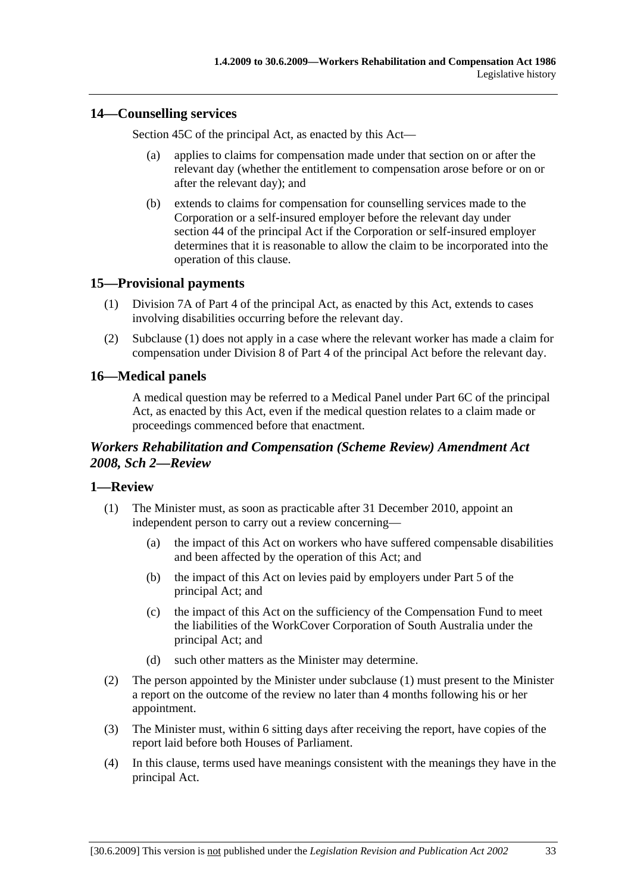## **14—Counselling services**

Section 45C of the principal Act, as enacted by this Act—

- (a) applies to claims for compensation made under that section on or after the relevant day (whether the entitlement to compensation arose before or on or after the relevant day); and
- (b) extends to claims for compensation for counselling services made to the Corporation or a self-insured employer before the relevant day under section 44 of the principal Act if the Corporation or self-insured employer determines that it is reasonable to allow the claim to be incorporated into the operation of this clause.

## **15—Provisional payments**

- (1) Division 7A of Part 4 of the principal Act, as enacted by this Act, extends to cases involving disabilities occurring before the relevant day.
- (2) Subclause (1) does not apply in a case where the relevant worker has made a claim for compensation under Division 8 of Part 4 of the principal Act before the relevant day.

## **16—Medical panels**

A medical question may be referred to a Medical Panel under Part 6C of the principal Act, as enacted by this Act, even if the medical question relates to a claim made or proceedings commenced before that enactment.

## *Workers Rehabilitation and Compensation (Scheme Review) Amendment Act 2008, Sch 2—Review*

## **1—Review**

- (1) The Minister must, as soon as practicable after 31 December 2010, appoint an independent person to carry out a review concerning—
	- (a) the impact of this Act on workers who have suffered compensable disabilities and been affected by the operation of this Act; and
	- (b) the impact of this Act on levies paid by employers under Part 5 of the principal Act; and
	- (c) the impact of this Act on the sufficiency of the Compensation Fund to meet the liabilities of the WorkCover Corporation of South Australia under the principal Act; and
	- (d) such other matters as the Minister may determine.
- (2) The person appointed by the Minister under subclause (1) must present to the Minister a report on the outcome of the review no later than 4 months following his or her appointment.
- (3) The Minister must, within 6 sitting days after receiving the report, have copies of the report laid before both Houses of Parliament.
- (4) In this clause, terms used have meanings consistent with the meanings they have in the principal Act.